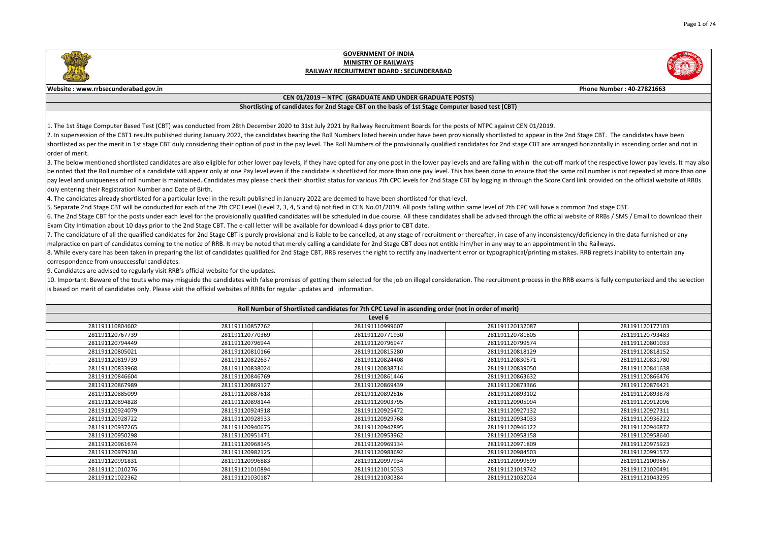|                                                                                                                                                                                                           | Phone Number: 40-27821663                                                                                                                                                                    |  |  |  |  |
|-----------------------------------------------------------------------------------------------------------------------------------------------------------------------------------------------------------|----------------------------------------------------------------------------------------------------------------------------------------------------------------------------------------------|--|--|--|--|
|                                                                                                                                                                                                           |                                                                                                                                                                                              |  |  |  |  |
|                                                                                                                                                                                                           |                                                                                                                                                                                              |  |  |  |  |
|                                                                                                                                                                                                           |                                                                                                                                                                                              |  |  |  |  |
| N 01/2019.<br>appear in the 2nd Stage CBT. The candidates have been<br>e CBT are arranged horizontally in ascending order and not in                                                                      |                                                                                                                                                                                              |  |  |  |  |
| in the cut-off mark of the respective lower pay levels. It may also<br>ure that the same roll number is not repeated at more than one<br>igh the Score Card link provided on the official website of RRBs |                                                                                                                                                                                              |  |  |  |  |
| C will have a common 2nd stage CBT.                                                                                                                                                                       | gh the official website of RRBs / SMS / Email to download their                                                                                                                              |  |  |  |  |
| an appointment in the Railways.                                                                                                                                                                           | any inconsistency/deficiency in the data furnished or any<br>l/printing mistakes. RRB regrets inability to entertain any<br>process in the RRB exams is fully computerized and the selection |  |  |  |  |
|                                                                                                                                                                                                           |                                                                                                                                                                                              |  |  |  |  |
|                                                                                                                                                                                                           |                                                                                                                                                                                              |  |  |  |  |
| 2087                                                                                                                                                                                                      | 281191120177103                                                                                                                                                                              |  |  |  |  |
| 1805                                                                                                                                                                                                      | 281191120793483                                                                                                                                                                              |  |  |  |  |
| 9574                                                                                                                                                                                                      | 281191120801033                                                                                                                                                                              |  |  |  |  |
| 8129                                                                                                                                                                                                      | 281191120818152                                                                                                                                                                              |  |  |  |  |
| 0571                                                                                                                                                                                                      | 281191120831780                                                                                                                                                                              |  |  |  |  |
| 9050                                                                                                                                                                                                      | 281191120841638                                                                                                                                                                              |  |  |  |  |
| 3632                                                                                                                                                                                                      | 281191120866476                                                                                                                                                                              |  |  |  |  |
|                                                                                                                                                                                                           |                                                                                                                                                                                              |  |  |  |  |
| 3366                                                                                                                                                                                                      | 281191120876421                                                                                                                                                                              |  |  |  |  |
| 3102                                                                                                                                                                                                      | 281191120893878                                                                                                                                                                              |  |  |  |  |
| 5094                                                                                                                                                                                                      | 281191120912096                                                                                                                                                                              |  |  |  |  |
| 7132                                                                                                                                                                                                      | 281191120927311                                                                                                                                                                              |  |  |  |  |
| 4033                                                                                                                                                                                                      | 281191120936222                                                                                                                                                                              |  |  |  |  |
| 6122                                                                                                                                                                                                      | 281191120946872                                                                                                                                                                              |  |  |  |  |
| 8158                                                                                                                                                                                                      | 281191120958640                                                                                                                                                                              |  |  |  |  |
| 1809                                                                                                                                                                                                      | 281191120975923                                                                                                                                                                              |  |  |  |  |
| 4503                                                                                                                                                                                                      | 281191120991572                                                                                                                                                                              |  |  |  |  |
| 9599                                                                                                                                                                                                      | 281191121009567                                                                                                                                                                              |  |  |  |  |
| 9742                                                                                                                                                                                                      | 281191121020491                                                                                                                                                                              |  |  |  |  |
| ንበን4                                                                                                                                                                                                      | 281191121043295                                                                                                                                                                              |  |  |  |  |

3. The below mentioned shortlisted candidates are also eligible for other lower pay levels, if they have opted for any one post in the lower pay levels and are falling withi be noted that the Roll number of a candidate will appear only at one Pay level even if the candidate is shortlisted for more than one pay level. This has been done to ense pay level and uniqueness of roll number is maintained. Candidates may please check their shortlist status for various 7th CPC levels for 2nd Stage CBT by logging in throu duly entering their Registration Number and Date of Birth.

4. The candidates already shortlisted for a particular level in the result published in January 2022 are deemed to have been shortlisted for that level.

5. Separate 2nd Stage CBT will be conducted for each of the 7th CPC Level (Level 2, 3, 4, 5 and 6) notified in CEN No.01/2019. All posts falling within same level of 7th CP 6. The 2nd Stage CBT for the posts under each level for the provisionally qualified candidates will be scheduled in due course. All these candidates shall be advised throug Exam City Intimation about 10 days prior to the 2nd Stage CBT. The e-call letter will be available for download 4 days prior to CBT date.

7. The candidature of all the qualified candidates for 2nd Stage CBT is purely provisional and is liable to be cancelled, at any stage of recruitment or thereafter, in case of  $\vert$ malpractice on part of candidates coming to the notice of RRB. It may be noted that merely calling a candidate for 2nd Stage CBT does not entitle him/her in any way to 8. While every care has been taken in preparing the list of candidates qualified for 2nd Stage CBT, RRB reserves the right to rectify any inadvertent error or typographical correspondence from unsuccessful candidates.

10. Important: Beware of the touts who may misguide the candidates with false promises of getting them selected for the job on illegal consideration. The recruitment p is based on merit of candidates only. Please visit the official websites of RRBs for regular updates and information.

| Roll Number of Shortlisted candidates for 7th CPC Level in ascending order (not in order of merit) |                 |                 |                 |                 |
|----------------------------------------------------------------------------------------------------|-----------------|-----------------|-----------------|-----------------|
|                                                                                                    |                 | Level 6         |                 |                 |
| 281191110804602                                                                                    | 281191110857762 | 281191110999607 | 281191120132087 | 281191120177103 |
| 281191120767739                                                                                    | 281191120770369 | 281191120771930 | 281191120781805 | 281191120793483 |
| 281191120794449                                                                                    | 281191120796944 | 281191120796947 | 281191120799574 | 281191120801033 |
| 281191120805021                                                                                    | 281191120810166 | 281191120815280 | 281191120818129 | 281191120818152 |
| 281191120819739                                                                                    | 281191120822637 | 281191120824408 | 281191120830571 | 281191120831780 |
| 281191120833968                                                                                    | 281191120838024 | 281191120838714 | 281191120839050 | 281191120841638 |
| 281191120846604                                                                                    | 281191120846769 | 281191120861446 | 281191120863632 | 281191120866476 |
| 281191120867989                                                                                    | 281191120869127 | 281191120869439 | 281191120873366 | 281191120876421 |
| 281191120885099                                                                                    | 281191120887618 | 281191120892816 | 281191120893102 | 281191120893878 |
| 281191120894828                                                                                    | 281191120898144 | 281191120903795 | 281191120905094 | 281191120912096 |
| 281191120924079                                                                                    | 281191120924918 | 281191120925472 | 281191120927132 | 281191120927311 |
| 281191120928722                                                                                    | 281191120928933 | 281191120929768 | 281191120934033 | 281191120936222 |
| 281191120937265                                                                                    | 281191120940675 | 281191120942895 | 281191120946122 | 281191120946872 |
| 281191120950298                                                                                    | 281191120951471 | 281191120953962 | 281191120958158 | 281191120958640 |
| 281191120961674                                                                                    | 281191120968145 | 281191120969134 | 281191120971809 | 281191120975923 |
| 281191120979230                                                                                    | 281191120982125 | 281191120983692 | 281191120984503 | 281191120991572 |
| 281191120991831                                                                                    | 281191120996883 | 281191120997934 | 281191120999599 | 281191121009567 |
| 281191121010276                                                                                    | 281191121010894 | 281191121015033 | 281191121019742 | 281191121020491 |
| 281191121022362                                                                                    | 281191121030187 | 281191121030384 | 281191121032024 | 281191121043295 |

9. Candidates are advised to regularly visit RRB's official website for the updates.



#### **GOVERNMENT OF INDIA MINISTRY OF RAILWAYS RAILWAY RECRUITMENT BOARD : SECUNDERABAD**

#### **Website : www.rrbsecunderabad.gov.in**

#### **CEN 01/2019 – NTPC (GRADUATE AND UNDER GRADUATE POSTS)**

#### **Shortlisting of candidates for 2nd Stage CBT on the basis of 1st Stage Computer based test (CBT)**

1. The 1st Stage Computer Based Test (CBT) was conducted from 28th December 2020 to 31st July 2021 by Railway Recruitment Boards for the posts of NTPC against CEI 2. In supersession of the CBT1 results published during January 2022, the candidates bearing the Roll Numbers listed herein under have been provisionally shortlisted to shortlisted as per the merit in 1st stage CBT duly considering their option of post in the pay level. The Roll Numbers of the provisionally qualified candidates for 2nd stage lorder of merit.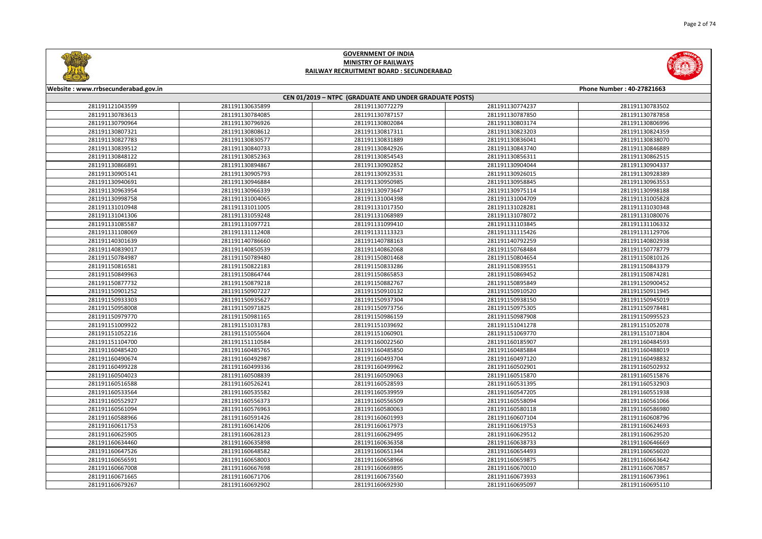



| Website: www.rrbsecunderabad.gov.in | Phone Number: 40-27821663          |                                                        |                                    |                                    |  |  |
|-------------------------------------|------------------------------------|--------------------------------------------------------|------------------------------------|------------------------------------|--|--|
|                                     |                                    | CEN 01/2019 - NTPC (GRADUATE AND UNDER GRADUATE POSTS) |                                    |                                    |  |  |
| 281191121043599<br>281191130783613  | 281191130635899<br>281191130784085 | 281191130772279<br>281191130787157                     | 281191130774237<br>281191130787850 | 281191130783502<br>281191130787858 |  |  |
| 281191130790964                     | 281191130796926                    | 281191130802084                                        | 281191130803174                    | 281191130806996                    |  |  |
|                                     |                                    |                                                        |                                    |                                    |  |  |
| 281191130807321                     | 281191130808612                    | 281191130817311                                        | 281191130823203                    | 281191130824359                    |  |  |
| 281191130827783<br>281191130839512  | 281191130830577<br>281191130840733 | 281191130831889<br>281191130842926                     | 281191130836041<br>281191130843740 | 281191130838070<br>281191130846889 |  |  |
| 281191130848122                     | 281191130852363                    | 281191130854543                                        | 281191130856311                    | 281191130862515                    |  |  |
|                                     |                                    |                                                        |                                    | 281191130904337                    |  |  |
| 281191130866891                     | 281191130894867                    | 281191130902852                                        | 281191130904044                    |                                    |  |  |
| 281191130905141<br>281191130940691  | 281191130905793<br>281191130946884 | 281191130923531<br>281191130950985                     | 281191130926015<br>281191130958845 | 281191130928389<br>281191130963553 |  |  |
| 281191130963954                     | 281191130966339                    | 281191130973647                                        | 281191130975114                    | 281191130998188                    |  |  |
| 281191130998758                     | 281191131004065                    | 281191131004398                                        | 281191131004709                    | 281191131005828                    |  |  |
| 281191131010948                     | 281191131011005                    | 281191131017350                                        | 281191131028281                    | 281191131030348                    |  |  |
| 281191131041306                     | 281191131059248                    | 281191131068989                                        | 281191131078072                    | 281191131080076                    |  |  |
| 281191131085587                     | 281191131097721                    | 281191131099410                                        | 281191131103845                    | 281191131106332                    |  |  |
| 281191131108069                     | 281191131112408                    | 281191131113323                                        | 281191131115426                    | 281191131129706                    |  |  |
| 281191140301639                     | 281191140786660                    | 281191140788163                                        | 281191140792259                    | 281191140802938                    |  |  |
| 281191140839017                     | 281191140850539                    | 281191140862068                                        | 281191150768484                    | 281191150778779                    |  |  |
| 281191150784987                     | 281191150789480                    | 281191150801468                                        | 281191150804654                    | 281191150810126                    |  |  |
|                                     |                                    |                                                        |                                    |                                    |  |  |
| 281191150816581<br>281191150849963  | 281191150822183<br>281191150864744 | 281191150833286                                        | 281191150839551<br>281191150869452 | 281191150843379<br>281191150874281 |  |  |
|                                     |                                    | 281191150865853                                        |                                    |                                    |  |  |
| 281191150877732                     | 281191150879218<br>281191150907227 | 281191150882767                                        | 281191150895849                    | 281191150900452                    |  |  |
| 281191150901252                     | 281191150935627                    | 281191150910132                                        | 281191150910520<br>281191150938150 | 281191150911945                    |  |  |
| 281191150933303<br>281191150958008  | 281191150971825                    | 281191150937304<br>281191150973756                     | 281191150975305                    | 281191150945019<br>281191150978481 |  |  |
|                                     |                                    |                                                        |                                    |                                    |  |  |
| 281191150979770                     | 281191150981165                    | 281191150986159                                        | 281191150987908                    | 281191150995523                    |  |  |
| 281191151009922                     | 281191151031783                    | 281191151039692                                        | 281191151041278                    | 281191151052078                    |  |  |
| 281191151052216                     | 281191151055604                    | 281191151060901                                        | 281191151069770                    | 281191151071804                    |  |  |
| 281191151104700                     | 281191151110584                    | 281191160022560                                        | 281191160185907                    | 281191160484593                    |  |  |
| 281191160485420                     | 281191160485765                    | 281191160485850                                        | 281191160485884                    | 281191160488019                    |  |  |
| 281191160490674                     | 281191160492987                    | 281191160493704                                        | 281191160497120                    | 281191160498832                    |  |  |
| 281191160499228                     | 281191160499336                    | 281191160499962                                        | 281191160502901                    | 281191160502932                    |  |  |
| 281191160504023                     | 281191160508839                    | 281191160509063                                        | 281191160515870                    | 281191160515876                    |  |  |
| 281191160516588                     | 281191160526241                    | 281191160528593                                        | 281191160531395                    | 281191160532903                    |  |  |
| 281191160533564                     | 281191160535582                    | 281191160539959                                        | 281191160547205                    | 281191160551938                    |  |  |
| 281191160552927                     | 281191160556373                    | 281191160556509                                        | 281191160558094                    | 281191160561066                    |  |  |
| 281191160561094                     | 281191160576963                    | 281191160580063                                        | 281191160580118                    | 281191160586980                    |  |  |
| 281191160588966                     | 281191160591426                    | 281191160601993                                        | 281191160607104                    | 281191160608796                    |  |  |
| 281191160611753                     | 281191160614206                    | 281191160617973                                        | 281191160619753                    | 281191160624693                    |  |  |
| 281191160625905                     | 281191160628123                    | 281191160629495                                        | 281191160629512                    | 281191160629520                    |  |  |
| 281191160634460                     | 281191160635898                    | 281191160636358                                        | 281191160638733                    | 281191160646669                    |  |  |
| 281191160647526                     | 281191160648582                    | 281191160651344                                        | 281191160654493                    | 281191160656020                    |  |  |
| 281191160656591                     | 281191160658003                    | 281191160658966                                        | 281191160659875                    | 281191160663642                    |  |  |
| 281191160667008                     | 281191160667698                    | 281191160669895                                        | 281191160670010                    | 281191160670857                    |  |  |
| 281191160671665                     | 281191160671706                    | 281191160673560                                        | 281191160673933                    | 281191160673961                    |  |  |
| 281191160679267                     | 281191160692902                    | 281191160692930                                        | 281191160695097                    | 281191160695110                    |  |  |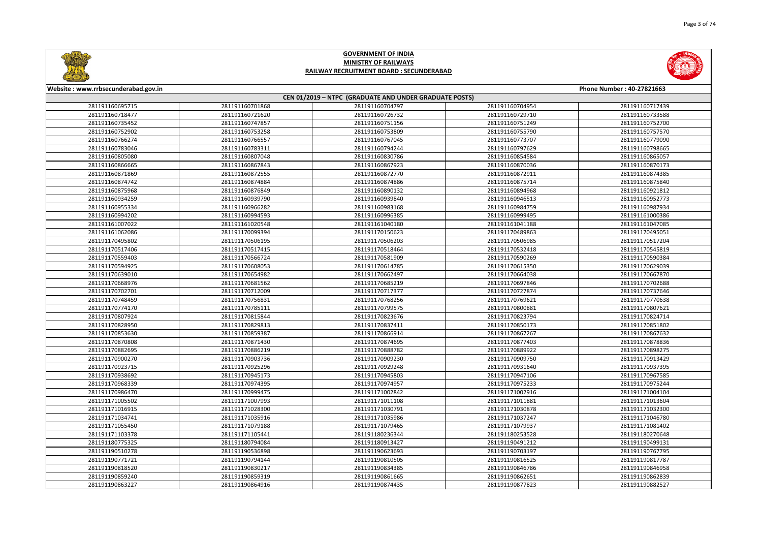



| Website: www.rrbsecunderabad.gov.in<br>Phone Number: 40-27821663 |                 |                                                        |                 |                 |
|------------------------------------------------------------------|-----------------|--------------------------------------------------------|-----------------|-----------------|
|                                                                  |                 | CEN 01/2019 - NTPC (GRADUATE AND UNDER GRADUATE POSTS) |                 |                 |
| 281191160695715                                                  | 281191160701868 | 281191160704797                                        | 281191160704954 | 281191160717439 |
| 281191160718477                                                  | 281191160721620 | 281191160726732                                        | 281191160729710 | 281191160733588 |
| 281191160735452                                                  | 281191160747857 | 281191160751156                                        | 281191160751249 | 281191160752700 |
| 281191160752902                                                  | 281191160753258 | 281191160753809                                        | 281191160755790 | 281191160757570 |
| 281191160766274                                                  | 281191160766557 | 281191160767045                                        | 281191160773707 | 281191160779090 |
| 281191160783046                                                  | 281191160783311 | 281191160794244                                        | 281191160797629 | 281191160798665 |
| 281191160805080                                                  | 281191160807048 | 281191160830786                                        | 281191160854584 | 281191160865057 |
| 281191160866665                                                  | 281191160867843 | 281191160867923                                        | 281191160870036 | 281191160870173 |
| 281191160871869                                                  | 281191160872555 | 281191160872770                                        | 281191160872911 | 281191160874385 |
| 281191160874742                                                  | 281191160874884 | 281191160874886                                        | 281191160875714 | 281191160875840 |
| 281191160875968                                                  | 281191160876849 | 281191160890132                                        | 281191160894968 | 281191160921812 |
| 281191160934259                                                  | 281191160939790 | 281191160939840                                        | 281191160946513 | 281191160952773 |
| 281191160955334                                                  | 281191160966282 | 281191160983168                                        | 281191160984759 | 281191160987934 |
| 281191160994202                                                  | 281191160994593 | 281191160996385                                        | 281191160999495 | 281191161000386 |
| 281191161007022                                                  | 281191161020548 | 281191161040180                                        | 281191161041188 | 281191161047085 |
| 281191161062086                                                  | 281191170099394 | 281191170150623                                        | 281191170489863 | 281191170495051 |
| 281191170495802                                                  | 281191170506195 | 281191170506203                                        | 281191170506985 | 281191170517204 |
| 281191170517406                                                  | 281191170517415 | 281191170518464                                        | 281191170532418 | 281191170545819 |
| 281191170559403                                                  | 281191170566724 | 281191170581909                                        | 281191170590269 | 281191170590384 |
| 281191170594925                                                  | 281191170608053 | 281191170614785                                        | 281191170615350 | 281191170629039 |
| 281191170639010                                                  | 281191170654982 | 281191170662497                                        | 281191170664038 | 281191170667870 |
| 281191170668976                                                  | 281191170681562 | 281191170685219                                        | 281191170697846 | 281191170702688 |
| 281191170702701                                                  | 281191170712009 | 281191170717377                                        | 281191170727874 | 281191170737646 |
| 281191170748459                                                  | 281191170756831 | 281191170768256                                        | 281191170769621 | 281191170770638 |
| 281191170774170                                                  | 281191170785111 | 281191170799575                                        | 281191170800881 | 281191170807621 |
| 281191170807924                                                  | 281191170815844 | 281191170823676                                        | 281191170823794 | 281191170824714 |
| 281191170828950                                                  | 281191170829813 | 281191170837411                                        | 281191170850173 | 281191170851802 |
| 281191170853630                                                  | 281191170859387 | 281191170866914                                        | 281191170867267 | 281191170867632 |
| 281191170870808                                                  | 281191170871430 | 281191170874695                                        | 281191170877403 | 281191170878836 |
| 281191170882695                                                  | 281191170886219 | 281191170888782                                        | 281191170889922 | 281191170898275 |
| 281191170900270                                                  | 281191170903736 | 281191170909230                                        | 281191170909750 | 281191170913429 |
| 281191170923715                                                  | 281191170925296 | 281191170929248                                        | 281191170931640 | 281191170937395 |
| 281191170938692                                                  | 281191170945173 | 281191170945803                                        | 281191170947106 | 281191170967585 |
| 281191170968339                                                  | 281191170974395 | 281191170974957                                        | 281191170975233 | 281191170975244 |
| 281191170986470                                                  | 281191170999475 | 281191171002842                                        | 281191171002916 | 281191171004104 |
| 281191171005502                                                  | 281191171007993 | 281191171011108                                        | 281191171011881 | 281191171013604 |
| 281191171016915                                                  | 281191171028300 | 281191171030791                                        | 281191171030878 | 281191171032300 |
| 281191171034741                                                  | 281191171035916 | 281191171035986                                        | 281191171037247 | 281191171046780 |
| 281191171055450                                                  | 281191171079188 | 281191171079465                                        | 281191171079937 | 281191171081402 |
| 281191171103378                                                  | 281191171105441 | 281191180236344                                        | 281191180253528 | 281191180270648 |
| 281191180775325                                                  | 281191180794084 | 281191180913427                                        | 281191190491212 | 281191190499131 |
| 281191190510278                                                  | 281191190536898 | 281191190623693                                        | 281191190703197 | 281191190767795 |
| 281191190771721                                                  | 281191190794144 | 281191190810505                                        | 281191190816525 | 281191190817787 |
| 281191190818520                                                  | 281191190830217 | 281191190834385                                        | 281191190846786 | 281191190846958 |
| 281191190859240                                                  | 281191190859319 | 281191190861665                                        | 281191190862651 | 281191190862839 |
| 281191190863227                                                  | 281191190864916 | 281191190874435                                        | 281191190877823 | 281191190882527 |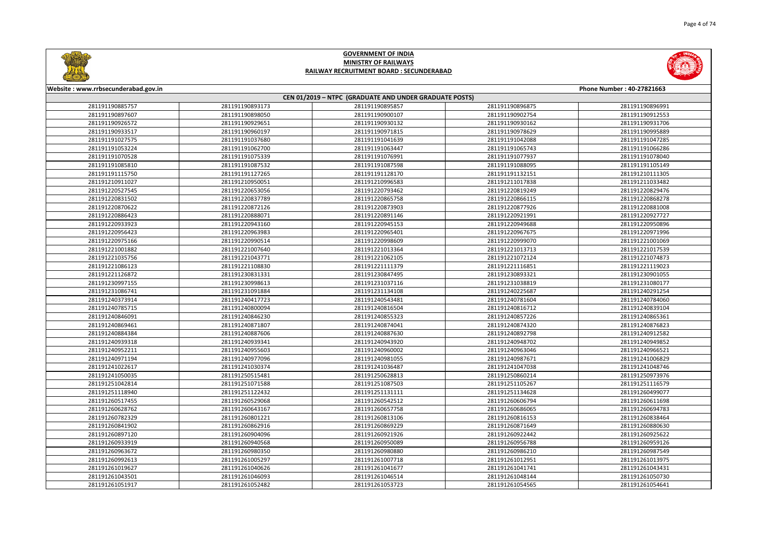



| Website: www.rrbsecunderabad.gov.in<br>Phone Number: 40-27821663 |                                                        |                 |                 |                 |  |  |
|------------------------------------------------------------------|--------------------------------------------------------|-----------------|-----------------|-----------------|--|--|
|                                                                  | CEN 01/2019 - NTPC (GRADUATE AND UNDER GRADUATE POSTS) |                 |                 |                 |  |  |
| 281191190885757                                                  | 281191190893173                                        | 281191190895857 | 281191190896875 | 281191190896991 |  |  |
| 281191190897607                                                  | 281191190898050                                        | 281191190900107 | 281191190902754 | 281191190912553 |  |  |
| 281191190926572                                                  | 281191190929651                                        | 281191190930132 | 281191190930162 | 281191190931706 |  |  |
| 281191190933517                                                  | 281191190960197                                        | 281191190971815 | 281191190978629 | 281191190995889 |  |  |
| 281191191027575                                                  | 281191191037680                                        | 281191191041639 | 281191191042088 | 281191191047285 |  |  |
| 281191191053224                                                  | 281191191062700                                        | 281191191063447 | 281191191065743 | 281191191066286 |  |  |
| 281191191070528                                                  | 281191191075339                                        | 281191191076991 | 281191191077937 | 281191191078040 |  |  |
| 281191191085810                                                  | 281191191087532                                        | 281191191087598 | 281191191088095 | 281191191105149 |  |  |
| 281191191115750                                                  | 281191191127265                                        | 281191191128170 | 281191191132151 | 281191210111305 |  |  |
| 281191210911027                                                  | 281191210950051                                        | 281191210996583 | 281191211017838 | 281191211033482 |  |  |
| 281191220527545                                                  | 281191220653056                                        | 281191220793462 | 281191220819249 | 281191220829476 |  |  |
| 281191220831502                                                  | 281191220837789                                        | 281191220865758 | 281191220866115 | 281191220868278 |  |  |
| 281191220870622                                                  | 281191220872126                                        | 281191220873903 | 281191220877926 | 281191220881008 |  |  |
| 281191220886423                                                  | 281191220888071                                        | 281191220891146 | 281191220921991 | 281191220927727 |  |  |
| 281191220933923                                                  | 281191220943160                                        | 281191220945153 | 281191220949688 | 281191220950896 |  |  |
| 281191220956423                                                  | 281191220963983                                        | 281191220965401 | 281191220967675 | 281191220971996 |  |  |
| 281191220975166                                                  | 281191220990514                                        | 281191220998609 | 281191220999070 | 281191221001069 |  |  |
| 281191221001882                                                  | 281191221007640                                        | 281191221013364 | 281191221013713 | 281191221017539 |  |  |
| 281191221035756                                                  | 281191221043771                                        | 281191221062105 | 281191221072124 | 281191221074873 |  |  |
| 281191221086123                                                  | 281191221108830                                        | 281191221111379 | 281191221116851 | 281191221119023 |  |  |
| 281191221126872                                                  | 281191230831331                                        | 281191230847495 | 281191230893321 | 281191230901055 |  |  |
| 281191230997155                                                  | 281191230998613                                        | 281191231037116 | 281191231038819 | 281191231080177 |  |  |
| 281191231086741                                                  | 281191231091884                                        | 281191231134108 | 281191240225687 | 281191240291254 |  |  |
| 281191240373914                                                  | 281191240417723                                        | 281191240543481 | 281191240781604 | 281191240784060 |  |  |
| 281191240785715                                                  | 281191240800094                                        | 281191240816504 | 281191240816712 | 281191240839104 |  |  |
| 281191240846091                                                  | 281191240846230                                        | 281191240855323 | 281191240857226 | 281191240865361 |  |  |
| 281191240869461                                                  | 281191240871807                                        | 281191240874041 | 281191240874320 | 281191240876823 |  |  |
| 281191240884384                                                  | 281191240887606                                        | 281191240887630 | 281191240892798 | 281191240912582 |  |  |
| 281191240939318                                                  | 281191240939341                                        | 281191240943920 | 281191240948702 | 281191240949852 |  |  |
| 281191240952211                                                  | 281191240955603                                        | 281191240960002 | 281191240963046 | 281191240966521 |  |  |
| 281191240971194                                                  | 281191240977096                                        | 281191240981055 | 281191240987671 | 281191241006829 |  |  |
| 281191241022617                                                  | 281191241030374                                        | 281191241036487 | 281191241047038 | 281191241048746 |  |  |
| 281191241050035                                                  | 281191250515481                                        | 281191250628813 | 281191250860214 | 281191250973976 |  |  |
| 281191251042814                                                  | 281191251071588                                        | 281191251087503 | 281191251105267 | 281191251116579 |  |  |
| 281191251118940                                                  | 281191251122432                                        | 281191251131111 | 281191251134628 | 281191260499077 |  |  |
| 281191260517455                                                  | 281191260529068                                        | 281191260542512 | 281191260606794 | 281191260611698 |  |  |
| 281191260628762                                                  | 281191260643167                                        | 281191260657758 | 281191260686065 | 281191260694783 |  |  |
| 281191260782329                                                  | 281191260801221                                        | 281191260813106 | 281191260816153 | 281191260838464 |  |  |
| 281191260841902                                                  | 281191260862916                                        | 281191260869229 | 281191260871649 | 281191260880630 |  |  |
| 281191260897120                                                  | 281191260904096                                        | 281191260921926 | 281191260922442 | 281191260925622 |  |  |
| 281191260933919                                                  | 281191260940568                                        | 281191260950089 | 281191260956788 | 281191260959126 |  |  |
| 281191260963672                                                  | 281191260980350                                        | 281191260980880 | 281191260986210 | 281191260987549 |  |  |
| 281191260992613                                                  | 281191261005297                                        | 281191261007718 | 281191261012951 | 281191261013975 |  |  |
| 281191261019627                                                  | 281191261040626                                        | 281191261041677 | 281191261041741 | 281191261043431 |  |  |
| 281191261043501                                                  | 281191261046093                                        | 281191261046514 | 281191261048144 | 281191261050730 |  |  |
| 281191261051917                                                  | 281191261052482                                        | 281191261053723 | 281191261054565 | 281191261054641 |  |  |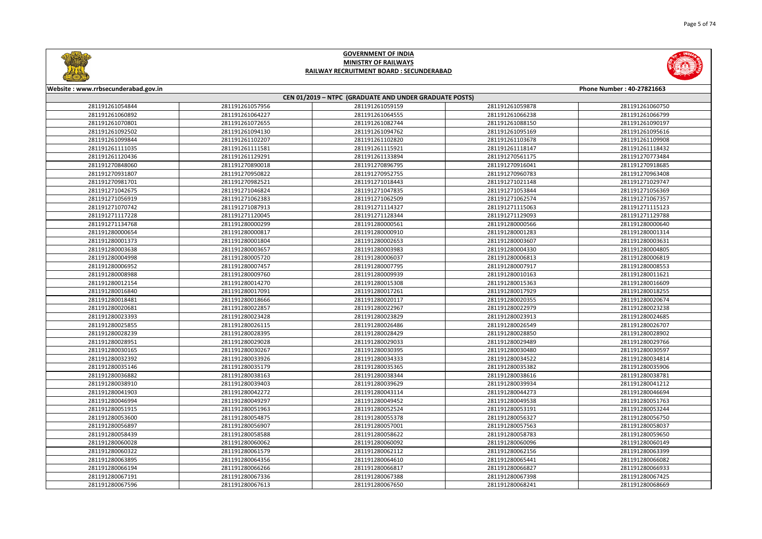



| Website: www.rrbsecunderabad.gov.in | Phone Number: 40-27821663 |                                                        |                 |                 |  |  |
|-------------------------------------|---------------------------|--------------------------------------------------------|-----------------|-----------------|--|--|
|                                     |                           | CEN 01/2019 - NTPC (GRADUATE AND UNDER GRADUATE POSTS) |                 |                 |  |  |
| 281191261054844                     | 281191261057956           | 281191261059159                                        | 281191261059878 | 281191261060750 |  |  |
| 281191261060892                     | 281191261064227           | 281191261064555                                        | 281191261066238 | 281191261066799 |  |  |
| 281191261070801                     | 281191261072655           | 281191261082744                                        | 281191261088150 | 281191261090197 |  |  |
| 281191261092502                     | 281191261094130           | 281191261094762                                        | 281191261095169 | 281191261095616 |  |  |
| 281191261099844                     | 281191261102207           | 281191261102820                                        | 281191261103678 | 281191261109908 |  |  |
| 281191261111035                     | 281191261111581           | 281191261115921                                        | 281191261118147 | 281191261118432 |  |  |
| 281191261120436                     | 281191261129291           | 281191261133894                                        | 281191270561175 | 281191270773484 |  |  |
| 281191270848060                     | 281191270890018           | 281191270896795                                        | 281191270916041 | 281191270918685 |  |  |
| 281191270931807                     | 281191270950822           | 281191270952755                                        | 281191270960783 | 281191270963408 |  |  |
| 281191270981701                     | 281191270982521           | 281191271018443                                        | 281191271021148 | 281191271029747 |  |  |
| 281191271042675                     | 281191271046824           | 281191271047835                                        | 281191271053844 | 281191271056369 |  |  |
| 281191271056919                     | 281191271062383           | 281191271062509                                        | 281191271062574 | 281191271067357 |  |  |
| 281191271070742                     | 281191271087913           | 281191271114327                                        | 281191271115063 | 281191271115123 |  |  |
| 281191271117228                     | 281191271120045           | 281191271128344                                        | 281191271129093 | 281191271129788 |  |  |
| 281191271134768                     | 281191280000299           | 281191280000561                                        | 281191280000566 | 281191280000640 |  |  |
| 281191280000654                     | 281191280000817           | 281191280000910                                        | 281191280001283 | 281191280001314 |  |  |
| 281191280001373                     | 281191280001804           | 281191280002653                                        | 281191280003607 | 281191280003631 |  |  |
| 281191280003638                     | 281191280003657           | 281191280003983                                        | 281191280004330 | 281191280004805 |  |  |
| 281191280004998                     | 281191280005720           | 281191280006037                                        | 281191280006813 | 281191280006819 |  |  |
| 281191280006952                     | 281191280007457           | 281191280007795                                        | 281191280007917 | 281191280008553 |  |  |
| 281191280008988                     | 281191280009760           | 281191280009939                                        | 281191280010163 | 281191280011621 |  |  |
| 281191280012154                     | 281191280014270           | 281191280015308                                        | 281191280015363 | 281191280016609 |  |  |
| 281191280016840                     | 281191280017091           | 281191280017261                                        | 281191280017929 | 281191280018255 |  |  |
| 281191280018481                     | 281191280018666           | 281191280020117                                        | 281191280020355 | 281191280020674 |  |  |
| 281191280020681                     | 281191280022857           | 281191280022967                                        | 281191280022979 | 281191280023238 |  |  |
| 281191280023393                     | 281191280023428           | 281191280023829                                        | 281191280023913 | 281191280024685 |  |  |
| 281191280025855                     | 281191280026115           | 281191280026486                                        | 281191280026549 | 281191280026707 |  |  |
| 281191280028239                     | 281191280028395           | 281191280028429                                        | 281191280028850 | 281191280028902 |  |  |
| 281191280028951                     | 281191280029028           | 281191280029033                                        | 281191280029489 | 281191280029766 |  |  |
| 281191280030165                     | 281191280030267           | 281191280030395                                        | 281191280030480 | 281191280030597 |  |  |
| 281191280032392                     | 281191280033926           | 281191280034333                                        | 281191280034522 | 281191280034814 |  |  |
| 281191280035146                     | 281191280035179           | 281191280035365                                        | 281191280035382 | 281191280035906 |  |  |
| 281191280036882                     | 281191280038163           | 281191280038344                                        | 281191280038616 | 281191280038781 |  |  |
| 281191280038910                     | 281191280039403           | 281191280039629                                        | 281191280039934 | 281191280041212 |  |  |
| 281191280041903                     | 281191280042272           | 281191280043114                                        | 281191280044273 | 281191280046694 |  |  |
| 281191280046994                     | 281191280049297           | 281191280049452                                        | 281191280049538 | 281191280051763 |  |  |
| 281191280051915                     | 281191280051963           | 281191280052524                                        | 281191280053191 | 281191280053244 |  |  |
| 281191280053600                     | 281191280054875           | 281191280055378                                        | 281191280056327 | 281191280056750 |  |  |
| 281191280056897                     | 281191280056907           | 281191280057001                                        | 281191280057563 | 281191280058037 |  |  |
| 281191280058439                     | 281191280058588           | 281191280058622                                        | 281191280058783 | 281191280059650 |  |  |
| 281191280060028                     | 281191280060062           | 281191280060092                                        | 281191280060096 | 281191280060149 |  |  |
| 281191280060322                     | 281191280061579           | 281191280062112                                        | 281191280062156 | 281191280063399 |  |  |
| 281191280063895                     | 281191280064356           | 281191280064610                                        | 281191280065441 | 281191280066082 |  |  |
| 281191280066194                     | 281191280066266           | 281191280066817                                        | 281191280066827 | 281191280066933 |  |  |
| 281191280067191                     | 281191280067336           | 281191280067388                                        | 281191280067398 | 281191280067425 |  |  |
| 281191280067596                     | 281191280067613           | 281191280067650                                        | 281191280068241 | 281191280068669 |  |  |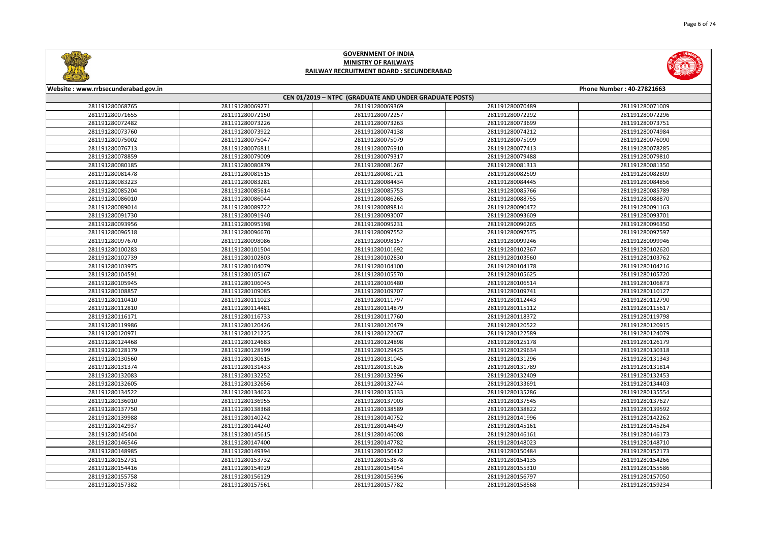



| Website: www.rrbsecunderabad.gov.in<br>Phone Number: 40-27821663 |                 |                                                        |                 |                 |
|------------------------------------------------------------------|-----------------|--------------------------------------------------------|-----------------|-----------------|
|                                                                  |                 | CEN 01/2019 - NTPC (GRADUATE AND UNDER GRADUATE POSTS) |                 |                 |
| 281191280068765                                                  | 281191280069271 | 281191280069369                                        | 281191280070489 | 281191280071009 |
| 281191280071655                                                  | 281191280072150 | 281191280072257                                        | 281191280072292 | 281191280072296 |
| 281191280072482                                                  | 281191280073226 | 281191280073263                                        | 281191280073699 | 281191280073751 |
| 281191280073760                                                  | 281191280073922 | 281191280074138                                        | 281191280074212 | 281191280074984 |
| 281191280075002                                                  | 281191280075047 | 281191280075079                                        | 281191280075099 | 281191280076090 |
| 281191280076713                                                  | 281191280076811 | 281191280076910                                        | 281191280077413 | 281191280078285 |
| 281191280078859                                                  | 281191280079009 | 281191280079317                                        | 281191280079488 | 281191280079810 |
| 281191280080185                                                  | 281191280080879 | 281191280081267                                        | 281191280081313 | 281191280081350 |
| 281191280081478                                                  | 281191280081515 | 281191280081721                                        | 281191280082509 | 281191280082809 |
| 281191280083223                                                  | 281191280083281 | 281191280084434                                        | 281191280084445 | 281191280084856 |
| 281191280085204                                                  | 281191280085614 | 281191280085753                                        | 281191280085766 | 281191280085789 |
| 281191280086010                                                  | 281191280086044 | 281191280086265                                        | 281191280088755 | 281191280088870 |
| 281191280089014                                                  | 281191280089722 | 281191280089814                                        | 281191280090472 | 281191280091163 |
| 281191280091730                                                  | 281191280091940 | 281191280093007                                        | 281191280093609 | 281191280093701 |
| 281191280093956                                                  | 281191280095198 | 281191280095231                                        | 281191280096265 | 281191280096350 |
| 281191280096518                                                  | 281191280096670 | 281191280097552                                        | 281191280097575 | 281191280097597 |
| 281191280097670                                                  | 281191280098086 | 281191280098157                                        | 281191280099246 | 281191280099946 |
| 281191280100283                                                  | 281191280101504 | 281191280101692                                        | 281191280102367 | 281191280102620 |
| 281191280102739                                                  | 281191280102803 | 281191280102830                                        | 281191280103560 | 281191280103762 |
| 281191280103975                                                  | 281191280104079 | 281191280104100                                        | 281191280104178 | 281191280104216 |
| 281191280104591                                                  | 281191280105167 | 281191280105570                                        | 281191280105625 | 281191280105720 |
| 281191280105945                                                  | 281191280106045 | 281191280106480                                        | 281191280106514 | 281191280106873 |
| 281191280108857                                                  | 281191280109085 | 281191280109707                                        | 281191280109741 | 281191280110127 |
| 281191280110410                                                  | 281191280111023 | 281191280111797                                        | 281191280112443 | 281191280112790 |
| 281191280112810                                                  | 281191280114481 | 281191280114879                                        | 281191280115112 | 281191280115617 |
| 281191280116171                                                  | 281191280116733 | 281191280117760                                        | 281191280118372 | 281191280119798 |
| 281191280119986                                                  | 281191280120426 | 281191280120479                                        | 281191280120522 | 281191280120915 |
| 281191280120971                                                  | 281191280121225 | 281191280122067                                        | 281191280122589 | 281191280124079 |
| 281191280124468                                                  | 281191280124683 | 281191280124898                                        | 281191280125178 | 281191280126179 |
| 281191280128179                                                  | 281191280128199 | 281191280129425                                        | 281191280129634 | 281191280130318 |
| 281191280130560                                                  | 281191280130615 | 281191280131045                                        | 281191280131296 | 281191280131343 |
| 281191280131374                                                  | 281191280131433 | 281191280131626                                        | 281191280131789 | 281191280131814 |
| 281191280132083                                                  | 281191280132252 | 281191280132396                                        | 281191280132409 | 281191280132453 |
| 281191280132605                                                  | 281191280132656 | 281191280132744                                        | 281191280133691 | 281191280134403 |
| 281191280134522                                                  | 281191280134623 | 281191280135133                                        | 281191280135286 | 281191280135554 |
| 281191280136010                                                  | 281191280136955 | 281191280137003                                        | 281191280137545 | 281191280137627 |
| 281191280137750                                                  | 281191280138368 | 281191280138589                                        | 281191280138822 | 281191280139592 |
| 281191280139988                                                  | 281191280140242 | 281191280140752                                        | 281191280141996 | 281191280142262 |
| 281191280142937                                                  | 281191280144240 | 281191280144649                                        | 281191280145161 | 281191280145264 |
| 281191280145404                                                  | 281191280145615 | 281191280146008                                        | 281191280146161 | 281191280146173 |
| 281191280146546                                                  | 281191280147400 | 281191280147782                                        | 281191280148023 | 281191280148710 |
| 281191280148985                                                  | 281191280149394 | 281191280150412                                        | 281191280150484 | 281191280152173 |
| 281191280152731                                                  | 281191280153732 | 281191280153878                                        | 281191280154135 | 281191280154266 |
| 281191280154416                                                  | 281191280154929 | 281191280154954                                        | 281191280155310 | 281191280155586 |
| 281191280155758                                                  | 281191280156129 | 281191280156396                                        | 281191280156797 | 281191280157050 |
| 281191280157382                                                  | 281191280157561 | 281191280157782                                        | 281191280158568 | 281191280159234 |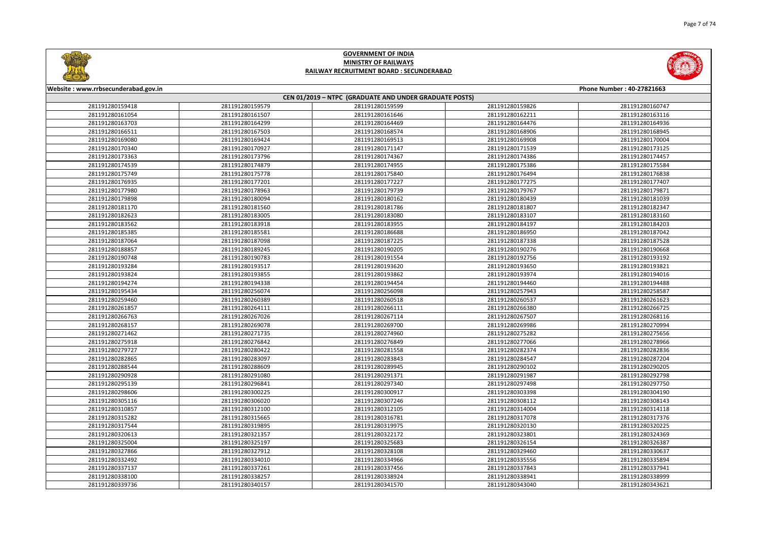



| Website: www.rrbsecunderabad.gov.in | Phone Number: 40-27821663 |                                                        |                 |                 |  |  |
|-------------------------------------|---------------------------|--------------------------------------------------------|-----------------|-----------------|--|--|
|                                     |                           | CEN 01/2019 - NTPC (GRADUATE AND UNDER GRADUATE POSTS) |                 |                 |  |  |
| 281191280159418                     | 281191280159579           | 281191280159599                                        | 281191280159826 | 281191280160747 |  |  |
| 281191280161054                     | 281191280161507           | 281191280161646                                        | 281191280162211 | 281191280163116 |  |  |
| 281191280163703                     | 281191280164299           | 281191280164469                                        | 281191280164476 | 281191280164936 |  |  |
| 281191280166511                     | 281191280167503           | 281191280168574                                        | 281191280168906 | 281191280168945 |  |  |
| 281191280169080                     | 281191280169424           | 281191280169513                                        | 281191280169908 | 281191280170004 |  |  |
| 281191280170340                     | 281191280170927           | 281191280171147                                        | 281191280171539 | 281191280173125 |  |  |
| 281191280173363                     | 281191280173796           | 281191280174367                                        | 281191280174386 | 281191280174457 |  |  |
| 281191280174539                     | 281191280174879           | 281191280174955                                        | 281191280175386 | 281191280175584 |  |  |
| 281191280175749                     | 281191280175778           | 281191280175840                                        | 281191280176494 | 281191280176838 |  |  |
| 281191280176935                     | 281191280177201           | 281191280177227                                        | 281191280177275 | 281191280177407 |  |  |
| 281191280177980                     | 281191280178963           | 281191280179739                                        | 281191280179767 | 281191280179871 |  |  |
| 281191280179898                     | 281191280180094           | 281191280180162                                        | 281191280180439 | 281191280181039 |  |  |
| 281191280181170                     | 281191280181560           | 281191280181786                                        | 281191280181807 | 281191280182347 |  |  |
| 281191280182623                     | 281191280183005           | 281191280183080                                        | 281191280183107 | 281191280183160 |  |  |
| 281191280183562                     | 281191280183918           | 281191280183955                                        | 281191280184197 | 281191280184203 |  |  |
| 281191280185385                     | 281191280185581           | 281191280186688                                        | 281191280186950 | 281191280187042 |  |  |
| 281191280187064                     | 281191280187098           | 281191280187225                                        | 281191280187338 | 281191280187528 |  |  |
| 281191280188857                     | 281191280189245           | 281191280190205                                        | 281191280190276 | 281191280190668 |  |  |
| 281191280190748                     | 281191280190783           | 281191280191554                                        | 281191280192756 | 281191280193192 |  |  |
| 281191280193284                     | 281191280193517           | 281191280193620                                        | 281191280193650 | 281191280193821 |  |  |
| 281191280193824                     | 281191280193855           | 281191280193862                                        | 281191280193974 | 281191280194016 |  |  |
| 281191280194274                     | 281191280194338           | 281191280194454                                        | 281191280194460 | 281191280194488 |  |  |
| 281191280195434                     | 281191280256074           | 281191280256098                                        | 281191280257943 | 281191280258587 |  |  |
| 281191280259460                     | 281191280260389           | 281191280260518                                        | 281191280260537 | 281191280261623 |  |  |
| 281191280261857                     | 281191280264111           | 281191280266111                                        | 281191280266380 | 281191280266725 |  |  |
| 281191280266763                     | 281191280267026           | 281191280267114                                        | 281191280267507 | 281191280268116 |  |  |
| 281191280268157                     | 281191280269078           | 281191280269700                                        | 281191280269986 | 281191280270994 |  |  |
| 281191280271462                     | 281191280271735           | 281191280274960                                        | 281191280275282 | 281191280275656 |  |  |
| 281191280275918                     | 281191280276842           | 281191280276849                                        | 281191280277066 | 281191280278966 |  |  |
| 281191280279727                     | 281191280280422           | 281191280281558                                        | 281191280282374 | 281191280282836 |  |  |
| 281191280282865                     | 281191280283097           | 281191280283843                                        | 281191280284547 | 281191280287204 |  |  |
| 281191280288544                     | 281191280288609           | 281191280289945                                        | 281191280290102 | 281191280290205 |  |  |
| 281191280290928                     | 281191280291080           | 281191280291371                                        | 281191280291987 | 281191280292798 |  |  |
| 281191280295139                     | 281191280296841           | 281191280297340                                        | 281191280297498 | 281191280297750 |  |  |
| 281191280298606                     | 281191280300225           | 281191280300917                                        | 281191280303398 | 281191280304190 |  |  |
| 281191280305116                     | 281191280306020           | 281191280307246                                        | 281191280308112 | 281191280308143 |  |  |
| 281191280310857                     | 281191280312100           | 281191280312105                                        | 281191280314004 | 281191280314118 |  |  |
| 281191280315282                     | 281191280315665           | 281191280316781                                        | 281191280317078 | 281191280317376 |  |  |
| 281191280317544                     | 281191280319895           | 281191280319975                                        | 281191280320130 | 281191280320225 |  |  |
| 281191280320613                     | 281191280321357           | 281191280322172                                        | 281191280323801 | 281191280324369 |  |  |
| 281191280325004                     | 281191280325197           | 281191280325683                                        | 281191280326154 | 281191280326387 |  |  |
| 281191280327866                     | 281191280327912           | 281191280328108                                        | 281191280329460 | 281191280330637 |  |  |
| 281191280332492                     | 281191280334010           | 281191280334966                                        | 281191280335556 | 281191280335894 |  |  |
| 281191280337137                     | 281191280337261           | 281191280337456                                        | 281191280337843 | 281191280337941 |  |  |
| 281191280338100                     | 281191280338257           | 281191280338924                                        | 281191280338941 | 281191280338999 |  |  |
| 281191280339736                     | 281191280340157           | 281191280341570                                        | 281191280343040 | 281191280343621 |  |  |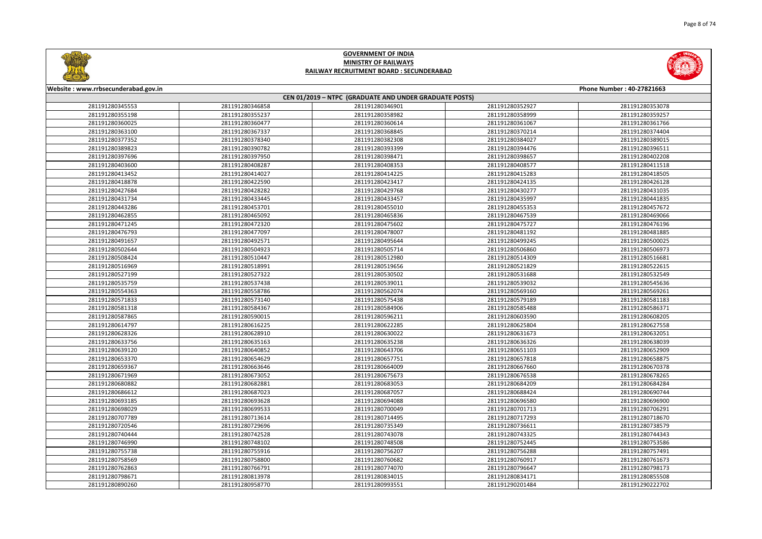



| Website: www.rrbsecunderabad.gov.in |                 |                                                        |                 | Phone Number: 40-27821663 |
|-------------------------------------|-----------------|--------------------------------------------------------|-----------------|---------------------------|
|                                     |                 | CEN 01/2019 - NTPC (GRADUATE AND UNDER GRADUATE POSTS) |                 |                           |
| 281191280345553                     | 281191280346858 | 281191280346901                                        | 281191280352927 | 281191280353078           |
| 281191280355198                     | 281191280355237 | 281191280358982                                        | 281191280358999 | 281191280359257           |
| 281191280360025                     | 281191280360477 | 281191280360614                                        | 281191280361067 | 281191280361766           |
| 281191280363100                     | 281191280367337 | 281191280368845                                        | 281191280370214 | 281191280374404           |
| 281191280377352                     | 281191280378340 | 281191280382308                                        | 281191280384027 | 281191280389015           |
| 281191280389823                     | 281191280390782 | 281191280393399                                        | 281191280394476 | 281191280396511           |
| 281191280397696                     | 281191280397950 | 281191280398471                                        | 281191280398657 | 281191280402208           |
| 281191280403600                     | 281191280408287 | 281191280408353                                        | 281191280408577 | 281191280411518           |
| 281191280413452                     | 281191280414027 | 281191280414225                                        | 281191280415283 | 281191280418505           |
| 281191280418878                     | 281191280422590 | 281191280423417                                        | 281191280424135 | 281191280426128           |
| 281191280427684                     | 281191280428282 | 281191280429768                                        | 281191280430277 | 281191280431035           |
| 281191280431734                     | 281191280433445 | 281191280433457                                        | 281191280435997 | 281191280441835           |
| 281191280443286                     | 281191280453701 | 281191280455010                                        | 281191280455353 | 281191280457672           |
| 281191280462855                     | 281191280465092 | 281191280465836                                        | 281191280467539 | 281191280469066           |
| 281191280471245                     | 281191280472320 | 281191280475602                                        | 281191280475727 | 281191280476196           |
| 281191280476793                     | 281191280477097 | 281191280478007                                        | 281191280481192 | 281191280481885           |
| 281191280491657                     | 281191280492571 | 281191280495644                                        | 281191280499245 | 281191280500025           |
| 281191280502644                     | 281191280504923 | 281191280505714                                        | 281191280506860 | 281191280506973           |
| 281191280508424                     | 281191280510447 | 281191280512980                                        | 281191280514309 | 281191280516681           |
| 281191280516969                     | 281191280518991 | 281191280519656                                        | 281191280521829 | 281191280522615           |
| 281191280527199                     | 281191280527322 | 281191280530502                                        | 281191280531688 | 281191280532549           |
| 281191280535759                     | 281191280537438 | 281191280539011                                        | 281191280539032 | 281191280545636           |
| 281191280554363                     | 281191280558786 | 281191280562074                                        | 281191280569160 | 281191280569261           |
| 281191280571833                     | 281191280573140 | 281191280575438                                        | 281191280579189 | 281191280581183           |
| 281191280581318                     | 281191280584367 | 281191280584906                                        | 281191280585488 | 281191280586371           |
| 281191280587865                     | 281191280590015 | 281191280596211                                        | 281191280603590 | 281191280608205           |
| 281191280614797                     | 281191280616225 | 281191280622285                                        | 281191280625804 | 281191280627558           |
| 281191280628326                     | 281191280628910 | 281191280630022                                        | 281191280631673 | 281191280632051           |
| 281191280633756                     | 281191280635163 | 281191280635238                                        | 281191280636326 | 281191280638039           |
| 281191280639120                     | 281191280640852 | 281191280643706                                        | 281191280651103 | 281191280652909           |
| 281191280653370                     | 281191280654629 | 281191280657751                                        | 281191280657818 | 281191280658875           |
| 281191280659367                     | 281191280663646 | 281191280664009                                        | 281191280667660 | 281191280670378           |
| 281191280671969                     | 281191280673052 | 281191280675673                                        | 281191280676538 | 281191280678265           |
| 281191280680882                     | 281191280682881 | 281191280683053                                        | 281191280684209 | 281191280684284           |
| 281191280686612                     | 281191280687023 | 281191280687057                                        | 281191280688424 | 281191280690744           |
| 281191280693185                     | 281191280693628 | 281191280694088                                        | 281191280696580 | 281191280696900           |
| 281191280698029                     | 281191280699533 | 281191280700049                                        | 281191280701713 | 281191280706291           |
| 281191280707789                     | 281191280713614 | 281191280714495                                        | 281191280717293 | 281191280718670           |
| 281191280720546                     | 281191280729696 | 281191280735349                                        | 281191280736611 | 281191280738579           |
| 281191280740444                     | 281191280742528 | 281191280743078                                        | 281191280743325 | 281191280744343           |
| 281191280746990                     | 281191280748102 | 281191280748508                                        | 281191280752445 | 281191280753586           |
| 281191280755738                     | 281191280755916 | 281191280756207                                        | 281191280756288 | 281191280757491           |
| 281191280758569                     | 281191280758800 | 281191280760682                                        | 281191280760917 | 281191280761673           |
| 281191280762863                     | 281191280766791 | 281191280774070                                        | 281191280796647 | 281191280798173           |
| 281191280798671                     | 281191280813978 | 281191280834015                                        | 281191280834171 | 281191280855508           |
| 281191280890260                     | 281191280958770 | 281191280993551                                        | 281191290201484 | 281191290222702           |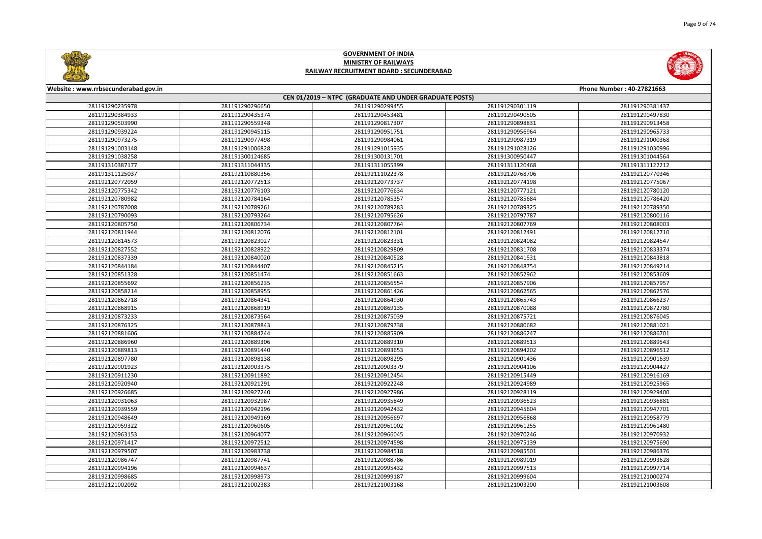



| Website: www.rrbsecunderabad.gov.in<br>Phone Number: 40-27821663 |                                                        |                 |                 |                 |  |  |
|------------------------------------------------------------------|--------------------------------------------------------|-----------------|-----------------|-----------------|--|--|
|                                                                  | CEN 01/2019 - NTPC (GRADUATE AND UNDER GRADUATE POSTS) |                 |                 |                 |  |  |
| 281191290235978                                                  | 281191290296650                                        | 281191290299455 | 281191290301119 | 281191290381437 |  |  |
| 281191290384933                                                  | 281191290435374                                        | 281191290453481 | 281191290490505 | 281191290497830 |  |  |
| 281191290503990                                                  | 281191290559348                                        | 281191290817307 | 281191290898831 | 281191290913458 |  |  |
| 281191290939224                                                  | 281191290945115                                        | 281191290951751 | 281191290956964 | 281191290965733 |  |  |
| 281191290973275                                                  | 281191290977498                                        | 281191290984061 | 281191290987319 | 281191291000368 |  |  |
| 281191291003148                                                  | 281191291006828                                        | 281191291015935 | 281191291028126 | 281191291030996 |  |  |
| 281191291038258                                                  | 281191300124685                                        | 281191300131701 | 281191300950447 | 281191301044564 |  |  |
| 281191310387177                                                  | 281191311044335                                        | 281191311055399 | 281191311120468 | 281191311122212 |  |  |
| 281191311125037                                                  | 281192110880356                                        | 281192111022378 | 281192120768706 | 281192120770346 |  |  |
| 281192120772059                                                  | 281192120772513                                        | 281192120773737 | 281192120774198 | 281192120775067 |  |  |
| 281192120775342                                                  | 281192120776103                                        | 281192120776634 | 281192120777121 | 281192120780120 |  |  |
| 281192120780982                                                  | 281192120784164                                        | 281192120785357 | 281192120785684 | 281192120786420 |  |  |
| 281192120787008                                                  | 281192120789261                                        | 281192120789283 | 281192120789325 | 281192120789350 |  |  |
| 281192120790093                                                  | 281192120793264                                        | 281192120795626 | 281192120797787 | 281192120800116 |  |  |
| 281192120805750                                                  | 281192120806734                                        | 281192120807764 | 281192120807769 | 281192120808003 |  |  |
| 281192120811944                                                  | 281192120812076                                        | 281192120812101 | 281192120812491 | 281192120812710 |  |  |
| 281192120814573                                                  | 281192120823027                                        | 281192120823331 | 281192120824082 | 281192120824547 |  |  |
| 281192120827552                                                  | 281192120828922                                        | 281192120829809 | 281192120831708 | 281192120833374 |  |  |
| 281192120837339                                                  | 281192120840020                                        | 281192120840528 | 281192120841531 | 281192120843818 |  |  |
| 281192120844184                                                  | 281192120844407                                        | 281192120845215 | 281192120848754 | 281192120849214 |  |  |
| 281192120851328                                                  | 281192120851474                                        | 281192120851663 | 281192120852962 | 281192120853609 |  |  |
| 281192120855692                                                  | 281192120856235                                        | 281192120856554 | 281192120857906 | 281192120857957 |  |  |
| 281192120858214                                                  | 281192120858955                                        | 281192120861426 | 281192120862565 | 281192120862576 |  |  |
| 281192120862718                                                  | 281192120864341                                        | 281192120864930 | 281192120865743 | 281192120866237 |  |  |
| 281192120868915                                                  | 281192120868919                                        | 281192120869135 | 281192120870088 | 281192120872780 |  |  |
| 281192120873233                                                  | 281192120873564                                        | 281192120875039 | 281192120875721 | 281192120876045 |  |  |
| 281192120876325                                                  | 281192120878843                                        | 281192120879738 | 281192120880682 | 281192120881021 |  |  |
| 281192120881606                                                  | 281192120884244                                        | 281192120885909 | 281192120886247 | 281192120886701 |  |  |
| 281192120886960                                                  | 281192120889306                                        | 281192120889310 | 281192120889513 | 281192120889543 |  |  |
| 281192120889813                                                  | 281192120891440                                        | 281192120893653 | 281192120894202 | 281192120896512 |  |  |
| 281192120897780                                                  | 281192120898138                                        | 281192120898295 | 281192120901436 | 281192120901639 |  |  |
| 281192120901923                                                  | 281192120903375                                        | 281192120903379 | 281192120904106 | 281192120904427 |  |  |
| 281192120911230                                                  | 281192120911892                                        | 281192120912454 | 281192120915449 | 281192120916169 |  |  |
| 281192120920940                                                  | 281192120921291                                        | 281192120922248 | 281192120924989 | 281192120925965 |  |  |
| 281192120926685                                                  | 281192120927240                                        | 281192120927986 | 281192120928119 | 281192120929400 |  |  |
| 281192120931063                                                  | 281192120932987                                        | 281192120935849 | 281192120936523 | 281192120936881 |  |  |
| 281192120939559                                                  | 281192120942196                                        | 281192120942432 | 281192120945604 | 281192120947701 |  |  |
| 281192120948649                                                  | 281192120949169                                        | 281192120956697 | 281192120956868 | 281192120958779 |  |  |
| 281192120959322                                                  | 281192120960605                                        | 281192120961002 | 281192120961255 | 281192120961480 |  |  |
| 281192120963153                                                  | 281192120964077                                        | 281192120966045 | 281192120970246 | 281192120970932 |  |  |
| 281192120971417                                                  | 281192120972512                                        | 281192120974598 | 281192120975139 | 281192120975690 |  |  |
| 281192120979507                                                  | 281192120983738                                        | 281192120984518 | 281192120985501 | 281192120986376 |  |  |
| 281192120986747                                                  | 281192120987741                                        | 281192120988786 | 281192120989019 | 281192120993628 |  |  |
| 281192120994196                                                  | 281192120994637                                        | 281192120995432 | 281192120997513 | 281192120997714 |  |  |
| 281192120998685                                                  | 281192120998973                                        | 281192120999187 | 281192120999604 | 281192121000274 |  |  |
| 281192121002092                                                  | 281192121002383                                        | 281192121003168 | 281192121003200 | 281192121003608 |  |  |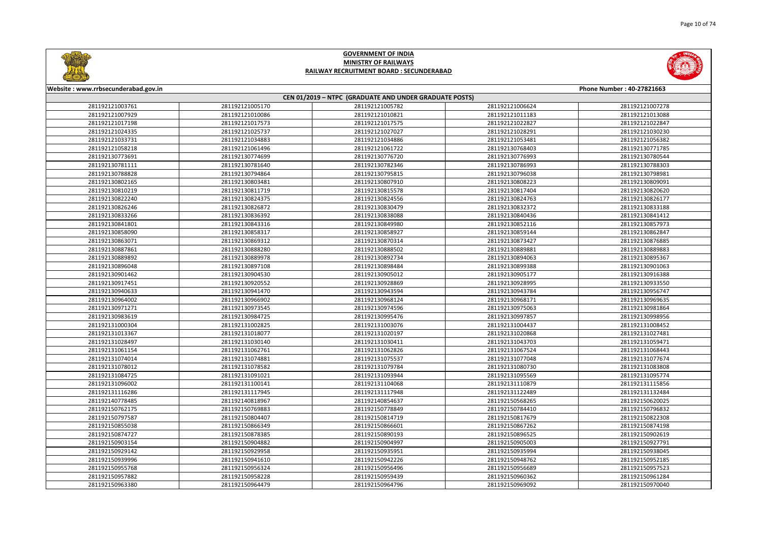



| Website: www.rrbsecunderabad.gov.in |                 |                                                        |                 | Phone Number: 40-27821663 |
|-------------------------------------|-----------------|--------------------------------------------------------|-----------------|---------------------------|
|                                     |                 | CEN 01/2019 - NTPC (GRADUATE AND UNDER GRADUATE POSTS) |                 |                           |
| 281192121003761                     | 281192121005170 | 281192121005782                                        | 281192121006624 | 281192121007278           |
| 281192121007929                     | 281192121010086 | 281192121010821                                        | 281192121011183 | 281192121013088           |
| 281192121017198                     | 281192121017573 | 281192121017575                                        | 281192121022827 | 281192121022847           |
| 281192121024335                     | 281192121025737 | 281192121027027                                        | 281192121028291 | 281192121030230           |
| 281192121033731                     | 281192121034883 | 281192121034886                                        | 281192121053481 | 281192121056382           |
| 281192121058218                     | 281192121061496 | 281192121061722                                        | 281192130768403 | 281192130771785           |
| 281192130773691                     | 281192130774699 | 281192130776720                                        | 281192130776993 | 281192130780544           |
| 281192130781111                     | 281192130781640 | 281192130782346                                        | 281192130786993 | 281192130788303           |
| 281192130788828                     | 281192130794864 | 281192130795815                                        | 281192130796038 | 281192130798981           |
| 281192130802165                     | 281192130803481 | 281192130807910                                        | 281192130808223 | 281192130809091           |
| 281192130810219                     | 281192130811719 | 281192130815578                                        | 281192130817404 | 281192130820620           |
| 281192130822240                     | 281192130824375 | 281192130824556                                        | 281192130824763 | 281192130826177           |
| 281192130826246                     | 281192130826872 | 281192130830479                                        | 281192130832372 | 281192130833188           |
| 281192130833266                     | 281192130836392 | 281192130838088                                        | 281192130840436 | 281192130841412           |
| 281192130841801                     | 281192130843316 | 281192130849980                                        | 281192130852116 | 281192130857973           |
| 281192130858090                     | 281192130858317 | 281192130858927                                        | 281192130859144 | 281192130862847           |
| 281192130863071                     | 281192130869312 | 281192130870314                                        | 281192130873427 | 281192130876885           |
| 281192130887861                     | 281192130888280 | 281192130888502                                        | 281192130889881 | 281192130889883           |
| 281192130889892                     | 281192130889978 | 281192130892734                                        | 281192130894063 | 281192130895367           |
| 281192130896048                     | 281192130897108 | 281192130898484                                        | 281192130899388 | 281192130901063           |
| 281192130901462                     | 281192130904530 | 281192130905012                                        | 281192130905177 | 281192130916388           |
| 281192130917451                     | 281192130920552 | 281192130928869                                        | 281192130928995 | 281192130933550           |
| 281192130940633                     | 281192130941470 | 281192130943594                                        | 281192130943784 | 281192130956747           |
| 281192130964002                     | 281192130966902 | 281192130968124                                        | 281192130968171 | 281192130969635           |
| 281192130971271                     | 281192130973545 | 281192130974596                                        | 281192130975063 | 281192130981864           |
| 281192130983619                     | 281192130984725 | 281192130995476                                        | 281192130997857 | 281192130998956           |
| 281192131000304                     | 281192131002825 | 281192131003076                                        | 281192131004437 | 281192131008452           |
| 281192131013367                     | 281192131018077 | 281192131020197                                        | 281192131020868 | 281192131027481           |
| 281192131028497                     | 281192131030140 | 281192131030411                                        | 281192131043703 | 281192131059471           |
| 281192131061154                     | 281192131062761 | 281192131062826                                        | 281192131067524 | 281192131068443           |
| 281192131074014                     | 281192131074881 | 281192131075537                                        | 281192131077048 | 281192131077674           |
| 281192131078012                     | 281192131078582 | 281192131079784                                        | 281192131080730 | 281192131083808           |
| 281192131084725                     | 281192131091021 | 281192131093944                                        | 281192131095569 | 281192131095774           |
| 281192131096002                     | 281192131100141 | 281192131104068                                        | 281192131110879 | 281192131115856           |
| 281192131116286                     | 281192131117945 | 281192131117948                                        | 281192131122489 | 281192131132484           |
| 281192140778485                     | 281192140818967 | 281192140854637                                        | 281192150568265 | 281192150620025           |
| 281192150762175                     | 281192150769883 | 281192150778849                                        | 281192150784410 | 281192150796832           |
| 281192150797587                     | 281192150804407 | 281192150814719                                        | 281192150817679 | 281192150822308           |
| 281192150855038                     | 281192150866349 | 281192150866601                                        | 281192150867262 | 281192150874198           |
| 281192150874727                     | 281192150878385 | 281192150890193                                        | 281192150896525 | 281192150902619           |
| 281192150903154                     | 281192150904882 | 281192150904997                                        | 281192150905003 | 281192150927791           |
| 281192150929142                     | 281192150929958 | 281192150935951                                        | 281192150935994 | 281192150938045           |
| 281192150939996                     | 281192150941610 | 281192150942226                                        | 281192150948762 | 281192150952185           |
| 281192150955768                     | 281192150956324 | 281192150956496                                        | 281192150956689 | 281192150957523           |
| 281192150957882                     | 281192150958228 | 281192150959439                                        | 281192150960362 | 281192150961284           |
| 281192150963380                     | 281192150964479 | 281192150964796                                        | 281192150969092 | 281192150970040           |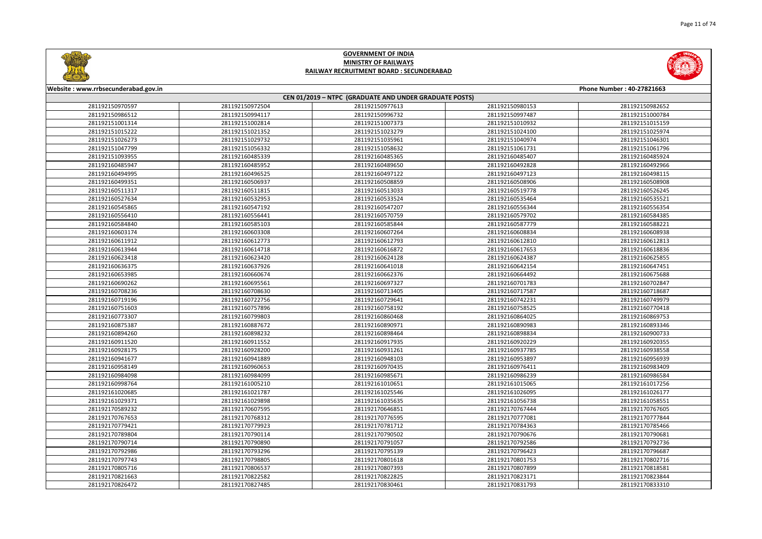



| Website: www.rrbsecunderabad.gov.in |                 |                                                        |                 | Phone Number: 40-27821663 |
|-------------------------------------|-----------------|--------------------------------------------------------|-----------------|---------------------------|
|                                     |                 | CEN 01/2019 - NTPC (GRADUATE AND UNDER GRADUATE POSTS) |                 |                           |
| 281192150970597                     | 281192150972504 | 281192150977613                                        | 281192150980153 | 281192150982652           |
| 281192150986512                     | 281192150994117 | 281192150996732                                        | 281192150997487 | 281192151000784           |
| 281192151001314                     | 281192151002814 | 281192151007373                                        | 281192151010932 | 281192151015159           |
| 281192151015222                     | 281192151021352 | 281192151023279                                        | 281192151024100 | 281192151025974           |
| 281192151026273                     | 281192151029732 | 281192151035961                                        | 281192151040974 | 281192151046301           |
| 281192151047799                     | 281192151056332 | 281192151058632                                        | 281192151061731 | 281192151061796           |
| 281192151093955                     | 281192160485339 | 281192160485365                                        | 281192160485407 | 281192160485924           |
| 281192160485947                     | 281192160485952 | 281192160489650                                        | 281192160492828 | 281192160492966           |
| 281192160494995                     | 281192160496525 | 281192160497122                                        | 281192160497123 | 281192160498115           |
| 281192160499351                     | 281192160506937 | 281192160508859                                        | 281192160508906 | 281192160508908           |
| 281192160511317                     | 281192160511815 | 281192160513033                                        | 281192160519778 | 281192160526245           |
| 281192160527634                     | 281192160532953 | 281192160533524                                        | 281192160535464 | 281192160535521           |
| 281192160545865                     | 281192160547192 | 281192160547207                                        | 281192160556344 | 281192160556354           |
| 281192160556410                     | 281192160556441 | 281192160570759                                        | 281192160579702 | 281192160584385           |
| 281192160584840                     | 281192160585103 | 281192160585844                                        | 281192160587779 | 281192160588221           |
| 281192160603174                     | 281192160603308 | 281192160607264                                        | 281192160608834 | 281192160608938           |
| 281192160611912                     | 281192160612773 | 281192160612793                                        | 281192160612810 | 281192160612813           |
| 281192160613944                     | 281192160614718 | 281192160616872                                        | 281192160617653 | 281192160618836           |
| 281192160623418                     | 281192160623420 | 281192160624128                                        | 281192160624387 | 281192160625855           |
| 281192160636375                     | 281192160637926 | 281192160641018                                        | 281192160642154 | 281192160647451           |
| 281192160653985                     | 281192160660674 | 281192160662376                                        | 281192160664492 | 281192160675688           |
| 281192160690262                     | 281192160695561 | 281192160697327                                        | 281192160701783 | 281192160702847           |
| 281192160708236                     | 281192160708630 | 281192160713405                                        | 281192160717587 | 281192160718687           |
| 281192160719196                     | 281192160722756 | 281192160729641                                        | 281192160742231 | 281192160749979           |
| 281192160751603                     | 281192160757896 | 281192160758192                                        | 281192160758525 | 281192160770418           |
| 281192160773307                     | 281192160799803 | 281192160860468                                        | 281192160864025 | 281192160869753           |
| 281192160875387                     | 281192160887672 | 281192160890971                                        | 281192160890983 | 281192160893346           |
| 281192160894260                     | 281192160898232 | 281192160898464                                        | 281192160898834 | 281192160900733           |
| 281192160911520                     | 281192160911552 | 281192160917935                                        | 281192160920229 | 281192160920355           |
| 281192160928175                     | 281192160928200 | 281192160931261                                        | 281192160937785 | 281192160938558           |
| 281192160941677                     | 281192160941889 | 281192160948103                                        | 281192160953897 | 281192160956939           |
| 281192160958149                     | 281192160960653 | 281192160970435                                        | 281192160976411 | 281192160983409           |
| 281192160984098                     | 281192160984099 | 281192160985671                                        | 281192160986239 | 281192160986584           |
| 281192160998764                     | 281192161005210 | 281192161010651                                        | 281192161015065 | 281192161017256           |
| 281192161020685                     | 281192161021787 | 281192161025546                                        | 281192161026095 | 281192161026177           |
| 281192161029371                     | 281192161029898 | 281192161035635                                        | 281192161056738 | 281192161058551           |
| 281192170589232                     | 281192170607595 | 281192170646851                                        | 281192170767444 | 281192170767605           |
| 281192170767653                     | 281192170768312 | 281192170776595                                        | 281192170777081 | 281192170777844           |
| 281192170779421                     | 281192170779923 | 281192170781712                                        | 281192170784363 | 281192170785466           |
| 281192170789804                     | 281192170790114 | 281192170790502                                        | 281192170790676 | 281192170790681           |
| 281192170790714                     | 281192170790890 | 281192170791057                                        | 281192170792586 | 281192170792736           |
| 281192170792986                     | 281192170793296 | 281192170795139                                        | 281192170796423 | 281192170796687           |
| 281192170797743                     | 281192170798805 | 281192170801618                                        | 281192170801753 | 281192170802716           |
| 281192170805716                     | 281192170806537 | 281192170807393                                        | 281192170807899 | 281192170818581           |
| 281192170821663                     | 281192170822582 | 281192170822825                                        | 281192170823171 | 281192170823844           |
| 281192170826472                     | 281192170827485 | 281192170830461                                        | 281192170831793 | 281192170833310           |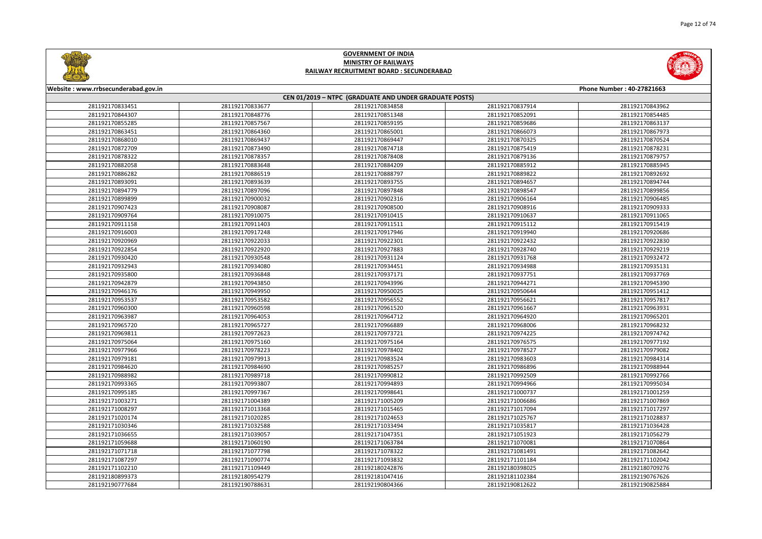



| Website: www.rrbsecunderabad.gov.in<br>Phone Number: 40-27821663 |                 |                                                        |                 |                 |
|------------------------------------------------------------------|-----------------|--------------------------------------------------------|-----------------|-----------------|
|                                                                  |                 | CEN 01/2019 - NTPC (GRADUATE AND UNDER GRADUATE POSTS) |                 |                 |
| 281192170833451                                                  | 281192170833677 | 281192170834858                                        | 281192170837914 | 281192170843962 |
| 281192170844307                                                  | 281192170848776 | 281192170851348                                        | 281192170852091 | 281192170854485 |
| 281192170855285                                                  | 281192170857567 | 281192170859195                                        | 281192170859686 | 281192170863137 |
| 281192170863451                                                  | 281192170864360 | 281192170865001                                        | 281192170866073 | 281192170867973 |
| 281192170868010                                                  | 281192170869437 | 281192170869447                                        | 281192170870325 | 281192170870524 |
| 281192170872709                                                  | 281192170873490 | 281192170874718                                        | 281192170875419 | 281192170878231 |
| 281192170878322                                                  | 281192170878357 | 281192170878408                                        | 281192170879136 | 281192170879757 |
| 281192170882058                                                  | 281192170883648 | 281192170884209                                        | 281192170885912 | 281192170885945 |
| 281192170886282                                                  | 281192170886519 | 281192170888797                                        | 281192170889822 | 281192170892692 |
| 281192170893091                                                  | 281192170893639 | 281192170893755                                        | 281192170894657 | 281192170894744 |
| 281192170894779                                                  | 281192170897096 | 281192170897848                                        | 281192170898547 | 281192170899856 |
| 281192170899899                                                  | 281192170900032 | 281192170902316                                        | 281192170906164 | 281192170906485 |
| 281192170907423                                                  | 281192170908087 | 281192170908500                                        | 281192170908916 | 281192170909333 |
| 281192170909764                                                  | 281192170910075 | 281192170910415                                        | 281192170910637 | 281192170911065 |
| 281192170911158                                                  | 281192170911403 | 281192170911511                                        | 281192170915112 | 281192170915419 |
| 281192170916003                                                  | 281192170917248 | 281192170917946                                        | 281192170919940 | 281192170920686 |
| 281192170920969                                                  | 281192170922033 | 281192170922301                                        | 281192170922432 | 281192170922830 |
| 281192170922854                                                  | 281192170922920 | 281192170927883                                        | 281192170928740 | 281192170929219 |
| 281192170930420                                                  | 281192170930548 | 281192170931124                                        | 281192170931768 | 281192170932472 |
| 281192170932943                                                  | 281192170934080 | 281192170934451                                        | 281192170934988 | 281192170935131 |
| 281192170935800                                                  | 281192170936848 | 281192170937171                                        | 281192170937751 | 281192170937769 |
| 281192170942879                                                  | 281192170943850 | 281192170943996                                        | 281192170944271 | 281192170945390 |
| 281192170946176                                                  | 281192170949950 | 281192170950025                                        | 281192170950644 | 281192170951412 |
| 281192170953537                                                  | 281192170953582 | 281192170956552                                        | 281192170956621 | 281192170957817 |
| 281192170960300                                                  | 281192170960598 | 281192170961520                                        | 281192170961667 | 281192170963931 |
| 281192170963987                                                  | 281192170964053 | 281192170964712                                        | 281192170964920 | 281192170965201 |
| 281192170965720                                                  | 281192170965727 | 281192170966889                                        | 281192170968006 | 281192170968232 |
| 281192170969811                                                  | 281192170972623 | 281192170973721                                        | 281192170974225 | 281192170974742 |
| 281192170975064                                                  | 281192170975160 | 281192170975164                                        | 281192170976575 | 281192170977192 |
| 281192170977966                                                  | 281192170978223 | 281192170978402                                        | 281192170978527 | 281192170979082 |
| 281192170979181                                                  | 281192170979913 | 281192170983524                                        | 281192170983603 | 281192170984314 |
| 281192170984620                                                  | 281192170984690 | 281192170985257                                        | 281192170986896 | 281192170988944 |
| 281192170988982                                                  | 281192170989718 | 281192170990812                                        | 281192170992509 | 281192170992766 |
| 281192170993365                                                  | 281192170993807 | 281192170994893                                        | 281192170994966 | 281192170995034 |
| 281192170995185                                                  | 281192170997367 | 281192170998641                                        | 281192171000737 | 281192171001259 |
| 281192171003271                                                  | 281192171004389 | 281192171005209                                        | 281192171006686 | 281192171007869 |
| 281192171008297                                                  | 281192171013368 | 281192171015465                                        | 281192171017094 | 281192171017297 |
| 281192171020174                                                  | 281192171020285 | 281192171024653                                        | 281192171025767 | 281192171028837 |
| 281192171030346                                                  | 281192171032588 | 281192171033494                                        | 281192171035817 | 281192171036428 |
| 281192171036655                                                  | 281192171039057 | 281192171047351                                        | 281192171051923 | 281192171056279 |
| 281192171059688                                                  | 281192171060190 | 281192171063784                                        | 281192171070081 | 281192171070864 |
| 281192171071718                                                  | 281192171077798 | 281192171078322                                        | 281192171081491 | 281192171082642 |
| 281192171087297                                                  | 281192171090774 | 281192171093832                                        | 281192171101184 | 281192171102042 |
| 281192171102210                                                  | 281192171109449 | 281192180242876                                        | 281192180398025 | 281192180709276 |
| 281192180899373                                                  | 281192180954279 | 281192181047416                                        | 281192181102384 | 281192190767626 |
| 281192190777684                                                  | 281192190788631 | 281192190804366                                        | 281192190812622 | 281192190825884 |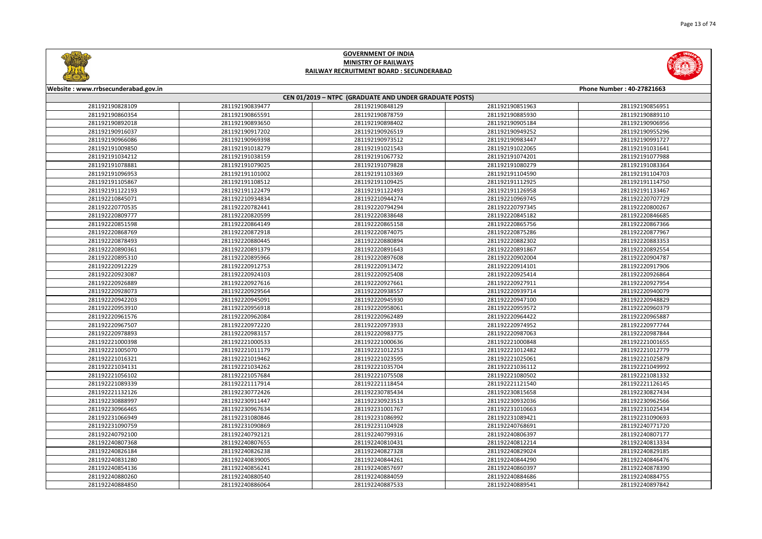



| Website: www.rrbsecunderabad.gov.in<br>Phone Number: 40-27821663 |                 |                                                        |                 |                 |  |
|------------------------------------------------------------------|-----------------|--------------------------------------------------------|-----------------|-----------------|--|
|                                                                  |                 | CEN 01/2019 - NTPC (GRADUATE AND UNDER GRADUATE POSTS) |                 |                 |  |
| 281192190828109                                                  | 281192190839477 | 281192190848129                                        | 281192190851963 | 281192190856951 |  |
| 281192190860354                                                  | 281192190865591 | 281192190878759                                        | 281192190885930 | 281192190889110 |  |
| 281192190892018                                                  | 281192190893650 | 281192190898402                                        | 281192190905184 | 281192190906956 |  |
| 281192190916037                                                  | 281192190917202 | 281192190926519                                        | 281192190949252 | 281192190955296 |  |
| 281192190966086                                                  | 281192190969398 | 281192190973512                                        | 281192190983447 | 281192190991727 |  |
| 281192191009850                                                  | 281192191018279 | 281192191021543                                        | 281192191022065 | 281192191031641 |  |
| 281192191034212                                                  | 281192191038159 | 281192191067732                                        | 281192191074201 | 281192191077988 |  |
| 281192191078881                                                  | 281192191079025 | 281192191079828                                        | 281192191080279 | 281192191083364 |  |
| 281192191096953                                                  | 281192191101002 | 281192191103369                                        | 281192191104590 | 281192191104703 |  |
| 281192191105867                                                  | 281192191108512 | 281192191109425                                        | 281192191112925 | 281192191114750 |  |
| 281192191122193                                                  | 281192191122479 | 281192191122493                                        | 281192191126958 | 281192191133467 |  |
| 281192210845071                                                  | 281192210934834 | 281192210944274                                        | 281192210969745 | 281192220707729 |  |
| 281192220770535                                                  | 281192220782441 | 281192220794294                                        | 281192220797345 | 281192220800267 |  |
| 281192220809777                                                  | 281192220820599 | 281192220838648                                        | 281192220845182 | 281192220846685 |  |
| 281192220851598                                                  | 281192220864149 | 281192220865158                                        | 281192220865756 | 281192220867366 |  |
| 281192220868769                                                  | 281192220872918 | 281192220874075                                        | 281192220875286 | 281192220877967 |  |
| 281192220878493                                                  | 281192220880445 | 281192220880894                                        | 281192220882302 | 281192220883353 |  |
| 281192220890361                                                  | 281192220891379 | 281192220891643                                        | 281192220891867 | 281192220892554 |  |
| 281192220895310                                                  | 281192220895966 | 281192220897608                                        | 281192220902004 | 281192220904787 |  |
| 281192220912229                                                  | 281192220912753 | 281192220913472                                        | 281192220914101 | 281192220917906 |  |
| 281192220923087                                                  | 281192220924103 | 281192220925408                                        | 281192220925414 | 281192220926864 |  |
| 281192220926889                                                  | 281192220927616 | 281192220927661                                        | 281192220927911 | 281192220927954 |  |
| 281192220928073                                                  | 281192220929564 | 281192220938557                                        | 281192220939714 | 281192220940079 |  |
| 281192220942203                                                  | 281192220945091 | 281192220945930                                        | 281192220947100 | 281192220948829 |  |
| 281192220953910                                                  | 281192220956918 | 281192220958061                                        | 281192220959572 | 281192220960379 |  |
| 281192220961576                                                  | 281192220962084 | 281192220962489                                        | 281192220964422 | 281192220965887 |  |
| 281192220967507                                                  | 281192220972220 | 281192220973933                                        | 281192220974952 | 281192220977744 |  |
| 281192220978893                                                  | 281192220983157 | 281192220983775                                        | 281192220987063 | 281192220987844 |  |
| 281192221000398                                                  | 281192221000533 | 281192221000636                                        | 281192221000848 | 281192221001655 |  |
| 281192221005070                                                  | 281192221011179 | 281192221012253                                        | 281192221012482 | 281192221012779 |  |
| 281192221016321                                                  | 281192221019462 | 281192221023595                                        | 281192221025061 | 281192221025879 |  |
| 281192221034131                                                  | 281192221034262 | 281192221035704                                        | 281192221036112 | 281192221049992 |  |
| 281192221056102                                                  | 281192221057684 | 281192221075508                                        | 281192221080502 | 281192221081332 |  |
| 281192221089339                                                  | 281192221117914 | 281192221118454                                        | 281192221121540 | 281192221126145 |  |
| 281192221132126                                                  | 281192230772426 | 281192230785434                                        | 281192230815658 | 281192230827434 |  |
| 281192230888997                                                  | 281192230911447 | 281192230923513                                        | 281192230932036 | 281192230962566 |  |
| 281192230966465                                                  | 281192230967634 | 281192231001767                                        | 281192231010663 | 281192231025434 |  |
| 281192231066949                                                  | 281192231080846 | 281192231086992                                        | 281192231089421 | 281192231090693 |  |
| 281192231090759                                                  | 281192231090869 | 281192231104928                                        | 281192240768691 | 281192240771720 |  |
| 281192240792100                                                  | 281192240792121 | 281192240799316                                        | 281192240806397 | 281192240807177 |  |
| 281192240807368                                                  | 281192240807655 | 281192240810431                                        | 281192240812214 | 281192240813334 |  |
| 281192240826184                                                  | 281192240826238 | 281192240827328                                        | 281192240829024 | 281192240829185 |  |
| 281192240831280                                                  | 281192240839005 | 281192240844261                                        | 281192240844290 | 281192240846476 |  |
| 281192240854136                                                  | 281192240856241 | 281192240857697                                        | 281192240860397 | 281192240878390 |  |
| 281192240880260                                                  | 281192240880540 | 281192240884059                                        | 281192240884686 | 281192240884755 |  |
| 281192240884850                                                  | 281192240886064 | 281192240887533                                        | 281192240889541 | 281192240897842 |  |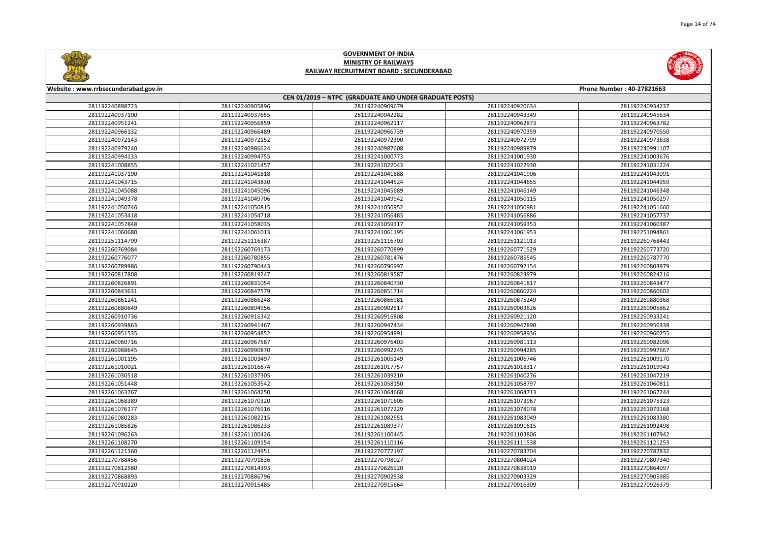

|       | Phone Number: 40-27821663 |
|-------|---------------------------|
|       |                           |
| 20634 | 281192240934237           |
| 43349 | 281192240945634           |
| 52873 | 281192240963782           |
| 70359 | 281192240970550           |
| 72799 | 281192240973638           |
| 89879 | 281192240991107           |
| 01930 | 281192241003676           |
| 22930 | 281192241031224           |
| 41906 | 281192241043091           |
| 44655 | 281192241044959           |
| 46149 | 281192241046348           |
| 50115 | 281192241050297           |
| 50981 | 281192241051660           |
| 56886 | 281192241057737           |
| 59353 | 281192241060387           |
| 51953 | 281192251094861           |
| 21013 | 281192260768443           |
| 71529 | 281192260773720           |
| 35545 | 281192260787770           |
| 92154 | 281192260803979           |
| 23979 | 281192260824216           |
| 41817 | 281192260843477           |
| 50224 | 281192260860602           |
| 75249 | 281192260880368           |
| 03626 | 281192260905862           |
| 21120 | 281192260933241           |
| 47890 | 281192260950339           |
| 58936 | 281192260960255           |
| 81113 | 281192260982096           |
| 94285 | 281192260997667           |
| 06746 | 281192261009170           |
| 18317 | 281192261019943           |
| 40276 | 281192261047219           |
| 58797 | 281192261060811           |
| 54713 | 281192261067244           |
| 73967 | 281192261075323           |
| 78078 | 281192261079168           |
| 83049 | 281192261083380           |
| 91615 | 281192261092498           |
| 03806 | 281192261107942           |
| 11538 | 281192261121253           |
| 83704 | 281192270787832           |
| 04024 | 281192270807340           |
| 38919 | 281192270864097           |
| 03329 | 281192270905985           |
| 16309 | 281192270926379           |
|       |                           |



#### **Website : www.rrbsecunderabad.gov.in CEN 01/2019 – NTPC (GRADUATE AND UNDER GRADUATE POSTS)** 281192240905896 281192240909679 281192240920634 281192240934237 281192240937655 281192240942282 281192240943349 281192240945634 281192240956859 281192240962117 281192240962873 281192240963782 281192240966489 281192240966739 281192240970359 281192240970550 281192240972152 281192240972390 281192240972799 281192240973638 281192240986624 281192240987608 281192240989879 281192240991107 281192240994755 281192241000773 281192241001930 281192241003676 281192241021457 281192241022043 281192241022930 281192241031224 281192241041818 281192241041888 281192241041906 281192241043091 281192241043830 281192241044524 281192241044655 281192241044959 281192241045096 281192241045689 281192241046149 281192241046348 281192241049706 281192241049942 281192241050115 281192241050297 281192241050815 281192241050952 281192241050981 281192241051660 281192241054718 281192241056483 281192241056886 281192241057737 281192241058035 281192241059317 281192241059353 281192241060387 281192241061013 281192241061195 281192241061953 281192251094861 281192251116387 281192251116703 281192251121013 281192260768443 281192260769173 281192260770899 281192260771529 281192260773720 281192260780855 281192260781476 281192260785545 281192260787770 281192260790443 281192260790997 281192260792154 281192260803979 281192260819247 281192260819587 281192260823979 281192260824216 281192260831054 281192260840730 281192260841817 281192260843477 281192260847579 281192260851714 281192260860224 281192260860602 281192260866248 281192260866981 281192260875249 281192260880368 281192260894956 281192260902517 281192260903626 281192260905862 281192260916342 281192260916808 281192260921120 281192260933241 281192260941467 281192260947434 281192260947890 281192260950339 281192260954852 281192260954991 281192260958936 281192260960255 281192260967587 281192260976403 281192260981113 281192260982096 281192260990870 281192260992245 281192260994285 281192260997667 281192261003497 281192261005149 281192261006746 281192261009170 281192261016674 281192261017757 281192261018317 281192261019943 281192261037305 281192261039210 281192261040276 281192261047219 281192261053542 281192261058150 281192261058797 281192261060811 281192261064250 281192261064668 281192261064713 281192261067244 281192261070320 281192261071605 281192261073967 281192261075323 281192261076916 281192261077229 281192261078078 281192261079168 281192261082215 281192261082551 281192261083049 281192261083380 281192261086233 281192261089377 281192261091615 281192261092498 281192261100426 281192261100445 281192261103806 281192261107942 281192261109154 281192261110116 281192261111538 281192261121253 281192261124951 281192270772197 281192270783704 281192270787832 281192270791836 281192270798027 281192270804024 281192270807340 281192270814393 281192270826920 281192270838919 281192270864097 281192270886796 281192270902538 281192270903329 281192270905985 281192270915485 281192270915664 281192270916309 281192270926379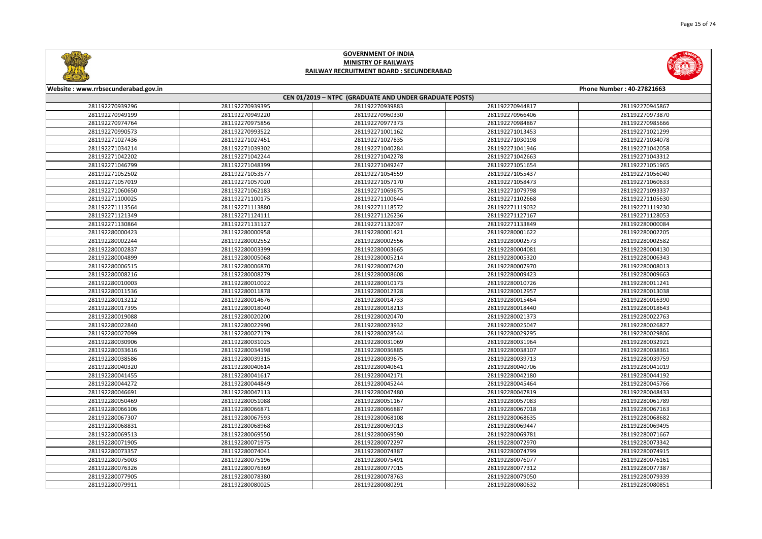



| Website: www.rrbsecunderabad.gov.in<br>Phone Number: 40-27821663 |                 |                                                        |                 |                 |
|------------------------------------------------------------------|-----------------|--------------------------------------------------------|-----------------|-----------------|
|                                                                  |                 | CEN 01/2019 - NTPC (GRADUATE AND UNDER GRADUATE POSTS) |                 |                 |
| 281192270939296                                                  | 281192270939395 | 281192270939883                                        | 281192270944817 | 281192270945867 |
| 281192270949199                                                  | 281192270949220 | 281192270960330                                        | 281192270966406 | 281192270973870 |
| 281192270974764                                                  | 281192270975856 | 281192270977373                                        | 281192270984867 | 281192270985666 |
| 281192270990573                                                  | 281192270993522 | 281192271001162                                        | 281192271013453 | 281192271021299 |
| 281192271027436                                                  | 281192271027451 | 281192271027835                                        | 281192271030198 | 281192271034078 |
| 281192271034214                                                  | 281192271039302 | 281192271040284                                        | 281192271041946 | 281192271042058 |
| 281192271042202                                                  | 281192271042244 | 281192271042278                                        | 281192271042663 | 281192271043312 |
| 281192271046799                                                  | 281192271048399 | 281192271049247                                        | 281192271051654 | 281192271051965 |
| 281192271052502                                                  | 281192271053577 | 281192271054559                                        | 281192271055437 | 281192271056040 |
| 281192271057019                                                  | 281192271057020 | 281192271057170                                        | 281192271058473 | 281192271060633 |
| 281192271060650                                                  | 281192271062183 | 281192271069675                                        | 281192271079798 | 281192271093337 |
| 281192271100025                                                  | 281192271100175 | 281192271100644                                        | 281192271102668 | 281192271105630 |
| 281192271113564                                                  | 281192271113880 | 281192271118572                                        | 281192271119032 | 281192271119230 |
| 281192271121349                                                  | 281192271124111 | 281192271126236                                        | 281192271127167 | 281192271128053 |
| 281192271130864                                                  | 281192271131127 | 281192271132037                                        | 281192271133849 | 281192280000084 |
| 281192280000423                                                  | 281192280000958 | 281192280001421                                        | 281192280001622 | 281192280002205 |
| 281192280002244                                                  | 281192280002552 | 281192280002556                                        | 281192280002573 | 281192280002582 |
| 281192280002837                                                  | 281192280003399 | 281192280003665                                        | 281192280004081 | 281192280004130 |
| 281192280004899                                                  | 281192280005068 | 281192280005214                                        | 281192280005320 | 281192280006343 |
| 281192280006515                                                  | 281192280006870 | 281192280007420                                        | 281192280007970 | 281192280008013 |
| 281192280008216                                                  | 281192280008279 | 281192280008608                                        | 281192280009423 | 281192280009663 |
| 281192280010003                                                  | 281192280010022 | 281192280010173                                        | 281192280010726 | 281192280011241 |
| 281192280011536                                                  | 281192280011878 | 281192280012328                                        | 281192280012957 | 281192280013038 |
| 281192280013212                                                  | 281192280014676 | 281192280014733                                        | 281192280015464 | 281192280016390 |
| 281192280017395                                                  | 281192280018040 | 281192280018213                                        | 281192280018440 | 281192280018643 |
| 281192280019088                                                  | 281192280020200 | 281192280020470                                        | 281192280021373 | 281192280022763 |
| 281192280022840                                                  | 281192280022990 | 281192280023932                                        | 281192280025047 | 281192280026827 |
| 281192280027099                                                  | 281192280027179 | 281192280028544                                        | 281192280029295 | 281192280029806 |
| 281192280030906                                                  | 281192280031025 | 281192280031069                                        | 281192280031964 | 281192280032921 |
| 281192280033616                                                  | 281192280034198 | 281192280036885                                        | 281192280038107 | 281192280038361 |
| 281192280038586                                                  | 281192280039315 | 281192280039675                                        | 281192280039713 | 281192280039759 |
| 281192280040320                                                  | 281192280040614 | 281192280040641                                        | 281192280040706 | 281192280041019 |
| 281192280041455                                                  | 281192280041617 | 281192280042171                                        | 281192280042180 | 281192280044192 |
| 281192280044272                                                  | 281192280044849 | 281192280045244                                        | 281192280045464 | 281192280045766 |
| 281192280046691                                                  | 281192280047113 | 281192280047480                                        | 281192280047819 | 281192280048433 |
| 281192280050469                                                  | 281192280051088 | 281192280051167                                        | 281192280057083 | 281192280061789 |
| 281192280066106                                                  | 281192280066871 | 281192280066887                                        | 281192280067018 | 281192280067163 |
| 281192280067307                                                  | 281192280067593 | 281192280068108                                        | 281192280068635 | 281192280068682 |
| 281192280068831                                                  | 281192280068968 | 281192280069013                                        | 281192280069447 | 281192280069495 |
| 281192280069513                                                  | 281192280069550 | 281192280069590                                        | 281192280069781 | 281192280071667 |
| 281192280071905                                                  | 281192280071975 | 281192280072297                                        | 281192280072970 | 281192280073342 |
| 281192280073357                                                  | 281192280074041 | 281192280074387                                        | 281192280074799 | 281192280074915 |
| 281192280075003                                                  | 281192280075196 | 281192280075491                                        | 281192280076077 | 281192280076161 |
| 281192280076326                                                  | 281192280076369 | 281192280077015                                        | 281192280077312 | 281192280077387 |
| 281192280077905                                                  | 281192280078380 | 281192280078763                                        | 281192280079050 | 281192280079339 |
| 281192280079911                                                  | 281192280080025 | 281192280080291                                        | 281192280080632 | 281192280080851 |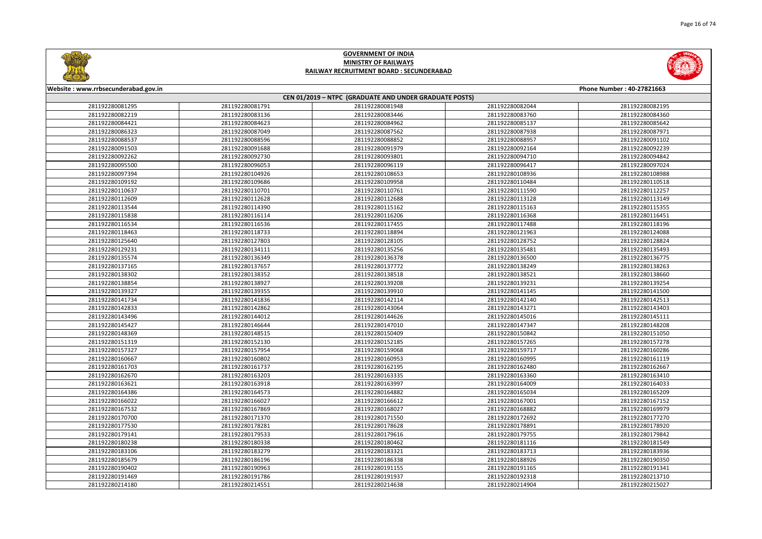



| Website: www.rrbsecunderabad.gov.in<br>Phone Number: 40-27821663 |                 |                                                        |                 |                 |
|------------------------------------------------------------------|-----------------|--------------------------------------------------------|-----------------|-----------------|
|                                                                  |                 | CEN 01/2019 - NTPC (GRADUATE AND UNDER GRADUATE POSTS) |                 |                 |
| 281192280081295                                                  | 281192280081791 | 281192280081948                                        | 281192280082044 | 281192280082195 |
| 281192280082219                                                  | 281192280083136 | 281192280083446                                        | 281192280083760 | 281192280084360 |
| 281192280084421                                                  | 281192280084623 | 281192280084962                                        | 281192280085137 | 281192280085642 |
| 281192280086323                                                  | 281192280087049 | 281192280087562                                        | 281192280087938 | 281192280087971 |
| 281192280088537                                                  | 281192280088596 | 281192280088852                                        | 281192280088957 | 281192280091102 |
| 281192280091503                                                  | 281192280091688 | 281192280091979                                        | 281192280092164 | 281192280092239 |
| 281192280092262                                                  | 281192280092730 | 281192280093801                                        | 281192280094710 | 281192280094842 |
| 281192280095500                                                  | 281192280096053 | 281192280096119                                        | 281192280096417 | 281192280097024 |
| 281192280097394                                                  | 281192280104926 | 281192280108653                                        | 281192280108936 | 281192280108988 |
| 281192280109192                                                  | 281192280109686 | 281192280109958                                        | 281192280110484 | 281192280110518 |
| 281192280110637                                                  | 281192280110701 | 281192280110761                                        | 281192280111590 | 281192280112257 |
| 281192280112609                                                  | 281192280112628 | 281192280112688                                        | 281192280113128 | 281192280113149 |
| 281192280113544                                                  | 281192280114390 | 281192280115162                                        | 281192280115163 | 281192280115355 |
| 281192280115838                                                  | 281192280116114 | 281192280116206                                        | 281192280116368 | 281192280116451 |
| 281192280116534                                                  | 281192280116536 | 281192280117455                                        | 281192280117488 | 281192280118196 |
| 281192280118463                                                  | 281192280118733 | 281192280118894                                        | 281192280121963 | 281192280124088 |
| 281192280125640                                                  | 281192280127803 | 281192280128105                                        | 281192280128752 | 281192280128824 |
| 281192280129231                                                  | 281192280134111 | 281192280135256                                        | 281192280135481 | 281192280135493 |
| 281192280135574                                                  | 281192280136349 | 281192280136378                                        | 281192280136500 | 281192280136775 |
| 281192280137165                                                  | 281192280137657 | 281192280137772                                        | 281192280138249 | 281192280138263 |
| 281192280138302                                                  | 281192280138352 | 281192280138518                                        | 281192280138521 | 281192280138660 |
| 281192280138854                                                  | 281192280138927 | 281192280139208                                        | 281192280139231 | 281192280139254 |
| 281192280139327                                                  | 281192280139355 | 281192280139910                                        | 281192280141145 | 281192280141500 |
| 281192280141734                                                  | 281192280141836 | 281192280142114                                        | 281192280142140 | 281192280142513 |
| 281192280142833                                                  | 281192280142862 | 281192280143064                                        | 281192280143271 | 281192280143403 |
| 281192280143496                                                  | 281192280144012 | 281192280144626                                        | 281192280145016 | 281192280145111 |
| 281192280145427                                                  | 281192280146644 | 281192280147010                                        | 281192280147347 | 281192280148208 |
| 281192280148369                                                  | 281192280148515 | 281192280150409                                        | 281192280150842 | 281192280151050 |
| 281192280151319                                                  | 281192280152130 | 281192280152185                                        | 281192280157265 | 281192280157278 |
| 281192280157327                                                  | 281192280157954 | 281192280159068                                        | 281192280159717 | 281192280160286 |
| 281192280160667                                                  | 281192280160802 | 281192280160953                                        | 281192280160995 | 281192280161119 |
| 281192280161703                                                  | 281192280161737 | 281192280162195                                        | 281192280162480 | 281192280162667 |
| 281192280162670                                                  | 281192280163203 | 281192280163335                                        | 281192280163360 | 281192280163410 |
| 281192280163621                                                  | 281192280163918 | 281192280163997                                        | 281192280164009 | 281192280164033 |
| 281192280164386                                                  | 281192280164573 | 281192280164882                                        | 281192280165034 | 281192280165209 |
| 281192280166022                                                  | 281192280166027 | 281192280166612                                        | 281192280167001 | 281192280167152 |
| 281192280167532                                                  | 281192280167869 | 281192280168027                                        | 281192280168882 | 281192280169979 |
| 281192280170700                                                  | 281192280171370 | 281192280171550                                        | 281192280172692 | 281192280177270 |
| 281192280177530                                                  | 281192280178281 | 281192280178628                                        | 281192280178891 | 281192280178920 |
| 281192280179141                                                  | 281192280179533 | 281192280179616                                        | 281192280179755 | 281192280179842 |
| 281192280180238                                                  | 281192280180338 | 281192280180462                                        | 281192280181116 | 281192280181549 |
| 281192280183106                                                  | 281192280183279 | 281192280183321                                        | 281192280183713 | 281192280183936 |
| 281192280185679                                                  | 281192280186196 | 281192280186338                                        | 281192280188926 | 281192280190350 |
| 281192280190402                                                  | 281192280190963 | 281192280191155                                        | 281192280191165 | 281192280191341 |
| 281192280191469                                                  | 281192280191786 | 281192280191937                                        | 281192280192318 | 281192280213710 |
| 281192280214180                                                  | 281192280214551 | 281192280214638                                        | 281192280214904 | 281192280215027 |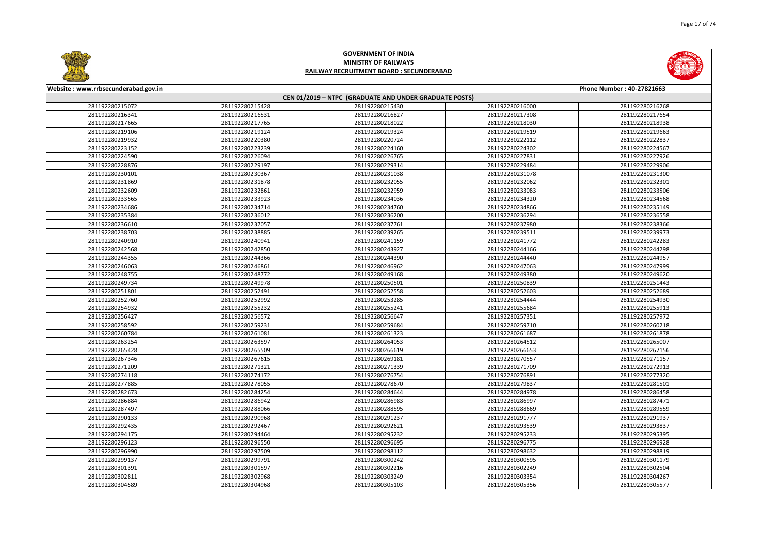

|                | Phone Number: 40-27821663          |  |  |  |
|----------------|------------------------------------|--|--|--|
| 16000          | 281192280216268                    |  |  |  |
| 17308          | 281192280217654                    |  |  |  |
| 18030          |                                    |  |  |  |
| 19519          | 281192280218938                    |  |  |  |
|                | 281192280219663                    |  |  |  |
| 22112<br>24302 | 281192280222837<br>281192280224567 |  |  |  |
| 27831          | 281192280227926                    |  |  |  |
| 29484          | 281192280229906                    |  |  |  |
| 31078          | 281192280231300                    |  |  |  |
| 32062          | 281192280232301                    |  |  |  |
| 33083          | 281192280233506                    |  |  |  |
| 34320          | 281192280234568                    |  |  |  |
| 34866          | 281192280235149                    |  |  |  |
| 36294          | 281192280236558                    |  |  |  |
| 37980          | 281192280238366                    |  |  |  |
| 39511          | 281192280239973                    |  |  |  |
| 41772          | 281192280242283                    |  |  |  |
| 44166          | 281192280244298                    |  |  |  |
| 44440          | 281192280244957                    |  |  |  |
| 47063          | 281192280247999                    |  |  |  |
| 49380          | 281192280249620                    |  |  |  |
| 50839          | 281192280251443                    |  |  |  |
| 52603          | 281192280252689                    |  |  |  |
| 54444          | 281192280254930                    |  |  |  |
| 55684          | 281192280255913                    |  |  |  |
| 57351          | 281192280257972                    |  |  |  |
| 59710          | 281192280260218                    |  |  |  |
| 61687          | 281192280261878                    |  |  |  |
| 64512          | 281192280265007                    |  |  |  |
| 66653          | 281192280267156                    |  |  |  |
| 70557          | 281192280271157                    |  |  |  |
| 71709          | 281192280272913                    |  |  |  |
| 76891          | 281192280277320                    |  |  |  |
| 79837          | 281192280281501                    |  |  |  |
| 84978          | 281192280286458                    |  |  |  |
| 86997          | 281192280287471                    |  |  |  |
| 88669          | 281192280289559                    |  |  |  |
| 91777          | 281192280291937                    |  |  |  |
| 93539          | 281192280293837                    |  |  |  |
| 95233          | 281192280295395                    |  |  |  |
| 96775          | 281192280296928                    |  |  |  |
| 98632          | 281192280298819                    |  |  |  |
| 00595          | 281192280301179                    |  |  |  |
| 02249          | 281192280302504                    |  |  |  |
| 03354          | 281192280304267                    |  |  |  |
| 05356          | 281192280305577                    |  |  |  |
|                |                                    |  |  |  |



#### **Website : www.rrbsecunderabad.gov.in CEN 01/2019 – NTPC (GRADUATE AND UNDER GRADUATE POSTS)** 281192280215428 281192280215430 281192280216000 281192280216268 281192280216531 281192280216827 281192280217308 281192280217654 281192280217765 281192280218022 281192280218030 281192280218938 281192280219124 281192280219324 281192280219519 281192280219663 281192280220380 281192280220724 281192280222112 281192280222837 281192280223239 281192280224160 281192280224302 281192280224567 281192280226094 281192280226765 281192280227831 281192280227926 281192280229197 281192280229314 281192280229484 281192280229906 281192280230367 281192280231038 281192280231078 281192280231300 281192280231878 281192280232055 281192280232062 281192280232301 281192280232861 281192280232959 281192280233083 281192280233506 281192280233923 281192280234036 281192280234320 281192280234568 281192280234714 281192280234760 281192280234866 281192280235149 281192280236012 281192280236200 281192280236294 281192280236558 281192280237057 281192280237761 281192280237980 281192280238366 281192280238885 281192280239265 281192280239511 281192280239973 281192280240941 281192280241159 281192280241772 281192280242283 281192280242850 281192280243927 281192280244166 281192280244298 281192280244366 281192280244390 281192280244440 281192280244957 281192280246861 281192280246962 281192280247063 281192280247999 281192280248772 281192280249168 281192280249380 281192280249620 281192280249978 281192280250501 281192280250839 281192280251443 281192280252491 281192280252558 281192280252603 281192280252689 281192280252992 281192280253285 281192280254444 281192280254930 281192280255232 281192280255241 281192280255684 281192280255913 281192280256572 281192280256647 281192280257351 281192280257972 281192280259231 281192280259684 281192280259710 281192280260218 281192280261081 281192280261323 281192280261687 281192280261878 281192280263597 281192280264053 281192280264512 281192280265007 281192280265509 281192280266619 281192280266653 281192280267156 281192280267615 281192280269181 281192280270557 281192280271157 281192280271321 281192280271339 281192280271709 281192280272913 281192280274172 281192280276754 281192280276891 281192280277320 281192280278055 281192280278670 281192280279837 281192280281501 281192280284254 281192280284644 281192280284978 281192280286458 281192280286942 281192280286983 281192280286997 281192280287471 281192280288066 281192280288595 281192280288669 281192280289559 281192280290968 281192280291237 281192280291777 281192280291937 281192280292467 281192280292621 281192280293539 281192280293837 281192280294464 281192280295232 281192280295233 281192280295395 281192280296550 281192280296695 281192280296775 281192280296928 281192280297509 281192280298112 281192280298632 281192280298819 281192280299791 281192280300242 281192280300595 281192280301179 281192280301597 281192280302216 281192280302249 281192280302504 281192280302968 281192280303249 281192280303354 281192280304267 281192280304968 281192280305103 281192280305356 281192280305577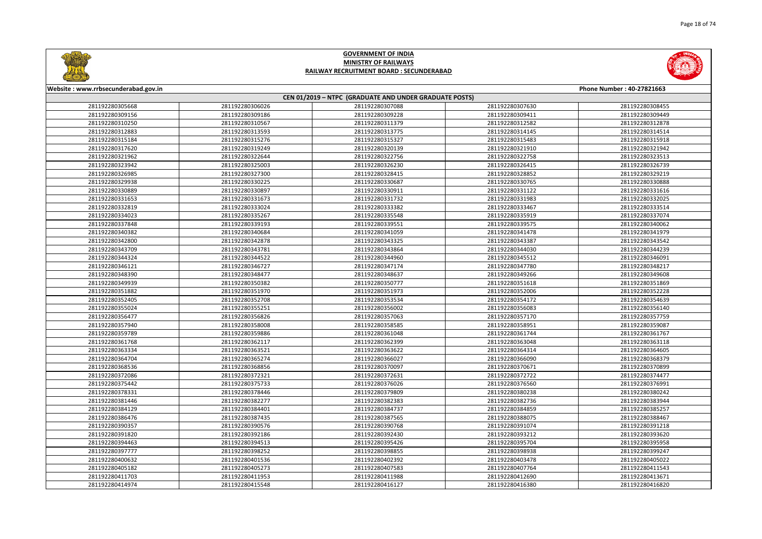



| Website: www.rrbsecunderabad.gov.in<br>Phone Number: 40-27821663 |                 |                                                        |                 |                 |
|------------------------------------------------------------------|-----------------|--------------------------------------------------------|-----------------|-----------------|
|                                                                  |                 | CEN 01/2019 - NTPC (GRADUATE AND UNDER GRADUATE POSTS) |                 |                 |
| 281192280305668                                                  | 281192280306026 | 281192280307088                                        | 281192280307630 | 281192280308455 |
| 281192280309156                                                  | 281192280309186 | 281192280309228                                        | 281192280309411 | 281192280309449 |
| 281192280310250                                                  | 281192280310567 | 281192280311379                                        | 281192280312582 | 281192280312878 |
| 281192280312883                                                  | 281192280313593 | 281192280313775                                        | 281192280314145 | 281192280314514 |
| 281192280315184                                                  | 281192280315276 | 281192280315327                                        | 281192280315483 | 281192280315918 |
| 281192280317620                                                  | 281192280319249 | 281192280320139                                        | 281192280321910 | 281192280321942 |
| 281192280321962                                                  | 281192280322644 | 281192280322756                                        | 281192280322758 | 281192280323513 |
| 281192280323942                                                  | 281192280325003 | 281192280326230                                        | 281192280326415 | 281192280326739 |
| 281192280326985                                                  | 281192280327300 | 281192280328415                                        | 281192280328852 | 281192280329219 |
| 281192280329938                                                  | 281192280330225 | 281192280330687                                        | 281192280330765 | 281192280330888 |
| 281192280330889                                                  | 281192280330897 | 281192280330911                                        | 281192280331122 | 281192280331616 |
| 281192280331653                                                  | 281192280331673 | 281192280331732                                        | 281192280331983 | 281192280332025 |
| 281192280332819                                                  | 281192280333024 | 281192280333382                                        | 281192280333467 | 281192280333514 |
| 281192280334023                                                  | 281192280335267 | 281192280335548                                        | 281192280335919 | 281192280337074 |
| 281192280337848                                                  | 281192280339193 | 281192280339551                                        | 281192280339575 | 281192280340062 |
| 281192280340382                                                  | 281192280340684 | 281192280341059                                        | 281192280341478 | 281192280341979 |
| 281192280342800                                                  | 281192280342878 | 281192280343325                                        | 281192280343387 | 281192280343542 |
| 281192280343709                                                  | 281192280343781 | 281192280343864                                        | 281192280344030 | 281192280344239 |
| 281192280344324                                                  | 281192280344522 | 281192280344960                                        | 281192280345512 | 281192280346091 |
| 281192280346121                                                  | 281192280346727 | 281192280347174                                        | 281192280347780 | 281192280348217 |
| 281192280348390                                                  | 281192280348477 | 281192280348637                                        | 281192280349266 | 281192280349608 |
| 281192280349939                                                  | 281192280350382 | 281192280350777                                        | 281192280351618 | 281192280351869 |
| 281192280351882                                                  | 281192280351970 | 281192280351973                                        | 281192280352006 | 281192280352228 |
| 281192280352405                                                  | 281192280352708 | 281192280353534                                        | 281192280354172 | 281192280354639 |
| 281192280355024                                                  | 281192280355251 | 281192280356002                                        | 281192280356083 | 281192280356140 |
| 281192280356477                                                  | 281192280356826 | 281192280357063                                        | 281192280357170 | 281192280357759 |
| 281192280357940                                                  | 281192280358008 | 281192280358585                                        | 281192280358951 | 281192280359087 |
| 281192280359789                                                  | 281192280359886 | 281192280361048                                        | 281192280361744 | 281192280361767 |
| 281192280361768                                                  | 281192280362117 | 281192280362399                                        | 281192280363048 | 281192280363118 |
| 281192280363334                                                  | 281192280363521 | 281192280363622                                        | 281192280364314 | 281192280364605 |
| 281192280364704                                                  | 281192280365274 | 281192280366027                                        | 281192280366090 | 281192280368379 |
| 281192280368536                                                  | 281192280368856 | 281192280370097                                        | 281192280370671 | 281192280370899 |
| 281192280372086                                                  | 281192280372321 | 281192280372631                                        | 281192280372722 | 281192280374477 |
| 281192280375442                                                  | 281192280375733 | 281192280376026                                        | 281192280376560 | 281192280376991 |
| 281192280378331                                                  | 281192280378446 | 281192280379809                                        | 281192280380238 | 281192280380242 |
| 281192280381446                                                  | 281192280382277 | 281192280382383                                        | 281192280382736 | 281192280383944 |
| 281192280384129                                                  | 281192280384401 | 281192280384737                                        | 281192280384859 | 281192280385257 |
| 281192280386476                                                  | 281192280387435 | 281192280387565                                        | 281192280388075 | 281192280388467 |
| 281192280390357                                                  | 281192280390576 | 281192280390768                                        | 281192280391074 | 281192280391218 |
| 281192280391820                                                  | 281192280392186 | 281192280392430                                        | 281192280393212 | 281192280393620 |
| 281192280394463                                                  | 281192280394513 | 281192280395426                                        | 281192280395704 | 281192280395958 |
| 281192280397777                                                  | 281192280398252 | 281192280398855                                        | 281192280398938 | 281192280399247 |
| 281192280400632                                                  | 281192280401536 | 281192280402392                                        | 281192280403478 | 281192280405022 |
| 281192280405182                                                  | 281192280405273 | 281192280407583                                        | 281192280407764 | 281192280411543 |
| 281192280411703                                                  | 281192280411953 | 281192280411988                                        | 281192280412690 | 281192280413671 |
| 281192280414974                                                  | 281192280415548 | 281192280416127                                        | 281192280416380 | 281192280416820 |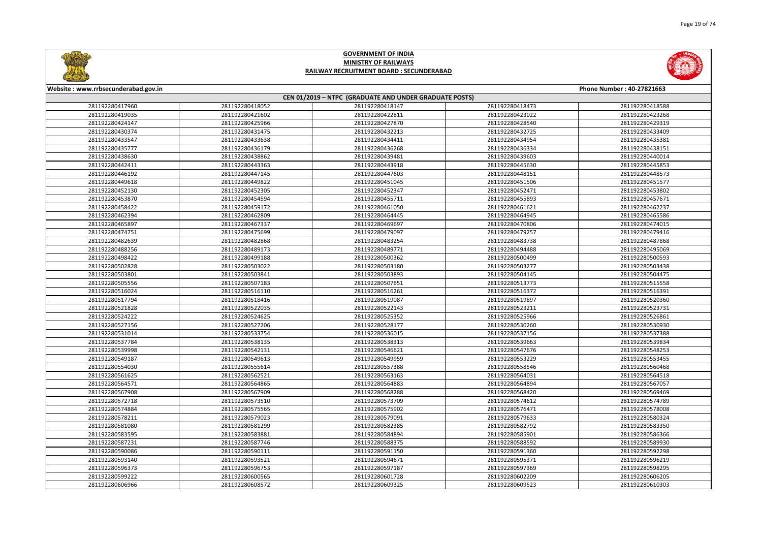



| Website: www.rrbsecunderabad.gov.in                    |                 |                 |                 | Phone Number: 40-27821663 |
|--------------------------------------------------------|-----------------|-----------------|-----------------|---------------------------|
| CEN 01/2019 - NTPC (GRADUATE AND UNDER GRADUATE POSTS) |                 |                 |                 |                           |
| 281192280417960                                        | 281192280418052 | 281192280418147 | 281192280418473 | 281192280418588           |
| 281192280419035                                        | 281192280421602 | 281192280422811 | 281192280423022 | 281192280423268           |
| 281192280424147                                        | 281192280425966 | 281192280427870 | 281192280428540 | 281192280429319           |
| 281192280430374                                        | 281192280431475 | 281192280432213 | 281192280432725 | 281192280433409           |
| 281192280433547                                        | 281192280433638 | 281192280434411 | 281192280434954 | 281192280435381           |
| 281192280435777                                        | 281192280436179 | 281192280436268 | 281192280436334 | 281192280438151           |
| 281192280438630                                        | 281192280438862 | 281192280439481 | 281192280439603 | 281192280440014           |
| 281192280442411                                        | 281192280443363 | 281192280443918 | 281192280445630 | 281192280445853           |
| 281192280446192                                        | 281192280447145 | 281192280447603 | 281192280448151 | 281192280448573           |
| 281192280449618                                        | 281192280449822 | 281192280451045 | 281192280451506 | 281192280451577           |
| 281192280452130                                        | 281192280452305 | 281192280452347 | 281192280452471 | 281192280453802           |
| 281192280453870                                        | 281192280454594 | 281192280455711 | 281192280455893 | 281192280457671           |
| 281192280458422                                        | 281192280459172 | 281192280461050 | 281192280461621 | 281192280462237           |
| 281192280462394                                        | 281192280462809 | 281192280464445 | 281192280464945 | 281192280465586           |
| 281192280465897                                        | 281192280467337 | 281192280469697 | 281192280470806 | 281192280474015           |
| 281192280474751                                        | 281192280475699 | 281192280479097 | 281192280479257 | 281192280479416           |
| 281192280482639                                        | 281192280482868 | 281192280483254 | 281192280483738 | 281192280487868           |
| 281192280488256                                        | 281192280489173 | 281192280489771 | 281192280494488 | 281192280495069           |
| 281192280498422                                        | 281192280499188 | 281192280500362 | 281192280500499 | 281192280500593           |
| 281192280502828                                        | 281192280503022 | 281192280503180 | 281192280503277 | 281192280503438           |
| 281192280503801                                        | 281192280503841 | 281192280503893 | 281192280504145 | 281192280504475           |
| 281192280505556                                        | 281192280507183 | 281192280507651 | 281192280513773 | 281192280515558           |
| 281192280516024                                        | 281192280516110 | 281192280516261 | 281192280516372 | 281192280516391           |
| 281192280517794                                        | 281192280518416 | 281192280519087 | 281192280519897 | 281192280520360           |
| 281192280521828                                        | 281192280522035 | 281192280522143 | 281192280523211 | 281192280523731           |
| 281192280524222                                        | 281192280524625 | 281192280525352 | 281192280525966 | 281192280526861           |
| 281192280527156                                        | 281192280527206 | 281192280528177 | 281192280530260 | 281192280530930           |
| 281192280531014                                        | 281192280533754 | 281192280536015 | 281192280537156 | 281192280537388           |
| 281192280537784                                        | 281192280538135 | 281192280538313 | 281192280539663 | 281192280539834           |
| 281192280539998                                        | 281192280542131 | 281192280546621 | 281192280547676 | 281192280548253           |
| 281192280549187                                        | 281192280549613 | 281192280549959 | 281192280553229 | 281192280553455           |
| 281192280554030                                        | 281192280555614 | 281192280557388 | 281192280558546 | 281192280560468           |
| 281192280561625                                        | 281192280562521 | 281192280563163 | 281192280564031 | 281192280564518           |
| 281192280564571                                        | 281192280564865 | 281192280564883 | 281192280564894 | 281192280567057           |
| 281192280567908                                        | 281192280567909 | 281192280568288 | 281192280568420 | 281192280569469           |
| 281192280572718                                        | 281192280573510 | 281192280573709 | 281192280574612 | 281192280574789           |
| 281192280574884                                        | 281192280575565 | 281192280575902 | 281192280576471 | 281192280578008           |
| 281192280578211                                        | 281192280579023 | 281192280579091 | 281192280579633 | 281192280580324           |
| 281192280581080                                        | 281192280581299 | 281192280582385 | 281192280582792 | 281192280583350           |
| 281192280583595                                        | 281192280583881 | 281192280584894 | 281192280585901 | 281192280586366           |
| 281192280587231                                        | 281192280587746 | 281192280588375 | 281192280588592 | 281192280589930           |
| 281192280590086                                        | 281192280590111 | 281192280591150 | 281192280591360 | 281192280592298           |
| 281192280593140                                        | 281192280593521 | 281192280594671 | 281192280595371 | 281192280596219           |
| 281192280596373                                        | 281192280596753 | 281192280597187 | 281192280597369 | 281192280598295           |
| 281192280599222                                        | 281192280600565 | 281192280601728 | 281192280602209 | 281192280606205           |
| 281192280606966                                        | 281192280608572 | 281192280609325 | 281192280609523 | 281192280610303           |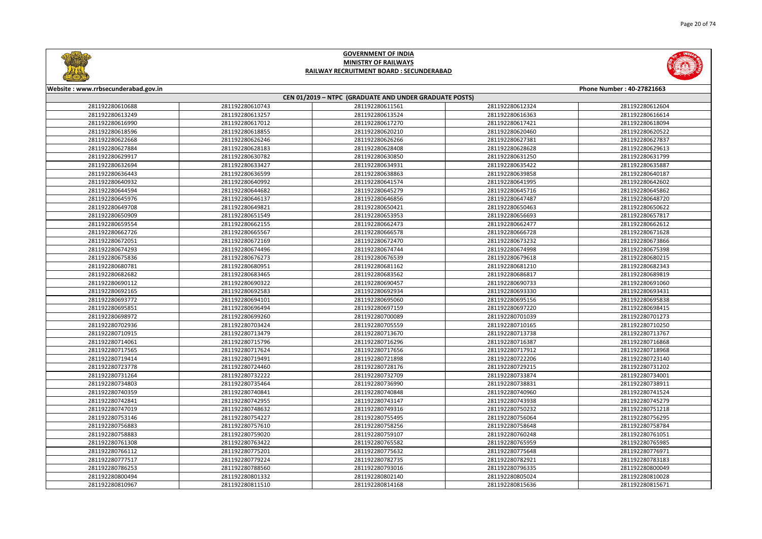



| Website: www.rrbsecunderabad.gov.in                    |                 |                 |                 | Phone Number: 40-27821663 |  |
|--------------------------------------------------------|-----------------|-----------------|-----------------|---------------------------|--|
| CEN 01/2019 - NTPC (GRADUATE AND UNDER GRADUATE POSTS) |                 |                 |                 |                           |  |
| 281192280610688                                        | 281192280610743 | 281192280611561 | 281192280612324 | 281192280612604           |  |
| 281192280613249                                        | 281192280613257 | 281192280613524 | 281192280616363 | 281192280616614           |  |
| 281192280616990                                        | 281192280617012 | 281192280617270 | 281192280617421 | 281192280618094           |  |
| 281192280618596                                        | 281192280618855 | 281192280620210 | 281192280620460 | 281192280620522           |  |
| 281192280622668                                        | 281192280626246 | 281192280626266 | 281192280627381 | 281192280627837           |  |
| 281192280627884                                        | 281192280628183 | 281192280628408 | 281192280628628 | 281192280629613           |  |
| 281192280629917                                        | 281192280630782 | 281192280630850 | 281192280631250 | 281192280631799           |  |
| 281192280632694                                        | 281192280633427 | 281192280634931 | 281192280635422 | 281192280635887           |  |
| 281192280636443                                        | 281192280636599 | 281192280638863 | 281192280639858 | 281192280640187           |  |
| 281192280640932                                        | 281192280640992 | 281192280641574 | 281192280641995 | 281192280642602           |  |
| 281192280644594                                        | 281192280644682 | 281192280645279 | 281192280645716 | 281192280645862           |  |
| 281192280645976                                        | 281192280646137 | 281192280646856 | 281192280647487 | 281192280648720           |  |
| 281192280649708                                        | 281192280649821 | 281192280650421 | 281192280650463 | 281192280650622           |  |
| 281192280650909                                        | 281192280651549 | 281192280653953 | 281192280656693 | 281192280657817           |  |
| 281192280659554                                        | 281192280662155 | 281192280662473 | 281192280662477 | 281192280662612           |  |
| 281192280662726                                        | 281192280665567 | 281192280666578 | 281192280666728 | 281192280671628           |  |
| 281192280672051                                        | 281192280672169 | 281192280672470 | 281192280673232 | 281192280673866           |  |
| 281192280674293                                        | 281192280674496 | 281192280674744 | 281192280674998 | 281192280675398           |  |
| 281192280675836                                        | 281192280676273 | 281192280676539 | 281192280679618 | 281192280680215           |  |
| 281192280680781                                        | 281192280680951 | 281192280681162 | 281192280681210 | 281192280682343           |  |
| 281192280682682                                        | 281192280683465 | 281192280683562 | 281192280686817 | 281192280689819           |  |
| 281192280690112                                        | 281192280690322 | 281192280690457 | 281192280690733 | 281192280691060           |  |
| 281192280692165                                        | 281192280692583 | 281192280692934 | 281192280693330 | 281192280693431           |  |
| 281192280693772                                        | 281192280694101 | 281192280695060 | 281192280695156 | 281192280695838           |  |
| 281192280695851                                        | 281192280696494 | 281192280697159 | 281192280697220 | 281192280698415           |  |
| 281192280698972                                        | 281192280699260 | 281192280700089 | 281192280701039 | 281192280701273           |  |
| 281192280702936                                        | 281192280703424 | 281192280705559 | 281192280710165 | 281192280710250           |  |
| 281192280710915                                        | 281192280713479 | 281192280713670 | 281192280713738 | 281192280713767           |  |
| 281192280714061                                        | 281192280715796 | 281192280716296 | 281192280716387 | 281192280716868           |  |
| 281192280717565                                        | 281192280717624 | 281192280717656 | 281192280717912 | 281192280718968           |  |
| 281192280719414                                        | 281192280719491 | 281192280721898 | 281192280722206 | 281192280723140           |  |
| 281192280723778                                        | 281192280724460 | 281192280728176 | 281192280729215 | 281192280731202           |  |
| 281192280731264                                        | 281192280732222 | 281192280732709 | 281192280733874 | 281192280734001           |  |
| 281192280734803                                        | 281192280735464 | 281192280736990 | 281192280738831 | 281192280738911           |  |
| 281192280740359                                        | 281192280740841 | 281192280740848 | 281192280740960 | 281192280741524           |  |
| 281192280742841                                        | 281192280742955 | 281192280743147 | 281192280743938 | 281192280745279           |  |
| 281192280747019                                        | 281192280748632 | 281192280749316 | 281192280750232 | 281192280751218           |  |
| 281192280753146                                        | 281192280754227 | 281192280755495 | 281192280756064 | 281192280756295           |  |
| 281192280756883                                        | 281192280757610 | 281192280758256 | 281192280758648 | 281192280758784           |  |
| 281192280758883                                        | 281192280759020 | 281192280759107 | 281192280760248 | 281192280761051           |  |
| 281192280761308                                        | 281192280763422 | 281192280765582 | 281192280765959 | 281192280765985           |  |
| 281192280766112                                        | 281192280775201 | 281192280775632 | 281192280775648 | 281192280776971           |  |
| 281192280777517                                        | 281192280779224 | 281192280782735 | 281192280782921 | 281192280783183           |  |
| 281192280786253                                        | 281192280788560 | 281192280793016 | 281192280796335 | 281192280800049           |  |
| 281192280800494                                        | 281192280801332 | 281192280802140 | 281192280805024 | 281192280810028           |  |
| 281192280810967                                        | 281192280811510 | 281192280814168 | 281192280815636 | 281192280815671           |  |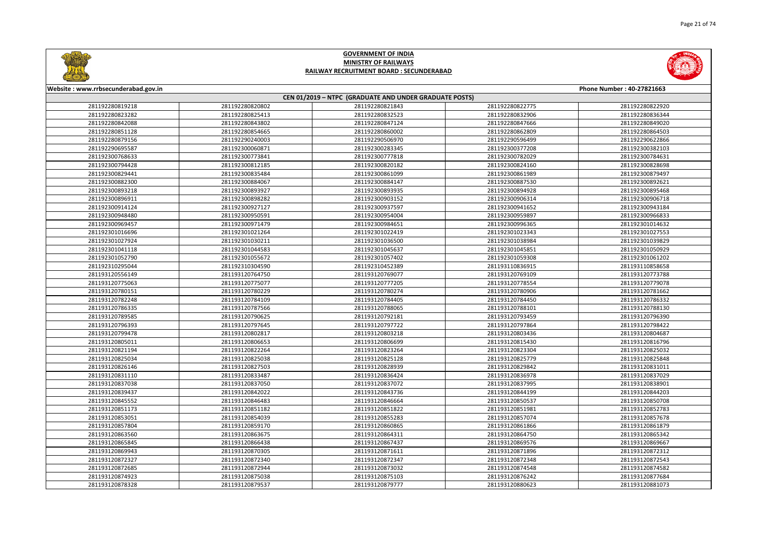

| Phone Number: 40-27821663 |                 |  |  |  |
|---------------------------|-----------------|--|--|--|
|                           |                 |  |  |  |
| 22775                     | 281192280822920 |  |  |  |
| 32906                     | 281192280836344 |  |  |  |
| 47666                     | 281192280849020 |  |  |  |
| 52809                     | 281192280864503 |  |  |  |
| 96499                     | 281192290622866 |  |  |  |
| 77208                     | 281192300382103 |  |  |  |
| 32029                     | 281192300784631 |  |  |  |
| 24160                     | 281192300828698 |  |  |  |
| 51989                     | 281192300879497 |  |  |  |
| 37530                     | 281192300892621 |  |  |  |
| 94928                     | 281192300895468 |  |  |  |
| 06314                     | 281192300906718 |  |  |  |
| 41652                     | 281192300943184 |  |  |  |
| 59897                     | 281192300966833 |  |  |  |
| 96365                     | 281192301014632 |  |  |  |
| 23343                     | 281192301027553 |  |  |  |
| 38984                     | 281192301039829 |  |  |  |
| 15851                     | 281192301050929 |  |  |  |
| 59308                     | 281192301061202 |  |  |  |
| 36915                     | 281193110858658 |  |  |  |
| 59109                     | 281193120773788 |  |  |  |
| 78554                     | 281193120779078 |  |  |  |
| 30906                     | 281193120781662 |  |  |  |
| 34450                     | 281193120786332 |  |  |  |
| 38101                     | 281193120788130 |  |  |  |
| 93459                     | 281193120796390 |  |  |  |
| 97864                     | 281193120798422 |  |  |  |
| 03436                     | 281193120804687 |  |  |  |
| 15430                     | 281193120816796 |  |  |  |
| 23304                     | 281193120825032 |  |  |  |
| 25779                     | 281193120825848 |  |  |  |
| 29842                     | 281193120831011 |  |  |  |
| 36978                     | 281193120837029 |  |  |  |
| 37995                     | 281193120838901 |  |  |  |
| 14199                     | 281193120844203 |  |  |  |
| 50537                     | 281193120850708 |  |  |  |
| 51981                     | 281193120852783 |  |  |  |
| 57074                     | 281193120857678 |  |  |  |
| 51866                     | 281193120861879 |  |  |  |
| 54750                     | 281193120865342 |  |  |  |
| 59576                     | 281193120869667 |  |  |  |
| 71896                     | 281193120872312 |  |  |  |
| 72348                     | 281193120872543 |  |  |  |
| 74548                     | 281193120874582 |  |  |  |
| 76242                     | 281193120877684 |  |  |  |
| 30623                     | 281193120881073 |  |  |  |
|                           |                 |  |  |  |



#### **Website : www.rrbsecunderabad.gov.in CEN 01/2019 – NTPC (GRADUATE AND UNDER GRADUATE POSTS)** 281192280820802 281192280821843 281192280822775 281192280822920 281192280825413 281192280832523 281192280832906 281192280836344 281192280843802 281192280847124 281192280847666 281192280849020 281192280854665 281192280860002 281192280862809 281192280864503 281192290240003 281192290506970 281192290596499 281192290622866 281192300060871 281192300283345 281192300377208 281192300382103 281192300773841 281192300777818 281192300782029 281192300784631 281192300812185 281192300820182 281192300824160 281192300828698 281192300835484 281192300861099 281192300861989 281192300879497 281192300884067 281192300884147 281192300887530 281192300892621 281192300893927 281192300893935 281192300894928 281192300895468 281192300898282 281192300903152 281192300906314 281192300906718 281192300927127 281192300937597 281192300941652 281192300943184 281192300950591 281192300954004 281192300959897 281192300966833 281192300971479 281192300984651 281192300996365 281192301014632 281192301021264 281192301022419 281192301023343 281192301027553 281192301030211 281192301036500 281192301038984 281192301039829 281192301044583 281192301045637 281192301045851 281192301050929 281192301055672 281192301057402 281192301059308 281192301061202 281192310304590 281192310452389 281193110836915 281193110858658 281193120764750 281193120769077 281193120769109 281193120773788 281193120775077 281193120777205 281193120778554 281193120779078 281193120780229 281193120780274 281193120780906 281193120781662 281193120784109 281193120784405 281193120784450 281193120786332 281193120787566 281193120788065 281193120788101 281193120788130 281193120790625 281193120792181 281193120793459 281193120796390 281193120797645 281193120797722 281193120797864 281193120798422 281193120802817 281193120803218 281193120803436 281193120804687 281193120806653 281193120806699 281193120815430 281193120816796 281193120822264 281193120823264 281193120823304 281193120825032 281193120825038 281193120825128 281193120825779 281193120825848 281193120827503 281193120828939 281193120829842 281193120831011 281193120833487 281193120836424 281193120836978 281193120837029 281193120837050 281193120837072 281193120837995 281193120838901 281193120842022 281193120843736 281193120844199 281193120844203 281193120846483 281193120846664 281193120850537 281193120850708 281193120851182 281193120851822 281193120851981 281193120852783 281193120854039 281193120855283 281193120857074 281193120857678 281193120859170 281193120860865 281193120861866 281193120861879 281193120863675 281193120864311 281193120864750 281193120865342 281193120866438 281193120867437 281193120869576 281193120869667 281193120870305 281193120871611 281193120871896 281193120872312 281193120872340 281193120872347 281193120872348 281193120872543 281193120872944 281193120873032 281193120874548 281193120874582 281193120875038 281193120875103 281193120876242 281193120877684 281193120879537 281193120879777 281193120880623 281193120881073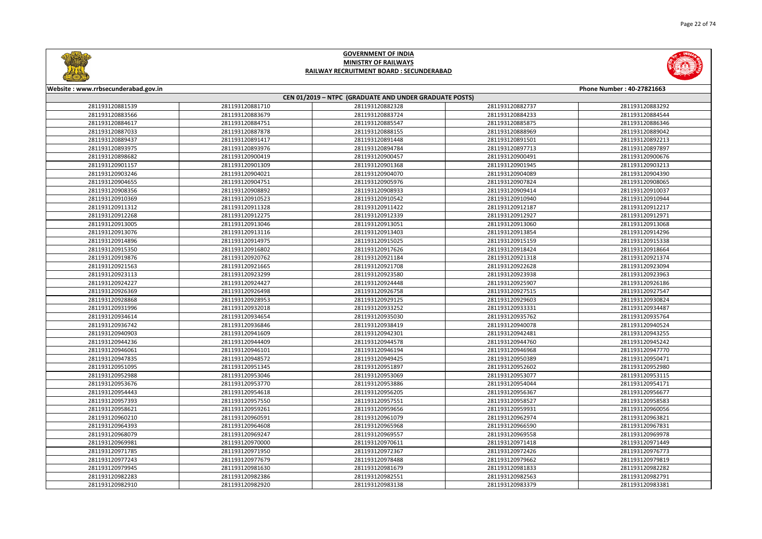



| Website: www.rrbsecunderabad.gov.in |                 |                                                        |                 | Phone Number: 40-27821663 |
|-------------------------------------|-----------------|--------------------------------------------------------|-----------------|---------------------------|
|                                     |                 | CEN 01/2019 - NTPC (GRADUATE AND UNDER GRADUATE POSTS) |                 |                           |
| 281193120881539                     | 281193120881710 | 281193120882328                                        | 281193120882737 | 281193120883292           |
| 281193120883566                     | 281193120883679 | 281193120883724                                        | 281193120884233 | 281193120884544           |
| 281193120884617                     | 281193120884751 | 281193120885547                                        | 281193120885875 | 281193120886346           |
| 281193120887033                     | 281193120887878 | 281193120888155                                        | 281193120888969 | 281193120889042           |
| 281193120889437                     | 281193120891417 | 281193120891448                                        | 281193120891501 | 281193120892213           |
| 281193120893975                     | 281193120893976 | 281193120894784                                        | 281193120897713 | 281193120897897           |
| 281193120898682                     | 281193120900419 | 281193120900457                                        | 281193120900491 | 281193120900676           |
| 281193120901157                     | 281193120901309 | 281193120901368                                        | 281193120901945 | 281193120903213           |
| 281193120903246                     | 281193120904021 | 281193120904070                                        | 281193120904089 | 281193120904390           |
| 281193120904655                     | 281193120904751 | 281193120905976                                        | 281193120907824 | 281193120908065           |
| 281193120908356                     | 281193120908892 | 281193120908933                                        | 281193120909414 | 281193120910037           |
| 281193120910369                     | 281193120910523 | 281193120910542                                        | 281193120910940 | 281193120910944           |
| 281193120911312                     | 281193120911328 | 281193120911422                                        | 281193120912187 | 281193120912217           |
| 281193120912268                     | 281193120912275 | 281193120912339                                        | 281193120912927 | 281193120912971           |
| 281193120913005                     | 281193120913046 | 281193120913051                                        | 281193120913060 | 281193120913068           |
| 281193120913076                     | 281193120913116 | 281193120913403                                        | 281193120913854 | 281193120914296           |
| 281193120914896                     | 281193120914975 | 281193120915025                                        | 281193120915159 | 281193120915338           |
| 281193120915350                     | 281193120916802 | 281193120917626                                        | 281193120918424 | 281193120918664           |
| 281193120919876                     | 281193120920762 | 281193120921184                                        | 281193120921318 | 281193120921374           |
| 281193120921563                     | 281193120921665 | 281193120921708                                        | 281193120922628 | 281193120923094           |
| 281193120923113                     | 281193120923299 | 281193120923580                                        | 281193120923938 | 281193120923963           |
| 281193120924227                     | 281193120924427 | 281193120924448                                        | 281193120925907 | 281193120926186           |
| 281193120926369                     | 281193120926498 | 281193120926758                                        | 281193120927515 | 281193120927547           |
| 281193120928868                     | 281193120928953 | 281193120929125                                        | 281193120929603 | 281193120930824           |
| 281193120931996                     | 281193120932018 | 281193120933252                                        | 281193120933331 | 281193120934487           |
| 281193120934614                     | 281193120934654 | 281193120935030                                        | 281193120935762 | 281193120935764           |
| 281193120936742                     | 281193120936846 | 281193120938419                                        | 281193120940078 | 281193120940524           |
| 281193120940903                     | 281193120941609 | 281193120942301                                        | 281193120942481 | 281193120943255           |
| 281193120944236                     | 281193120944409 | 281193120944578                                        | 281193120944760 | 281193120945242           |
| 281193120946061                     | 281193120946101 | 281193120946194                                        | 281193120946968 | 281193120947770           |
| 281193120947835                     | 281193120948572 | 281193120949425                                        | 281193120950389 | 281193120950471           |
| 281193120951095                     | 281193120951345 | 281193120951897                                        | 281193120952602 | 281193120952980           |
| 281193120952988                     | 281193120953046 | 281193120953069                                        | 281193120953077 | 281193120953115           |
| 281193120953676                     | 281193120953770 | 281193120953886                                        | 281193120954044 | 281193120954171           |
| 281193120954443                     | 281193120954618 | 281193120956205                                        | 281193120956367 | 281193120956677           |
| 281193120957393                     | 281193120957550 | 281193120957551                                        | 281193120958527 | 281193120958583           |
| 281193120958621                     | 281193120959261 | 281193120959656                                        | 281193120959931 | 281193120960056           |
| 281193120960210                     | 281193120960591 | 281193120961079                                        | 281193120962974 | 281193120963821           |
| 281193120964393                     | 281193120964608 | 281193120965968                                        | 281193120966590 | 281193120967831           |
| 281193120968079                     | 281193120969247 | 281193120969557                                        | 281193120969558 | 281193120969978           |
| 281193120969981                     | 281193120970000 | 281193120970611                                        | 281193120971418 | 281193120971449           |
| 281193120971785                     | 281193120971950 | 281193120972367                                        | 281193120972426 | 281193120976773           |
| 281193120977243                     | 281193120977679 | 281193120978488                                        | 281193120979662 | 281193120979819           |
| 281193120979945                     | 281193120981630 | 281193120981679                                        | 281193120981833 | 281193120982282           |
| 281193120982283                     | 281193120982386 | 281193120982551                                        | 281193120982563 | 281193120982791           |
| 281193120982910                     | 281193120982920 | 281193120983138                                        | 281193120983379 | 281193120983381           |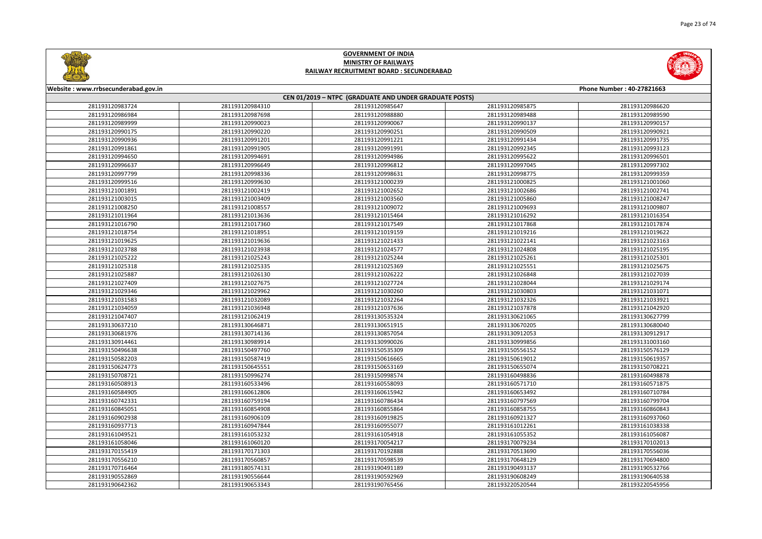



| Website: www.rrbsecunderabad.gov.in                    |                 |                 |                 | Phone Number: 40-27821663 |  |
|--------------------------------------------------------|-----------------|-----------------|-----------------|---------------------------|--|
| CEN 01/2019 - NTPC (GRADUATE AND UNDER GRADUATE POSTS) |                 |                 |                 |                           |  |
| 281193120983724                                        | 281193120984310 | 281193120985647 | 281193120985875 | 281193120986620           |  |
| 281193120986984                                        | 281193120987698 | 281193120988880 | 281193120989488 | 281193120989590           |  |
| 281193120989999                                        | 281193120990023 | 281193120990067 | 281193120990137 | 281193120990157           |  |
| 281193120990175                                        | 281193120990220 | 281193120990251 | 281193120990509 | 281193120990921           |  |
| 281193120990936                                        | 281193120991201 | 281193120991221 | 281193120991434 | 281193120991735           |  |
| 281193120991861                                        | 281193120991905 | 281193120991991 | 281193120992345 | 281193120993123           |  |
| 281193120994650                                        | 281193120994691 | 281193120994986 | 281193120995622 | 281193120996501           |  |
| 281193120996637                                        | 281193120996649 | 281193120996812 | 281193120997045 | 281193120997302           |  |
| 281193120997799                                        | 281193120998336 | 281193120998631 | 281193120998775 | 281193120999359           |  |
| 281193120999516                                        | 281193120999630 | 281193121000239 | 281193121000825 | 281193121001060           |  |
| 281193121001891                                        | 281193121002419 | 281193121002652 | 281193121002686 | 281193121002741           |  |
| 281193121003015                                        | 281193121003409 | 281193121003560 | 281193121005860 | 281193121008247           |  |
| 281193121008250                                        | 281193121008557 | 281193121009072 | 281193121009693 | 281193121009807           |  |
| 281193121011964                                        | 281193121013636 | 281193121015464 | 281193121016292 | 281193121016354           |  |
| 281193121016790                                        | 281193121017360 | 281193121017549 | 281193121017868 | 281193121017874           |  |
| 281193121018754                                        | 281193121018951 | 281193121019159 | 281193121019216 | 281193121019622           |  |
| 281193121019625                                        | 281193121019636 | 281193121021433 | 281193121022141 | 281193121023163           |  |
| 281193121023788                                        | 281193121023938 | 281193121024577 | 281193121024808 | 281193121025195           |  |
| 281193121025222                                        | 281193121025243 | 281193121025244 | 281193121025261 | 281193121025301           |  |
| 281193121025318                                        | 281193121025335 | 281193121025369 | 281193121025551 | 281193121025675           |  |
| 281193121025887                                        | 281193121026130 | 281193121026222 | 281193121026848 | 281193121027039           |  |
| 281193121027409                                        | 281193121027675 | 281193121027724 | 281193121028044 | 281193121029174           |  |
| 281193121029346                                        | 281193121029962 | 281193121030260 | 281193121030803 | 281193121031071           |  |
| 281193121031583                                        | 281193121032089 | 281193121032264 | 281193121032326 | 281193121033921           |  |
| 281193121034059                                        | 281193121036948 | 281193121037636 | 281193121037878 | 281193121042920           |  |
| 281193121047407                                        | 281193121062419 | 281193130535324 | 281193130621065 | 281193130627799           |  |
| 281193130637210                                        | 281193130646871 | 281193130651915 | 281193130670205 | 281193130680040           |  |
| 281193130681976                                        | 281193130714136 | 281193130857054 | 281193130912053 | 281193130912917           |  |
| 281193130914461                                        | 281193130989914 | 281193130990026 | 281193130999856 | 281193131003160           |  |
| 281193150496638                                        | 281193150497760 | 281193150535309 | 281193150556152 | 281193150576129           |  |
| 281193150582203                                        | 281193150587419 | 281193150616665 | 281193150619012 | 281193150619357           |  |
| 281193150624773                                        | 281193150645551 | 281193150653169 | 281193150655074 | 281193150708221           |  |
| 281193150708721                                        | 281193150996274 | 281193150998574 | 281193160498836 | 281193160498878           |  |
| 281193160508913                                        | 281193160533496 | 281193160558093 | 281193160571710 | 281193160571875           |  |
| 281193160584905                                        | 281193160612806 | 281193160615942 | 281193160653492 | 281193160710784           |  |
| 281193160742331                                        | 281193160759194 | 281193160786434 | 281193160797569 | 281193160799704           |  |
| 281193160845051                                        | 281193160854908 | 281193160855864 | 281193160858755 | 281193160860843           |  |
| 281193160902938                                        | 281193160906109 | 281193160919825 | 281193160921327 | 281193160937060           |  |
| 281193160937713                                        | 281193160947844 | 281193160955077 | 281193161012261 | 281193161038338           |  |
| 281193161049521                                        | 281193161053232 | 281193161054918 | 281193161055352 | 281193161056087           |  |
| 281193161058046                                        | 281193161060120 | 281193170054217 | 281193170079234 | 281193170102013           |  |
| 281193170155419                                        | 281193170171303 | 281193170192888 | 281193170513690 | 281193170556036           |  |
| 281193170556210                                        | 281193170560857 | 281193170598539 | 281193170648129 | 281193170694800           |  |
| 281193170716464                                        | 281193180574131 | 281193190491189 | 281193190493137 | 281193190532766           |  |
| 281193190552869                                        | 281193190556644 | 281193190592969 | 281193190608249 | 281193190640538           |  |
| 281193190642362                                        | 281193190653343 | 281193190765456 | 281193220520544 | 281193220545956           |  |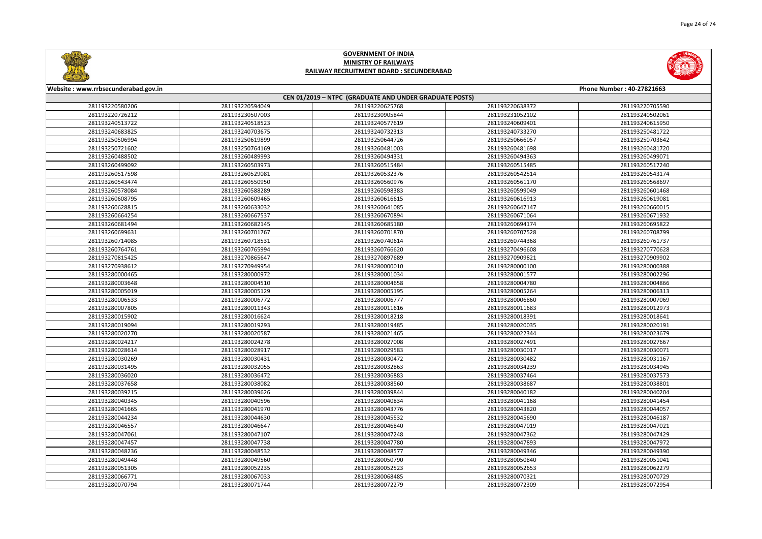



| Website: www.rrbsecunderabad.gov.in |                 |                                                        |                 | Phone Number: 40-27821663 |
|-------------------------------------|-----------------|--------------------------------------------------------|-----------------|---------------------------|
|                                     |                 | CEN 01/2019 - NTPC (GRADUATE AND UNDER GRADUATE POSTS) |                 |                           |
| 281193220580206                     | 281193220594049 | 281193220625768                                        | 281193220638372 | 281193220705590           |
| 281193220726212                     | 281193230507003 | 281193230905844                                        | 281193231052102 | 281193240502061           |
| 281193240513722                     | 281193240518523 | 281193240577619                                        | 281193240609401 | 281193240615950           |
| 281193240683825                     | 281193240703675 | 281193240732313                                        | 281193240733270 | 281193250481722           |
| 281193250506994                     | 281193250619899 | 281193250644726                                        | 281193250666057 | 281193250703642           |
| 281193250721602                     | 281193250764169 | 281193260481003                                        | 281193260481698 | 281193260481720           |
| 281193260488502                     | 281193260489993 | 281193260494331                                        | 281193260494363 | 281193260499071           |
| 281193260499092                     | 281193260503973 | 281193260515484                                        | 281193260515485 | 281193260517240           |
| 281193260517598                     | 281193260529081 | 281193260532376                                        | 281193260542514 | 281193260543174           |
| 281193260543474                     | 281193260550950 | 281193260560976                                        | 281193260561170 | 281193260568697           |
| 281193260578084                     | 281193260588289 | 281193260598383                                        | 281193260599049 | 281193260601468           |
| 281193260608795                     | 281193260609465 | 281193260616615                                        | 281193260616913 | 281193260619081           |
| 281193260628815                     | 281193260633032 | 281193260641085                                        | 281193260647147 | 281193260660015           |
| 281193260664254                     | 281193260667537 | 281193260670894                                        | 281193260671064 | 281193260671932           |
| 281193260681494                     | 281193260682145 | 281193260685180                                        | 281193260694174 | 281193260695822           |
| 281193260699631                     | 281193260701767 | 281193260701870                                        | 281193260707528 | 281193260708799           |
| 281193260714085                     | 281193260718531 | 281193260740614                                        | 281193260744368 | 281193260761737           |
| 281193260764761                     | 281193260765994 | 281193260766620                                        | 281193270496608 | 281193270770628           |
| 281193270815425                     | 281193270865647 | 281193270897689                                        | 281193270909821 | 281193270909902           |
| 281193270938612                     | 281193270949954 | 281193280000010                                        | 281193280000100 | 281193280000388           |
| 281193280000465                     | 281193280000972 | 281193280001034                                        | 281193280001577 | 281193280002296           |
| 281193280003648                     | 281193280004510 | 281193280004658                                        | 281193280004780 | 281193280004866           |
| 281193280005019                     | 281193280005129 | 281193280005195                                        | 281193280005264 | 281193280006313           |
| 281193280006533                     | 281193280006772 | 281193280006777                                        | 281193280006860 | 281193280007069           |
| 281193280007805                     | 281193280011343 | 281193280011616                                        | 281193280011683 | 281193280012973           |
| 281193280015902                     | 281193280016624 | 281193280018218                                        | 281193280018391 | 281193280018641           |
| 281193280019094                     | 281193280019293 | 281193280019485                                        | 281193280020035 | 281193280020191           |
| 281193280020270                     | 281193280020587 | 281193280021465                                        | 281193280022344 | 281193280023679           |
| 281193280024217                     | 281193280024278 | 281193280027008                                        | 281193280027491 | 281193280027667           |
| 281193280028614                     | 281193280028917 | 281193280029583                                        | 281193280030017 | 281193280030071           |
| 281193280030269                     | 281193280030431 | 281193280030472                                        | 281193280030482 | 281193280031167           |
| 281193280031495                     | 281193280032055 | 281193280032863                                        | 281193280034239 | 281193280034945           |
| 281193280036020                     | 281193280036472 | 281193280036883                                        | 281193280037464 | 281193280037573           |
| 281193280037658                     | 281193280038082 | 281193280038560                                        | 281193280038687 | 281193280038801           |
| 281193280039215                     | 281193280039626 | 281193280039844                                        | 281193280040182 | 281193280040204           |
| 281193280040345                     | 281193280040596 | 281193280040834                                        | 281193280041168 | 281193280041454           |
| 281193280041665                     | 281193280041970 | 281193280043776                                        | 281193280043820 | 281193280044057           |
| 281193280044234                     | 281193280044630 | 281193280045532                                        | 281193280045690 | 281193280046187           |
| 281193280046557                     | 281193280046647 | 281193280046840                                        | 281193280047019 | 281193280047021           |
| 281193280047061                     | 281193280047107 | 281193280047248                                        | 281193280047362 | 281193280047429           |
| 281193280047457                     | 281193280047738 | 281193280047780                                        | 281193280047893 | 281193280047972           |
| 281193280048236                     | 281193280048532 | 281193280048577                                        | 281193280049346 | 281193280049390           |
| 281193280049448                     | 281193280049560 | 281193280050790                                        | 281193280050840 | 281193280051041           |
| 281193280051305                     | 281193280052235 | 281193280052523                                        | 281193280052653 | 281193280062279           |
| 281193280066771                     | 281193280067033 | 281193280068485                                        | 281193280070321 | 281193280070729           |
| 281193280070794                     | 281193280071744 | 281193280072279                                        | 281193280072309 | 281193280072954           |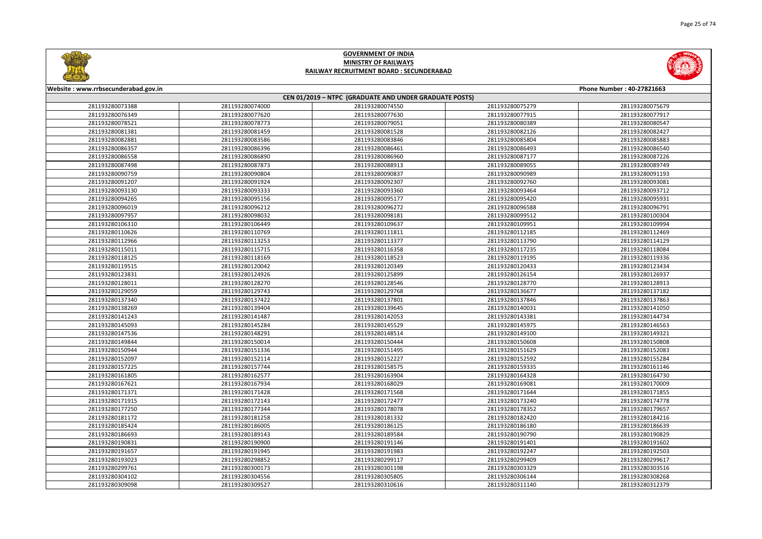



| Website: www.rrbsecunderabad.gov.in<br>Phone Number: 40-27821663 |                 |                                                        |                 |                 |
|------------------------------------------------------------------|-----------------|--------------------------------------------------------|-----------------|-----------------|
|                                                                  |                 | CEN 01/2019 - NTPC (GRADUATE AND UNDER GRADUATE POSTS) |                 |                 |
| 281193280073388                                                  | 281193280074000 | 281193280074550                                        | 281193280075279 | 281193280075679 |
| 281193280076349                                                  | 281193280077620 | 281193280077630                                        | 281193280077915 | 281193280077917 |
| 281193280078521                                                  | 281193280078773 | 281193280079051                                        | 281193280080389 | 281193280080547 |
| 281193280081381                                                  | 281193280081459 | 281193280081528                                        | 281193280082126 | 281193280082427 |
| 281193280082881                                                  | 281193280083586 | 281193280083846                                        | 281193280085804 | 281193280085883 |
| 281193280086357                                                  | 281193280086396 | 281193280086461                                        | 281193280086493 | 281193280086540 |
| 281193280086558                                                  | 281193280086890 | 281193280086960                                        | 281193280087177 | 281193280087226 |
| 281193280087498                                                  | 281193280087873 | 281193280088913                                        | 281193280089055 | 281193280089749 |
| 281193280090759                                                  | 281193280090804 | 281193280090837                                        | 281193280090989 | 281193280091193 |
| 281193280091207                                                  | 281193280091924 | 281193280092307                                        | 281193280092760 | 281193280093081 |
| 281193280093130                                                  | 281193280093333 | 281193280093360                                        | 281193280093464 | 281193280093712 |
| 281193280094265                                                  | 281193280095156 | 281193280095177                                        | 281193280095420 | 281193280095931 |
| 281193280096019                                                  | 281193280096212 | 281193280096272                                        | 281193280096588 | 281193280096791 |
| 281193280097957                                                  | 281193280098032 | 281193280098181                                        | 281193280099512 | 281193280100304 |
| 281193280106310                                                  | 281193280106449 | 281193280109637                                        | 281193280109951 | 281193280109994 |
| 281193280110626                                                  | 281193280110769 | 281193280111811                                        | 281193280112185 | 281193280112469 |
| 281193280112966                                                  | 281193280113253 | 281193280113377                                        | 281193280113790 | 281193280114129 |
| 281193280115011                                                  | 281193280115715 | 281193280116358                                        | 281193280117235 | 281193280118084 |
| 281193280118125                                                  | 281193280118169 | 281193280118523                                        | 281193280119195 | 281193280119336 |
| 281193280119515                                                  | 281193280120042 | 281193280120349                                        | 281193280120433 | 281193280123434 |
| 281193280123831                                                  | 281193280124926 | 281193280125899                                        | 281193280126154 | 281193280126937 |
| 281193280128011                                                  | 281193280128270 | 281193280128546                                        | 281193280128770 | 281193280128913 |
| 281193280129059                                                  | 281193280129743 | 281193280129768                                        | 281193280136677 | 281193280137182 |
| 281193280137340                                                  | 281193280137422 | 281193280137801                                        | 281193280137846 | 281193280137863 |
| 281193280138269                                                  | 281193280139404 | 281193280139645                                        | 281193280140031 | 281193280141050 |
| 281193280141243                                                  | 281193280141487 | 281193280142053                                        | 281193280143381 | 281193280144734 |
| 281193280145093                                                  | 281193280145284 | 281193280145529                                        | 281193280145975 | 281193280146563 |
| 281193280147536                                                  | 281193280148291 | 281193280148514                                        | 281193280149100 | 281193280149321 |
| 281193280149844                                                  | 281193280150014 | 281193280150444                                        | 281193280150608 | 281193280150808 |
| 281193280150944                                                  | 281193280151336 | 281193280151495                                        | 281193280151629 | 281193280152083 |
| 281193280152097                                                  | 281193280152114 | 281193280152227                                        | 281193280152592 | 281193280155284 |
| 281193280157225                                                  | 281193280157744 | 281193280158575                                        | 281193280159335 | 281193280161146 |
| 281193280161805                                                  | 281193280162577 | 281193280163904                                        | 281193280164328 | 281193280164730 |
| 281193280167621                                                  | 281193280167934 | 281193280168029                                        | 281193280169081 | 281193280170009 |
| 281193280171371                                                  | 281193280171428 | 281193280171568                                        | 281193280171644 | 281193280171855 |
| 281193280171915                                                  | 281193280172143 | 281193280172477                                        | 281193280173240 | 281193280174778 |
| 281193280177250                                                  | 281193280177344 | 281193280178078                                        | 281193280178352 | 281193280179657 |
| 281193280181172                                                  | 281193280181258 | 281193280181332                                        | 281193280182420 | 281193280184216 |
| 281193280185424                                                  | 281193280186005 | 281193280186125                                        | 281193280186180 | 281193280186639 |
| 281193280186693                                                  | 281193280189143 | 281193280189584                                        | 281193280190790 | 281193280190829 |
| 281193280190831                                                  | 281193280190900 | 281193280191146                                        | 281193280191401 | 281193280191602 |
| 281193280191657                                                  | 281193280191945 | 281193280191983                                        | 281193280192247 | 281193280192503 |
| 281193280193023                                                  | 281193280298852 | 281193280299117                                        | 281193280299409 | 281193280299617 |
| 281193280299761                                                  | 281193280300173 | 281193280301198                                        | 281193280303329 | 281193280303516 |
| 281193280304102                                                  | 281193280304556 | 281193280305805                                        | 281193280306144 | 281193280308268 |
| 281193280309098                                                  | 281193280309527 | 281193280310616                                        | 281193280311140 | 281193280312379 |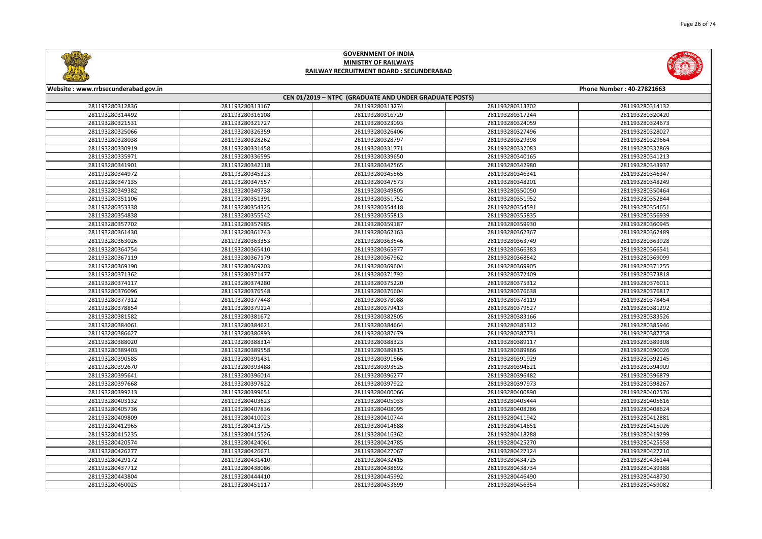



| Website: www.rrbsecunderabad.gov.in |                 | CEN 01/2019 - NTPC (GRADUATE AND UNDER GRADUATE POSTS) |                 | Phone Number: 40-27821663 |
|-------------------------------------|-----------------|--------------------------------------------------------|-----------------|---------------------------|
| 281193280312836                     | 281193280313167 | 281193280313274                                        | 281193280313702 | 281193280314132           |
| 281193280314492                     | 281193280316108 | 281193280316729                                        | 281193280317244 | 281193280320420           |
| 281193280321531                     | 281193280321727 | 281193280323093                                        | 281193280324059 | 281193280324673           |
| 281193280325066                     | 281193280326359 | 281193280326406                                        | 281193280327496 | 281193280328027           |
| 281193280328038                     | 281193280328262 | 281193280328797                                        | 281193280329398 | 281193280329664           |
| 281193280330919                     | 281193280331458 | 281193280331771                                        | 281193280332083 | 281193280332869           |
| 281193280335971                     | 281193280336595 | 281193280339650                                        | 281193280340165 | 281193280341213           |
| 281193280341901                     | 281193280342118 | 281193280342565                                        | 281193280342980 | 281193280343937           |
| 281193280344972                     | 281193280345323 | 281193280345565                                        | 281193280346341 | 281193280346347           |
| 281193280347135                     | 281193280347557 | 281193280347573                                        | 281193280348201 | 281193280348249           |
| 281193280349382                     | 281193280349738 | 281193280349805                                        | 281193280350050 | 281193280350464           |
| 281193280351106                     | 281193280351391 | 281193280351752                                        | 281193280351952 | 281193280352844           |
| 281193280353338                     | 281193280354325 | 281193280354418                                        | 281193280354591 | 281193280354651           |
| 281193280354838                     | 281193280355542 | 281193280355813                                        | 281193280355835 | 281193280356939           |
| 281193280357702                     | 281193280357985 | 281193280359187                                        | 281193280359930 | 281193280360945           |
| 281193280361430                     | 281193280361743 | 281193280362163                                        | 281193280362367 | 281193280362489           |
| 281193280363026                     | 281193280363353 | 281193280363546                                        | 281193280363749 | 281193280363928           |
| 281193280364754                     | 281193280365410 | 281193280365977                                        | 281193280366383 | 281193280366541           |
| 281193280367119                     | 281193280367179 | 281193280367962                                        | 281193280368842 | 281193280369099           |
| 281193280369190                     | 281193280369203 | 281193280369604                                        | 281193280369905 | 281193280371255           |
| 281193280371362                     | 281193280371477 | 281193280371792                                        | 281193280372409 | 281193280373818           |
| 281193280374117                     | 281193280374280 | 281193280375220                                        | 281193280375312 | 281193280376011           |
| 281193280376096                     | 281193280376548 | 281193280376604                                        | 281193280376638 | 281193280376817           |
| 281193280377312                     | 281193280377448 | 281193280378088                                        | 281193280378119 | 281193280378454           |
| 281193280378854                     | 281193280379124 | 281193280379413                                        | 281193280379527 | 281193280381292           |
| 281193280381582                     | 281193280381672 | 281193280382805                                        | 281193280383166 | 281193280383526           |
| 281193280384061                     | 281193280384621 | 281193280384664                                        | 281193280385312 | 281193280385946           |
| 281193280386627                     | 281193280386893 | 281193280387679                                        | 281193280387731 | 281193280387758           |
| 281193280388020                     | 281193280388314 | 281193280388323                                        | 281193280389117 | 281193280389308           |
| 281193280389403                     | 281193280389558 | 281193280389815                                        | 281193280389866 | 281193280390026           |
| 281193280390585                     | 281193280391431 | 281193280391566                                        | 281193280391929 | 281193280392145           |
| 281193280392670                     | 281193280393488 | 281193280393525                                        | 281193280394821 | 281193280394909           |
| 281193280395641                     | 281193280396014 | 281193280396277                                        | 281193280396482 | 281193280396879           |
| 281193280397668                     | 281193280397822 | 281193280397922                                        | 281193280397973 | 281193280398267           |
| 281193280399213                     | 281193280399651 | 281193280400066                                        | 281193280400890 | 281193280402576           |
| 281193280403132                     | 281193280403623 | 281193280405033                                        | 281193280405444 | 281193280405616           |
| 281193280405736                     | 281193280407836 | 281193280408095                                        | 281193280408286 | 281193280408624           |
| 281193280409809                     | 281193280410023 | 281193280410744                                        | 281193280411942 | 281193280412881           |
| 281193280412965                     | 281193280413725 | 281193280414688                                        | 281193280414851 | 281193280415026           |
| 281193280415235                     | 281193280415526 | 281193280416362                                        | 281193280418288 | 281193280419299           |
| 281193280420574                     | 281193280424061 | 281193280424785                                        | 281193280425270 | 281193280425558           |
| 281193280426277                     | 281193280426671 | 281193280427067                                        | 281193280427124 | 281193280427210           |
| 281193280429172                     | 281193280431410 | 281193280432415                                        | 281193280434725 | 281193280436144           |
| 281193280437712                     | 281193280438086 | 281193280438692                                        | 281193280438734 | 281193280439388           |
| 281193280443804                     | 281193280444410 | 281193280445992                                        | 281193280446490 | 281193280448730           |
| 281193280450025                     | 281193280451117 | 281193280453699                                        | 281193280456354 | 281193280459082           |
|                                     |                 |                                                        |                 |                           |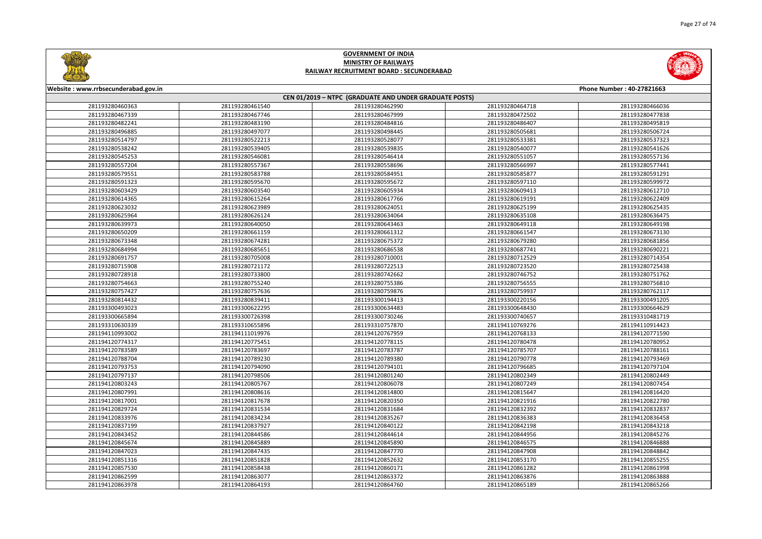



| Website: www.rrbsecunderabad.gov.in |                 |                                                        |                 | Phone Number: 40-27821663 |
|-------------------------------------|-----------------|--------------------------------------------------------|-----------------|---------------------------|
|                                     |                 | CEN 01/2019 - NTPC (GRADUATE AND UNDER GRADUATE POSTS) |                 |                           |
| 281193280460363                     | 281193280461540 | 281193280462990                                        | 281193280464718 | 281193280466036           |
| 281193280467339                     | 281193280467746 | 281193280467999                                        | 281193280472502 | 281193280477838           |
| 281193280482241                     | 281193280483190 | 281193280484816                                        | 281193280486407 | 281193280495819           |
| 281193280496885                     | 281193280497077 | 281193280498445                                        | 281193280505681 | 281193280506724           |
| 281193280514797                     | 281193280522213 | 281193280528077                                        | 281193280533381 | 281193280537323           |
| 281193280538242                     | 281193280539405 | 281193280539835                                        | 281193280540077 | 281193280541626           |
| 281193280545253                     | 281193280546081 | 281193280546414                                        | 281193280551057 | 281193280557136           |
| 281193280557204                     | 281193280557367 | 281193280558696                                        | 281193280566997 | 281193280577441           |
| 281193280579551                     | 281193280583788 | 281193280584951                                        | 281193280585877 | 281193280591291           |
| 281193280591323                     | 281193280595670 | 281193280595672                                        | 281193280597110 | 281193280599972           |
| 281193280603429                     | 281193280603540 | 281193280605934                                        | 281193280609413 | 281193280612710           |
| 281193280614365                     | 281193280615264 | 281193280617766                                        | 281193280619191 | 281193280622409           |
| 281193280623032                     | 281193280623989 | 281193280624051                                        | 281193280625199 | 281193280625435           |
| 281193280625964                     | 281193280626124 | 281193280634064                                        | 281193280635108 | 281193280636475           |
| 281193280639973                     | 281193280640050 | 281193280643463                                        | 281193280649118 | 281193280649198           |
| 281193280650209                     | 281193280661159 | 281193280661312                                        | 281193280661547 | 281193280673130           |
| 281193280673348                     | 281193280674281 | 281193280675372                                        | 281193280679280 | 281193280681856           |
| 281193280684994                     | 281193280685651 | 281193280686538                                        | 281193280687741 | 281193280690221           |
| 281193280691757                     | 281193280705008 | 281193280710001                                        | 281193280712529 | 281193280714354           |
| 281193280715908                     | 281193280721172 | 281193280722513                                        | 281193280723520 | 281193280725438           |
| 281193280728918                     | 281193280733800 | 281193280742662                                        | 281193280746752 | 281193280751762           |
| 281193280754663                     | 281193280755240 | 281193280755386                                        | 281193280756555 | 281193280756810           |
| 281193280757427                     | 281193280757636 | 281193280759876                                        | 281193280759937 | 281193280762117           |
| 281193280814432                     | 281193280839411 | 281193300194413                                        | 281193300220156 | 281193300491205           |
| 281193300493023                     | 281193300622295 | 281193300634483                                        | 281193300648430 | 281193300664629           |
| 281193300665894                     | 281193300726398 | 281193300730246                                        | 281193300740657 | 281193310481719           |
| 281193310630339                     | 281193310655896 | 281193310757870                                        | 281194110769276 | 281194110914423           |
| 281194110993002                     | 281194111019976 | 281194120767959                                        | 281194120768133 | 281194120771590           |
| 281194120774317                     | 281194120775451 | 281194120778115                                        | 281194120780478 | 281194120780952           |
| 281194120783589                     | 281194120783697 | 281194120783787                                        | 281194120785707 | 281194120788161           |
| 281194120788704                     | 281194120789230 | 281194120789380                                        | 281194120790778 | 281194120793469           |
| 281194120793753                     | 281194120794090 | 281194120794101                                        | 281194120796685 | 281194120797104           |
| 281194120797137                     | 281194120798506 | 281194120801240                                        | 281194120802349 | 281194120802449           |
| 281194120803243                     | 281194120805767 | 281194120806078                                        | 281194120807249 | 281194120807454           |
| 281194120807991                     | 281194120808616 | 281194120814800                                        | 281194120815647 | 281194120816420           |
| 281194120817001                     | 281194120817678 | 281194120820350                                        | 281194120821916 | 281194120822780           |
| 281194120829724                     | 281194120831534 | 281194120831684                                        | 281194120832392 | 281194120832837           |
| 281194120833976                     | 281194120834234 | 281194120835267                                        | 281194120836383 | 281194120836458           |
| 281194120837199                     | 281194120837927 | 281194120840122                                        | 281194120842198 | 281194120843218           |
| 281194120843452                     | 281194120844586 | 281194120844614                                        | 281194120844956 | 281194120845276           |
| 281194120845674                     | 281194120845889 | 281194120845890                                        | 281194120846575 | 281194120846888           |
| 281194120847023                     | 281194120847435 | 281194120847770                                        | 281194120847908 | 281194120848842           |
| 281194120851316                     | 281194120851828 | 281194120852632                                        | 281194120853170 | 281194120855255           |
| 281194120857530                     | 281194120858438 | 281194120860171                                        | 281194120861282 | 281194120861998           |
| 281194120862599                     | 281194120863077 | 281194120863372                                        | 281194120863876 | 281194120863888           |
| 281194120863978                     | 281194120864193 | 281194120864760                                        | 281194120865189 | 281194120865266           |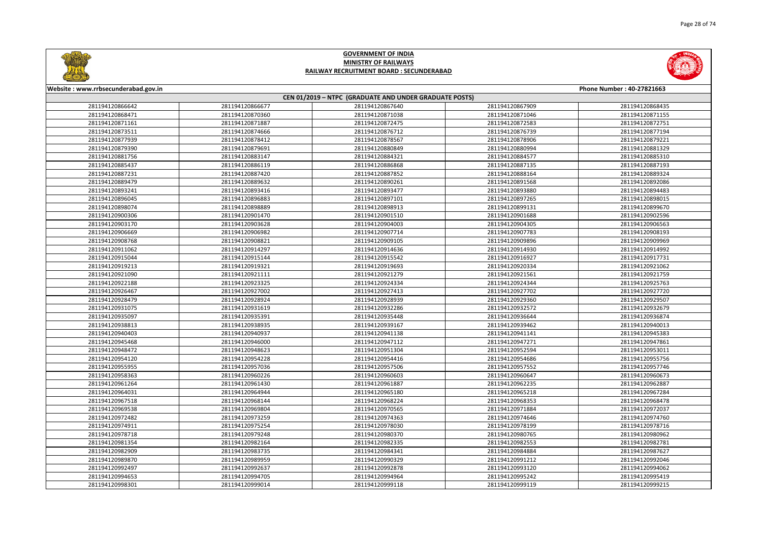



| Website: www.rrbsecunderabad.gov.in |                 |                                                        |                 | Phone Number: 40-27821663 |
|-------------------------------------|-----------------|--------------------------------------------------------|-----------------|---------------------------|
|                                     |                 | CEN 01/2019 - NTPC (GRADUATE AND UNDER GRADUATE POSTS) |                 |                           |
| 281194120866642                     | 281194120866677 | 281194120867640                                        | 281194120867909 | 281194120868435           |
| 281194120868471                     | 281194120870360 | 281194120871038                                        | 281194120871046 | 281194120871155           |
| 281194120871161                     | 281194120871887 | 281194120872475                                        | 281194120872583 | 281194120872751           |
| 281194120873511                     | 281194120874666 | 281194120876712                                        | 281194120876739 | 281194120877194           |
| 281194120877939                     | 281194120878412 | 281194120878567                                        | 281194120878906 | 281194120879221           |
| 281194120879390                     | 281194120879691 | 281194120880849                                        | 281194120880994 | 281194120881329           |
| 281194120881756                     | 281194120883147 | 281194120884321                                        | 281194120884577 | 281194120885310           |
| 281194120885437                     | 281194120886119 | 281194120886868                                        | 281194120887135 | 281194120887193           |
| 281194120887231                     | 281194120887420 | 281194120887852                                        | 281194120888164 | 281194120889324           |
| 281194120889479                     | 281194120889632 | 281194120890261                                        | 281194120891568 | 281194120892086           |
| 281194120893241                     | 281194120893416 | 281194120893477                                        | 281194120893880 | 281194120894483           |
| 281194120896045                     | 281194120896883 | 281194120897101                                        | 281194120897265 | 281194120898015           |
| 281194120898074                     | 281194120898889 | 281194120898913                                        | 281194120899131 | 281194120899670           |
| 281194120900306                     | 281194120901470 | 281194120901510                                        | 281194120901688 | 281194120902596           |
| 281194120903170                     | 281194120903628 | 281194120904003                                        | 281194120904305 | 281194120906563           |
| 281194120906669                     | 281194120906982 | 281194120907714                                        | 281194120907783 | 281194120908193           |
| 281194120908768                     | 281194120908821 | 281194120909105                                        | 281194120909896 | 281194120909969           |
| 281194120911062                     | 281194120914297 | 281194120914636                                        | 281194120914930 | 281194120914992           |
| 281194120915044                     | 281194120915144 | 281194120915542                                        | 281194120916927 | 281194120917731           |
| 281194120919213                     | 281194120919321 | 281194120919693                                        | 281194120920334 | 281194120921062           |
| 281194120921090                     | 281194120921111 | 281194120921279                                        | 281194120921561 | 281194120921759           |
| 281194120922188                     | 281194120923325 | 281194120924334                                        | 281194120924344 | 281194120925763           |
| 281194120926467                     | 281194120927002 | 281194120927413                                        | 281194120927702 | 281194120927720           |
| 281194120928479                     | 281194120928924 | 281194120928939                                        | 281194120929360 | 281194120929507           |
| 281194120931075                     | 281194120931619 | 281194120932286                                        | 281194120932572 | 281194120932679           |
| 281194120935097                     | 281194120935391 | 281194120935448                                        | 281194120936644 | 281194120936874           |
| 281194120938813                     | 281194120938935 | 281194120939167                                        | 281194120939462 | 281194120940013           |
| 281194120940403                     | 281194120940937 | 281194120941138                                        | 281194120941141 | 281194120945383           |
| 281194120945468                     | 281194120946000 | 281194120947112                                        | 281194120947271 | 281194120947861           |
| 281194120948472                     | 281194120948623 | 281194120951304                                        | 281194120952594 | 281194120953011           |
| 281194120954120                     | 281194120954228 | 281194120954416                                        | 281194120954686 | 281194120955756           |
| 281194120955955                     | 281194120957036 | 281194120957506                                        | 281194120957552 | 281194120957746           |
| 281194120958363                     | 281194120960226 | 281194120960603                                        | 281194120960647 | 281194120960673           |
| 281194120961264                     | 281194120961430 | 281194120961887                                        | 281194120962235 | 281194120962887           |
| 281194120964031                     | 281194120964944 | 281194120965180                                        | 281194120965218 | 281194120967284           |
| 281194120967518                     | 281194120968144 | 281194120968224                                        | 281194120968353 | 281194120968478           |
| 281194120969538                     | 281194120969804 | 281194120970565                                        | 281194120971884 | 281194120972037           |
| 281194120972482                     | 281194120973259 | 281194120974363                                        | 281194120974646 | 281194120974760           |
| 281194120974911                     | 281194120975254 | 281194120978030                                        | 281194120978199 | 281194120978716           |
| 281194120978718                     | 281194120979248 | 281194120980370                                        | 281194120980765 | 281194120980962           |
| 281194120981354                     | 281194120982164 | 281194120982335                                        | 281194120982553 | 281194120982781           |
| 281194120982909                     | 281194120983735 | 281194120984341                                        | 281194120984884 | 281194120987627           |
| 281194120989870                     | 281194120989959 | 281194120990329                                        | 281194120991212 | 281194120992046           |
| 281194120992497                     | 281194120992637 | 281194120992878                                        | 281194120993120 | 281194120994062           |
| 281194120994653                     | 281194120994705 | 281194120994964                                        | 281194120995242 | 281194120995419           |
| 281194120998301                     | 281194120999014 | 281194120999118                                        | 281194120999119 | 281194120999215           |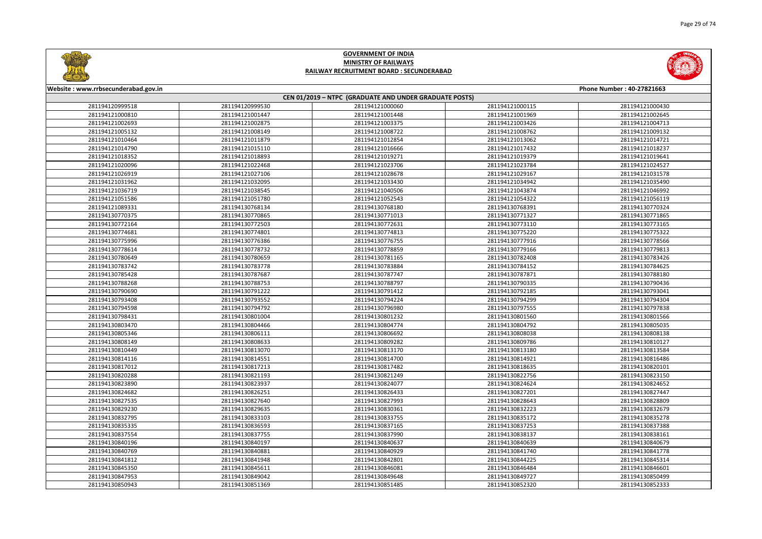



| Website: www.rrbsecunderabad.gov.in |                 |                                                        |                 | Phone Number: 40-27821663 |
|-------------------------------------|-----------------|--------------------------------------------------------|-----------------|---------------------------|
|                                     |                 | CEN 01/2019 - NTPC (GRADUATE AND UNDER GRADUATE POSTS) |                 |                           |
| 281194120999518                     | 281194120999530 | 281194121000060                                        | 281194121000115 | 281194121000430           |
| 281194121000810                     | 281194121001447 | 281194121001448                                        | 281194121001969 | 281194121002645           |
| 281194121002693                     | 281194121002875 | 281194121003375                                        | 281194121003426 | 281194121004713           |
| 281194121005132                     | 281194121008149 | 281194121008722                                        | 281194121008762 | 281194121009132           |
| 281194121010464                     | 281194121011879 | 281194121012854                                        | 281194121013062 | 281194121014721           |
| 281194121014790                     | 281194121015110 | 281194121016666                                        | 281194121017432 | 281194121018237           |
| 281194121018352                     | 281194121018893 | 281194121019271                                        | 281194121019379 | 281194121019641           |
| 281194121020096                     | 281194121022468 | 281194121023706                                        | 281194121023784 | 281194121024527           |
| 281194121026919                     | 281194121027106 | 281194121028678                                        | 281194121029167 | 281194121031578           |
| 281194121031962                     | 281194121032095 | 281194121033430                                        | 281194121034942 | 281194121035490           |
| 281194121036719                     | 281194121038545 | 281194121040506                                        | 281194121043874 | 281194121046992           |
| 281194121051586                     | 281194121051780 | 281194121052543                                        | 281194121054322 | 281194121056119           |
| 281194121089331                     | 281194130768134 | 281194130768180                                        | 281194130768391 | 281194130770324           |
| 281194130770375                     | 281194130770865 | 281194130771013                                        | 281194130771327 | 281194130771865           |
| 281194130772164                     | 281194130772503 | 281194130772631                                        | 281194130773110 | 281194130773165           |
| 281194130774681                     | 281194130774801 | 281194130774813                                        | 281194130775220 | 281194130775322           |
| 281194130775996                     | 281194130776386 | 281194130776755                                        | 281194130777916 | 281194130778566           |
| 281194130778614                     | 281194130778732 | 281194130778859                                        | 281194130779166 | 281194130779813           |
| 281194130780649                     | 281194130780659 | 281194130781165                                        | 281194130782408 | 281194130783426           |
| 281194130783742                     | 281194130783778 | 281194130783884                                        | 281194130784152 | 281194130784625           |
| 281194130785428                     | 281194130787687 | 281194130787747                                        | 281194130787871 | 281194130788180           |
| 281194130788268                     | 281194130788753 | 281194130788797                                        | 281194130790335 | 281194130790436           |
| 281194130790690                     | 281194130791222 | 281194130791412                                        | 281194130792185 | 281194130793041           |
| 281194130793408                     | 281194130793552 | 281194130794224                                        | 281194130794299 | 281194130794304           |
| 281194130794598                     | 281194130794792 | 281194130796980                                        | 281194130797555 | 281194130797838           |
| 281194130798431                     | 281194130801004 | 281194130801232                                        | 281194130801560 | 281194130801566           |
| 281194130803470                     | 281194130804466 | 281194130804774                                        | 281194130804792 | 281194130805035           |
| 281194130805346                     | 281194130806111 | 281194130806692                                        | 281194130808038 | 281194130808138           |
| 281194130808149                     | 281194130808633 | 281194130809282                                        | 281194130809786 | 281194130810127           |
| 281194130810449                     | 281194130813070 | 281194130813170                                        | 281194130813180 | 281194130813584           |
| 281194130814116                     | 281194130814551 | 281194130814700                                        | 281194130814921 | 281194130816486           |
| 281194130817012                     | 281194130817213 | 281194130817482                                        | 281194130818635 | 281194130820101           |
| 281194130820288                     | 281194130821193 | 281194130821249                                        | 281194130822756 | 281194130823150           |
| 281194130823890                     | 281194130823937 | 281194130824077                                        | 281194130824624 | 281194130824652           |
| 281194130824682                     | 281194130826251 | 281194130826433                                        | 281194130827201 | 281194130827447           |
| 281194130827535                     | 281194130827640 | 281194130827993                                        | 281194130828643 | 281194130828809           |
| 281194130829230                     | 281194130829635 | 281194130830361                                        | 281194130832223 | 281194130832679           |
| 281194130832795                     | 281194130833103 | 281194130833755                                        | 281194130835172 | 281194130835278           |
| 281194130835335                     | 281194130836593 | 281194130837165                                        | 281194130837253 | 281194130837388           |
| 281194130837554                     | 281194130837755 | 281194130837990                                        | 281194130838137 | 281194130838161           |
| 281194130840196                     | 281194130840197 | 281194130840637                                        | 281194130840639 | 281194130840679           |
| 281194130840769                     | 281194130840881 | 281194130840929                                        | 281194130841740 | 281194130841778           |
| 281194130841812                     | 281194130841948 | 281194130842801                                        | 281194130844225 | 281194130845314           |
| 281194130845350                     | 281194130845611 | 281194130846081                                        | 281194130846484 | 281194130846601           |
| 281194130847953                     | 281194130849042 | 281194130849648                                        | 281194130849727 | 281194130850499           |
| 281194130850943                     | 281194130851369 | 281194130851485                                        | 281194130852320 | 281194130852333           |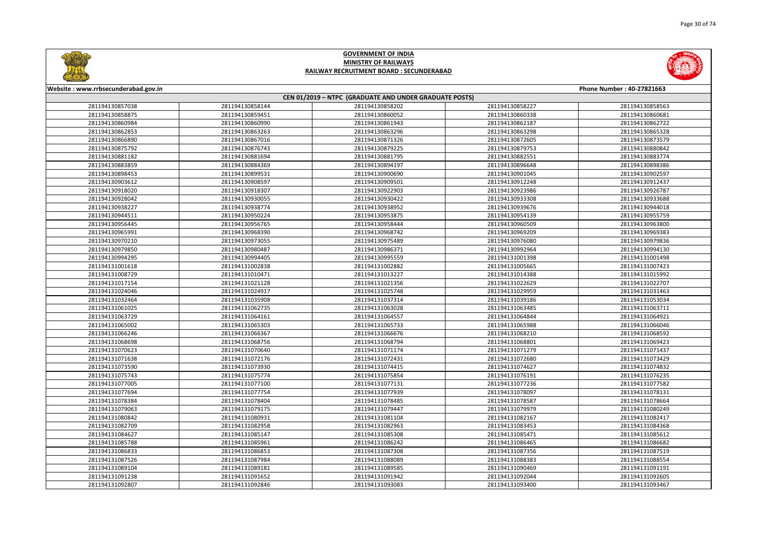



| Website: www.rrbsecunderabad.gov.in |                 |                                                        |                 | Phone Number: 40-27821663 |
|-------------------------------------|-----------------|--------------------------------------------------------|-----------------|---------------------------|
|                                     |                 | CEN 01/2019 - NTPC (GRADUATE AND UNDER GRADUATE POSTS) |                 |                           |
| 281194130857038                     | 281194130858144 | 281194130858202                                        | 281194130858227 | 281194130858563           |
| 281194130858875                     | 281194130859451 | 281194130860052                                        | 281194130860338 | 281194130860681           |
| 281194130860984                     | 281194130860990 | 281194130861943                                        | 281194130862187 | 281194130862722           |
| 281194130862853                     | 281194130863263 | 281194130863296                                        | 281194130863298 | 281194130865328           |
| 281194130866890                     | 281194130867016 | 281194130871326                                        | 281194130872605 | 281194130873579           |
| 281194130875792                     | 281194130876743 | 281194130879225                                        | 281194130879753 | 281194130880842           |
| 281194130881182                     | 281194130881694 | 281194130881795                                        | 281194130882551 | 281194130883774           |
| 281194130883859                     | 281194130884369 | 281194130894197                                        | 281194130896648 | 281194130898386           |
| 281194130898453                     | 281194130899531 | 281194130900690                                        | 281194130901045 | 281194130902597           |
| 281194130903612                     | 281194130908597 | 281194130909501                                        | 281194130912248 | 281194130912437           |
| 281194130918020                     | 281194130918307 | 281194130922903                                        | 281194130923986 | 281194130926787           |
| 281194130928042                     | 281194130930055 | 281194130930422                                        | 281194130933308 | 281194130933688           |
| 281194130938227                     | 281194130938774 | 281194130938952                                        | 281194130939676 | 281194130944018           |
| 281194130944511                     | 281194130950224 | 281194130953875                                        | 281194130954139 | 281194130955759           |
| 281194130956445                     | 281194130956765 | 281194130958444                                        | 281194130960509 | 281194130963800           |
| 281194130965991                     | 281194130968390 | 281194130968742                                        | 281194130969209 | 281194130969383           |
| 281194130970210                     | 281194130973055 | 281194130975489                                        | 281194130976080 | 281194130979836           |
| 281194130979850                     | 281194130980487 | 281194130986371                                        | 281194130992964 | 281194130994130           |
| 281194130994295                     | 281194130994405 | 281194130995559                                        | 281194131001398 | 281194131001498           |
| 281194131001618                     | 281194131002838 | 281194131002882                                        | 281194131005665 | 281194131007423           |
| 281194131008729                     | 281194131010471 | 281194131013227                                        | 281194131014388 | 281194131015992           |
| 281194131017154                     | 281194131021128 | 281194131021356                                        | 281194131022629 | 281194131022707           |
| 281194131024046                     | 281194131024917 | 281194131025748                                        | 281194131029959 | 281194131031463           |
| 281194131032464                     | 281194131035908 | 281194131037314                                        | 281194131039186 | 281194131053034           |
| 281194131061025                     | 281194131062735 | 281194131063028                                        | 281194131063485 | 281194131063711           |
| 281194131063729                     | 281194131064161 | 281194131064557                                        | 281194131064844 | 281194131064921           |
| 281194131065002                     | 281194131065303 | 281194131065733                                        | 281194131065988 | 281194131066046           |
| 281194131066246                     | 281194131066367 | 281194131066676                                        | 281194131068210 | 281194131068592           |
| 281194131068698                     | 281194131068756 | 281194131068794                                        | 281194131068801 | 281194131069423           |
| 281194131070623                     | 281194131070640 | 281194131071174                                        | 281194131071279 | 281194131071437           |
| 281194131071638                     | 281194131072176 | 281194131072431                                        | 281194131072680 | 281194131073429           |
| 281194131073590                     | 281194131073930 | 281194131074415                                        | 281194131074627 | 281194131074832           |
| 281194131075743                     | 281194131075774 | 281194131075854                                        | 281194131076191 | 281194131076235           |
| 281194131077005                     | 281194131077100 | 281194131077131                                        | 281194131077236 | 281194131077582           |
| 281194131077694                     | 281194131077754 | 281194131077939                                        | 281194131078097 | 281194131078131           |
| 281194131078384                     | 281194131078404 | 281194131078485                                        | 281194131078587 | 281194131078664           |
| 281194131079063                     | 281194131079175 | 281194131079447                                        | 281194131079979 | 281194131080249           |
| 281194131080842                     | 281194131080931 | 281194131081104                                        | 281194131082167 | 281194131082417           |
| 281194131082709                     | 281194131082958 | 281194131082963                                        | 281194131083453 | 281194131084368           |
| 281194131084627                     | 281194131085147 | 281194131085308                                        | 281194131085471 | 281194131085612           |
| 281194131085788                     | 281194131085961 | 281194131086242                                        | 281194131086465 | 281194131086682           |
| 281194131086833                     | 281194131086853 | 281194131087308                                        | 281194131087356 | 281194131087519           |
| 281194131087526                     | 281194131087984 | 281194131088089                                        | 281194131088383 | 281194131088554           |
| 281194131089104                     | 281194131089181 | 281194131089585                                        | 281194131090469 | 281194131091191           |
| 281194131091238                     | 281194131091652 | 281194131091942                                        | 281194131092044 | 281194131092605           |
| 281194131092807                     | 281194131092846 | 281194131093083                                        | 281194131093400 | 281194131093467           |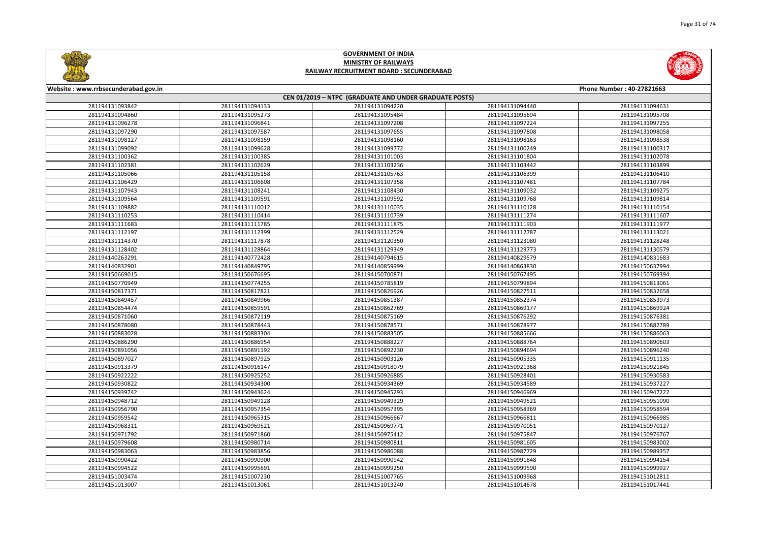



| Website: www.rrbsecunderabad.gov.in<br>Phone Number: 40-27821663 |                                                        |                 |                 |                 |  |  |
|------------------------------------------------------------------|--------------------------------------------------------|-----------------|-----------------|-----------------|--|--|
|                                                                  | CEN 01/2019 - NTPC (GRADUATE AND UNDER GRADUATE POSTS) |                 |                 |                 |  |  |
| 281194131093842                                                  | 281194131094133                                        | 281194131094220 | 281194131094440 | 281194131094631 |  |  |
| 281194131094860                                                  | 281194131095273                                        | 281194131095484 | 281194131095694 | 281194131095708 |  |  |
| 281194131096278                                                  | 281194131096841                                        | 281194131097208 | 281194131097224 | 281194131097255 |  |  |
| 281194131097290                                                  | 281194131097587                                        | 281194131097655 | 281194131097808 | 281194131098058 |  |  |
| 281194131098127                                                  | 281194131098159                                        | 281194131098160 | 281194131098163 | 281194131098538 |  |  |
| 281194131099092                                                  | 281194131099628                                        | 281194131099772 | 281194131100249 | 281194131100317 |  |  |
| 281194131100362                                                  | 281194131100385                                        | 281194131101003 | 281194131101804 | 281194131102078 |  |  |
| 281194131102381                                                  | 281194131102629                                        | 281194131103236 | 281194131103442 | 281194131103899 |  |  |
| 281194131105066                                                  | 281194131105158                                        | 281194131105763 | 281194131106399 | 281194131106410 |  |  |
| 281194131106429                                                  | 281194131106608                                        | 281194131107358 | 281194131107481 | 281194131107784 |  |  |
| 281194131107943                                                  | 281194131108241                                        | 281194131108430 | 281194131109032 | 281194131109275 |  |  |
| 281194131109564                                                  | 281194131109591                                        | 281194131109592 | 281194131109768 | 281194131109814 |  |  |
| 281194131109882                                                  | 281194131110012                                        | 281194131110035 | 281194131110128 | 281194131110154 |  |  |
| 281194131110253                                                  | 281194131110414                                        | 281194131110739 | 281194131111274 | 281194131111607 |  |  |
| 281194131111683                                                  | 281194131111785                                        | 281194131111875 | 281194131111903 | 281194131111977 |  |  |
| 281194131112197                                                  | 281194131112399                                        | 281194131112529 | 281194131112787 | 281194131113021 |  |  |
| 281194131114370                                                  | 281194131117878                                        | 281194131120350 | 281194131123080 | 281194131128248 |  |  |
| 281194131128402                                                  | 281194131128864                                        | 281194131129349 | 281194131129773 | 281194131130579 |  |  |
| 281194140263291                                                  | 281194140772428                                        | 281194140794615 | 281194140829579 | 281194140831683 |  |  |
| 281194140832901                                                  | 281194140849795                                        | 281194140859999 | 281194140863830 | 281194150637994 |  |  |
| 281194150669015                                                  | 281194150676695                                        | 281194150700871 | 281194150767495 | 281194150769394 |  |  |
| 281194150770949                                                  | 281194150774255                                        | 281194150785819 | 281194150799894 | 281194150813061 |  |  |
| 281194150817371                                                  | 281194150817821                                        | 281194150826926 | 281194150827511 | 281194150832658 |  |  |
| 281194150849457                                                  | 281194150849966                                        | 281194150851387 | 281194150852374 | 281194150853973 |  |  |
| 281194150854474                                                  | 281194150859591                                        | 281194150862769 | 281194150869177 | 281194150869924 |  |  |
| 281194150871060                                                  | 281194150872119                                        | 281194150875169 | 281194150876292 | 281194150876381 |  |  |
| 281194150878080                                                  | 281194150878443                                        | 281194150878571 | 281194150878977 | 281194150882789 |  |  |
| 281194150883028                                                  | 281194150883304                                        | 281194150883505 | 281194150885666 | 281194150886063 |  |  |
| 281194150886290                                                  | 281194150886954                                        | 281194150888227 | 281194150888764 | 281194150890603 |  |  |
| 281194150891056                                                  | 281194150891192                                        | 281194150892230 | 281194150894694 | 281194150896240 |  |  |
| 281194150897027                                                  | 281194150897925                                        | 281194150903126 | 281194150905335 | 281194150911135 |  |  |
| 281194150913379                                                  | 281194150916147                                        | 281194150918079 | 281194150921368 | 281194150921845 |  |  |
| 281194150922222                                                  | 281194150925252                                        | 281194150926885 | 281194150928401 | 281194150930583 |  |  |
| 281194150930822                                                  | 281194150934300                                        | 281194150934369 | 281194150934589 | 281194150937227 |  |  |
| 281194150939742                                                  | 281194150943624                                        | 281194150945293 | 281194150946969 | 281194150947222 |  |  |
| 281194150948712                                                  | 281194150949128                                        | 281194150949329 | 281194150949521 | 281194150951090 |  |  |
| 281194150956790                                                  | 281194150957354                                        | 281194150957395 | 281194150958369 | 281194150958594 |  |  |
| 281194150959542                                                  | 281194150965315                                        | 281194150966667 | 281194150966811 | 281194150966985 |  |  |
| 281194150968311                                                  | 281194150969521                                        | 281194150969771 | 281194150970051 | 281194150970127 |  |  |
| 281194150971792                                                  | 281194150971860                                        | 281194150975412 | 281194150975847 | 281194150976767 |  |  |
| 281194150979608                                                  | 281194150980714                                        | 281194150980811 | 281194150981605 | 281194150983002 |  |  |
| 281194150983063                                                  | 281194150983856                                        | 281194150986088 | 281194150987729 | 281194150989357 |  |  |
| 281194150990422                                                  | 281194150990900                                        | 281194150990942 | 281194150991848 | 281194150994154 |  |  |
| 281194150994522                                                  | 281194150995691                                        | 281194150999250 | 281194150999590 | 281194150999927 |  |  |
| 281194151003474                                                  | 281194151007230                                        | 281194151007765 | 281194151009968 | 281194151012811 |  |  |
| 281194151013007                                                  | 281194151013061                                        | 281194151013240 | 281194151014678 | 281194151017441 |  |  |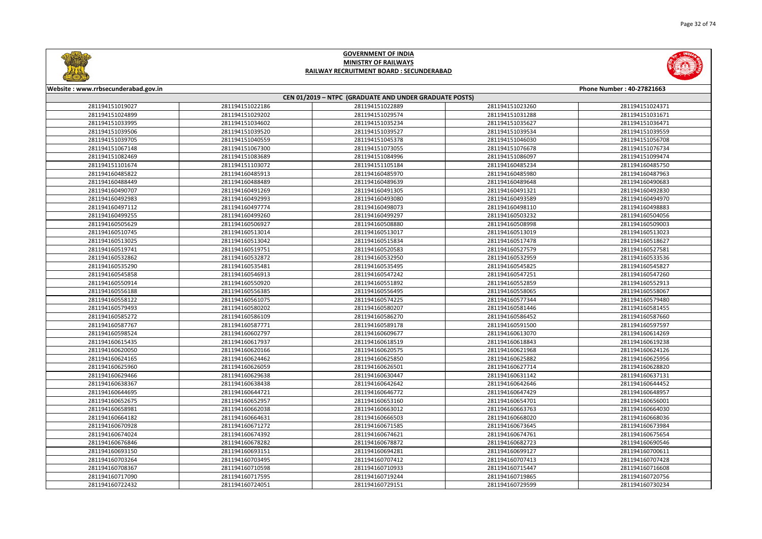



| Website: www.rrbsecunderabad.gov.in<br>Phone Number: 40-27821663 |                 |                                                        |                 |                 |
|------------------------------------------------------------------|-----------------|--------------------------------------------------------|-----------------|-----------------|
|                                                                  |                 | CEN 01/2019 - NTPC (GRADUATE AND UNDER GRADUATE POSTS) |                 |                 |
| 281194151019027                                                  | 281194151022186 | 281194151022889                                        | 281194151023260 | 281194151024371 |
| 281194151024899                                                  | 281194151029202 | 281194151029574                                        | 281194151031288 | 281194151031671 |
| 281194151033995                                                  | 281194151034602 | 281194151035234                                        | 281194151035627 | 281194151036471 |
| 281194151039506                                                  | 281194151039520 | 281194151039527                                        | 281194151039534 | 281194151039559 |
| 281194151039705                                                  | 281194151040559 | 281194151045378                                        | 281194151046030 | 281194151056708 |
| 281194151067148                                                  | 281194151067300 | 281194151073055                                        | 281194151076678 | 281194151076734 |
| 281194151082469                                                  | 281194151083689 | 281194151084996                                        | 281194151086097 | 281194151099474 |
| 281194151101674                                                  | 281194151103072 | 281194151105184                                        | 281194160485234 | 281194160485750 |
| 281194160485822                                                  | 281194160485913 | 281194160485970                                        | 281194160485980 | 281194160487963 |
| 281194160488449                                                  | 281194160488489 | 281194160489639                                        | 281194160489648 | 281194160490683 |
| 281194160490707                                                  | 281194160491269 | 281194160491305                                        | 281194160491321 | 281194160492830 |
| 281194160492983                                                  | 281194160492993 | 281194160493080                                        | 281194160493589 | 281194160494970 |
| 281194160497112                                                  | 281194160497774 | 281194160498073                                        | 281194160498110 | 281194160498883 |
| 281194160499255                                                  | 281194160499260 | 281194160499297                                        | 281194160503232 | 281194160504056 |
| 281194160505629                                                  | 281194160506927 | 281194160508880                                        | 281194160508998 | 281194160509003 |
| 281194160510745                                                  | 281194160513014 | 281194160513017                                        | 281194160513019 | 281194160513023 |
| 281194160513025                                                  | 281194160513042 | 281194160515834                                        | 281194160517478 | 281194160518627 |
| 281194160519741                                                  | 281194160519751 | 281194160520583                                        | 281194160527579 | 281194160527581 |
| 281194160532862                                                  | 281194160532872 | 281194160532950                                        | 281194160532959 | 281194160533536 |
| 281194160535290                                                  | 281194160535481 | 281194160535495                                        | 281194160545825 | 281194160545827 |
| 281194160545858                                                  | 281194160546913 | 281194160547242                                        | 281194160547251 | 281194160547260 |
| 281194160550914                                                  | 281194160550920 | 281194160551892                                        | 281194160552859 | 281194160552913 |
| 281194160556188                                                  | 281194160556385 | 281194160556495                                        | 281194160558065 | 281194160558067 |
| 281194160558122                                                  | 281194160561075 | 281194160574225                                        | 281194160577344 | 281194160579480 |
| 281194160579493                                                  | 281194160580202 | 281194160580207                                        | 281194160581446 | 281194160581455 |
| 281194160585272                                                  | 281194160586109 | 281194160586270                                        | 281194160586452 | 281194160587660 |
| 281194160587767                                                  | 281194160587771 | 281194160589178                                        | 281194160591500 | 281194160597597 |
| 281194160598524                                                  | 281194160602797 | 281194160609677                                        | 281194160613070 | 281194160614269 |
| 281194160615435                                                  | 281194160617937 | 281194160618519                                        | 281194160618843 | 281194160619238 |
| 281194160620050                                                  | 281194160620166 | 281194160620575                                        | 281194160621968 | 281194160624126 |
| 281194160624165                                                  | 281194160624462 | 281194160625850                                        | 281194160625882 | 281194160625956 |
| 281194160625960                                                  | 281194160626059 | 281194160626501                                        | 281194160627714 | 281194160628820 |
| 281194160629466                                                  | 281194160629638 | 281194160630447                                        | 281194160631142 | 281194160637131 |
| 281194160638367                                                  | 281194160638438 | 281194160642642                                        | 281194160642646 | 281194160644452 |
| 281194160644695                                                  | 281194160644721 | 281194160646772                                        | 281194160647429 | 281194160648957 |
| 281194160652675                                                  | 281194160652957 | 281194160653160                                        | 281194160654701 | 281194160656001 |
| 281194160658981                                                  | 281194160662038 | 281194160663012                                        | 281194160663763 | 281194160664030 |
| 281194160664182                                                  | 281194160664631 | 281194160666503                                        | 281194160668020 | 281194160668036 |
| 281194160670928                                                  | 281194160671272 | 281194160671585                                        | 281194160673645 | 281194160673984 |
| 281194160674024                                                  | 281194160674392 | 281194160674621                                        | 281194160674761 | 281194160675654 |
| 281194160676846                                                  | 281194160678282 | 281194160678872                                        | 281194160682723 | 281194160690546 |
| 281194160693150                                                  | 281194160693151 | 281194160694281                                        | 281194160699127 | 281194160700611 |
| 281194160703264                                                  | 281194160703495 | 281194160707412                                        | 281194160707413 | 281194160707428 |
| 281194160708367                                                  | 281194160710598 | 281194160710933                                        | 281194160715447 | 281194160716608 |
| 281194160717090                                                  | 281194160717595 | 281194160719244                                        | 281194160719865 | 281194160720756 |
| 281194160722432                                                  | 281194160724051 | 281194160729151                                        | 281194160729599 | 281194160730234 |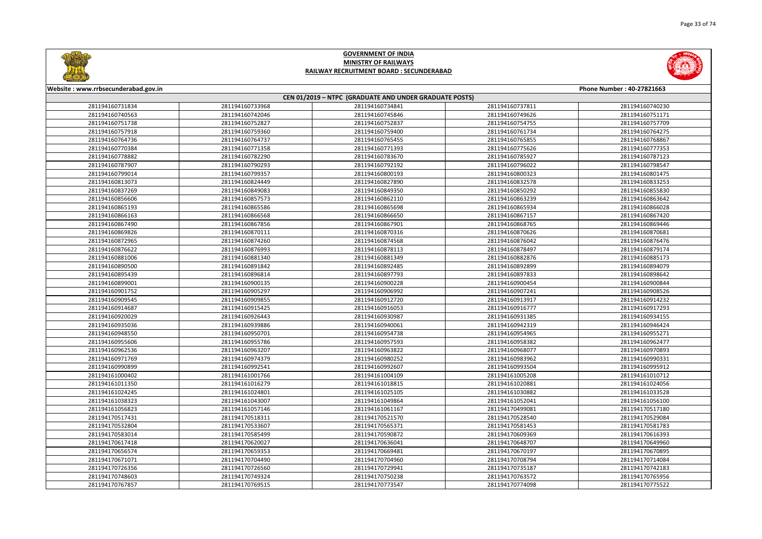

|       | Phone Number: 40-27821663 |  |  |  |
|-------|---------------------------|--|--|--|
|       |                           |  |  |  |
| 37811 | 281194160740230           |  |  |  |
| 49626 | 281194160751171           |  |  |  |
| 54755 | 281194160757709           |  |  |  |
| 61734 | 281194160764275           |  |  |  |
| 65855 | 281194160768867           |  |  |  |
| 75626 | 281194160777353           |  |  |  |
| 85927 | 281194160787123           |  |  |  |
| 96022 | 281194160798547           |  |  |  |
| 00323 | 281194160801475           |  |  |  |
| 32578 | 281194160833253           |  |  |  |
| 50292 | 281194160855830           |  |  |  |
| 63239 | 281194160863642           |  |  |  |
| 65934 | 281194160866028           |  |  |  |
| 67157 | 281194160867420           |  |  |  |
| 68765 | 281194160869446           |  |  |  |
| 70626 | 281194160870681           |  |  |  |
| 76042 | 281194160876476           |  |  |  |
| 78497 | 281194160879174           |  |  |  |
| 82876 | 281194160885173           |  |  |  |
| 92899 | 281194160894079           |  |  |  |
| 97833 | 281194160898642           |  |  |  |
| 00454 | 281194160900844           |  |  |  |
| 07241 | 281194160908526           |  |  |  |
| 13917 | 281194160914232           |  |  |  |
| 16777 | 281194160917293           |  |  |  |
| 31385 | 281194160934155           |  |  |  |
| 42319 | 281194160946424           |  |  |  |
| 54965 | 281194160955271           |  |  |  |
| 58382 | 281194160962477           |  |  |  |
| 68077 | 281194160970893           |  |  |  |
| 83962 | 281194160990331           |  |  |  |
| 93504 | 281194160995912           |  |  |  |
| 05208 | 281194161010712           |  |  |  |
| 20881 | 281194161024056           |  |  |  |
| 30882 | 281194161033528           |  |  |  |
| 52041 | 281194161056100           |  |  |  |
| 99081 | 281194170517180           |  |  |  |
| 28540 | 281194170529084           |  |  |  |
| 81453 | 281194170581783           |  |  |  |
| 09369 | 281194170616393           |  |  |  |
| 48707 | 281194170649960           |  |  |  |
| 70197 | 281194170670895           |  |  |  |
| 08794 | 281194170714084           |  |  |  |
| 35187 | 281194170742183           |  |  |  |
| 63572 | 281194170765956           |  |  |  |
| 74098 | 281194170775522           |  |  |  |
|       |                           |  |  |  |



#### **Website : www.rrbsecunderabad.gov.in CEN 01/2019 – NTPC (GRADUATE AND UNDER GRADUATE POSTS)** 281194160733968 281194160734841 281194160737811 281194160740230 281194160742046 281194160745846 281194160749626 281194160751171 281194160752827 281194160752837 281194160754755 281194160757709 281194160759360 281194160759400 281194160761734 281194160764275 281194160764737 281194160765455 281194160765855 281194160768867 281194160771358 281194160771393 281194160775626 281194160777353 281194160782290 281194160783670 281194160785927 281194160787123 281194160790293 281194160792192 281194160796022 281194160798547 281194160799357 281194160800193 281194160800323 281194160801475 281194160824449 281194160827890 281194160832578 281194160833253 281194160849083 281194160849350 281194160850292 281194160855830 281194160857573 281194160862110 281194160863239 281194160863642 281194160865586 281194160865698 281194160865934 281194160866028 281194160866568 281194160866650 281194160867157 281194160867420 281194160867856 281194160867901 281194160868765 281194160869446 281194160870111 281194160870316 281194160870626 281194160870681 281194160874260 281194160874568 281194160876042 281194160876476 281194160876993 281194160878113 281194160878497 281194160879174 281194160881340 281194160881349 281194160882876 281194160885173 281194160891842 281194160892485 281194160892899 281194160894079 281194160896814 281194160897793 281194160897833 281194160898642 281194160900135 281194160900228 281194160900454 281194160900844 281194160905297 281194160906992 281194160907241 281194160908526 281194160909855 281194160912720 281194160913917 281194160914232 281194160915425 281194160916053 281194160916777 281194160917293 281194160926443 281194160930987 281194160931385 281194160934155 281194160939886 281194160940061 281194160942319 281194160946424 281194160950701 281194160954738 281194160954965 281194160955271 281194160955786 281194160957593 281194160958382 281194160962477 281194160963207 281194160963822 281194160968077 281194160970893 281194160974379 281194160980252 281194160983962 281194160990331 281194160992541 281194160992607 281194160993504 281194160995912 281194161001766 281194161004109 281194161005208 281194161010712 281194161016279 281194161018815 281194161020881 281194161024056 281194161024801 281194161025105 281194161030882 281194161033528 281194161043007 281194161049864 281194161052041 281194161056100 281194161057146 281194161061167 281194170499081 281194170517180 281194170518311 281194170521570 281194170528540 281194170529084 281194170533607 281194170565371 281194170581453 281194170581783 281194170585499 281194170590872 281194170609369 281194170616393 281194170620027 281194170636041 281194170648707 281194170649960 281194170659353 281194170669481 281194170670197 281194170670895 281194170704490 281194170704960 281194170708794 281194170714084 281194170726560 281194170729941 281194170735187 281194170742183 281194170749324 281194170750238 281194170763572 281194170765956 281194170769515 281194170773547 281194170774098 281194170775522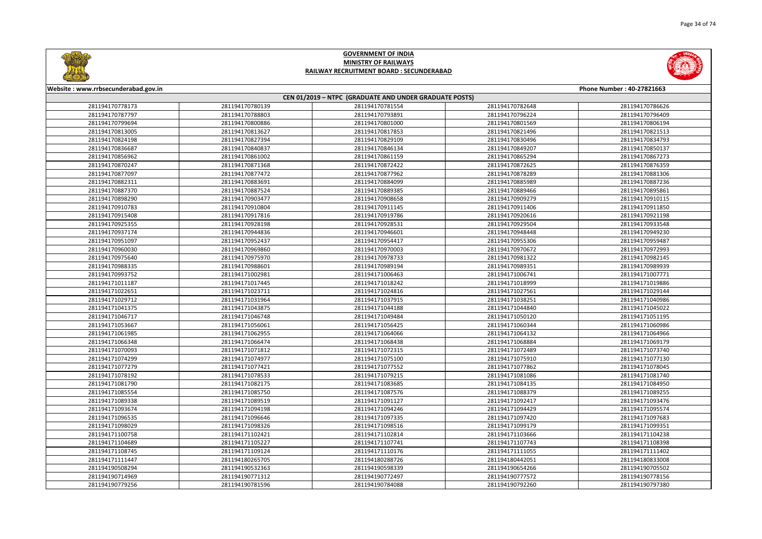



| Website: www.rrbsecunderabad.gov.in<br>Phone Number: 40-27821663 |                 |                                                        |                 |                 |
|------------------------------------------------------------------|-----------------|--------------------------------------------------------|-----------------|-----------------|
|                                                                  |                 | CEN 01/2019 - NTPC (GRADUATE AND UNDER GRADUATE POSTS) |                 |                 |
| 281194170778173                                                  | 281194170780139 | 281194170781554                                        | 281194170782648 | 281194170786626 |
| 281194170787797                                                  | 281194170788803 | 281194170793891                                        | 281194170796224 | 281194170796409 |
| 281194170799694                                                  | 281194170800886 | 281194170801000                                        | 281194170801569 | 281194170806194 |
| 281194170813005                                                  | 281194170813627 | 281194170817853                                        | 281194170821496 | 281194170821513 |
| 281194170824198                                                  | 281194170827394 | 281194170829109                                        | 281194170830496 | 281194170834793 |
| 281194170836687                                                  | 281194170840837 | 281194170846134                                        | 281194170849207 | 281194170850137 |
| 281194170856962                                                  | 281194170861002 | 281194170861159                                        | 281194170865294 | 281194170867273 |
| 281194170870247                                                  | 281194170871368 | 281194170872422                                        | 281194170872625 | 281194170876359 |
| 281194170877097                                                  | 281194170877472 | 281194170877962                                        | 281194170878289 | 281194170881306 |
| 281194170882311                                                  | 281194170883691 | 281194170884099                                        | 281194170885989 | 281194170887236 |
| 281194170887370                                                  | 281194170887524 | 281194170889385                                        | 281194170889466 | 281194170895861 |
| 281194170898290                                                  | 281194170903477 | 281194170908658                                        | 281194170909279 | 281194170910115 |
| 281194170910783                                                  | 281194170910804 | 281194170911145                                        | 281194170911406 | 281194170911850 |
| 281194170915408                                                  | 281194170917816 | 281194170919786                                        | 281194170920616 | 281194170921198 |
| 281194170925355                                                  | 281194170928198 | 281194170928531                                        | 281194170929504 | 281194170933548 |
| 281194170937174                                                  | 281194170944836 | 281194170946601                                        | 281194170948448 | 281194170949230 |
| 281194170951097                                                  | 281194170952437 | 281194170954417                                        | 281194170955306 | 281194170959487 |
| 281194170960030                                                  | 281194170969860 | 281194170970003                                        | 281194170970672 | 281194170972993 |
| 281194170975640                                                  | 281194170975970 | 281194170978733                                        | 281194170981322 | 281194170982145 |
| 281194170988335                                                  | 281194170988601 | 281194170989194                                        | 281194170989351 | 281194170989939 |
| 281194170993752                                                  | 281194171002981 | 281194171006463                                        | 281194171006741 | 281194171007771 |
| 281194171011187                                                  | 281194171017445 | 281194171018242                                        | 281194171018999 | 281194171019886 |
| 281194171022651                                                  | 281194171023711 | 281194171024816                                        | 281194171027561 | 281194171029144 |
| 281194171029712                                                  | 281194171031964 | 281194171037915                                        | 281194171038251 | 281194171040986 |
| 281194171041375                                                  | 281194171043875 | 281194171044188                                        | 281194171044840 | 281194171045022 |
| 281194171046717                                                  | 281194171046748 | 281194171049484                                        | 281194171050120 | 281194171051195 |
| 281194171053667                                                  | 281194171056061 | 281194171056425                                        | 281194171060344 | 281194171060986 |
| 281194171061985                                                  | 281194171062955 | 281194171064066                                        | 281194171064132 | 281194171064966 |
| 281194171066348                                                  | 281194171066474 | 281194171068438                                        | 281194171068884 | 281194171069179 |
| 281194171070093                                                  | 281194171071812 | 281194171072315                                        | 281194171072489 | 281194171073740 |
| 281194171074299                                                  | 281194171074977 | 281194171075100                                        | 281194171075910 | 281194171077130 |
| 281194171077279                                                  | 281194171077421 | 281194171077552                                        | 281194171077862 | 281194171078045 |
| 281194171078192                                                  | 281194171078533 | 281194171079215                                        | 281194171081086 | 281194171081740 |
| 281194171081790                                                  | 281194171082175 | 281194171083685                                        | 281194171084135 | 281194171084950 |
| 281194171085554                                                  | 281194171085750 | 281194171087576                                        | 281194171088379 | 281194171089255 |
| 281194171089338                                                  | 281194171089519 | 281194171091127                                        | 281194171092417 | 281194171093476 |
| 281194171093674                                                  | 281194171094198 | 281194171094246                                        | 281194171094429 | 281194171095574 |
| 281194171096535                                                  | 281194171096646 | 281194171097335                                        | 281194171097420 | 281194171097683 |
| 281194171098029                                                  | 281194171098326 | 281194171098516                                        | 281194171099179 | 281194171099351 |
| 281194171100758                                                  | 281194171102421 | 281194171102814                                        | 281194171103666 | 281194171104238 |
| 281194171104689                                                  | 281194171105227 | 281194171107741                                        | 281194171107743 | 281194171108398 |
| 281194171108745                                                  | 281194171109124 | 281194171110176                                        | 281194171111055 | 281194171111402 |
| 281194171111447                                                  | 281194180265705 | 281194180288726                                        | 281194180442051 | 281194180833008 |
| 281194190508294                                                  | 281194190532363 | 281194190598339                                        | 281194190654266 | 281194190705502 |
| 281194190714969                                                  | 281194190771312 | 281194190772497                                        | 281194190777572 | 281194190778156 |
| 281194190779256                                                  | 281194190781596 | 281194190784088                                        | 281194190792260 | 281194190797380 |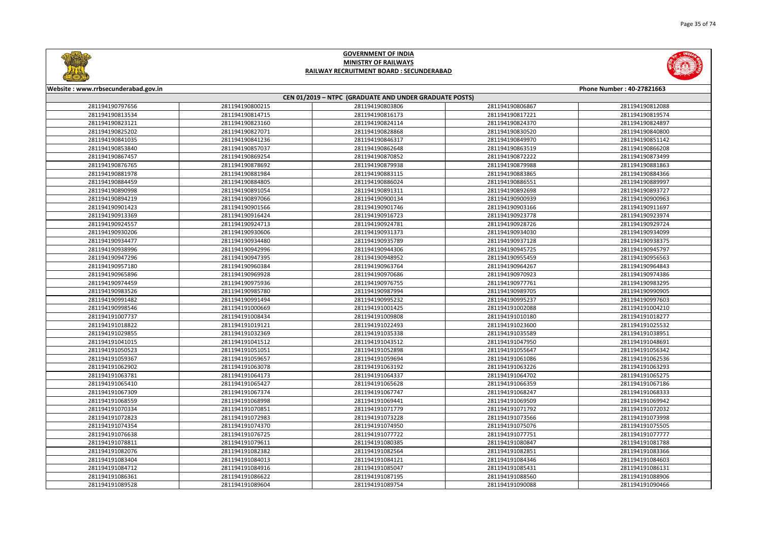



| Website: www.rrbsecunderabad.gov.in |                 |                                                        |                 | Phone Number: 40-27821663 |
|-------------------------------------|-----------------|--------------------------------------------------------|-----------------|---------------------------|
|                                     |                 | CEN 01/2019 - NTPC (GRADUATE AND UNDER GRADUATE POSTS) |                 |                           |
| 281194190797656                     | 281194190800215 | 281194190803806                                        | 281194190806867 | 281194190812088           |
| 281194190813534                     | 281194190814715 | 281194190816173                                        | 281194190817221 | 281194190819574           |
| 281194190823121                     | 281194190823160 | 281194190824114                                        | 281194190824370 | 281194190824897           |
| 281194190825202                     | 281194190827071 | 281194190828868                                        | 281194190830520 | 281194190840800           |
| 281194190841035                     | 281194190841236 | 281194190846317                                        | 281194190849970 | 281194190851142           |
| 281194190853840                     | 281194190857037 | 281194190862648                                        | 281194190863519 | 281194190866208           |
| 281194190867457                     | 281194190869254 | 281194190870852                                        | 281194190872222 | 281194190873499           |
| 281194190876765                     | 281194190878692 | 281194190879938                                        | 281194190879988 | 281194190881863           |
| 281194190881978                     | 281194190881984 | 281194190883115                                        | 281194190883865 | 281194190884366           |
| 281194190884459                     | 281194190884805 | 281194190886024                                        | 281194190886551 | 281194190889997           |
| 281194190890998                     | 281194190891054 | 281194190891311                                        | 281194190892698 | 281194190893727           |
| 281194190894219                     | 281194190897066 | 281194190900134                                        | 281194190900939 | 281194190900963           |
| 281194190901423                     | 281194190901566 | 281194190901746                                        | 281194190903166 | 281194190911697           |
| 281194190913369                     | 281194190916424 | 281194190916723                                        | 281194190923778 | 281194190923974           |
| 281194190924557                     | 281194190924713 | 281194190924781                                        | 281194190928726 | 281194190929724           |
| 281194190930206                     | 281194190930606 | 281194190931373                                        | 281194190934030 | 281194190934099           |
| 281194190934477                     | 281194190934480 | 281194190935789                                        | 281194190937128 | 281194190938375           |
| 281194190938996                     | 281194190942996 | 281194190944306                                        | 281194190945725 | 281194190945797           |
| 281194190947296                     | 281194190947395 | 281194190948952                                        | 281194190955459 | 281194190956563           |
| 281194190957180                     | 281194190960384 | 281194190963764                                        | 281194190964267 | 281194190964843           |
| 281194190965896                     | 281194190969928 | 281194190970686                                        | 281194190970923 | 281194190974386           |
| 281194190974459                     | 281194190975936 | 281194190976755                                        | 281194190977761 | 281194190983295           |
| 281194190983526                     | 281194190985780 | 281194190987994                                        | 281194190989705 | 281194190990905           |
| 281194190991482                     | 281194190991494 | 281194190995232                                        | 281194190995237 | 281194190997603           |
| 281194190998546                     | 281194191000669 | 281194191001425                                        | 281194191002088 | 281194191004210           |
| 281194191007737                     | 281194191008434 | 281194191009808                                        | 281194191010180 | 281194191018277           |
| 281194191018822                     | 281194191019121 | 281194191022493                                        | 281194191023600 | 281194191025532           |
| 281194191029855                     | 281194191032369 | 281194191035338                                        | 281194191035589 | 281194191038951           |
| 281194191041015                     | 281194191041512 | 281194191043512                                        | 281194191047950 | 281194191048691           |
| 281194191050523                     | 281194191051051 | 281194191052898                                        | 281194191055647 | 281194191056342           |
| 281194191059367                     | 281194191059657 | 281194191059694                                        | 281194191061086 | 281194191062536           |
| 281194191062902                     | 281194191063078 | 281194191063192                                        | 281194191063226 | 281194191063293           |
| 281194191063781                     | 281194191064173 | 281194191064337                                        | 281194191064702 | 281194191065275           |
| 281194191065410                     | 281194191065427 | 281194191065628                                        | 281194191066359 | 281194191067186           |
| 281194191067309                     | 281194191067374 | 281194191067747                                        | 281194191068247 | 281194191068333           |
| 281194191068559                     | 281194191068998 | 281194191069441                                        | 281194191069509 | 281194191069942           |
| 281194191070334                     | 281194191070851 | 281194191071779                                        | 281194191071792 | 281194191072032           |
| 281194191072823                     | 281194191072983 | 281194191073228                                        | 281194191073566 | 281194191073998           |
| 281194191074354                     | 281194191074370 | 281194191074950                                        | 281194191075076 | 281194191075505           |
| 281194191076638                     | 281194191076725 | 281194191077722                                        | 281194191077751 | 281194191077777           |
| 281194191078811                     | 281194191079611 | 281194191080385                                        | 281194191080847 | 281194191081788           |
| 281194191082076                     | 281194191082382 | 281194191082564                                        | 281194191082851 | 281194191083366           |
| 281194191083404                     | 281194191084013 | 281194191084121                                        | 281194191084346 | 281194191084603           |
| 281194191084712                     | 281194191084916 | 281194191085047                                        | 281194191085431 | 281194191086131           |
| 281194191086361                     | 281194191086622 | 281194191087195                                        | 281194191088560 | 281194191088906           |
| 281194191089528                     | 281194191089604 | 281194191089754                                        | 281194191090088 | 281194191090466           |
|                                     |                 |                                                        |                 |                           |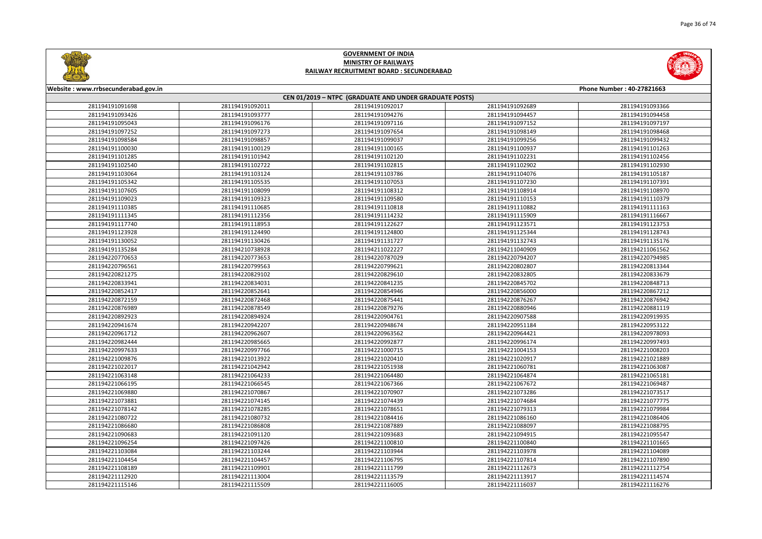



| Website: www.rrbsecunderabad.gov.in<br>Phone Number: 40-27821663<br>CEN 01/2019 - NTPC (GRADUATE AND UNDER GRADUATE POSTS) |                 |                 |                 |                 |
|----------------------------------------------------------------------------------------------------------------------------|-----------------|-----------------|-----------------|-----------------|
|                                                                                                                            |                 |                 |                 |                 |
| 281194191093426                                                                                                            | 281194191093777 | 281194191094276 | 281194191094457 | 281194191094458 |
| 281194191095043                                                                                                            | 281194191096176 | 281194191097116 | 281194191097152 | 281194191097197 |
| 281194191097252                                                                                                            | 281194191097273 | 281194191097654 | 281194191098149 | 281194191098468 |
| 281194191098584                                                                                                            | 281194191098857 | 281194191099037 | 281194191099256 | 281194191099432 |
| 281194191100030                                                                                                            | 281194191100129 | 281194191100165 | 281194191100937 | 281194191101263 |
| 281194191101285                                                                                                            | 281194191101942 | 281194191102120 | 281194191102231 | 281194191102456 |
| 281194191102540                                                                                                            | 281194191102722 | 281194191102815 | 281194191102902 | 281194191102930 |
| 281194191103064                                                                                                            | 281194191103124 | 281194191103786 | 281194191104076 | 281194191105187 |
| 281194191105342                                                                                                            | 281194191105535 | 281194191107053 | 281194191107230 | 281194191107391 |
| 281194191107605                                                                                                            | 281194191108099 | 281194191108312 | 281194191108914 | 281194191108970 |
| 281194191109023                                                                                                            | 281194191109323 | 281194191109580 | 281194191110153 | 281194191110379 |
| 281194191110385                                                                                                            | 281194191110685 | 281194191110818 | 281194191110882 | 281194191111163 |
| 281194191111345                                                                                                            | 281194191112356 | 281194191114232 | 281194191115909 | 281194191116667 |
| 281194191117740                                                                                                            | 281194191118953 | 281194191122627 | 281194191123571 | 281194191123753 |
| 281194191123928                                                                                                            | 281194191124490 | 281194191124800 | 281194191125344 | 281194191128743 |
| 281194191130052                                                                                                            | 281194191130426 | 281194191131727 | 281194191132743 | 281194191135176 |
| 281194191135284                                                                                                            | 281194210738928 | 281194211022227 | 281194211040909 | 281194211061562 |
| 281194220770653                                                                                                            | 281194220773653 | 281194220787029 | 281194220794207 | 281194220794985 |
| 281194220796561                                                                                                            | 281194220799563 | 281194220799621 | 281194220802807 | 281194220813344 |
| 281194220821275                                                                                                            | 281194220829102 | 281194220829610 | 281194220832805 | 281194220833679 |
| 281194220833941                                                                                                            | 281194220834031 | 281194220841235 | 281194220845702 | 281194220848713 |
| 281194220852417                                                                                                            | 281194220852641 | 281194220854946 | 281194220856000 | 281194220867212 |
| 281194220872159                                                                                                            | 281194220872468 | 281194220875441 | 281194220876267 | 281194220876942 |
| 281194220876989                                                                                                            | 281194220878549 | 281194220879276 | 281194220880946 | 281194220881119 |
| 281194220892923                                                                                                            | 281194220894924 | 281194220904761 | 281194220907588 | 281194220919935 |
| 281194220941674                                                                                                            | 281194220942207 | 281194220948674 | 281194220951184 | 281194220953122 |
| 281194220961712                                                                                                            | 281194220962607 | 281194220963562 | 281194220964421 | 281194220978093 |
| 281194220982444                                                                                                            | 281194220985665 | 281194220992877 | 281194220996174 | 281194220997493 |
| 281194220997633                                                                                                            | 281194220997766 | 281194221000715 | 281194221004153 | 281194221008203 |
| 281194221009876                                                                                                            | 281194221013922 | 281194221020410 | 281194221020917 | 281194221021889 |
| 281194221022017                                                                                                            | 281194221042942 | 281194221051938 | 281194221060781 | 281194221063087 |
| 281194221063148                                                                                                            | 281194221064233 | 281194221064480 | 281194221064874 | 281194221065181 |
| 281194221066195                                                                                                            | 281194221066545 | 281194221067366 | 281194221067672 | 281194221069487 |
| 281194221069880                                                                                                            | 281194221070867 | 281194221070907 | 281194221073286 | 281194221073517 |
| 281194221073881                                                                                                            | 281194221074145 | 281194221074439 | 281194221074684 | 281194221077775 |
| 281194221078142                                                                                                            | 281194221078285 | 281194221078651 | 281194221079313 | 281194221079984 |
| 281194221080722                                                                                                            | 281194221080732 | 281194221084416 | 281194221086160 | 281194221086406 |
| 281194221086680                                                                                                            | 281194221086808 | 281194221087889 | 281194221088097 | 281194221088795 |
| 281194221090683                                                                                                            | 281194221091120 | 281194221093683 | 281194221094915 | 281194221095547 |
| 281194221096254                                                                                                            | 281194221097426 | 281194221100810 | 281194221100840 | 281194221101665 |
| 281194221103084                                                                                                            | 281194221103244 | 281194221103944 | 281194221103978 | 281194221104089 |
| 281194221104454                                                                                                            | 281194221104457 | 281194221106795 | 281194221107814 | 281194221107890 |
| 281194221108189                                                                                                            | 281194221109901 | 281194221111799 | 281194221112673 | 281194221112754 |
| 281194221112920                                                                                                            | 281194221113004 | 281194221113579 | 281194221113917 | 281194221114574 |
| 281194221115146                                                                                                            | 281194221115509 | 281194221116005 | 281194221116037 | 281194221116276 |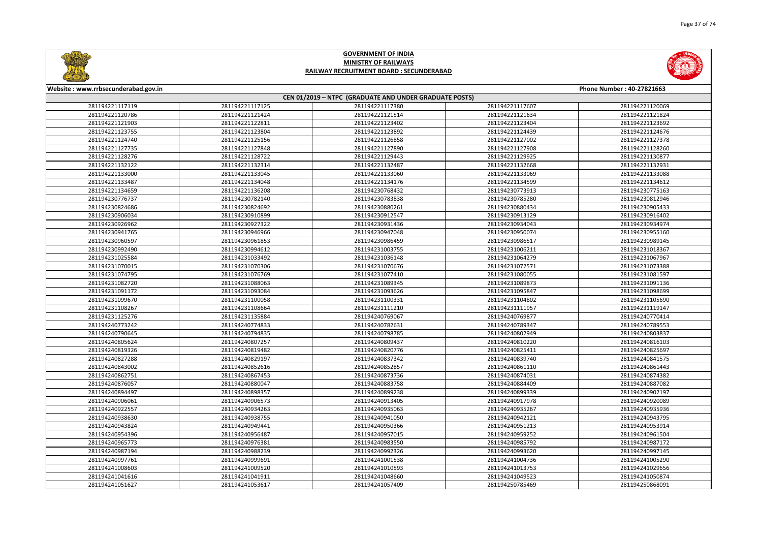



| Website: www.rrbsecunderabad.gov.in |                 |                                                        |                 | Phone Number: 40-27821663 |
|-------------------------------------|-----------------|--------------------------------------------------------|-----------------|---------------------------|
|                                     |                 | CEN 01/2019 - NTPC (GRADUATE AND UNDER GRADUATE POSTS) |                 |                           |
| 281194221117119                     | 281194221117125 | 281194221117380                                        | 281194221117607 | 281194221120069           |
| 281194221120786                     | 281194221121424 | 281194221121514                                        | 281194221121634 | 281194221121824           |
| 281194221121903                     | 281194221122811 | 281194221123402                                        | 281194221123404 | 281194221123692           |
| 281194221123755                     | 281194221123804 | 281194221123892                                        | 281194221124439 | 281194221124676           |
| 281194221124740                     | 281194221125156 | 281194221126858                                        | 281194221127002 | 281194221127378           |
| 281194221127735                     | 281194221127848 | 281194221127890                                        | 281194221127908 | 281194221128260           |
| 281194221128276                     | 281194221128722 | 281194221129443                                        | 281194221129925 | 281194221130877           |
| 281194221132122                     | 281194221132314 | 281194221132487                                        | 281194221132668 | 281194221132931           |
| 281194221133000                     | 281194221133045 | 281194221133060                                        | 281194221133069 | 281194221133088           |
| 281194221133487                     | 281194221134048 | 281194221134176                                        | 281194221134599 | 281194221134612           |
| 281194221134659                     | 281194221136208 | 281194230768432                                        | 281194230773913 | 281194230775163           |
| 281194230776737                     | 281194230782140 | 281194230783838                                        | 281194230785280 | 281194230812946           |
| 281194230824686                     | 281194230824692 | 281194230880261                                        | 281194230880434 | 281194230905433           |
| 281194230906034                     | 281194230910899 | 281194230912547                                        | 281194230913129 | 281194230916402           |
| 281194230926962                     | 281194230927322 | 281194230931436                                        | 281194230934043 | 281194230934974           |
| 281194230941765                     | 281194230946966 | 281194230947048                                        | 281194230950074 | 281194230955160           |
| 281194230960597                     | 281194230961853 | 281194230986459                                        | 281194230986517 | 281194230989145           |
| 281194230992490                     | 281194230994612 | 281194231003755                                        | 281194231006211 | 281194231018367           |
| 281194231025584                     | 281194231033492 | 281194231036148                                        | 281194231064279 | 281194231067967           |
| 281194231070015                     | 281194231070306 | 281194231070676                                        | 281194231072571 | 281194231073388           |
| 281194231074795                     | 281194231076769 | 281194231077410                                        | 281194231080055 | 281194231081597           |
| 281194231082720                     | 281194231088063 | 281194231089345                                        | 281194231089873 | 281194231091136           |
| 281194231091172                     | 281194231093084 | 281194231093626                                        | 281194231095847 | 281194231098699           |
| 281194231099670                     | 281194231100058 | 281194231100331                                        | 281194231104802 | 281194231105690           |
| 281194231108267                     | 281194231108664 | 281194231111210                                        | 281194231111957 | 281194231119147           |
| 281194231125276                     | 281194231135884 | 281194240769067                                        | 281194240769877 | 281194240770414           |
| 281194240773242                     | 281194240774833 | 281194240782631                                        | 281194240789347 | 281194240789553           |
| 281194240790645                     | 281194240794835 | 281194240798785                                        | 281194240802949 | 281194240803837           |
| 281194240805624                     | 281194240807257 | 281194240809437                                        | 281194240810220 | 281194240816103           |
| 281194240819326                     | 281194240819482 | 281194240820776                                        | 281194240825411 | 281194240825697           |
| 281194240827288                     | 281194240829197 | 281194240837342                                        | 281194240839740 | 281194240841575           |
| 281194240843002                     | 281194240852616 | 281194240852857                                        | 281194240861110 | 281194240861443           |
| 281194240862751                     | 281194240867453 | 281194240873736                                        | 281194240874031 | 281194240874382           |
| 281194240876057                     | 281194240880047 | 281194240883758                                        | 281194240884409 | 281194240887082           |
| 281194240894497                     | 281194240898357 | 281194240899238                                        | 281194240899339 | 281194240902197           |
| 281194240906061                     | 281194240906573 | 281194240913405                                        | 281194240917978 | 281194240920089           |
| 281194240922557                     | 281194240934263 | 281194240935063                                        | 281194240935267 | 281194240935936           |
| 281194240938630                     | 281194240938755 | 281194240941050                                        | 281194240942121 | 281194240943795           |
| 281194240943824                     | 281194240949441 | 281194240950366                                        | 281194240951213 | 281194240953914           |
| 281194240954396                     | 281194240956487 | 281194240957015                                        | 281194240959252 | 281194240961504           |
| 281194240965773                     | 281194240976381 | 281194240983550                                        | 281194240985792 | 281194240987172           |
| 281194240987194                     | 281194240988239 | 281194240992326                                        | 281194240993620 | 281194240997145           |
| 281194240997761                     | 281194240999691 | 281194241001538                                        | 281194241004736 | 281194241005290           |
| 281194241008603                     | 281194241009520 | 281194241010593                                        | 281194241013753 | 281194241029656           |
| 281194241041616                     | 281194241041911 | 281194241048660                                        | 281194241049523 | 281194241050874           |
| 281194241051627                     | 281194241053617 | 281194241057409                                        | 281194250785469 | 281194250868091           |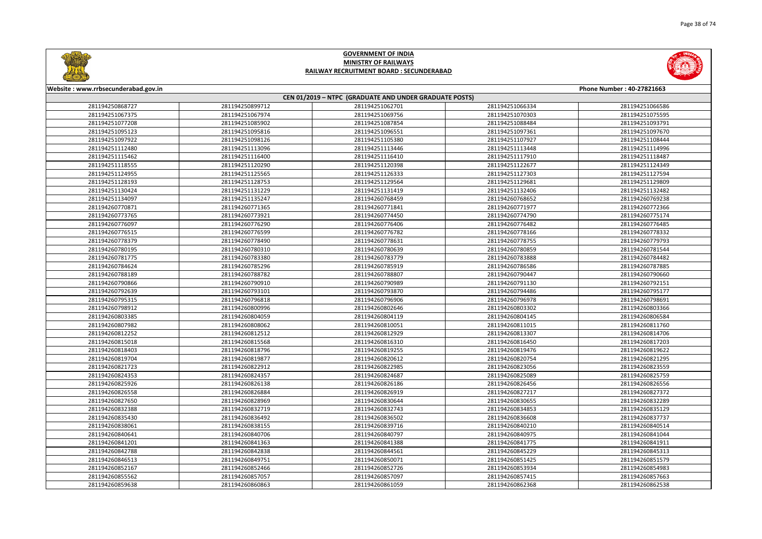



| Website: www.rrbsecunderabad.gov.in |                 |                                                        |                 | Phone Number: 40-27821663 |
|-------------------------------------|-----------------|--------------------------------------------------------|-----------------|---------------------------|
|                                     |                 | CEN 01/2019 - NTPC (GRADUATE AND UNDER GRADUATE POSTS) |                 |                           |
| 281194250868727                     | 281194250899712 | 281194251062701                                        | 281194251066334 | 281194251066586           |
| 281194251067375                     | 281194251067974 | 281194251069756                                        | 281194251070303 | 281194251075595           |
| 281194251077208                     | 281194251085902 | 281194251087854                                        | 281194251088484 | 281194251093791           |
| 281194251095123                     | 281194251095816 | 281194251096551                                        | 281194251097361 | 281194251097670           |
| 281194251097922                     | 281194251098126 | 281194251105380                                        | 281194251107927 | 281194251108444           |
| 281194251112480                     | 281194251113096 | 281194251113446                                        | 281194251113448 | 281194251114996           |
| 281194251115462                     | 281194251116400 | 281194251116410                                        | 281194251117910 | 281194251118487           |
| 281194251118555                     | 281194251120290 | 281194251120398                                        | 281194251122677 | 281194251124349           |
| 281194251124955                     | 281194251125565 | 281194251126333                                        | 281194251127303 | 281194251127594           |
| 281194251128193                     | 281194251128753 | 281194251129564                                        | 281194251129681 | 281194251129809           |
| 281194251130424                     | 281194251131229 | 281194251131419                                        | 281194251132406 | 281194251132482           |
| 281194251134097                     | 281194251135247 | 281194260768459                                        | 281194260768652 | 281194260769238           |
| 281194260770871                     | 281194260771365 | 281194260771841                                        | 281194260771977 | 281194260772366           |
| 281194260773765                     | 281194260773921 | 281194260774450                                        | 281194260774790 | 281194260775174           |
| 281194260776097                     | 281194260776290 | 281194260776406                                        | 281194260776482 | 281194260776485           |
| 281194260776515                     | 281194260776599 | 281194260776782                                        | 281194260778166 | 281194260778332           |
| 281194260778379                     | 281194260778490 | 281194260778631                                        | 281194260778755 | 281194260779793           |
| 281194260780195                     | 281194260780310 | 281194260780639                                        | 281194260780859 | 281194260781544           |
| 281194260781775                     | 281194260783380 | 281194260783779                                        | 281194260783888 | 281194260784482           |
| 281194260784624                     | 281194260785296 | 281194260785919                                        | 281194260786586 | 281194260787885           |
| 281194260788189                     | 281194260788782 | 281194260788807                                        | 281194260790447 | 281194260790660           |
| 281194260790866                     | 281194260790910 | 281194260790989                                        | 281194260791130 | 281194260792151           |
| 281194260792639                     | 281194260793101 | 281194260793870                                        | 281194260794486 | 281194260795177           |
| 281194260795315                     | 281194260796818 | 281194260796906                                        | 281194260796978 | 281194260798691           |
| 281194260798912                     | 281194260800996 | 281194260802646                                        | 281194260803302 | 281194260803366           |
| 281194260803385                     | 281194260804059 | 281194260804119                                        | 281194260804145 | 281194260806584           |
| 281194260807982                     | 281194260808062 | 281194260810051                                        | 281194260811015 | 281194260811760           |
| 281194260812252                     | 281194260812512 | 281194260812929                                        | 281194260813307 | 281194260814706           |
| 281194260815018                     | 281194260815568 | 281194260816310                                        | 281194260816450 | 281194260817203           |
| 281194260818403                     | 281194260818796 | 281194260819255                                        | 281194260819476 | 281194260819622           |
| 281194260819704                     | 281194260819877 | 281194260820612                                        | 281194260820754 | 281194260821295           |
| 281194260821723                     | 281194260822912 | 281194260822985                                        | 281194260823056 | 281194260823559           |
| 281194260824353                     | 281194260824357 | 281194260824687                                        | 281194260825089 | 281194260825759           |
| 281194260825926                     | 281194260826138 | 281194260826186                                        | 281194260826456 | 281194260826556           |
| 281194260826558                     | 281194260826884 | 281194260826919                                        | 281194260827217 | 281194260827372           |
| 281194260827650                     | 281194260828969 | 281194260830644                                        | 281194260830655 | 281194260832289           |
| 281194260832388                     | 281194260832719 | 281194260832743                                        | 281194260834853 | 281194260835129           |
| 281194260835430                     | 281194260836492 | 281194260836502                                        | 281194260836608 | 281194260837737           |
| 281194260838061                     | 281194260838155 | 281194260839716                                        | 281194260840210 | 281194260840514           |
| 281194260840641                     | 281194260840706 | 281194260840797                                        | 281194260840975 | 281194260841044           |
| 281194260841201                     | 281194260841363 | 281194260841388                                        | 281194260841775 | 281194260841911           |
| 281194260842788                     | 281194260842838 | 281194260844561                                        | 281194260845229 | 281194260845313           |
| 281194260846513                     | 281194260849751 | 281194260850071                                        | 281194260851425 | 281194260851579           |
| 281194260852167                     | 281194260852466 | 281194260852726                                        | 281194260853934 | 281194260854983           |
| 281194260855562                     | 281194260857057 | 281194260857097                                        | 281194260857415 | 281194260857663           |
| 281194260859638                     | 281194260860863 | 281194260861059                                        | 281194260862368 | 281194260862538           |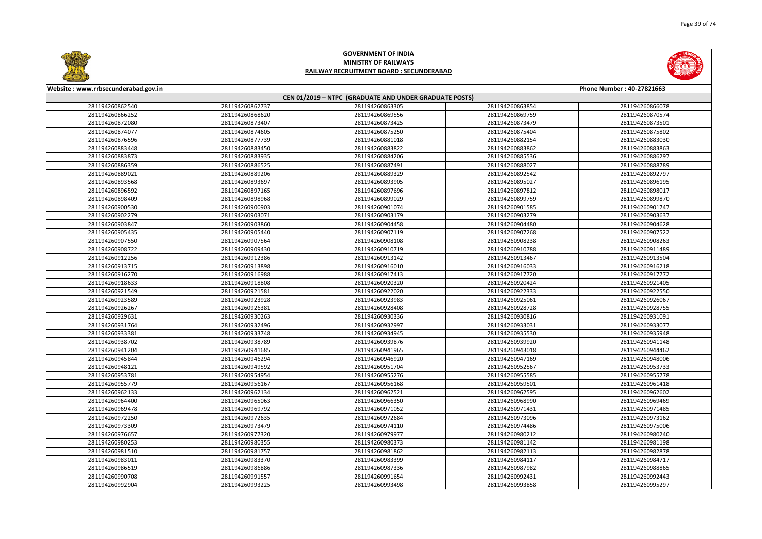



| Website: www.rrbsecunderabad.gov.in |                 |                                                        |                 | Phone Number: 40-27821663 |
|-------------------------------------|-----------------|--------------------------------------------------------|-----------------|---------------------------|
|                                     |                 | CEN 01/2019 - NTPC (GRADUATE AND UNDER GRADUATE POSTS) |                 |                           |
| 281194260862540                     | 281194260862737 | 281194260863305                                        | 281194260863854 | 281194260866078           |
| 281194260866252                     | 281194260868620 | 281194260869556                                        | 281194260869759 | 281194260870574           |
| 281194260872080                     | 281194260873407 | 281194260873425                                        | 281194260873479 | 281194260873501           |
| 281194260874077                     | 281194260874605 | 281194260875250                                        | 281194260875404 | 281194260875802           |
| 281194260876596                     | 281194260877739 | 281194260881018                                        | 281194260882154 | 281194260883030           |
| 281194260883448                     | 281194260883450 | 281194260883822                                        | 281194260883862 | 281194260883863           |
| 281194260883873                     | 281194260883935 | 281194260884206                                        | 281194260885536 | 281194260886297           |
| 281194260886359                     | 281194260886525 | 281194260887491                                        | 281194260888027 | 281194260888789           |
| 281194260889021                     | 281194260889206 | 281194260889329                                        | 281194260892542 | 281194260892797           |
| 281194260893568                     | 281194260893697 | 281194260893905                                        | 281194260895027 | 281194260896195           |
| 281194260896592                     | 281194260897165 | 281194260897696                                        | 281194260897812 | 281194260898017           |
| 281194260898409                     | 281194260898968 | 281194260899029                                        | 281194260899759 | 281194260899870           |
| 281194260900530                     | 281194260900903 | 281194260901074                                        | 281194260901585 | 281194260901747           |
| 281194260902279                     | 281194260903071 | 281194260903179                                        | 281194260903279 | 281194260903637           |
| 281194260903847                     | 281194260903860 | 281194260904458                                        | 281194260904480 | 281194260904628           |
| 281194260905435                     | 281194260905440 | 281194260907119                                        | 281194260907268 | 281194260907522           |
| 281194260907550                     | 281194260907564 | 281194260908108                                        | 281194260908238 | 281194260908263           |
| 281194260908722                     | 281194260909430 | 281194260910719                                        | 281194260910788 | 281194260911489           |
| 281194260912256                     | 281194260912386 | 281194260913142                                        | 281194260913467 | 281194260913504           |
| 281194260913715                     | 281194260913898 | 281194260916010                                        | 281194260916033 | 281194260916218           |
| 281194260916270                     | 281194260916988 | 281194260917413                                        | 281194260917720 | 281194260917772           |
| 281194260918633                     | 281194260918808 | 281194260920320                                        | 281194260920424 | 281194260921405           |
| 281194260921549                     | 281194260921581 | 281194260922020                                        | 281194260922333 | 281194260922550           |
| 281194260923589                     | 281194260923928 | 281194260923983                                        | 281194260925061 | 281194260926067           |
| 281194260926267                     | 281194260926381 | 281194260928408                                        | 281194260928728 | 281194260928755           |
| 281194260929631                     | 281194260930263 | 281194260930336                                        | 281194260930816 | 281194260931091           |
| 281194260931764                     | 281194260932496 | 281194260932997                                        | 281194260933031 | 281194260933077           |
| 281194260933381                     | 281194260933748 | 281194260934945                                        | 281194260935530 | 281194260935948           |
| 281194260938702                     | 281194260938789 | 281194260939876                                        | 281194260939920 | 281194260941148           |
| 281194260941204                     | 281194260941685 | 281194260941965                                        | 281194260943018 | 281194260944462           |
| 281194260945844                     | 281194260946294 | 281194260946920                                        | 281194260947169 | 281194260948006           |
| 281194260948121                     | 281194260949592 | 281194260951704                                        | 281194260952567 | 281194260953733           |
| 281194260953781                     | 281194260954954 | 281194260955276                                        | 281194260955585 | 281194260955778           |
| 281194260955779                     | 281194260956167 | 281194260956168                                        | 281194260959501 | 281194260961418           |
| 281194260962133                     | 281194260962134 | 281194260962521                                        | 281194260962595 | 281194260962602           |
| 281194260964400                     | 281194260965063 | 281194260966350                                        | 281194260968990 | 281194260969469           |
| 281194260969478                     | 281194260969792 | 281194260971052                                        | 281194260971431 | 281194260971485           |
| 281194260972250                     | 281194260972635 | 281194260972684                                        | 281194260973096 | 281194260973162           |
| 281194260973309                     | 281194260973479 | 281194260974110                                        | 281194260974486 | 281194260975006           |
| 281194260976657                     | 281194260977320 | 281194260979977                                        | 281194260980212 | 281194260980240           |
| 281194260980253                     | 281194260980355 | 281194260980373                                        | 281194260981142 | 281194260981198           |
| 281194260981510                     | 281194260981757 | 281194260981862                                        | 281194260982113 | 281194260982878           |
| 281194260983011                     | 281194260983370 | 281194260983399                                        | 281194260984117 | 281194260984717           |
| 281194260986519                     | 281194260986886 | 281194260987336                                        | 281194260987982 | 281194260988865           |
| 281194260990708                     | 281194260991557 | 281194260991654                                        | 281194260992431 | 281194260992443           |
| 281194260992904                     | 281194260993225 | 281194260993498                                        | 281194260993858 | 281194260995297           |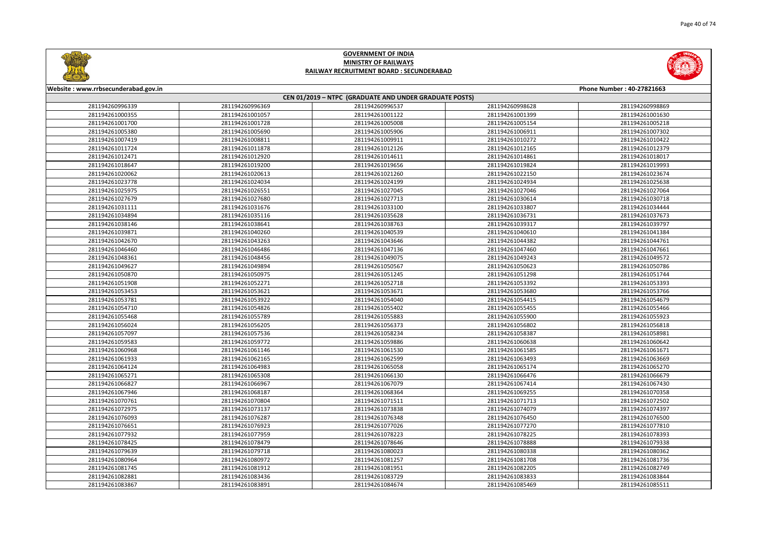

|       | Phone Number: 40-27821663 |
|-------|---------------------------|
|       |                           |
| 98628 | 281194260998869           |
| 01399 | 281194261001630           |
| 05154 | 281194261005218           |
| 06911 | 281194261007302           |
| 10272 | 281194261010422           |
| 12165 | 281194261012379           |
| 14861 | 281194261018017           |
| 19824 | 281194261019993           |
| 22150 | 281194261023674           |
| 24934 | 281194261025638           |
| 27046 | 281194261027064           |
| 30614 | 281194261030718           |
| 33807 | 281194261034444           |
| 36731 | 281194261037673           |
| 39317 | 281194261039797           |
| 10610 | 281194261041384           |
| 14382 | 281194261044761           |
| 47460 | 281194261047661           |
| 19243 | 281194261049572           |
| 50623 | 281194261050786           |
| 51298 | 281194261051744           |
| 53392 | 281194261053393           |
| 53680 | 281194261053766           |
| 54415 | 281194261054679           |
| 55455 | 281194261055466           |
| 55900 | 281194261055923           |
| 56802 | 281194261056818           |
| 58387 | 281194261058981           |
| 50638 | 281194261060642           |
| 51585 | 281194261061671           |
| 53493 | 281194261063669           |
| 55174 | 281194261065270           |
| 56476 | 281194261066679           |
| 57414 | 281194261067430           |
| 59255 | 281194261070358           |
| 71713 | 281194261072502           |
| 74079 | 281194261074397           |
| 76450 | 281194261076500           |
| 77270 | 281194261077810           |
| 78225 | 281194261078393           |
| 78888 | 281194261079338           |
| 30338 | 281194261080362           |
| 31708 | 281194261081736           |
| 32205 | 281194261082749           |
| 33833 | 281194261083844           |
| 35469 | 281194261085511           |
|       |                           |



#### **Website : www.rrbsecunderabad.gov.in CEN 01/2019 – NTPC (GRADUATE AND UNDER GRADUATE POSTS)** 281194260996369 281194260996537 281194260998628 281194260998869 281194261001057 281194261001122 281194261001399 281194261001630 281194261001728 281194261005008 281194261005154 281194261005218 281194261005690 281194261005906 281194261006911 281194261007302 281194261008811 281194261009911 281194261010272 281194261010422 281194261011878 281194261012126 281194261012165 281194261012379 281194261012920 281194261014611 281194261014861 281194261018017 281194261019200 281194261019656 281194261019824 281194261019993 281194261020613 281194261021260 281194261022150 281194261023674 281194261024034 281194261024199 281194261024934 281194261025638 281194261026551 281194261027045 281194261027046 281194261027064 281194261027680 281194261027713 281194261030614 281194261030718 281194261031676 281194261033100 281194261033807 281194261034444 281194261035116 281194261035628 281194261036731 281194261037673 281194261038641 281194261038763 281194261039317 281194261039797 281194261040260 281194261040539 281194261040610 281194261041384 281194261043263 281194261043646 281194261044382 281194261044761 281194261046486 281194261047136 281194261047460 281194261047661 281194261048456 281194261049075 281194261049243 281194261049572 281194261049894 281194261050567 281194261050623 281194261050786 281194261050975 281194261051245 281194261051298 281194261051744 281194261052271 281194261052718 281194261053392 281194261053393 281194261053621 281194261053671 281194261053680 281194261053766 281194261053922 281194261054040 281194261054415 281194261054679 281194261054826 281194261055402 281194261055455 281194261055466 281194261055789 281194261055883 281194261055900 281194261055923 281194261056205 281194261056373 281194261056802 281194261056818 281194261057536 281194261058234 281194261058387 281194261058981 281194261059772 281194261059886 281194261060638 281194261060642 281194261061146 281194261061530 281194261061585 281194261061671 281194261062165 281194261062599 281194261063493 281194261063669 281194261064983 281194261065058 281194261065174 281194261065270 281194261065308 281194261066130 281194261066476 281194261066679 281194261066967 281194261067079 281194261067414 281194261067430 281194261068187 281194261068364 281194261069255 281194261070358 281194261070804 281194261071511 281194261071713 281194261072502 281194261073137 281194261073838 281194261074079 281194261074397 281194261076287 281194261076348 281194261076450 281194261076500 281194261076923 281194261077026 281194261077270 281194261077810 281194261077959 281194261078223 281194261078225 281194261078393 281194261078479 281194261078646 281194261078888 281194261079338 281194261079718 281194261080023 281194261080338 281194261080362 281194261080972 281194261081257 281194261081708 281194261081736 281194261081912 281194261081951 281194261082205 281194261082749 281194261083436 281194261083729 281194261083833 281194261083844 281194261083891 281194261084674 281194261085469 281194261085511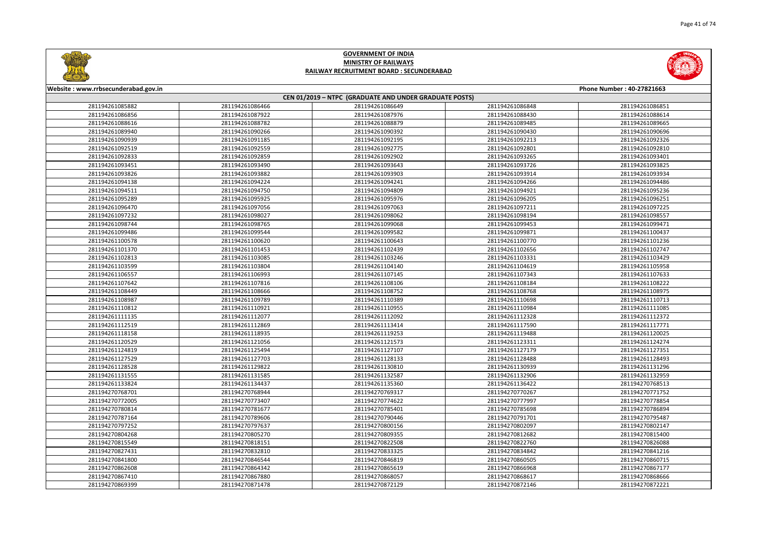



| Website: www.rrbsecunderabad.gov.in | Phone Number: 40-27821663 |                                                        |                 |                 |  |  |
|-------------------------------------|---------------------------|--------------------------------------------------------|-----------------|-----------------|--|--|
|                                     |                           | CEN 01/2019 - NTPC (GRADUATE AND UNDER GRADUATE POSTS) |                 |                 |  |  |
| 281194261085882                     | 281194261086466           | 281194261086649                                        | 281194261086848 | 281194261086851 |  |  |
| 281194261086856                     | 281194261087922           | 281194261087976                                        | 281194261088430 | 281194261088614 |  |  |
| 281194261088616                     | 281194261088782           | 281194261088879                                        | 281194261089485 | 281194261089665 |  |  |
| 281194261089940                     | 281194261090266           | 281194261090392                                        | 281194261090430 | 281194261090696 |  |  |
| 281194261090939                     | 281194261091185           | 281194261092195                                        | 281194261092213 | 281194261092326 |  |  |
| 281194261092519                     | 281194261092559           | 281194261092775                                        | 281194261092801 | 281194261092810 |  |  |
| 281194261092833                     | 281194261092859           | 281194261092902                                        | 281194261093265 | 281194261093401 |  |  |
| 281194261093451                     | 281194261093490           | 281194261093643                                        | 281194261093726 | 281194261093825 |  |  |
| 281194261093826                     | 281194261093882           | 281194261093903                                        | 281194261093914 | 281194261093934 |  |  |
| 281194261094138                     | 281194261094224           | 281194261094241                                        | 281194261094266 | 281194261094486 |  |  |
| 281194261094511                     | 281194261094750           | 281194261094809                                        | 281194261094921 | 281194261095236 |  |  |
| 281194261095289                     | 281194261095925           | 281194261095976                                        | 281194261096205 | 281194261096251 |  |  |
| 281194261096470                     | 281194261097056           | 281194261097063                                        | 281194261097211 | 281194261097225 |  |  |
| 281194261097232                     | 281194261098027           | 281194261098062                                        | 281194261098194 | 281194261098557 |  |  |
| 281194261098744                     | 281194261098765           | 281194261099068                                        | 281194261099453 | 281194261099471 |  |  |
| 281194261099486                     | 281194261099544           | 281194261099582                                        | 281194261099871 | 281194261100437 |  |  |
| 281194261100578                     | 281194261100620           | 281194261100643                                        | 281194261100770 | 281194261101236 |  |  |
| 281194261101370                     | 281194261101453           | 281194261102439                                        | 281194261102656 | 281194261102747 |  |  |
| 281194261102813                     | 281194261103085           | 281194261103246                                        | 281194261103331 | 281194261103429 |  |  |
| 281194261103599                     | 281194261103804           | 281194261104140                                        | 281194261104619 | 281194261105958 |  |  |
| 281194261106557                     | 281194261106993           | 281194261107145                                        | 281194261107343 | 281194261107633 |  |  |
| 281194261107642                     | 281194261107816           | 281194261108106                                        | 281194261108184 | 281194261108222 |  |  |
| 281194261108449                     | 281194261108666           | 281194261108752                                        | 281194261108768 | 281194261108975 |  |  |
| 281194261108987                     | 281194261109789           | 281194261110389                                        | 281194261110698 | 281194261110713 |  |  |
| 281194261110812                     | 281194261110921           | 281194261110955                                        | 281194261110984 | 281194261111085 |  |  |
| 281194261111135                     | 281194261112077           | 281194261112092                                        | 281194261112328 | 281194261112372 |  |  |
| 281194261112519                     | 281194261112869           | 281194261113414                                        | 281194261117590 | 281194261117771 |  |  |
| 281194261118158                     | 281194261118935           | 281194261119253                                        | 281194261119488 | 281194261120025 |  |  |
| 281194261120529                     | 281194261121056           | 281194261121573                                        | 281194261123311 | 281194261124274 |  |  |
| 281194261124819                     | 281194261125494           | 281194261127107                                        | 281194261127179 | 281194261127351 |  |  |
| 281194261127529                     | 281194261127703           | 281194261128133                                        | 281194261128488 | 281194261128493 |  |  |
| 281194261128528                     | 281194261129822           | 281194261130810                                        | 281194261130939 | 281194261131296 |  |  |
| 281194261131555                     | 281194261131585           | 281194261132587                                        | 281194261132906 | 281194261132959 |  |  |
| 281194261133824                     | 281194261134437           | 281194261135360                                        | 281194261136422 | 281194270768513 |  |  |
| 281194270768701                     | 281194270768944           | 281194270769317                                        | 281194270770267 | 281194270771752 |  |  |
| 281194270772005                     | 281194270773407           | 281194270774622                                        | 281194270777997 | 281194270778854 |  |  |
| 281194270780814                     | 281194270781677           | 281194270785401                                        | 281194270785698 | 281194270786894 |  |  |
| 281194270787164                     | 281194270789606           | 281194270790446                                        | 281194270791701 | 281194270795487 |  |  |
| 281194270797252                     | 281194270797637           | 281194270800156                                        | 281194270802097 | 281194270802147 |  |  |
| 281194270804268                     | 281194270805270           | 281194270809355                                        | 281194270812682 | 281194270815400 |  |  |
| 281194270815549                     | 281194270818151           | 281194270822508                                        | 281194270822760 | 281194270826088 |  |  |
| 281194270827431                     | 281194270832810           | 281194270833325                                        | 281194270834842 | 281194270841216 |  |  |
| 281194270841800                     | 281194270846544           | 281194270846819                                        | 281194270860505 | 281194270860715 |  |  |
| 281194270862608                     | 281194270864342           | 281194270865619                                        | 281194270866968 | 281194270867177 |  |  |
| 281194270867410                     | 281194270867880           | 281194270868057                                        | 281194270868617 | 281194270868666 |  |  |
| 281194270869399                     | 281194270871478           | 281194270872129                                        | 281194270872146 | 281194270872221 |  |  |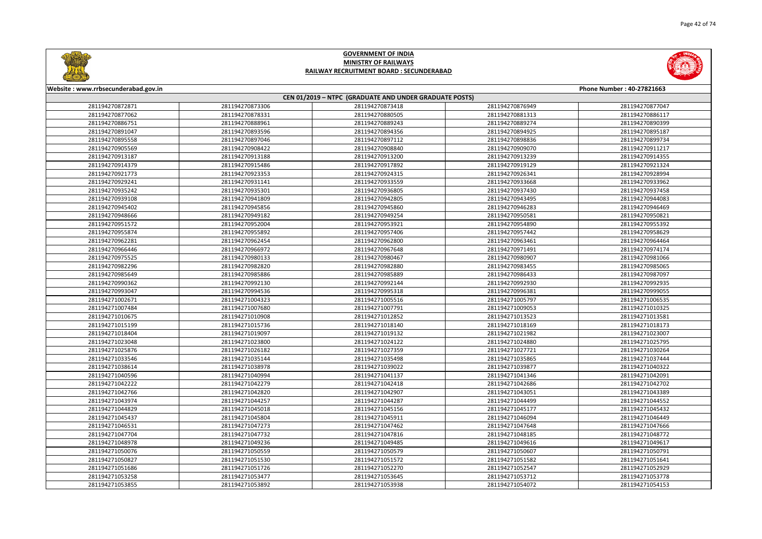



| Website: www.rrbsecunderabad.gov.in |                 |                                                        |                 | Phone Number: 40-27821663 |  |
|-------------------------------------|-----------------|--------------------------------------------------------|-----------------|---------------------------|--|
|                                     |                 | CEN 01/2019 - NTPC (GRADUATE AND UNDER GRADUATE POSTS) |                 |                           |  |
| 281194270872871                     | 281194270873306 | 281194270873418                                        | 281194270876949 | 281194270877047           |  |
| 281194270877062                     | 281194270878331 | 281194270880505                                        | 281194270881313 | 281194270886117           |  |
| 281194270886751                     | 281194270888961 | 281194270889243                                        | 281194270889274 | 281194270890399           |  |
| 281194270891047                     | 281194270893596 | 281194270894356                                        | 281194270894925 | 281194270895187           |  |
| 281194270895558                     | 281194270897046 | 281194270897112                                        | 281194270898836 | 281194270899734           |  |
| 281194270905569                     | 281194270908422 | 281194270908840                                        | 281194270909070 | 281194270911217           |  |
| 281194270913187                     | 281194270913188 | 281194270913200                                        | 281194270913239 | 281194270914355           |  |
| 281194270914379                     | 281194270915486 | 281194270917892                                        | 281194270919129 | 281194270921324           |  |
| 281194270921773                     | 281194270923353 | 281194270924315                                        | 281194270926341 | 281194270928994           |  |
| 281194270929241                     | 281194270931141 | 281194270933559                                        | 281194270933668 | 281194270933962           |  |
| 281194270935242                     | 281194270935301 | 281194270936805                                        | 281194270937430 | 281194270937458           |  |
| 281194270939108                     | 281194270941809 | 281194270942805                                        | 281194270943495 | 281194270944083           |  |
| 281194270945402                     | 281194270945856 | 281194270945860                                        | 281194270946283 | 281194270946469           |  |
| 281194270948666                     | 281194270949182 | 281194270949254                                        | 281194270950581 | 281194270950821           |  |
| 281194270951572                     | 281194270952004 | 281194270953921                                        | 281194270954890 | 281194270955392           |  |
| 281194270955874                     | 281194270955892 | 281194270957406                                        | 281194270957442 | 281194270958629           |  |
| 281194270962281                     | 281194270962454 | 281194270962800                                        | 281194270963461 | 281194270964464           |  |
| 281194270966446                     | 281194270966972 | 281194270967648                                        | 281194270971491 | 281194270974174           |  |
| 281194270975525                     | 281194270980133 | 281194270980467                                        | 281194270980907 | 281194270981066           |  |
| 281194270982296                     | 281194270982820 | 281194270982880                                        | 281194270983455 | 281194270985065           |  |
| 281194270985649                     | 281194270985886 | 281194270985889                                        | 281194270986433 | 281194270987097           |  |
| 281194270990362                     | 281194270992130 | 281194270992144                                        | 281194270992930 | 281194270992935           |  |
| 281194270993047                     | 281194270994536 | 281194270995318                                        | 281194270996381 | 281194270999055           |  |
| 281194271002671                     | 281194271004323 | 281194271005516                                        | 281194271005797 | 281194271006535           |  |
| 281194271007484                     | 281194271007680 | 281194271007791                                        | 281194271009053 | 281194271010325           |  |
| 281194271010675                     | 281194271010908 | 281194271012852                                        | 281194271013523 | 281194271013581           |  |
| 281194271015199                     | 281194271015736 | 281194271018140                                        | 281194271018169 | 281194271018173           |  |
| 281194271018404                     | 281194271019097 | 281194271019132                                        | 281194271021982 | 281194271023007           |  |
| 281194271023048                     | 281194271023800 | 281194271024122                                        | 281194271024880 | 281194271025795           |  |
| 281194271025876                     | 281194271026182 | 281194271027359                                        | 281194271027721 | 281194271030264           |  |
| 281194271033546                     | 281194271035144 | 281194271035498                                        | 281194271035865 | 281194271037444           |  |
| 281194271038614                     | 281194271038978 | 281194271039022                                        | 281194271039877 | 281194271040322           |  |
| 281194271040596                     | 281194271040994 | 281194271041137                                        | 281194271041346 | 281194271042091           |  |
| 281194271042222                     | 281194271042279 | 281194271042418                                        | 281194271042686 | 281194271042702           |  |
| 281194271042766                     | 281194271042820 | 281194271042907                                        | 281194271043051 | 281194271043389           |  |
| 281194271043974                     | 281194271044257 | 281194271044287                                        | 281194271044499 | 281194271044552           |  |
| 281194271044829                     | 281194271045018 | 281194271045156                                        | 281194271045177 | 281194271045432           |  |
| 281194271045437                     | 281194271045804 | 281194271045911                                        | 281194271046094 | 281194271046449           |  |
| 281194271046531                     | 281194271047273 | 281194271047462                                        | 281194271047648 | 281194271047666           |  |
| 281194271047704                     | 281194271047732 | 281194271047816                                        | 281194271048185 | 281194271048772           |  |
| 281194271048978                     | 281194271049236 | 281194271049485                                        | 281194271049616 | 281194271049617           |  |
| 281194271050076                     | 281194271050559 | 281194271050579                                        | 281194271050607 | 281194271050791           |  |
| 281194271050827                     | 281194271051530 | 281194271051572                                        | 281194271051582 | 281194271051641           |  |
| 281194271051686                     | 281194271051726 | 281194271052270                                        | 281194271052547 | 281194271052929           |  |
| 281194271053258                     | 281194271053477 | 281194271053645                                        | 281194271053712 | 281194271053778           |  |
| 281194271053855                     | 281194271053892 | 281194271053938                                        | 281194271054072 | 281194271054153           |  |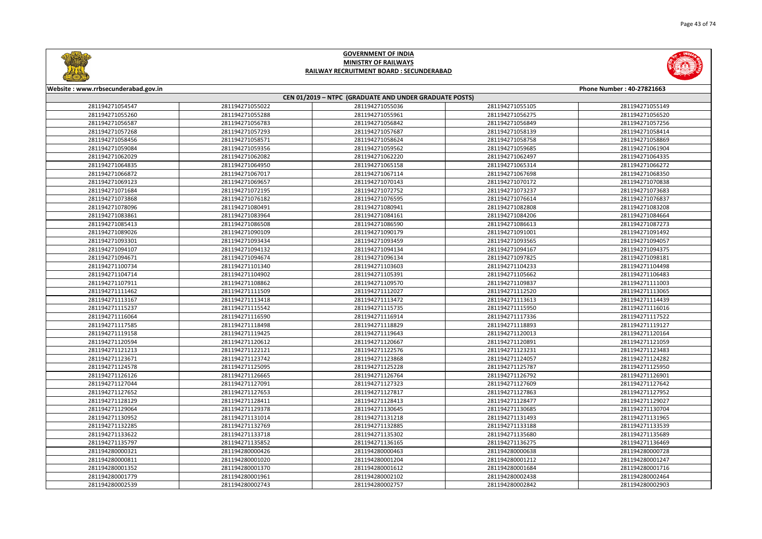



| Website: www.rrbsecunderabad.gov.in<br>Phone Number: 40-27821663 |                 |                                                        |                 |                 |
|------------------------------------------------------------------|-----------------|--------------------------------------------------------|-----------------|-----------------|
|                                                                  |                 | CEN 01/2019 - NTPC (GRADUATE AND UNDER GRADUATE POSTS) |                 |                 |
| 281194271054547                                                  | 281194271055022 | 281194271055036                                        | 281194271055105 | 281194271055149 |
| 281194271055260                                                  | 281194271055288 | 281194271055961                                        | 281194271056275 | 281194271056520 |
| 281194271056587                                                  | 281194271056783 | 281194271056842                                        | 281194271056849 | 281194271057256 |
| 281194271057268                                                  | 281194271057293 | 281194271057687                                        | 281194271058139 | 281194271058414 |
| 281194271058456                                                  | 281194271058571 | 281194271058624                                        | 281194271058758 | 281194271058869 |
| 281194271059084                                                  | 281194271059356 | 281194271059562                                        | 281194271059685 | 281194271061904 |
| 281194271062029                                                  | 281194271062082 | 281194271062220                                        | 281194271062497 | 281194271064335 |
| 281194271064835                                                  | 281194271064950 | 281194271065158                                        | 281194271065314 | 281194271066272 |
| 281194271066872                                                  | 281194271067017 | 281194271067114                                        | 281194271067698 | 281194271068350 |
| 281194271069123                                                  | 281194271069657 | 281194271070143                                        | 281194271070172 | 281194271070838 |
| 281194271071684                                                  | 281194271072195 | 281194271072752                                        | 281194271073237 | 281194271073683 |
| 281194271073868                                                  | 281194271076182 | 281194271076595                                        | 281194271076614 | 281194271076837 |
| 281194271078096                                                  | 281194271080491 | 281194271080941                                        | 281194271082808 | 281194271083208 |
| 281194271083861                                                  | 281194271083964 | 281194271084161                                        | 281194271084206 | 281194271084664 |
| 281194271085413                                                  | 281194271086508 | 281194271086590                                        | 281194271086613 | 281194271087273 |
| 281194271089026                                                  | 281194271090109 | 281194271090179                                        | 281194271091001 | 281194271091492 |
| 281194271093301                                                  | 281194271093434 | 281194271093459                                        | 281194271093565 | 281194271094057 |
| 281194271094107                                                  | 281194271094132 | 281194271094134                                        | 281194271094167 | 281194271094375 |
| 281194271094671                                                  | 281194271094674 | 281194271096134                                        | 281194271097825 | 281194271098181 |
| 281194271100734                                                  | 281194271101340 | 281194271103603                                        | 281194271104233 | 281194271104498 |
| 281194271104714                                                  | 281194271104902 | 281194271105391                                        | 281194271105662 | 281194271106483 |
| 281194271107911                                                  | 281194271108862 | 281194271109570                                        | 281194271109837 | 281194271111003 |
| 281194271111462                                                  | 281194271111509 | 281194271112027                                        | 281194271112520 | 281194271113065 |
| 281194271113167                                                  | 281194271113418 | 281194271113472                                        | 281194271113613 | 281194271114439 |
| 281194271115237                                                  | 281194271115542 | 281194271115735                                        | 281194271115950 | 281194271116016 |
| 281194271116064                                                  | 281194271116590 | 281194271116914                                        | 281194271117336 | 281194271117522 |
| 281194271117585                                                  | 281194271118498 | 281194271118829                                        | 281194271118893 | 281194271119127 |
| 281194271119158                                                  | 281194271119425 | 281194271119643                                        | 281194271120013 | 281194271120164 |
| 281194271120594                                                  | 281194271120612 | 281194271120667                                        | 281194271120891 | 281194271121059 |
| 281194271121213                                                  | 281194271122121 | 281194271122576                                        | 281194271123231 | 281194271123483 |
| 281194271123671                                                  | 281194271123742 | 281194271123868                                        | 281194271124057 | 281194271124282 |
| 281194271124578                                                  | 281194271125095 | 281194271125228                                        | 281194271125787 | 281194271125950 |
| 281194271126126                                                  | 281194271126665 | 281194271126764                                        | 281194271126792 | 281194271126901 |
| 281194271127044                                                  | 281194271127091 | 281194271127323                                        | 281194271127609 | 281194271127642 |
| 281194271127652                                                  | 281194271127653 | 281194271127817                                        | 281194271127863 | 281194271127952 |
| 281194271128129                                                  | 281194271128411 | 281194271128413                                        | 281194271128477 | 281194271129027 |
| 281194271129064                                                  | 281194271129378 | 281194271130645                                        | 281194271130685 | 281194271130704 |
| 281194271130952                                                  | 281194271131014 | 281194271131218                                        | 281194271131493 | 281194271131965 |
| 281194271132285                                                  | 281194271132769 | 281194271132885                                        | 281194271133188 | 281194271133539 |
| 281194271133622                                                  | 281194271133718 | 281194271135302                                        | 281194271135680 | 281194271135689 |
| 281194271135797                                                  | 281194271135852 | 281194271136165                                        | 281194271136275 | 281194271136469 |
| 281194280000321                                                  | 281194280000426 | 281194280000463                                        | 281194280000638 | 281194280000728 |
| 281194280000811                                                  | 281194280001020 | 281194280001204                                        | 281194280001212 | 281194280001247 |
| 281194280001352                                                  | 281194280001370 | 281194280001612                                        | 281194280001684 | 281194280001716 |
| 281194280001779                                                  | 281194280001961 | 281194280002102                                        | 281194280002438 | 281194280002464 |
| 281194280002539                                                  | 281194280002743 | 281194280002757                                        | 281194280002842 | 281194280002903 |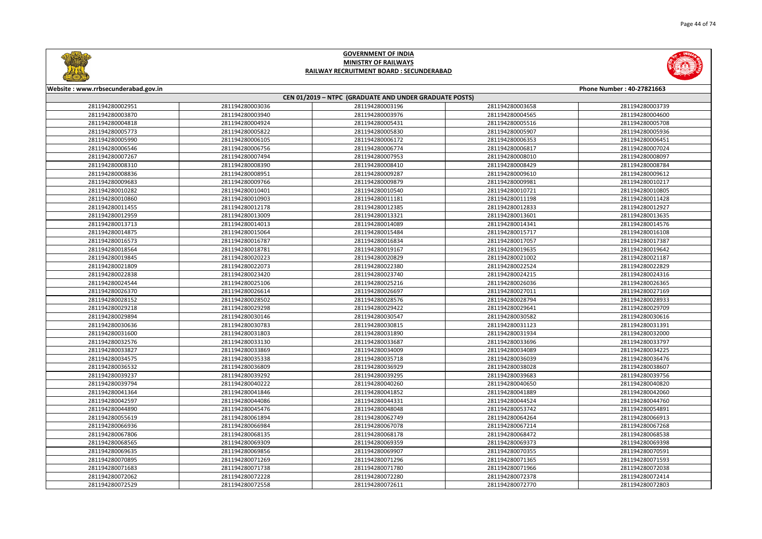



| Website: www.rrbsecunderabad.gov.in |                 |                                                        |                 | Phone Number: 40-27821663 |
|-------------------------------------|-----------------|--------------------------------------------------------|-----------------|---------------------------|
|                                     |                 | CEN 01/2019 - NTPC (GRADUATE AND UNDER GRADUATE POSTS) |                 |                           |
| 281194280002951                     | 281194280003036 | 281194280003196                                        | 281194280003658 | 281194280003739           |
| 281194280003870                     | 281194280003940 | 281194280003976                                        | 281194280004565 | 281194280004600           |
| 281194280004818                     | 281194280004924 | 281194280005431                                        | 281194280005516 | 281194280005708           |
| 281194280005773                     | 281194280005822 | 281194280005830                                        | 281194280005907 | 281194280005936           |
| 281194280005990                     | 281194280006105 | 281194280006172                                        | 281194280006353 | 281194280006451           |
| 281194280006546                     | 281194280006756 | 281194280006774                                        | 281194280006817 | 281194280007024           |
| 281194280007267                     | 281194280007494 | 281194280007953                                        | 281194280008010 | 281194280008097           |
| 281194280008310                     | 281194280008390 | 281194280008410                                        | 281194280008429 | 281194280008784           |
| 281194280008836                     | 281194280008951 | 281194280009287                                        | 281194280009610 | 281194280009612           |
| 281194280009683                     | 281194280009766 | 281194280009879                                        | 281194280009981 | 281194280010217           |
| 281194280010282                     | 281194280010401 | 281194280010540                                        | 281194280010721 | 281194280010805           |
| 281194280010860                     | 281194280010903 | 281194280011181                                        | 281194280011198 | 281194280011428           |
| 281194280011455                     | 281194280012178 | 281194280012385                                        | 281194280012833 | 281194280012927           |
| 281194280012959                     | 281194280013009 | 281194280013321                                        | 281194280013601 | 281194280013635           |
| 281194280013713                     | 281194280014013 | 281194280014089                                        | 281194280014341 | 281194280014576           |
| 281194280014875                     | 281194280015064 | 281194280015484                                        | 281194280015717 | 281194280016108           |
| 281194280016573                     | 281194280016787 | 281194280016834                                        | 281194280017057 | 281194280017387           |
| 281194280018564                     | 281194280018781 | 281194280019167                                        | 281194280019635 | 281194280019642           |
| 281194280019845                     | 281194280020223 | 281194280020829                                        | 281194280021002 | 281194280021187           |
| 281194280021809                     | 281194280022073 | 281194280022380                                        | 281194280022524 | 281194280022829           |
| 281194280022838                     | 281194280023420 | 281194280023740                                        | 281194280024215 | 281194280024316           |
| 281194280024544                     | 281194280025106 | 281194280025216                                        | 281194280026036 | 281194280026365           |
| 281194280026370                     | 281194280026614 | 281194280026697                                        | 281194280027011 | 281194280027169           |
| 281194280028152                     | 281194280028502 | 281194280028576                                        | 281194280028794 | 281194280028933           |
| 281194280029218                     | 281194280029298 | 281194280029422                                        | 281194280029641 | 281194280029709           |
| 281194280029894                     | 281194280030146 | 281194280030547                                        | 281194280030582 | 281194280030616           |
| 281194280030636                     | 281194280030783 | 281194280030815                                        | 281194280031123 | 281194280031391           |
| 281194280031600                     | 281194280031803 | 281194280031890                                        | 281194280031934 | 281194280032000           |
| 281194280032576                     | 281194280033130 | 281194280033687                                        | 281194280033696 | 281194280033797           |
| 281194280033827                     | 281194280033869 | 281194280034009                                        | 281194280034089 | 281194280034225           |
| 281194280034575                     | 281194280035338 | 281194280035718                                        | 281194280036039 | 281194280036476           |
| 281194280036532                     | 281194280036809 | 281194280036929                                        | 281194280038028 | 281194280038607           |
| 281194280039237                     | 281194280039292 | 281194280039295                                        | 281194280039683 | 281194280039756           |
| 281194280039794                     | 281194280040222 | 281194280040260                                        | 281194280040650 | 281194280040820           |
| 281194280041364                     | 281194280041846 | 281194280041852                                        | 281194280041889 | 281194280042060           |
| 281194280042597                     | 281194280044086 | 281194280044331                                        | 281194280044524 | 281194280044760           |
| 281194280044890                     | 281194280045476 | 281194280048048                                        | 281194280053742 | 281194280054891           |
| 281194280055619                     | 281194280061894 | 281194280062749                                        | 281194280064264 | 281194280066913           |
| 281194280066936                     | 281194280066984 | 281194280067078                                        | 281194280067214 | 281194280067268           |
| 281194280067806                     | 281194280068135 | 281194280068178                                        | 281194280068472 | 281194280068538           |
| 281194280068565                     | 281194280069309 | 281194280069359                                        | 281194280069373 | 281194280069398           |
| 281194280069635                     | 281194280069856 | 281194280069907                                        | 281194280070355 | 281194280070591           |
| 281194280070895                     | 281194280071269 | 281194280071296                                        | 281194280071365 | 281194280071593           |
| 281194280071683                     | 281194280071738 | 281194280071780                                        | 281194280071966 | 281194280072038           |
| 281194280072062                     | 281194280072228 | 281194280072280                                        | 281194280072378 | 281194280072414           |
| 281194280072529                     | 281194280072558 | 281194280072611                                        | 281194280072770 | 281194280072803           |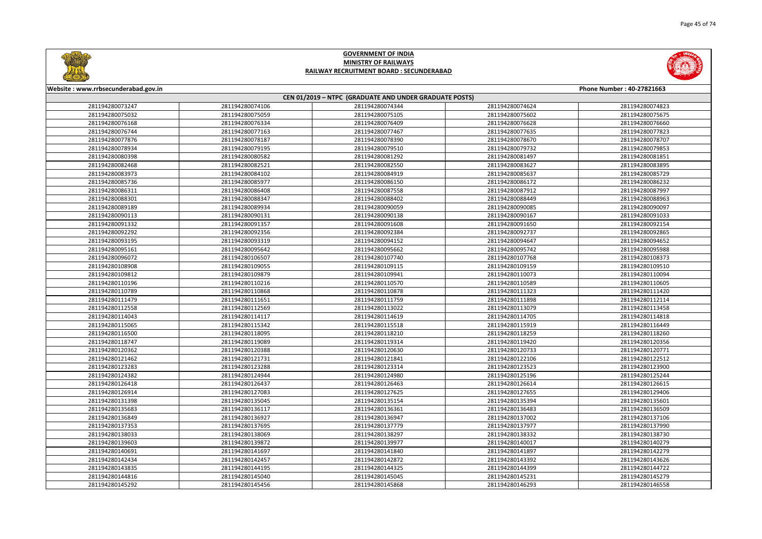



| Website: www.rrbsecunderabad.gov.in |                 |                                                        |                 | Phone Number: 40-27821663 |
|-------------------------------------|-----------------|--------------------------------------------------------|-----------------|---------------------------|
|                                     |                 | CEN 01/2019 - NTPC (GRADUATE AND UNDER GRADUATE POSTS) |                 |                           |
| 281194280073247                     | 281194280074106 | 281194280074344                                        | 281194280074624 | 281194280074823           |
| 281194280075032                     | 281194280075059 | 281194280075105                                        | 281194280075602 | 281194280075675           |
| 281194280076168                     | 281194280076334 | 281194280076409                                        | 281194280076628 | 281194280076660           |
| 281194280076744                     | 281194280077163 | 281194280077467                                        | 281194280077635 | 281194280077823           |
| 281194280077876                     | 281194280078187 | 281194280078390                                        | 281194280078670 | 281194280078707           |
| 281194280078934                     | 281194280079195 | 281194280079510                                        | 281194280079732 | 281194280079853           |
| 281194280080398                     | 281194280080582 | 281194280081292                                        | 281194280081497 | 281194280081851           |
| 281194280082468                     | 281194280082521 | 281194280082550                                        | 281194280083627 | 281194280083895           |
| 281194280083973                     | 281194280084102 | 281194280084919                                        | 281194280085637 | 281194280085729           |
| 281194280085736                     | 281194280085977 | 281194280086150                                        | 281194280086172 | 281194280086232           |
| 281194280086311                     | 281194280086408 | 281194280087558                                        | 281194280087912 | 281194280087997           |
| 281194280088301                     | 281194280088347 | 281194280088402                                        | 281194280088449 | 281194280088963           |
| 281194280089189                     | 281194280089934 | 281194280090059                                        | 281194280090085 | 281194280090097           |
| 281194280090113                     | 281194280090131 | 281194280090138                                        | 281194280090167 | 281194280091033           |
| 281194280091332                     | 281194280091357 | 281194280091608                                        | 281194280091650 | 281194280092154           |
| 281194280092292                     | 281194280092356 | 281194280092384                                        | 281194280092737 | 281194280092865           |
| 281194280093195                     | 281194280093319 | 281194280094152                                        | 281194280094647 | 281194280094652           |
| 281194280095161                     | 281194280095642 | 281194280095662                                        | 281194280095742 | 281194280095988           |
| 281194280096072                     | 281194280106507 | 281194280107740                                        | 281194280107768 | 281194280108373           |
| 281194280108908                     | 281194280109055 | 281194280109115                                        | 281194280109159 | 281194280109510           |
| 281194280109812                     | 281194280109879 | 281194280109941                                        | 281194280110073 | 281194280110094           |
| 281194280110196                     | 281194280110216 | 281194280110570                                        | 281194280110589 | 281194280110605           |
| 281194280110789                     | 281194280110868 | 281194280110878                                        | 281194280111323 | 281194280111420           |
| 281194280111479                     | 281194280111651 | 281194280111759                                        | 281194280111898 | 281194280112114           |
| 281194280112558                     | 281194280112569 | 281194280113022                                        | 281194280113079 | 281194280113458           |
| 281194280114043                     | 281194280114117 | 281194280114619                                        | 281194280114705 | 281194280114818           |
| 281194280115065                     | 281194280115342 | 281194280115518                                        | 281194280115919 | 281194280116449           |
| 281194280116500                     | 281194280118095 | 281194280118210                                        | 281194280118259 | 281194280118260           |
| 281194280118747                     | 281194280119089 | 281194280119314                                        | 281194280119420 | 281194280120356           |
| 281194280120362                     | 281194280120388 | 281194280120630                                        | 281194280120733 | 281194280120771           |
| 281194280121462                     | 281194280121731 | 281194280121841                                        | 281194280122106 | 281194280122512           |
| 281194280123283                     | 281194280123288 | 281194280123314                                        | 281194280123523 | 281194280123900           |
| 281194280124382                     | 281194280124944 | 281194280124980                                        | 281194280125196 | 281194280125244           |
| 281194280126418                     | 281194280126437 | 281194280126463                                        | 281194280126614 | 281194280126615           |
| 281194280126914                     | 281194280127083 | 281194280127625                                        | 281194280127655 | 281194280129406           |
| 281194280131398                     | 281194280135045 | 281194280135154                                        | 281194280135394 | 281194280135601           |
| 281194280135683                     | 281194280136117 | 281194280136361                                        | 281194280136483 | 281194280136509           |
| 281194280136849                     | 281194280136927 | 281194280136947                                        | 281194280137002 | 281194280137106           |
| 281194280137353                     | 281194280137695 | 281194280137779                                        | 281194280137977 | 281194280137990           |
| 281194280138033                     | 281194280138069 | 281194280138297                                        | 281194280138332 | 281194280138730           |
| 281194280139603                     | 281194280139872 | 281194280139977                                        | 281194280140017 | 281194280140279           |
| 281194280140691                     | 281194280141697 | 281194280141840                                        | 281194280141897 | 281194280142279           |
| 281194280142434                     | 281194280142457 | 281194280142872                                        | 281194280143392 | 281194280143626           |
| 281194280143835                     | 281194280144195 | 281194280144325                                        | 281194280144399 | 281194280144722           |
| 281194280144816                     | 281194280145040 | 281194280145045                                        | 281194280145231 | 281194280145279           |
| 281194280145292                     | 281194280145456 | 281194280145868                                        | 281194280146293 | 281194280146558           |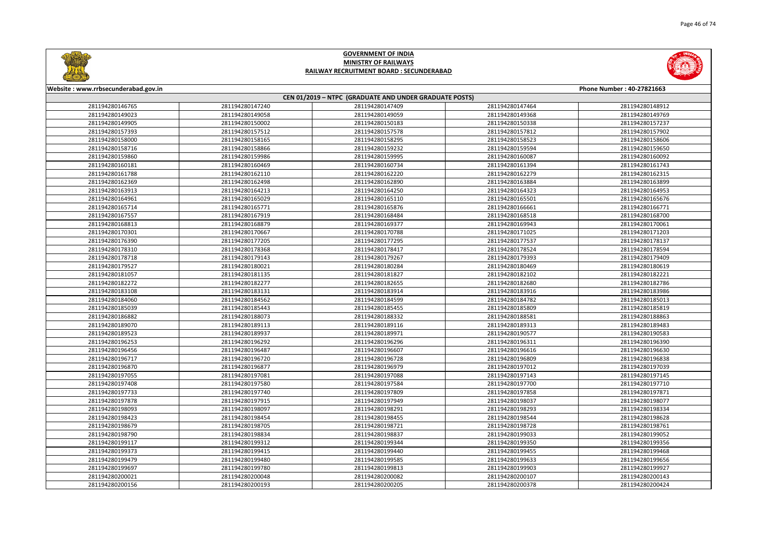



| Website: www.rrbsecunderabad.gov.in | Phone Number: 40-27821663 |                                                        |                 |                 |  |
|-------------------------------------|---------------------------|--------------------------------------------------------|-----------------|-----------------|--|
|                                     |                           | CEN 01/2019 - NTPC (GRADUATE AND UNDER GRADUATE POSTS) |                 |                 |  |
| 281194280146765                     | 281194280147240           | 281194280147409                                        | 281194280147464 | 281194280148912 |  |
| 281194280149023                     | 281194280149058           | 281194280149059                                        | 281194280149368 | 281194280149769 |  |
| 281194280149905                     | 281194280150002           | 281194280150183                                        | 281194280150338 | 281194280157237 |  |
| 281194280157393                     | 281194280157512           | 281194280157578                                        | 281194280157812 | 281194280157902 |  |
| 281194280158000                     | 281194280158165           | 281194280158295                                        | 281194280158523 | 281194280158606 |  |
| 281194280158716                     | 281194280158866           | 281194280159232                                        | 281194280159594 | 281194280159650 |  |
| 281194280159860                     | 281194280159986           | 281194280159995                                        | 281194280160087 | 281194280160092 |  |
| 281194280160181                     | 281194280160469           | 281194280160734                                        | 281194280161394 | 281194280161743 |  |
| 281194280161788                     | 281194280162110           | 281194280162220                                        | 281194280162279 | 281194280162315 |  |
| 281194280162369                     | 281194280162498           | 281194280162890                                        | 281194280163884 | 281194280163899 |  |
| 281194280163913                     | 281194280164213           | 281194280164250                                        | 281194280164323 | 281194280164953 |  |
| 281194280164961                     | 281194280165029           | 281194280165110                                        | 281194280165501 | 281194280165676 |  |
| 281194280165714                     | 281194280165771           | 281194280165876                                        | 281194280166661 | 281194280166771 |  |
| 281194280167557                     | 281194280167919           | 281194280168484                                        | 281194280168518 | 281194280168700 |  |
| 281194280168813                     | 281194280168879           | 281194280169377                                        | 281194280169943 | 281194280170061 |  |
| 281194280170301                     | 281194280170667           | 281194280170788                                        | 281194280171025 | 281194280171203 |  |
| 281194280176390                     | 281194280177205           | 281194280177295                                        | 281194280177537 | 281194280178137 |  |
| 281194280178310                     | 281194280178368           | 281194280178417                                        | 281194280178524 | 281194280178594 |  |
| 281194280178718                     | 281194280179143           | 281194280179267                                        | 281194280179393 | 281194280179409 |  |
| 281194280179527                     | 281194280180021           | 281194280180284                                        | 281194280180469 | 281194280180619 |  |
| 281194280181057                     | 281194280181135           | 281194280181827                                        | 281194280182102 | 281194280182221 |  |
| 281194280182272                     | 281194280182277           | 281194280182655                                        | 281194280182680 | 281194280182786 |  |
| 281194280183108                     | 281194280183131           | 281194280183914                                        | 281194280183916 | 281194280183986 |  |
| 281194280184060                     | 281194280184562           | 281194280184599                                        | 281194280184782 | 281194280185013 |  |
| 281194280185039                     | 281194280185443           | 281194280185455                                        | 281194280185809 | 281194280185819 |  |
| 281194280186882                     | 281194280188073           | 281194280188332                                        | 281194280188581 | 281194280188863 |  |
| 281194280189070                     | 281194280189113           | 281194280189116                                        | 281194280189313 | 281194280189483 |  |
| 281194280189523                     | 281194280189937           | 281194280189971                                        | 281194280190577 | 281194280190583 |  |
| 281194280196253                     | 281194280196292           | 281194280196296                                        | 281194280196311 | 281194280196390 |  |
| 281194280196456                     | 281194280196487           | 281194280196607                                        | 281194280196616 | 281194280196630 |  |
| 281194280196717                     | 281194280196720           | 281194280196728                                        | 281194280196809 | 281194280196838 |  |
| 281194280196870                     | 281194280196877           | 281194280196979                                        | 281194280197012 | 281194280197039 |  |
| 281194280197055                     | 281194280197081           | 281194280197088                                        | 281194280197143 | 281194280197145 |  |
| 281194280197408                     | 281194280197580           | 281194280197584                                        | 281194280197700 | 281194280197710 |  |
| 281194280197733                     | 281194280197740           | 281194280197809                                        | 281194280197858 | 281194280197871 |  |
| 281194280197878                     | 281194280197915           | 281194280197949                                        | 281194280198037 | 281194280198077 |  |
| 281194280198093                     | 281194280198097           | 281194280198291                                        | 281194280198293 | 281194280198334 |  |
| 281194280198423                     | 281194280198454           | 281194280198455                                        | 281194280198544 | 281194280198628 |  |
| 281194280198679                     | 281194280198705           | 281194280198721                                        | 281194280198728 | 281194280198761 |  |
| 281194280198790                     | 281194280198834           | 281194280198837                                        | 281194280199033 | 281194280199052 |  |
| 281194280199117                     | 281194280199312           | 281194280199344                                        | 281194280199350 | 281194280199356 |  |
| 281194280199373                     | 281194280199415           | 281194280199440                                        | 281194280199455 | 281194280199468 |  |
| 281194280199479                     | 281194280199480           | 281194280199585                                        | 281194280199633 | 281194280199656 |  |
| 281194280199697                     | 281194280199780           | 281194280199813                                        | 281194280199903 | 281194280199927 |  |
| 281194280200021                     | 281194280200048           | 281194280200082                                        | 281194280200107 | 281194280200143 |  |
| 281194280200156                     | 281194280200193           | 281194280200205                                        | 281194280200378 | 281194280200424 |  |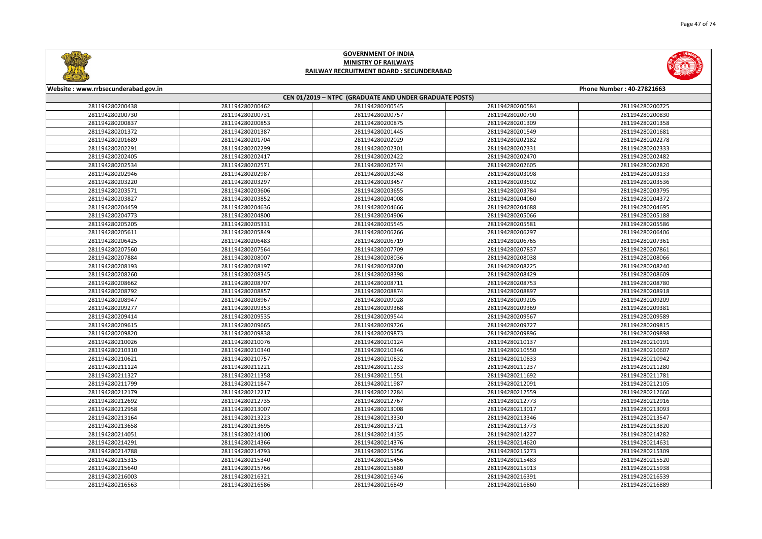



| Website: www.rrbsecunderabad.gov.in |                 |                                                        |                 | Phone Number: 40-27821663 |
|-------------------------------------|-----------------|--------------------------------------------------------|-----------------|---------------------------|
|                                     |                 | CEN 01/2019 - NTPC (GRADUATE AND UNDER GRADUATE POSTS) |                 |                           |
| 281194280200438                     | 281194280200462 | 281194280200545                                        | 281194280200584 | 281194280200725           |
| 281194280200730                     | 281194280200731 | 281194280200757                                        | 281194280200790 | 281194280200830           |
| 281194280200837                     | 281194280200853 | 281194280200875                                        | 281194280201309 | 281194280201358           |
| 281194280201372                     | 281194280201387 | 281194280201445                                        | 281194280201549 | 281194280201681           |
| 281194280201689                     | 281194280201704 | 281194280202029                                        | 281194280202182 | 281194280202278           |
| 281194280202291                     | 281194280202299 | 281194280202301                                        | 281194280202331 | 281194280202333           |
| 281194280202405                     | 281194280202417 | 281194280202422                                        | 281194280202470 | 281194280202482           |
| 281194280202534                     | 281194280202571 | 281194280202574                                        | 281194280202605 | 281194280202820           |
| 281194280202946                     | 281194280202987 | 281194280203048                                        | 281194280203098 | 281194280203133           |
| 281194280203220                     | 281194280203297 | 281194280203457                                        | 281194280203502 | 281194280203536           |
| 281194280203571                     | 281194280203606 | 281194280203655                                        | 281194280203784 | 281194280203795           |
| 281194280203827                     | 281194280203852 | 281194280204008                                        | 281194280204060 | 281194280204372           |
| 281194280204459                     | 281194280204636 | 281194280204666                                        | 281194280204688 | 281194280204695           |
| 281194280204773                     | 281194280204800 | 281194280204906                                        | 281194280205066 | 281194280205188           |
| 281194280205205                     | 281194280205331 | 281194280205545                                        | 281194280205581 | 281194280205586           |
| 281194280205611                     | 281194280205849 | 281194280206266                                        | 281194280206297 | 281194280206406           |
| 281194280206425                     | 281194280206483 | 281194280206719                                        | 281194280206765 | 281194280207361           |
| 281194280207560                     | 281194280207564 | 281194280207709                                        | 281194280207837 | 281194280207861           |
| 281194280207884                     | 281194280208007 | 281194280208036                                        | 281194280208038 | 281194280208066           |
| 281194280208193                     | 281194280208197 | 281194280208200                                        | 281194280208225 | 281194280208240           |
| 281194280208260                     | 281194280208345 | 281194280208398                                        | 281194280208429 | 281194280208609           |
| 281194280208662                     | 281194280208707 | 281194280208711                                        | 281194280208753 | 281194280208780           |
| 281194280208792                     | 281194280208857 | 281194280208874                                        | 281194280208897 | 281194280208918           |
| 281194280208947                     | 281194280208967 | 281194280209028                                        | 281194280209205 | 281194280209209           |
| 281194280209277                     | 281194280209353 | 281194280209368                                        | 281194280209369 | 281194280209381           |
| 281194280209414                     | 281194280209535 | 281194280209544                                        | 281194280209567 | 281194280209589           |
| 281194280209615                     | 281194280209665 | 281194280209726                                        | 281194280209727 | 281194280209815           |
| 281194280209820                     | 281194280209838 | 281194280209873                                        | 281194280209896 | 281194280209898           |
| 281194280210026                     | 281194280210076 | 281194280210124                                        | 281194280210137 | 281194280210191           |
| 281194280210310                     | 281194280210340 | 281194280210346                                        | 281194280210550 | 281194280210607           |
| 281194280210621                     | 281194280210757 | 281194280210832                                        | 281194280210833 | 281194280210942           |
| 281194280211124                     | 281194280211221 | 281194280211233                                        | 281194280211237 | 281194280211280           |
| 281194280211327                     | 281194280211358 | 281194280211551                                        | 281194280211692 | 281194280211781           |
| 281194280211799                     | 281194280211847 | 281194280211987                                        | 281194280212091 | 281194280212105           |
| 281194280212179                     | 281194280212217 | 281194280212284                                        | 281194280212559 | 281194280212660           |
| 281194280212692                     | 281194280212735 | 281194280212767                                        | 281194280212773 | 281194280212916           |
| 281194280212958                     | 281194280213007 | 281194280213008                                        | 281194280213017 | 281194280213093           |
| 281194280213164                     | 281194280213223 | 281194280213330                                        | 281194280213346 | 281194280213547           |
| 281194280213658                     | 281194280213695 | 281194280213721                                        | 281194280213773 | 281194280213820           |
| 281194280214051                     | 281194280214100 | 281194280214135                                        | 281194280214227 | 281194280214282           |
| 281194280214291                     | 281194280214366 | 281194280214376                                        | 281194280214620 | 281194280214631           |
| 281194280214788                     | 281194280214793 | 281194280215156                                        | 281194280215273 | 281194280215309           |
| 281194280215315                     | 281194280215340 | 281194280215456                                        | 281194280215483 | 281194280215520           |
| 281194280215640                     | 281194280215766 | 281194280215880                                        | 281194280215913 | 281194280215938           |
| 281194280216003                     | 281194280216321 | 281194280216346                                        | 281194280216391 | 281194280216539           |
| 281194280216563                     | 281194280216586 | 281194280216849                                        | 281194280216860 | 281194280216889           |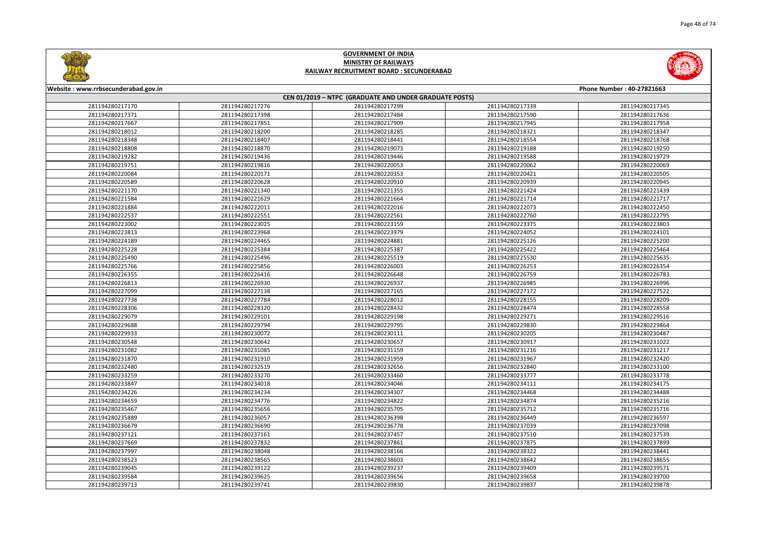



| Website: www.rrbsecunderabad.gov.in |                 |                                                        |                 | Phone Number: 40-27821663 |
|-------------------------------------|-----------------|--------------------------------------------------------|-----------------|---------------------------|
|                                     |                 | CEN 01/2019 - NTPC (GRADUATE AND UNDER GRADUATE POSTS) |                 |                           |
| 281194280217170                     | 281194280217276 | 281194280217299                                        | 281194280217339 | 281194280217345           |
| 281194280217371                     | 281194280217398 | 281194280217484                                        | 281194280217590 | 281194280217636           |
| 281194280217667                     | 281194280217851 | 281194280217909                                        | 281194280217945 | 281194280217958           |
| 281194280218012                     | 281194280218200 | 281194280218285                                        | 281194280218321 | 281194280218347           |
| 281194280218348                     | 281194280218407 | 281194280218441                                        | 281194280218554 | 281194280218768           |
| 281194280218808                     | 281194280218870 | 281194280219073                                        | 281194280219188 | 281194280219250           |
| 281194280219282                     | 281194280219436 | 281194280219446                                        | 281194280219588 | 281194280219729           |
| 281194280219751                     | 281194280219816 | 281194280220053                                        | 281194280220062 | 281194280220069           |
| 281194280220084                     | 281194280220171 | 281194280220353                                        | 281194280220421 | 281194280220505           |
| 281194280220589                     | 281194280220628 | 281194280220910                                        | 281194280220939 | 281194280220945           |
| 281194280221170                     | 281194280221340 | 281194280221355                                        | 281194280221424 | 281194280221439           |
| 281194280221584                     | 281194280221629 | 281194280221664                                        | 281194280221714 | 281194280221717           |
| 281194280221884                     | 281194280222011 | 281194280222016                                        | 281194280222073 | 281194280222450           |
| 281194280222537                     | 281194280222551 | 281194280222561                                        | 281194280222760 | 281194280222795           |
| 281194280223002                     | 281194280223025 | 281194280223159                                        | 281194280223375 | 281194280223803           |
| 281194280223813                     | 281194280223968 | 281194280223979                                        | 281194280224052 | 281194280224101           |
| 281194280224189                     | 281194280224465 | 281194280224881                                        | 281194280225126 | 281194280225200           |
| 281194280225228                     | 281194280225384 | 281194280225387                                        | 281194280225422 | 281194280225464           |
| 281194280225490                     | 281194280225496 | 281194280225519                                        | 281194280225530 | 281194280225635           |
| 281194280225766                     | 281194280225856 | 281194280226003                                        | 281194280226253 | 281194280226354           |
| 281194280226355                     | 281194280226416 | 281194280226648                                        | 281194280226759 | 281194280226783           |
| 281194280226813                     | 281194280226930 | 281194280226937                                        | 281194280226985 | 281194280226996           |
| 281194280227099                     | 281194280227138 | 281194280227165                                        | 281194280227172 | 281194280227522           |
| 281194280227738                     | 281194280227784 | 281194280228012                                        | 281194280228155 | 281194280228209           |
| 281194280228306                     | 281194280228320 | 281194280228432                                        | 281194280228474 | 281194280228558           |
| 281194280229079                     | 281194280229101 | 281194280229198                                        | 281194280229271 | 281194280229516           |
| 281194280229688                     | 281194280229794 | 281194280229795                                        | 281194280229830 | 281194280229864           |
| 281194280229933                     | 281194280230072 | 281194280230111                                        | 281194280230205 | 281194280230487           |
| 281194280230548                     | 281194280230642 | 281194280230657                                        | 281194280230917 | 281194280231022           |
| 281194280231082                     | 281194280231085 | 281194280231159                                        | 281194280231216 | 281194280231217           |
| 281194280231870                     | 281194280231910 | 281194280231959                                        | 281194280231967 | 281194280232420           |
| 281194280232480                     | 281194280232519 | 281194280232656                                        | 281194280232840 | 281194280233100           |
| 281194280233259                     | 281194280233270 | 281194280233460                                        | 281194280233777 | 281194280233778           |
| 281194280233847                     | 281194280234018 | 281194280234046                                        | 281194280234111 | 281194280234175           |
| 281194280234226                     | 281194280234234 | 281194280234307                                        | 281194280234468 | 281194280234488           |
| 281194280234659                     | 281194280234776 | 281194280234822                                        | 281194280234874 | 281194280235216           |
| 281194280235467                     | 281194280235656 | 281194280235705                                        | 281194280235712 | 281194280235716           |
| 281194280235889                     | 281194280236057 | 281194280236398                                        | 281194280236449 | 281194280236597           |
| 281194280236679                     | 281194280236690 | 281194280236778                                        | 281194280237039 | 281194280237098           |
| 281194280237121                     | 281194280237161 | 281194280237457                                        | 281194280237510 | 281194280237539           |
| 281194280237669                     | 281194280237832 | 281194280237861                                        | 281194280237875 | 281194280237899           |
| 281194280237997                     | 281194280238048 | 281194280238166                                        | 281194280238322 | 281194280238441           |
| 281194280238523                     | 281194280238565 | 281194280238603                                        | 281194280238642 | 281194280238655           |
| 281194280239045                     | 281194280239122 | 281194280239237                                        | 281194280239409 | 281194280239571           |
| 281194280239584                     | 281194280239625 | 281194280239656                                        | 281194280239658 | 281194280239700           |
| 281194280239713                     | 281194280239741 | 281194280239830                                        | 281194280239837 | 281194280239878           |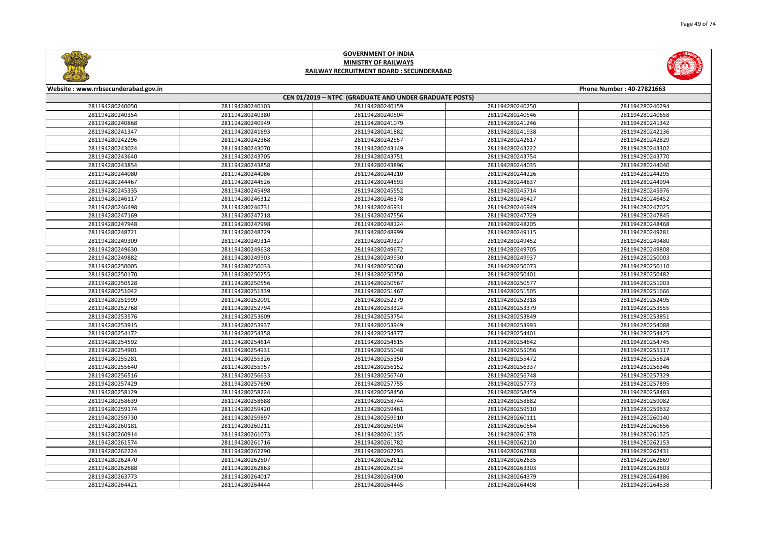



| Website: www.rrbsecunderabad.gov.in<br>Phone Number: 40-27821663 |                                                        |                 |                 |                 |  |  |
|------------------------------------------------------------------|--------------------------------------------------------|-----------------|-----------------|-----------------|--|--|
|                                                                  | CEN 01/2019 - NTPC (GRADUATE AND UNDER GRADUATE POSTS) |                 |                 |                 |  |  |
| 281194280240050                                                  | 281194280240103                                        | 281194280240159 | 281194280240250 | 281194280240294 |  |  |
| 281194280240354                                                  | 281194280240380                                        | 281194280240504 | 281194280240546 | 281194280240658 |  |  |
| 281194280240868                                                  | 281194280240949                                        | 281194280241079 | 281194280241246 | 281194280241342 |  |  |
| 281194280241347                                                  | 281194280241693                                        | 281194280241882 | 281194280241938 | 281194280242136 |  |  |
| 281194280242296                                                  | 281194280242368                                        | 281194280242557 | 281194280242617 | 281194280242829 |  |  |
| 281194280243024                                                  | 281194280243070                                        | 281194280243149 | 281194280243222 | 281194280243302 |  |  |
| 281194280243640                                                  | 281194280243705                                        | 281194280243751 | 281194280243754 | 281194280243770 |  |  |
| 281194280243854                                                  | 281194280243858                                        | 281194280243896 | 281194280244035 | 281194280244040 |  |  |
| 281194280244080                                                  | 281194280244086                                        | 281194280244210 | 281194280244226 | 281194280244295 |  |  |
| 281194280244467                                                  | 281194280244526                                        | 281194280244593 | 281194280244837 | 281194280244994 |  |  |
| 281194280245335                                                  | 281194280245498                                        | 281194280245552 | 281194280245714 | 281194280245976 |  |  |
| 281194280246117                                                  | 281194280246312                                        | 281194280246378 | 281194280246427 | 281194280246452 |  |  |
| 281194280246498                                                  | 281194280246731                                        | 281194280246931 | 281194280246949 | 281194280247025 |  |  |
| 281194280247169                                                  | 281194280247218                                        | 281194280247556 | 281194280247729 | 281194280247845 |  |  |
| 281194280247948                                                  | 281194280247998                                        | 281194280248124 | 281194280248205 | 281194280248468 |  |  |
| 281194280248721                                                  | 281194280248729                                        | 281194280248999 | 281194280249115 | 281194280249281 |  |  |
| 281194280249309                                                  | 281194280249314                                        | 281194280249327 | 281194280249452 | 281194280249480 |  |  |
| 281194280249630                                                  | 281194280249638                                        | 281194280249672 | 281194280249705 | 281194280249808 |  |  |
| 281194280249882                                                  | 281194280249903                                        | 281194280249930 | 281194280249937 | 281194280250003 |  |  |
| 281194280250005                                                  | 281194280250033                                        | 281194280250060 | 281194280250073 | 281194280250110 |  |  |
| 281194280250170                                                  | 281194280250255                                        | 281194280250350 | 281194280250401 | 281194280250482 |  |  |
| 281194280250528                                                  | 281194280250556                                        | 281194280250567 | 281194280250577 | 281194280251003 |  |  |
| 281194280251042                                                  | 281194280251339                                        | 281194280251467 | 281194280251505 | 281194280251666 |  |  |
| 281194280251999                                                  | 281194280252091                                        | 281194280252279 | 281194280252318 | 281194280252495 |  |  |
| 281194280252768                                                  | 281194280252794                                        | 281194280253324 | 281194280253379 | 281194280253555 |  |  |
| 281194280253576                                                  | 281194280253609                                        | 281194280253754 | 281194280253849 | 281194280253851 |  |  |
| 281194280253915                                                  | 281194280253937                                        | 281194280253949 | 281194280253993 | 281194280254088 |  |  |
| 281194280254172                                                  | 281194280254358                                        | 281194280254377 | 281194280254401 | 281194280254425 |  |  |
| 281194280254592                                                  | 281194280254614                                        | 281194280254615 | 281194280254642 | 281194280254745 |  |  |
| 281194280254901                                                  | 281194280254931                                        | 281194280255048 | 281194280255056 | 281194280255117 |  |  |
| 281194280255281                                                  | 281194280255326                                        | 281194280255350 | 281194280255472 | 281194280255624 |  |  |
| 281194280255640                                                  | 281194280255957                                        | 281194280256152 | 281194280256337 | 281194280256346 |  |  |
| 281194280256516                                                  | 281194280256633                                        | 281194280256740 | 281194280256748 | 281194280257329 |  |  |
| 281194280257429                                                  | 281194280257690                                        | 281194280257755 | 281194280257773 | 281194280257895 |  |  |
| 281194280258129                                                  | 281194280258224                                        | 281194280258450 | 281194280258459 | 281194280258483 |  |  |
| 281194280258639                                                  | 281194280258688                                        | 281194280258744 | 281194280258882 | 281194280259082 |  |  |
| 281194280259174                                                  | 281194280259420                                        | 281194280259461 | 281194280259510 | 281194280259632 |  |  |
| 281194280259730                                                  | 281194280259897                                        | 281194280259910 | 281194280260111 | 281194280260140 |  |  |
| 281194280260181                                                  | 281194280260211                                        | 281194280260504 | 281194280260564 | 281194280260656 |  |  |
| 281194280260914                                                  | 281194280261073                                        | 281194280261135 | 281194280261378 | 281194280261525 |  |  |
| 281194280261574                                                  | 281194280261716                                        | 281194280261782 | 281194280262120 | 281194280262153 |  |  |
| 281194280262224                                                  | 281194280262290                                        | 281194280262293 | 281194280262388 | 281194280262431 |  |  |
| 281194280262470                                                  | 281194280262507                                        | 281194280262612 | 281194280262635 | 281194280262669 |  |  |
| 281194280262688                                                  | 281194280262863                                        | 281194280262934 | 281194280263303 | 281194280263603 |  |  |
| 281194280263773                                                  | 281194280264017                                        | 281194280264300 | 281194280264379 | 281194280264386 |  |  |
| 281194280264421                                                  | 281194280264444                                        | 281194280264445 | 281194280264498 | 281194280264538 |  |  |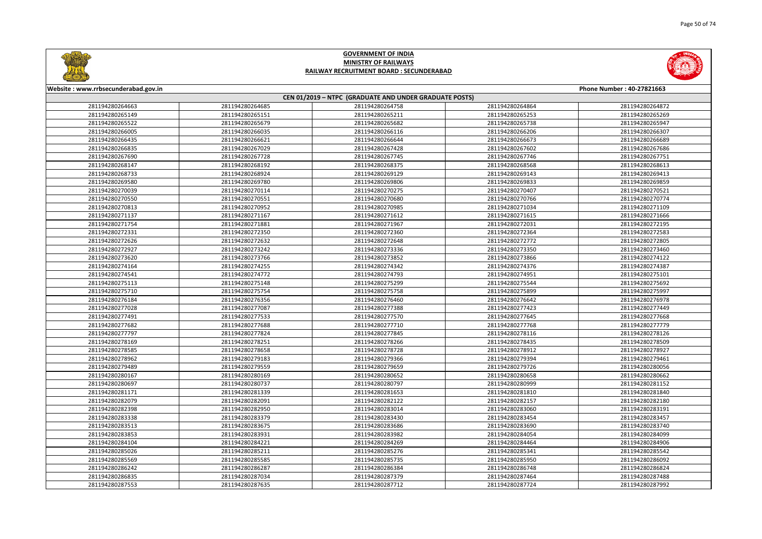



| Website: www.rrbsecunderabad.gov.in<br>Phone Number: 40-27821663 |                 |                                                        |                 |                 |
|------------------------------------------------------------------|-----------------|--------------------------------------------------------|-----------------|-----------------|
|                                                                  |                 | CEN 01/2019 - NTPC (GRADUATE AND UNDER GRADUATE POSTS) |                 |                 |
| 281194280264663                                                  | 281194280264685 | 281194280264758                                        | 281194280264864 | 281194280264872 |
| 281194280265149                                                  | 281194280265151 | 281194280265211                                        | 281194280265253 | 281194280265269 |
| 281194280265522                                                  | 281194280265679 | 281194280265682                                        | 281194280265738 | 281194280265947 |
| 281194280266005                                                  | 281194280266035 | 281194280266116                                        | 281194280266206 | 281194280266307 |
| 281194280266435                                                  | 281194280266621 | 281194280266644                                        | 281194280266673 | 281194280266689 |
| 281194280266835                                                  | 281194280267029 | 281194280267428                                        | 281194280267602 | 281194280267686 |
| 281194280267690                                                  | 281194280267728 | 281194280267745                                        | 281194280267746 | 281194280267751 |
| 281194280268147                                                  | 281194280268192 | 281194280268375                                        | 281194280268568 | 281194280268613 |
| 281194280268733                                                  | 281194280268924 | 281194280269129                                        | 281194280269143 | 281194280269413 |
| 281194280269580                                                  | 281194280269780 | 281194280269806                                        | 281194280269833 | 281194280269859 |
| 281194280270039                                                  | 281194280270114 | 281194280270275                                        | 281194280270407 | 281194280270521 |
| 281194280270550                                                  | 281194280270551 | 281194280270680                                        | 281194280270766 | 281194280270774 |
| 281194280270813                                                  | 281194280270952 | 281194280270985                                        | 281194280271034 | 281194280271109 |
| 281194280271137                                                  | 281194280271167 | 281194280271612                                        | 281194280271615 | 281194280271666 |
| 281194280271754                                                  | 281194280271881 | 281194280271967                                        | 281194280272031 | 281194280272195 |
| 281194280272331                                                  | 281194280272350 | 281194280272360                                        | 281194280272364 | 281194280272583 |
| 281194280272626                                                  | 281194280272632 | 281194280272648                                        | 281194280272772 | 281194280272805 |
| 281194280272927                                                  | 281194280273242 | 281194280273336                                        | 281194280273350 | 281194280273460 |
| 281194280273620                                                  | 281194280273766 | 281194280273852                                        | 281194280273866 | 281194280274122 |
| 281194280274164                                                  | 281194280274255 | 281194280274342                                        | 281194280274376 | 281194280274387 |
| 281194280274541                                                  | 281194280274772 | 281194280274793                                        | 281194280274951 | 281194280275101 |
| 281194280275113                                                  | 281194280275148 | 281194280275299                                        | 281194280275544 | 281194280275692 |
| 281194280275710                                                  | 281194280275754 | 281194280275758                                        | 281194280275899 | 281194280275997 |
| 281194280276184                                                  | 281194280276356 | 281194280276460                                        | 281194280276642 | 281194280276978 |
| 281194280277028                                                  | 281194280277087 | 281194280277388                                        | 281194280277423 | 281194280277449 |
| 281194280277491                                                  | 281194280277533 | 281194280277570                                        | 281194280277645 | 281194280277668 |
| 281194280277682                                                  | 281194280277688 | 281194280277710                                        | 281194280277768 | 281194280277779 |
| 281194280277797                                                  | 281194280277824 | 281194280277845                                        | 281194280278116 | 281194280278126 |
| 281194280278169                                                  | 281194280278251 | 281194280278266                                        | 281194280278435 | 281194280278509 |
| 281194280278585                                                  | 281194280278658 | 281194280278728                                        | 281194280278912 | 281194280278927 |
| 281194280278962                                                  | 281194280279183 | 281194280279366                                        | 281194280279394 | 281194280279461 |
| 281194280279489                                                  | 281194280279559 | 281194280279659                                        | 281194280279726 | 281194280280056 |
| 281194280280167                                                  | 281194280280169 | 281194280280652                                        | 281194280280658 | 281194280280662 |
| 281194280280697                                                  | 281194280280737 | 281194280280797                                        | 281194280280999 | 281194280281152 |
| 281194280281171                                                  | 281194280281339 | 281194280281653                                        | 281194280281810 | 281194280281840 |
| 281194280282079                                                  | 281194280282091 | 281194280282122                                        | 281194280282157 | 281194280282180 |
| 281194280282398                                                  | 281194280282950 | 281194280283014                                        | 281194280283060 | 281194280283191 |
| 281194280283338                                                  | 281194280283379 | 281194280283430                                        | 281194280283454 | 281194280283457 |
| 281194280283513                                                  | 281194280283675 | 281194280283686                                        | 281194280283690 | 281194280283740 |
| 281194280283853                                                  | 281194280283931 | 281194280283982                                        | 281194280284054 | 281194280284099 |
| 281194280284104                                                  | 281194280284221 | 281194280284269                                        | 281194280284464 | 281194280284906 |
| 281194280285026                                                  | 281194280285211 | 281194280285276                                        | 281194280285341 | 281194280285542 |
| 281194280285569                                                  | 281194280285585 | 281194280285735                                        | 281194280285950 | 281194280286092 |
| 281194280286242                                                  | 281194280286287 | 281194280286384                                        | 281194280286748 | 281194280286824 |
| 281194280286835                                                  | 281194280287034 | 281194280287379                                        | 281194280287464 | 281194280287488 |
| 281194280287553                                                  | 281194280287635 | 281194280287712                                        | 281194280287724 | 281194280287992 |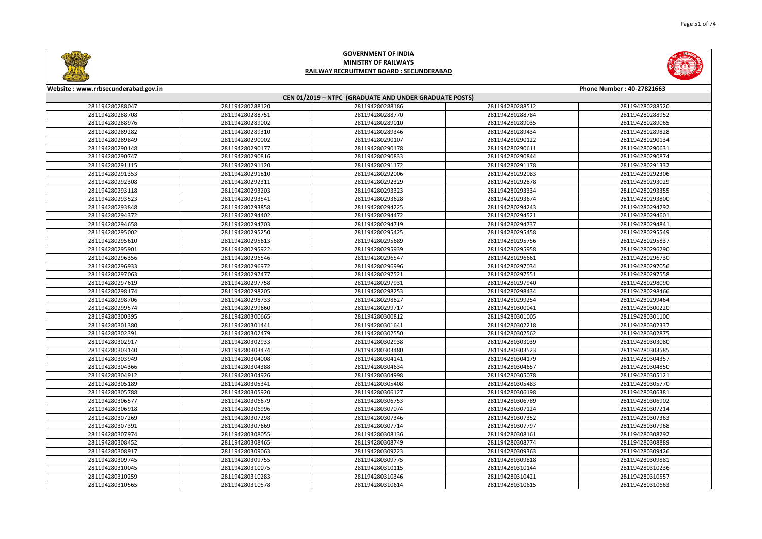



| CEN 01/2019 - NTPC (GRADUATE AND UNDER GRADUATE POSTS)<br>281194280288047<br>281194280288120<br>281194280288186<br>281194280288512<br>281194280288520<br>281194280288708<br>281194280288751<br>281194280288770<br>281194280288784<br>281194280288952<br>281194280288976<br>281194280289002<br>281194280289010<br>281194280289035<br>281194280289065<br>281194280289310<br>281194280289282<br>281194280289346<br>281194280289434<br>281194280289828<br>281194280289849<br>281194280290002<br>281194280290107<br>281194280290122<br>281194280290134<br>281194280290148<br>281194280290177<br>281194280290178<br>281194280290611<br>281194280290631<br>281194280290816<br>281194280290747<br>281194280290833<br>281194280290844<br>281194280290874<br>281194280291120<br>281194280291115<br>281194280291172<br>281194280291178<br>281194280291332<br>281194280291353<br>281194280291810<br>281194280292006<br>281194280292083<br>281194280292306<br>281194280292308<br>281194280292311<br>281194280292329<br>281194280292878<br>281194280293029<br>281194280293118<br>281194280293203<br>281194280293323<br>281194280293334<br>281194280293355<br>281194280293523<br>281194280293541<br>281194280293628<br>281194280293674<br>281194280293800<br>281194280293848<br>281194280293858<br>281194280294225<br>281194280294243<br>281194280294292<br>281194280294372<br>281194280294402<br>281194280294472<br>281194280294521<br>281194280294601<br>281194280294658<br>281194280294703<br>281194280294719<br>281194280294737<br>281194280294841<br>281194280295250<br>281194280295425<br>281194280295458<br>281194280295549<br>281194280295002<br>281194280295610<br>281194280295613<br>281194280295756<br>281194280295837<br>281194280295689<br>281194280295901<br>281194280295922<br>281194280295958<br>281194280296290<br>281194280295939<br>281194280296356<br>281194280296546<br>281194280296661<br>281194280296547<br>281194280296730<br>281194280296933<br>281194280296972<br>281194280296996<br>281194280297034<br>281194280297056<br>281194280297063<br>281194280297477<br>281194280297521<br>281194280297551<br>281194280297558<br>281194280297758<br>281194280297619<br>281194280297931<br>281194280297940<br>281194280298090<br>281194280298174<br>281194280298205<br>281194280298253<br>281194280298434<br>281194280298466<br>281194280298733<br>281194280298706<br>281194280298827<br>281194280299254<br>281194280299464<br>281194280299574<br>281194280299660<br>281194280299717<br>281194280300041<br>281194280300220<br>281194280300395<br>281194280300665<br>281194280301005<br>281194280300812<br>281194280301100<br>281194280301380<br>281194280301441<br>281194280302218<br>281194280302337<br>281194280301641<br>281194280302391<br>281194280302479<br>281194280302550<br>281194280302562<br>281194280302875<br>281194280302933<br>281194280303039<br>281194280302917<br>281194280302938<br>281194280303080<br>281194280303140<br>281194280303474<br>281194280303480<br>281194280303523<br>281194280303585<br>281194280303949<br>281194280304357<br>281194280304008<br>281194280304141<br>281194280304179<br>281194280304366<br>281194280304388<br>281194280304634<br>281194280304657<br>281194280304850<br>281194280304912<br>281194280304926<br>281194280304998<br>281194280305078<br>281194280305121<br>281194280305189<br>281194280305341<br>281194280305408<br>281194280305483<br>281194280305770<br>281194280305788<br>281194280305920<br>281194280306127<br>281194280306198<br>281194280306381<br>281194280306577<br>281194280306679<br>281194280306753<br>281194280306789<br>281194280306902<br>281194280306918<br>281194280306996<br>281194280307074<br>281194280307124<br>281194280307214<br>281194280307269<br>281194280307298<br>281194280307346<br>281194280307352<br>281194280307363 | Website: www.rrbsecunderabad.gov.in<br>Phone Number: 40-27821663 |                 |                 |                 |                 |  |
|------------------------------------------------------------------------------------------------------------------------------------------------------------------------------------------------------------------------------------------------------------------------------------------------------------------------------------------------------------------------------------------------------------------------------------------------------------------------------------------------------------------------------------------------------------------------------------------------------------------------------------------------------------------------------------------------------------------------------------------------------------------------------------------------------------------------------------------------------------------------------------------------------------------------------------------------------------------------------------------------------------------------------------------------------------------------------------------------------------------------------------------------------------------------------------------------------------------------------------------------------------------------------------------------------------------------------------------------------------------------------------------------------------------------------------------------------------------------------------------------------------------------------------------------------------------------------------------------------------------------------------------------------------------------------------------------------------------------------------------------------------------------------------------------------------------------------------------------------------------------------------------------------------------------------------------------------------------------------------------------------------------------------------------------------------------------------------------------------------------------------------------------------------------------------------------------------------------------------------------------------------------------------------------------------------------------------------------------------------------------------------------------------------------------------------------------------------------------------------------------------------------------------------------------------------------------------------------------------------------------------------------------------------------------------------------------------------------------------------------------------------------------------------------------------------------------------------------------------------------------------------------------------------------------------------------------------------------------------------------------------------------------------------------------------------------------------------------------------------------------------------------------------------------------------------------------------------------------------------------------------------------------------------------------------------------------------------------------------------------------------------------------------------------------------------------------------------------------------------------------------------------------------------------------------------------------------------------------------------------------------------------------------------------------------------------------------------------------------------------------------------------------------------------------------------------|------------------------------------------------------------------|-----------------|-----------------|-----------------|-----------------|--|
|                                                                                                                                                                                                                                                                                                                                                                                                                                                                                                                                                                                                                                                                                                                                                                                                                                                                                                                                                                                                                                                                                                                                                                                                                                                                                                                                                                                                                                                                                                                                                                                                                                                                                                                                                                                                                                                                                                                                                                                                                                                                                                                                                                                                                                                                                                                                                                                                                                                                                                                                                                                                                                                                                                                                                                                                                                                                                                                                                                                                                                                                                                                                                                                                                                                                                                                                                                                                                                                                                                                                                                                                                                                                                                                                                                                                                  |                                                                  |                 |                 |                 |                 |  |
|                                                                                                                                                                                                                                                                                                                                                                                                                                                                                                                                                                                                                                                                                                                                                                                                                                                                                                                                                                                                                                                                                                                                                                                                                                                                                                                                                                                                                                                                                                                                                                                                                                                                                                                                                                                                                                                                                                                                                                                                                                                                                                                                                                                                                                                                                                                                                                                                                                                                                                                                                                                                                                                                                                                                                                                                                                                                                                                                                                                                                                                                                                                                                                                                                                                                                                                                                                                                                                                                                                                                                                                                                                                                                                                                                                                                                  |                                                                  |                 |                 |                 |                 |  |
|                                                                                                                                                                                                                                                                                                                                                                                                                                                                                                                                                                                                                                                                                                                                                                                                                                                                                                                                                                                                                                                                                                                                                                                                                                                                                                                                                                                                                                                                                                                                                                                                                                                                                                                                                                                                                                                                                                                                                                                                                                                                                                                                                                                                                                                                                                                                                                                                                                                                                                                                                                                                                                                                                                                                                                                                                                                                                                                                                                                                                                                                                                                                                                                                                                                                                                                                                                                                                                                                                                                                                                                                                                                                                                                                                                                                                  |                                                                  |                 |                 |                 |                 |  |
|                                                                                                                                                                                                                                                                                                                                                                                                                                                                                                                                                                                                                                                                                                                                                                                                                                                                                                                                                                                                                                                                                                                                                                                                                                                                                                                                                                                                                                                                                                                                                                                                                                                                                                                                                                                                                                                                                                                                                                                                                                                                                                                                                                                                                                                                                                                                                                                                                                                                                                                                                                                                                                                                                                                                                                                                                                                                                                                                                                                                                                                                                                                                                                                                                                                                                                                                                                                                                                                                                                                                                                                                                                                                                                                                                                                                                  |                                                                  |                 |                 |                 |                 |  |
|                                                                                                                                                                                                                                                                                                                                                                                                                                                                                                                                                                                                                                                                                                                                                                                                                                                                                                                                                                                                                                                                                                                                                                                                                                                                                                                                                                                                                                                                                                                                                                                                                                                                                                                                                                                                                                                                                                                                                                                                                                                                                                                                                                                                                                                                                                                                                                                                                                                                                                                                                                                                                                                                                                                                                                                                                                                                                                                                                                                                                                                                                                                                                                                                                                                                                                                                                                                                                                                                                                                                                                                                                                                                                                                                                                                                                  |                                                                  |                 |                 |                 |                 |  |
|                                                                                                                                                                                                                                                                                                                                                                                                                                                                                                                                                                                                                                                                                                                                                                                                                                                                                                                                                                                                                                                                                                                                                                                                                                                                                                                                                                                                                                                                                                                                                                                                                                                                                                                                                                                                                                                                                                                                                                                                                                                                                                                                                                                                                                                                                                                                                                                                                                                                                                                                                                                                                                                                                                                                                                                                                                                                                                                                                                                                                                                                                                                                                                                                                                                                                                                                                                                                                                                                                                                                                                                                                                                                                                                                                                                                                  |                                                                  |                 |                 |                 |                 |  |
|                                                                                                                                                                                                                                                                                                                                                                                                                                                                                                                                                                                                                                                                                                                                                                                                                                                                                                                                                                                                                                                                                                                                                                                                                                                                                                                                                                                                                                                                                                                                                                                                                                                                                                                                                                                                                                                                                                                                                                                                                                                                                                                                                                                                                                                                                                                                                                                                                                                                                                                                                                                                                                                                                                                                                                                                                                                                                                                                                                                                                                                                                                                                                                                                                                                                                                                                                                                                                                                                                                                                                                                                                                                                                                                                                                                                                  |                                                                  |                 |                 |                 |                 |  |
|                                                                                                                                                                                                                                                                                                                                                                                                                                                                                                                                                                                                                                                                                                                                                                                                                                                                                                                                                                                                                                                                                                                                                                                                                                                                                                                                                                                                                                                                                                                                                                                                                                                                                                                                                                                                                                                                                                                                                                                                                                                                                                                                                                                                                                                                                                                                                                                                                                                                                                                                                                                                                                                                                                                                                                                                                                                                                                                                                                                                                                                                                                                                                                                                                                                                                                                                                                                                                                                                                                                                                                                                                                                                                                                                                                                                                  |                                                                  |                 |                 |                 |                 |  |
|                                                                                                                                                                                                                                                                                                                                                                                                                                                                                                                                                                                                                                                                                                                                                                                                                                                                                                                                                                                                                                                                                                                                                                                                                                                                                                                                                                                                                                                                                                                                                                                                                                                                                                                                                                                                                                                                                                                                                                                                                                                                                                                                                                                                                                                                                                                                                                                                                                                                                                                                                                                                                                                                                                                                                                                                                                                                                                                                                                                                                                                                                                                                                                                                                                                                                                                                                                                                                                                                                                                                                                                                                                                                                                                                                                                                                  |                                                                  |                 |                 |                 |                 |  |
|                                                                                                                                                                                                                                                                                                                                                                                                                                                                                                                                                                                                                                                                                                                                                                                                                                                                                                                                                                                                                                                                                                                                                                                                                                                                                                                                                                                                                                                                                                                                                                                                                                                                                                                                                                                                                                                                                                                                                                                                                                                                                                                                                                                                                                                                                                                                                                                                                                                                                                                                                                                                                                                                                                                                                                                                                                                                                                                                                                                                                                                                                                                                                                                                                                                                                                                                                                                                                                                                                                                                                                                                                                                                                                                                                                                                                  |                                                                  |                 |                 |                 |                 |  |
|                                                                                                                                                                                                                                                                                                                                                                                                                                                                                                                                                                                                                                                                                                                                                                                                                                                                                                                                                                                                                                                                                                                                                                                                                                                                                                                                                                                                                                                                                                                                                                                                                                                                                                                                                                                                                                                                                                                                                                                                                                                                                                                                                                                                                                                                                                                                                                                                                                                                                                                                                                                                                                                                                                                                                                                                                                                                                                                                                                                                                                                                                                                                                                                                                                                                                                                                                                                                                                                                                                                                                                                                                                                                                                                                                                                                                  |                                                                  |                 |                 |                 |                 |  |
|                                                                                                                                                                                                                                                                                                                                                                                                                                                                                                                                                                                                                                                                                                                                                                                                                                                                                                                                                                                                                                                                                                                                                                                                                                                                                                                                                                                                                                                                                                                                                                                                                                                                                                                                                                                                                                                                                                                                                                                                                                                                                                                                                                                                                                                                                                                                                                                                                                                                                                                                                                                                                                                                                                                                                                                                                                                                                                                                                                                                                                                                                                                                                                                                                                                                                                                                                                                                                                                                                                                                                                                                                                                                                                                                                                                                                  |                                                                  |                 |                 |                 |                 |  |
|                                                                                                                                                                                                                                                                                                                                                                                                                                                                                                                                                                                                                                                                                                                                                                                                                                                                                                                                                                                                                                                                                                                                                                                                                                                                                                                                                                                                                                                                                                                                                                                                                                                                                                                                                                                                                                                                                                                                                                                                                                                                                                                                                                                                                                                                                                                                                                                                                                                                                                                                                                                                                                                                                                                                                                                                                                                                                                                                                                                                                                                                                                                                                                                                                                                                                                                                                                                                                                                                                                                                                                                                                                                                                                                                                                                                                  |                                                                  |                 |                 |                 |                 |  |
|                                                                                                                                                                                                                                                                                                                                                                                                                                                                                                                                                                                                                                                                                                                                                                                                                                                                                                                                                                                                                                                                                                                                                                                                                                                                                                                                                                                                                                                                                                                                                                                                                                                                                                                                                                                                                                                                                                                                                                                                                                                                                                                                                                                                                                                                                                                                                                                                                                                                                                                                                                                                                                                                                                                                                                                                                                                                                                                                                                                                                                                                                                                                                                                                                                                                                                                                                                                                                                                                                                                                                                                                                                                                                                                                                                                                                  |                                                                  |                 |                 |                 |                 |  |
|                                                                                                                                                                                                                                                                                                                                                                                                                                                                                                                                                                                                                                                                                                                                                                                                                                                                                                                                                                                                                                                                                                                                                                                                                                                                                                                                                                                                                                                                                                                                                                                                                                                                                                                                                                                                                                                                                                                                                                                                                                                                                                                                                                                                                                                                                                                                                                                                                                                                                                                                                                                                                                                                                                                                                                                                                                                                                                                                                                                                                                                                                                                                                                                                                                                                                                                                                                                                                                                                                                                                                                                                                                                                                                                                                                                                                  |                                                                  |                 |                 |                 |                 |  |
|                                                                                                                                                                                                                                                                                                                                                                                                                                                                                                                                                                                                                                                                                                                                                                                                                                                                                                                                                                                                                                                                                                                                                                                                                                                                                                                                                                                                                                                                                                                                                                                                                                                                                                                                                                                                                                                                                                                                                                                                                                                                                                                                                                                                                                                                                                                                                                                                                                                                                                                                                                                                                                                                                                                                                                                                                                                                                                                                                                                                                                                                                                                                                                                                                                                                                                                                                                                                                                                                                                                                                                                                                                                                                                                                                                                                                  |                                                                  |                 |                 |                 |                 |  |
|                                                                                                                                                                                                                                                                                                                                                                                                                                                                                                                                                                                                                                                                                                                                                                                                                                                                                                                                                                                                                                                                                                                                                                                                                                                                                                                                                                                                                                                                                                                                                                                                                                                                                                                                                                                                                                                                                                                                                                                                                                                                                                                                                                                                                                                                                                                                                                                                                                                                                                                                                                                                                                                                                                                                                                                                                                                                                                                                                                                                                                                                                                                                                                                                                                                                                                                                                                                                                                                                                                                                                                                                                                                                                                                                                                                                                  |                                                                  |                 |                 |                 |                 |  |
|                                                                                                                                                                                                                                                                                                                                                                                                                                                                                                                                                                                                                                                                                                                                                                                                                                                                                                                                                                                                                                                                                                                                                                                                                                                                                                                                                                                                                                                                                                                                                                                                                                                                                                                                                                                                                                                                                                                                                                                                                                                                                                                                                                                                                                                                                                                                                                                                                                                                                                                                                                                                                                                                                                                                                                                                                                                                                                                                                                                                                                                                                                                                                                                                                                                                                                                                                                                                                                                                                                                                                                                                                                                                                                                                                                                                                  |                                                                  |                 |                 |                 |                 |  |
|                                                                                                                                                                                                                                                                                                                                                                                                                                                                                                                                                                                                                                                                                                                                                                                                                                                                                                                                                                                                                                                                                                                                                                                                                                                                                                                                                                                                                                                                                                                                                                                                                                                                                                                                                                                                                                                                                                                                                                                                                                                                                                                                                                                                                                                                                                                                                                                                                                                                                                                                                                                                                                                                                                                                                                                                                                                                                                                                                                                                                                                                                                                                                                                                                                                                                                                                                                                                                                                                                                                                                                                                                                                                                                                                                                                                                  |                                                                  |                 |                 |                 |                 |  |
|                                                                                                                                                                                                                                                                                                                                                                                                                                                                                                                                                                                                                                                                                                                                                                                                                                                                                                                                                                                                                                                                                                                                                                                                                                                                                                                                                                                                                                                                                                                                                                                                                                                                                                                                                                                                                                                                                                                                                                                                                                                                                                                                                                                                                                                                                                                                                                                                                                                                                                                                                                                                                                                                                                                                                                                                                                                                                                                                                                                                                                                                                                                                                                                                                                                                                                                                                                                                                                                                                                                                                                                                                                                                                                                                                                                                                  |                                                                  |                 |                 |                 |                 |  |
|                                                                                                                                                                                                                                                                                                                                                                                                                                                                                                                                                                                                                                                                                                                                                                                                                                                                                                                                                                                                                                                                                                                                                                                                                                                                                                                                                                                                                                                                                                                                                                                                                                                                                                                                                                                                                                                                                                                                                                                                                                                                                                                                                                                                                                                                                                                                                                                                                                                                                                                                                                                                                                                                                                                                                                                                                                                                                                                                                                                                                                                                                                                                                                                                                                                                                                                                                                                                                                                                                                                                                                                                                                                                                                                                                                                                                  |                                                                  |                 |                 |                 |                 |  |
|                                                                                                                                                                                                                                                                                                                                                                                                                                                                                                                                                                                                                                                                                                                                                                                                                                                                                                                                                                                                                                                                                                                                                                                                                                                                                                                                                                                                                                                                                                                                                                                                                                                                                                                                                                                                                                                                                                                                                                                                                                                                                                                                                                                                                                                                                                                                                                                                                                                                                                                                                                                                                                                                                                                                                                                                                                                                                                                                                                                                                                                                                                                                                                                                                                                                                                                                                                                                                                                                                                                                                                                                                                                                                                                                                                                                                  |                                                                  |                 |                 |                 |                 |  |
|                                                                                                                                                                                                                                                                                                                                                                                                                                                                                                                                                                                                                                                                                                                                                                                                                                                                                                                                                                                                                                                                                                                                                                                                                                                                                                                                                                                                                                                                                                                                                                                                                                                                                                                                                                                                                                                                                                                                                                                                                                                                                                                                                                                                                                                                                                                                                                                                                                                                                                                                                                                                                                                                                                                                                                                                                                                                                                                                                                                                                                                                                                                                                                                                                                                                                                                                                                                                                                                                                                                                                                                                                                                                                                                                                                                                                  |                                                                  |                 |                 |                 |                 |  |
|                                                                                                                                                                                                                                                                                                                                                                                                                                                                                                                                                                                                                                                                                                                                                                                                                                                                                                                                                                                                                                                                                                                                                                                                                                                                                                                                                                                                                                                                                                                                                                                                                                                                                                                                                                                                                                                                                                                                                                                                                                                                                                                                                                                                                                                                                                                                                                                                                                                                                                                                                                                                                                                                                                                                                                                                                                                                                                                                                                                                                                                                                                                                                                                                                                                                                                                                                                                                                                                                                                                                                                                                                                                                                                                                                                                                                  |                                                                  |                 |                 |                 |                 |  |
|                                                                                                                                                                                                                                                                                                                                                                                                                                                                                                                                                                                                                                                                                                                                                                                                                                                                                                                                                                                                                                                                                                                                                                                                                                                                                                                                                                                                                                                                                                                                                                                                                                                                                                                                                                                                                                                                                                                                                                                                                                                                                                                                                                                                                                                                                                                                                                                                                                                                                                                                                                                                                                                                                                                                                                                                                                                                                                                                                                                                                                                                                                                                                                                                                                                                                                                                                                                                                                                                                                                                                                                                                                                                                                                                                                                                                  |                                                                  |                 |                 |                 |                 |  |
|                                                                                                                                                                                                                                                                                                                                                                                                                                                                                                                                                                                                                                                                                                                                                                                                                                                                                                                                                                                                                                                                                                                                                                                                                                                                                                                                                                                                                                                                                                                                                                                                                                                                                                                                                                                                                                                                                                                                                                                                                                                                                                                                                                                                                                                                                                                                                                                                                                                                                                                                                                                                                                                                                                                                                                                                                                                                                                                                                                                                                                                                                                                                                                                                                                                                                                                                                                                                                                                                                                                                                                                                                                                                                                                                                                                                                  |                                                                  |                 |                 |                 |                 |  |
|                                                                                                                                                                                                                                                                                                                                                                                                                                                                                                                                                                                                                                                                                                                                                                                                                                                                                                                                                                                                                                                                                                                                                                                                                                                                                                                                                                                                                                                                                                                                                                                                                                                                                                                                                                                                                                                                                                                                                                                                                                                                                                                                                                                                                                                                                                                                                                                                                                                                                                                                                                                                                                                                                                                                                                                                                                                                                                                                                                                                                                                                                                                                                                                                                                                                                                                                                                                                                                                                                                                                                                                                                                                                                                                                                                                                                  |                                                                  |                 |                 |                 |                 |  |
|                                                                                                                                                                                                                                                                                                                                                                                                                                                                                                                                                                                                                                                                                                                                                                                                                                                                                                                                                                                                                                                                                                                                                                                                                                                                                                                                                                                                                                                                                                                                                                                                                                                                                                                                                                                                                                                                                                                                                                                                                                                                                                                                                                                                                                                                                                                                                                                                                                                                                                                                                                                                                                                                                                                                                                                                                                                                                                                                                                                                                                                                                                                                                                                                                                                                                                                                                                                                                                                                                                                                                                                                                                                                                                                                                                                                                  |                                                                  |                 |                 |                 |                 |  |
|                                                                                                                                                                                                                                                                                                                                                                                                                                                                                                                                                                                                                                                                                                                                                                                                                                                                                                                                                                                                                                                                                                                                                                                                                                                                                                                                                                                                                                                                                                                                                                                                                                                                                                                                                                                                                                                                                                                                                                                                                                                                                                                                                                                                                                                                                                                                                                                                                                                                                                                                                                                                                                                                                                                                                                                                                                                                                                                                                                                                                                                                                                                                                                                                                                                                                                                                                                                                                                                                                                                                                                                                                                                                                                                                                                                                                  |                                                                  |                 |                 |                 |                 |  |
|                                                                                                                                                                                                                                                                                                                                                                                                                                                                                                                                                                                                                                                                                                                                                                                                                                                                                                                                                                                                                                                                                                                                                                                                                                                                                                                                                                                                                                                                                                                                                                                                                                                                                                                                                                                                                                                                                                                                                                                                                                                                                                                                                                                                                                                                                                                                                                                                                                                                                                                                                                                                                                                                                                                                                                                                                                                                                                                                                                                                                                                                                                                                                                                                                                                                                                                                                                                                                                                                                                                                                                                                                                                                                                                                                                                                                  |                                                                  |                 |                 |                 |                 |  |
|                                                                                                                                                                                                                                                                                                                                                                                                                                                                                                                                                                                                                                                                                                                                                                                                                                                                                                                                                                                                                                                                                                                                                                                                                                                                                                                                                                                                                                                                                                                                                                                                                                                                                                                                                                                                                                                                                                                                                                                                                                                                                                                                                                                                                                                                                                                                                                                                                                                                                                                                                                                                                                                                                                                                                                                                                                                                                                                                                                                                                                                                                                                                                                                                                                                                                                                                                                                                                                                                                                                                                                                                                                                                                                                                                                                                                  |                                                                  |                 |                 |                 |                 |  |
|                                                                                                                                                                                                                                                                                                                                                                                                                                                                                                                                                                                                                                                                                                                                                                                                                                                                                                                                                                                                                                                                                                                                                                                                                                                                                                                                                                                                                                                                                                                                                                                                                                                                                                                                                                                                                                                                                                                                                                                                                                                                                                                                                                                                                                                                                                                                                                                                                                                                                                                                                                                                                                                                                                                                                                                                                                                                                                                                                                                                                                                                                                                                                                                                                                                                                                                                                                                                                                                                                                                                                                                                                                                                                                                                                                                                                  |                                                                  |                 |                 |                 |                 |  |
|                                                                                                                                                                                                                                                                                                                                                                                                                                                                                                                                                                                                                                                                                                                                                                                                                                                                                                                                                                                                                                                                                                                                                                                                                                                                                                                                                                                                                                                                                                                                                                                                                                                                                                                                                                                                                                                                                                                                                                                                                                                                                                                                                                                                                                                                                                                                                                                                                                                                                                                                                                                                                                                                                                                                                                                                                                                                                                                                                                                                                                                                                                                                                                                                                                                                                                                                                                                                                                                                                                                                                                                                                                                                                                                                                                                                                  |                                                                  |                 |                 |                 |                 |  |
|                                                                                                                                                                                                                                                                                                                                                                                                                                                                                                                                                                                                                                                                                                                                                                                                                                                                                                                                                                                                                                                                                                                                                                                                                                                                                                                                                                                                                                                                                                                                                                                                                                                                                                                                                                                                                                                                                                                                                                                                                                                                                                                                                                                                                                                                                                                                                                                                                                                                                                                                                                                                                                                                                                                                                                                                                                                                                                                                                                                                                                                                                                                                                                                                                                                                                                                                                                                                                                                                                                                                                                                                                                                                                                                                                                                                                  |                                                                  |                 |                 |                 |                 |  |
|                                                                                                                                                                                                                                                                                                                                                                                                                                                                                                                                                                                                                                                                                                                                                                                                                                                                                                                                                                                                                                                                                                                                                                                                                                                                                                                                                                                                                                                                                                                                                                                                                                                                                                                                                                                                                                                                                                                                                                                                                                                                                                                                                                                                                                                                                                                                                                                                                                                                                                                                                                                                                                                                                                                                                                                                                                                                                                                                                                                                                                                                                                                                                                                                                                                                                                                                                                                                                                                                                                                                                                                                                                                                                                                                                                                                                  |                                                                  |                 |                 |                 |                 |  |
|                                                                                                                                                                                                                                                                                                                                                                                                                                                                                                                                                                                                                                                                                                                                                                                                                                                                                                                                                                                                                                                                                                                                                                                                                                                                                                                                                                                                                                                                                                                                                                                                                                                                                                                                                                                                                                                                                                                                                                                                                                                                                                                                                                                                                                                                                                                                                                                                                                                                                                                                                                                                                                                                                                                                                                                                                                                                                                                                                                                                                                                                                                                                                                                                                                                                                                                                                                                                                                                                                                                                                                                                                                                                                                                                                                                                                  |                                                                  |                 |                 |                 |                 |  |
|                                                                                                                                                                                                                                                                                                                                                                                                                                                                                                                                                                                                                                                                                                                                                                                                                                                                                                                                                                                                                                                                                                                                                                                                                                                                                                                                                                                                                                                                                                                                                                                                                                                                                                                                                                                                                                                                                                                                                                                                                                                                                                                                                                                                                                                                                                                                                                                                                                                                                                                                                                                                                                                                                                                                                                                                                                                                                                                                                                                                                                                                                                                                                                                                                                                                                                                                                                                                                                                                                                                                                                                                                                                                                                                                                                                                                  |                                                                  |                 |                 |                 |                 |  |
|                                                                                                                                                                                                                                                                                                                                                                                                                                                                                                                                                                                                                                                                                                                                                                                                                                                                                                                                                                                                                                                                                                                                                                                                                                                                                                                                                                                                                                                                                                                                                                                                                                                                                                                                                                                                                                                                                                                                                                                                                                                                                                                                                                                                                                                                                                                                                                                                                                                                                                                                                                                                                                                                                                                                                                                                                                                                                                                                                                                                                                                                                                                                                                                                                                                                                                                                                                                                                                                                                                                                                                                                                                                                                                                                                                                                                  |                                                                  |                 |                 |                 |                 |  |
|                                                                                                                                                                                                                                                                                                                                                                                                                                                                                                                                                                                                                                                                                                                                                                                                                                                                                                                                                                                                                                                                                                                                                                                                                                                                                                                                                                                                                                                                                                                                                                                                                                                                                                                                                                                                                                                                                                                                                                                                                                                                                                                                                                                                                                                                                                                                                                                                                                                                                                                                                                                                                                                                                                                                                                                                                                                                                                                                                                                                                                                                                                                                                                                                                                                                                                                                                                                                                                                                                                                                                                                                                                                                                                                                                                                                                  |                                                                  |                 |                 |                 |                 |  |
|                                                                                                                                                                                                                                                                                                                                                                                                                                                                                                                                                                                                                                                                                                                                                                                                                                                                                                                                                                                                                                                                                                                                                                                                                                                                                                                                                                                                                                                                                                                                                                                                                                                                                                                                                                                                                                                                                                                                                                                                                                                                                                                                                                                                                                                                                                                                                                                                                                                                                                                                                                                                                                                                                                                                                                                                                                                                                                                                                                                                                                                                                                                                                                                                                                                                                                                                                                                                                                                                                                                                                                                                                                                                                                                                                                                                                  | 281194280307391                                                  | 281194280307669 | 281194280307714 | 281194280307797 | 281194280307968 |  |
| 281194280307974<br>281194280308055<br>281194280308136<br>281194280308161<br>281194280308292                                                                                                                                                                                                                                                                                                                                                                                                                                                                                                                                                                                                                                                                                                                                                                                                                                                                                                                                                                                                                                                                                                                                                                                                                                                                                                                                                                                                                                                                                                                                                                                                                                                                                                                                                                                                                                                                                                                                                                                                                                                                                                                                                                                                                                                                                                                                                                                                                                                                                                                                                                                                                                                                                                                                                                                                                                                                                                                                                                                                                                                                                                                                                                                                                                                                                                                                                                                                                                                                                                                                                                                                                                                                                                                      |                                                                  |                 |                 |                 |                 |  |
| 281194280308452<br>281194280308465<br>281194280308749<br>281194280308774<br>281194280308889                                                                                                                                                                                                                                                                                                                                                                                                                                                                                                                                                                                                                                                                                                                                                                                                                                                                                                                                                                                                                                                                                                                                                                                                                                                                                                                                                                                                                                                                                                                                                                                                                                                                                                                                                                                                                                                                                                                                                                                                                                                                                                                                                                                                                                                                                                                                                                                                                                                                                                                                                                                                                                                                                                                                                                                                                                                                                                                                                                                                                                                                                                                                                                                                                                                                                                                                                                                                                                                                                                                                                                                                                                                                                                                      |                                                                  |                 |                 |                 |                 |  |
| 281194280308917<br>281194280309063<br>281194280309223<br>281194280309363<br>281194280309426                                                                                                                                                                                                                                                                                                                                                                                                                                                                                                                                                                                                                                                                                                                                                                                                                                                                                                                                                                                                                                                                                                                                                                                                                                                                                                                                                                                                                                                                                                                                                                                                                                                                                                                                                                                                                                                                                                                                                                                                                                                                                                                                                                                                                                                                                                                                                                                                                                                                                                                                                                                                                                                                                                                                                                                                                                                                                                                                                                                                                                                                                                                                                                                                                                                                                                                                                                                                                                                                                                                                                                                                                                                                                                                      |                                                                  |                 |                 |                 |                 |  |
| 281194280309755<br>281194280309745<br>281194280309775<br>281194280309818<br>281194280309881                                                                                                                                                                                                                                                                                                                                                                                                                                                                                                                                                                                                                                                                                                                                                                                                                                                                                                                                                                                                                                                                                                                                                                                                                                                                                                                                                                                                                                                                                                                                                                                                                                                                                                                                                                                                                                                                                                                                                                                                                                                                                                                                                                                                                                                                                                                                                                                                                                                                                                                                                                                                                                                                                                                                                                                                                                                                                                                                                                                                                                                                                                                                                                                                                                                                                                                                                                                                                                                                                                                                                                                                                                                                                                                      |                                                                  |                 |                 |                 |                 |  |
| 281194280310045<br>281194280310075<br>281194280310115<br>281194280310144<br>281194280310236                                                                                                                                                                                                                                                                                                                                                                                                                                                                                                                                                                                                                                                                                                                                                                                                                                                                                                                                                                                                                                                                                                                                                                                                                                                                                                                                                                                                                                                                                                                                                                                                                                                                                                                                                                                                                                                                                                                                                                                                                                                                                                                                                                                                                                                                                                                                                                                                                                                                                                                                                                                                                                                                                                                                                                                                                                                                                                                                                                                                                                                                                                                                                                                                                                                                                                                                                                                                                                                                                                                                                                                                                                                                                                                      |                                                                  |                 |                 |                 |                 |  |
| 281194280310259<br>281194280310283<br>281194280310346<br>281194280310421<br>281194280310557                                                                                                                                                                                                                                                                                                                                                                                                                                                                                                                                                                                                                                                                                                                                                                                                                                                                                                                                                                                                                                                                                                                                                                                                                                                                                                                                                                                                                                                                                                                                                                                                                                                                                                                                                                                                                                                                                                                                                                                                                                                                                                                                                                                                                                                                                                                                                                                                                                                                                                                                                                                                                                                                                                                                                                                                                                                                                                                                                                                                                                                                                                                                                                                                                                                                                                                                                                                                                                                                                                                                                                                                                                                                                                                      |                                                                  |                 |                 |                 |                 |  |
| 281194280310565<br>281194280310663<br>281194280310578<br>281194280310614<br>281194280310615                                                                                                                                                                                                                                                                                                                                                                                                                                                                                                                                                                                                                                                                                                                                                                                                                                                                                                                                                                                                                                                                                                                                                                                                                                                                                                                                                                                                                                                                                                                                                                                                                                                                                                                                                                                                                                                                                                                                                                                                                                                                                                                                                                                                                                                                                                                                                                                                                                                                                                                                                                                                                                                                                                                                                                                                                                                                                                                                                                                                                                                                                                                                                                                                                                                                                                                                                                                                                                                                                                                                                                                                                                                                                                                      |                                                                  |                 |                 |                 |                 |  |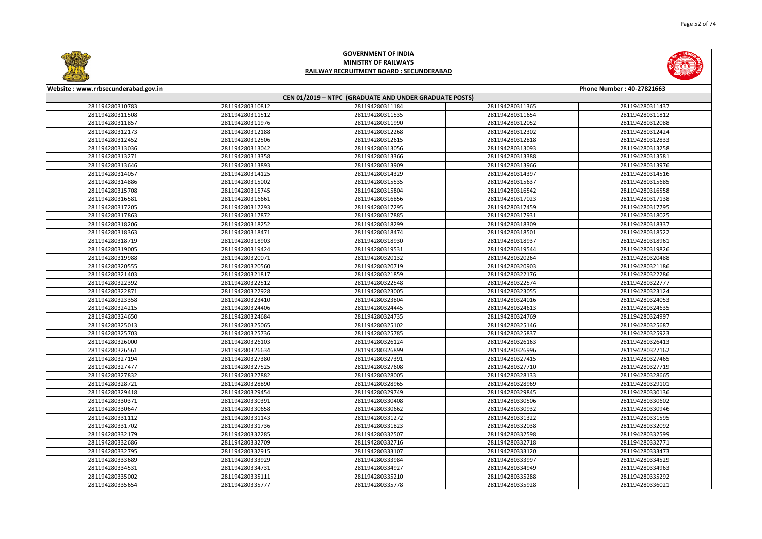



| Website: www.rrbsecunderabad.gov.in<br>Phone Number: 40-27821663 |                 |                 |                 |                 |  |
|------------------------------------------------------------------|-----------------|-----------------|-----------------|-----------------|--|
| CEN 01/2019 - NTPC (GRADUATE AND UNDER GRADUATE POSTS)           |                 |                 |                 |                 |  |
| 281194280310783                                                  | 281194280310812 | 281194280311184 | 281194280311365 | 281194280311437 |  |
| 281194280311508                                                  | 281194280311512 | 281194280311535 | 281194280311654 | 281194280311812 |  |
| 281194280311857                                                  | 281194280311976 | 281194280311990 | 281194280312052 | 281194280312088 |  |
| 281194280312173                                                  | 281194280312188 | 281194280312268 | 281194280312302 | 281194280312424 |  |
| 281194280312452                                                  | 281194280312506 | 281194280312615 | 281194280312818 | 281194280312833 |  |
| 281194280313036                                                  | 281194280313042 | 281194280313056 | 281194280313093 | 281194280313258 |  |
| 281194280313271                                                  | 281194280313358 | 281194280313366 | 281194280313388 | 281194280313581 |  |
| 281194280313646                                                  | 281194280313893 | 281194280313909 | 281194280313966 | 281194280313976 |  |
| 281194280314057                                                  | 281194280314125 | 281194280314329 | 281194280314397 | 281194280314516 |  |
| 281194280314886                                                  | 281194280315002 | 281194280315535 | 281194280315637 | 281194280315685 |  |
| 281194280315708                                                  | 281194280315745 | 281194280315804 | 281194280316542 | 281194280316558 |  |
| 281194280316581                                                  | 281194280316661 | 281194280316856 | 281194280317023 | 281194280317138 |  |
| 281194280317205                                                  | 281194280317293 | 281194280317295 | 281194280317459 | 281194280317795 |  |
| 281194280317863                                                  | 281194280317872 | 281194280317885 | 281194280317931 | 281194280318025 |  |
| 281194280318206                                                  | 281194280318252 | 281194280318299 | 281194280318309 | 281194280318337 |  |
| 281194280318363                                                  | 281194280318471 | 281194280318474 | 281194280318501 | 281194280318522 |  |
| 281194280318719                                                  | 281194280318903 | 281194280318930 | 281194280318937 | 281194280318961 |  |
| 281194280319005                                                  | 281194280319424 | 281194280319531 | 281194280319544 | 281194280319826 |  |
| 281194280319988                                                  | 281194280320071 | 281194280320132 | 281194280320264 | 281194280320488 |  |
| 281194280320555                                                  | 281194280320560 | 281194280320719 | 281194280320903 | 281194280321186 |  |
| 281194280321403                                                  | 281194280321817 | 281194280321859 | 281194280322176 | 281194280322286 |  |
| 281194280322392                                                  | 281194280322512 | 281194280322548 | 281194280322574 | 281194280322777 |  |
| 281194280322871                                                  | 281194280322928 | 281194280323005 | 281194280323055 | 281194280323124 |  |
| 281194280323358                                                  | 281194280323410 | 281194280323804 | 281194280324016 | 281194280324053 |  |
| 281194280324215                                                  | 281194280324406 | 281194280324445 | 281194280324613 | 281194280324635 |  |
| 281194280324650                                                  | 281194280324684 | 281194280324735 | 281194280324769 | 281194280324997 |  |
| 281194280325013                                                  | 281194280325065 | 281194280325102 | 281194280325146 | 281194280325687 |  |
| 281194280325703                                                  | 281194280325736 | 281194280325785 | 281194280325837 | 281194280325923 |  |
| 281194280326000                                                  | 281194280326103 | 281194280326124 | 281194280326163 | 281194280326413 |  |
| 281194280326561                                                  | 281194280326634 | 281194280326899 | 281194280326996 | 281194280327162 |  |
| 281194280327194                                                  | 281194280327380 | 281194280327391 | 281194280327415 | 281194280327465 |  |
| 281194280327477                                                  | 281194280327525 | 281194280327608 | 281194280327710 | 281194280327719 |  |
| 281194280327832                                                  | 281194280327882 | 281194280328005 | 281194280328133 | 281194280328665 |  |
| 281194280328721                                                  | 281194280328890 | 281194280328965 | 281194280328969 | 281194280329101 |  |
| 281194280329418                                                  | 281194280329454 | 281194280329749 | 281194280329845 | 281194280330136 |  |
| 281194280330371                                                  | 281194280330391 | 281194280330408 | 281194280330506 | 281194280330602 |  |
| 281194280330647                                                  | 281194280330658 | 281194280330662 | 281194280330932 | 281194280330946 |  |
| 281194280331112                                                  | 281194280331143 | 281194280331272 | 281194280331322 | 281194280331595 |  |
| 281194280331702                                                  | 281194280331736 | 281194280331823 | 281194280332038 | 281194280332092 |  |
| 281194280332179                                                  | 281194280332285 | 281194280332507 | 281194280332598 | 281194280332599 |  |
| 281194280332686                                                  | 281194280332709 | 281194280332716 | 281194280332718 | 281194280332771 |  |
| 281194280332795                                                  | 281194280332915 | 281194280333107 | 281194280333120 | 281194280333473 |  |
| 281194280333689                                                  | 281194280333929 | 281194280333984 | 281194280333997 | 281194280334529 |  |
| 281194280334531                                                  | 281194280334731 | 281194280334927 | 281194280334949 | 281194280334963 |  |
| 281194280335002                                                  | 281194280335111 | 281194280335210 | 281194280335288 | 281194280335292 |  |
| 281194280335654                                                  | 281194280335777 | 281194280335778 | 281194280335928 | 281194280336021 |  |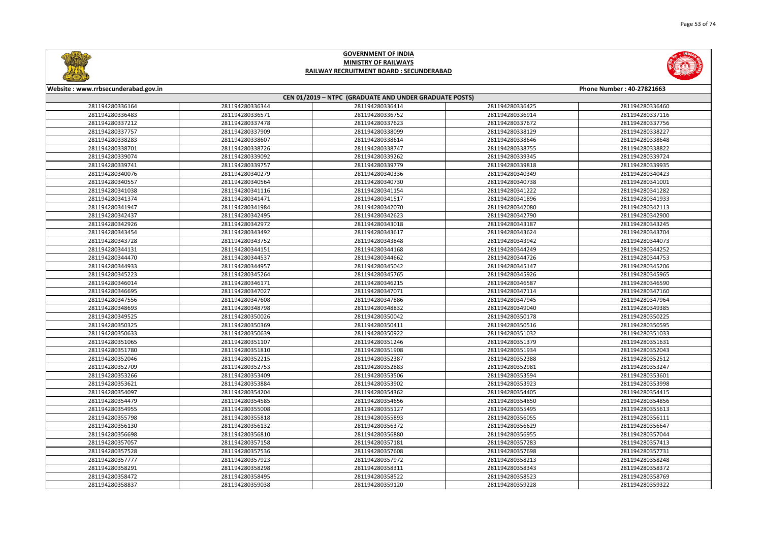

| Phone Number: 40-27821663 |                 |  |  |  |  |  |  |
|---------------------------|-----------------|--|--|--|--|--|--|
|                           |                 |  |  |  |  |  |  |
| 36425                     | 281194280336460 |  |  |  |  |  |  |
| 36914                     | 281194280337116 |  |  |  |  |  |  |
| 37672                     | 281194280337756 |  |  |  |  |  |  |
| 38129                     | 281194280338227 |  |  |  |  |  |  |
| 38646                     | 281194280338648 |  |  |  |  |  |  |
| 38755                     | 281194280338822 |  |  |  |  |  |  |
| 39345                     | 281194280339724 |  |  |  |  |  |  |
| 39818                     | 281194280339935 |  |  |  |  |  |  |
| 40349                     | 281194280340423 |  |  |  |  |  |  |
| 40738                     | 281194280341001 |  |  |  |  |  |  |
| 41222                     | 281194280341282 |  |  |  |  |  |  |
| 41896                     | 281194280341933 |  |  |  |  |  |  |
| 42080                     | 281194280342113 |  |  |  |  |  |  |
| 42790                     | 281194280342900 |  |  |  |  |  |  |
| 43187                     | 281194280343245 |  |  |  |  |  |  |
| 43624                     | 281194280343704 |  |  |  |  |  |  |
| 43942                     | 281194280344073 |  |  |  |  |  |  |
| 44249                     | 281194280344252 |  |  |  |  |  |  |
| 44726                     | 281194280344753 |  |  |  |  |  |  |
| 45147                     | 281194280345206 |  |  |  |  |  |  |
| 45926                     | 281194280345965 |  |  |  |  |  |  |
| 46587                     | 281194280346590 |  |  |  |  |  |  |
| 47114                     | 281194280347160 |  |  |  |  |  |  |
| 47945                     | 281194280347964 |  |  |  |  |  |  |
| 49040                     | 281194280349385 |  |  |  |  |  |  |
| 50178                     | 281194280350225 |  |  |  |  |  |  |
| 50516                     | 281194280350595 |  |  |  |  |  |  |
| 51032                     | 281194280351033 |  |  |  |  |  |  |
| 51379                     | 281194280351631 |  |  |  |  |  |  |
| 51934                     | 281194280352043 |  |  |  |  |  |  |
| 52388                     | 281194280352512 |  |  |  |  |  |  |
| 52981                     | 281194280353247 |  |  |  |  |  |  |
| 53594                     | 281194280353601 |  |  |  |  |  |  |
| 53923                     | 281194280353998 |  |  |  |  |  |  |
| 54405                     | 281194280354415 |  |  |  |  |  |  |
| 54850                     | 281194280354856 |  |  |  |  |  |  |
| 55495                     | 281194280355613 |  |  |  |  |  |  |
| 56055                     | 281194280356111 |  |  |  |  |  |  |
| 56629                     | 281194280356647 |  |  |  |  |  |  |
| 56955                     | 281194280357044 |  |  |  |  |  |  |
| 57283                     | 281194280357413 |  |  |  |  |  |  |
| 57698                     | 281194280357731 |  |  |  |  |  |  |
| 58213                     | 281194280358248 |  |  |  |  |  |  |
| 58343                     | 281194280358372 |  |  |  |  |  |  |
| 58523                     | 281194280358769 |  |  |  |  |  |  |
| 59228                     | 281194280359322 |  |  |  |  |  |  |



#### **Website : www.rrbsecunderabad.gov.in CEN 01/2019 – NTPC (GRADUATE AND UNDER GRADUATE POSTS)** 281194280336344 281194280336414 281194280336425 281194280336460 281194280336571 281194280336752 281194280336914 281194280337116 281194280337478 281194280337623 281194280337672 281194280337756 281194280337909 281194280338099 281194280338129 281194280338227 281194280338607 281194280338614 281194280338646 281194280338648 281194280338726 281194280338747 281194280338755 281194280338822 281194280339092 281194280339262 281194280339345 281194280339724 281194280339757 281194280339779 281194280339818 281194280339935 281194280340279 281194280340336 281194280340349 281194280340423 281194280340564 281194280340730 281194280340738 281194280341001 281194280341116 281194280341154 281194280341222 281194280341282 281194280341471 281194280341517 281194280341896 281194280341933 281194280341984 281194280342070 281194280342080 281194280342113 281194280342495 281194280342623 281194280342790 281194280342900 281194280342972 281194280343018 281194280343187 281194280343245 281194280343492 281194280343617 281194280343624 281194280343704 281194280343752 281194280343848 281194280343942 281194280344073 281194280344151 281194280344168 281194280344249 281194280344252 281194280344537 281194280344662 281194280344726 281194280344753 281194280344957 281194280345042 281194280345147 281194280345206 281194280345264 281194280345765 281194280345926 281194280345965 281194280346171 281194280346215 281194280346587 281194280346590 281194280347027 281194280347071 281194280347114 281194280347160 281194280347608 281194280347886 281194280347945 281194280347964 281194280348798 281194280348832 281194280349040 281194280349385 281194280350026 281194280350042 281194280350178 281194280350225 281194280350369 281194280350411 281194280350516 281194280350595 281194280350639 281194280350922 281194280351032 281194280351033 281194280351107 281194280351246 281194280351379 281194280351631 281194280351810 281194280351908 281194280351934 281194280352043 281194280352215 281194280352387 281194280352388 281194280352512 281194280352753 281194280352883 281194280352981 281194280353247 281194280353409 281194280353506 281194280353594 281194280353601 281194280353884 281194280353902 281194280353923 281194280353998 281194280354204 281194280354362 281194280354405 281194280354415 281194280354585 281194280354656 281194280354850 281194280354856 281194280355008 281194280355127 281194280355495 281194280355613 281194280355818 281194280355893 281194280356055 281194280356111 281194280356132 281194280356372 281194280356629 281194280356647 281194280356810 281194280356880 281194280356955 281194280357044 281194280357158 281194280357181 281194280357283 281194280357413 281194280357536 281194280357608 281194280357698 281194280357731 281194280357923 281194280357972 281194280358213 281194280358248 281194280358298 281194280358311 281194280358343 281194280358372 281194280358495 281194280358522 281194280358523 281194280358769 281194280359038 281194280359120 281194280359228 281194280359322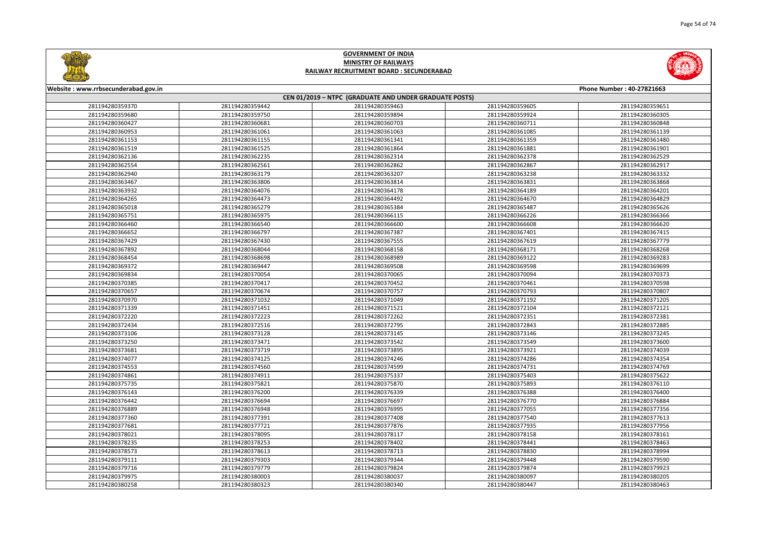



| Website: www.rrbsecunderabad.gov.in<br>Phone Number: 40-27821663 |                 |                                                        |                 |                 |
|------------------------------------------------------------------|-----------------|--------------------------------------------------------|-----------------|-----------------|
|                                                                  |                 | CEN 01/2019 - NTPC (GRADUATE AND UNDER GRADUATE POSTS) |                 |                 |
| 281194280359370                                                  | 281194280359442 | 281194280359463                                        | 281194280359605 | 281194280359651 |
| 281194280359680                                                  | 281194280359750 | 281194280359894                                        | 281194280359924 | 281194280360305 |
| 281194280360427                                                  | 281194280360681 | 281194280360703                                        | 281194280360711 | 281194280360848 |
| 281194280360953                                                  | 281194280361061 | 281194280361063                                        | 281194280361085 | 281194280361139 |
| 281194280361153                                                  | 281194280361155 | 281194280361341                                        | 281194280361359 | 281194280361480 |
| 281194280361519                                                  | 281194280361525 | 281194280361864                                        | 281194280361881 | 281194280361901 |
| 281194280362136                                                  | 281194280362235 | 281194280362314                                        | 281194280362378 | 281194280362529 |
| 281194280362554                                                  | 281194280362561 | 281194280362862                                        | 281194280362867 | 281194280362917 |
| 281194280362940                                                  | 281194280363179 | 281194280363207                                        | 281194280363238 | 281194280363332 |
| 281194280363467                                                  | 281194280363806 | 281194280363814                                        | 281194280363831 | 281194280363868 |
| 281194280363932                                                  | 281194280364076 | 281194280364178                                        | 281194280364189 | 281194280364201 |
| 281194280364265                                                  | 281194280364473 | 281194280364492                                        | 281194280364670 | 281194280364829 |
| 281194280365018                                                  | 281194280365279 | 281194280365384                                        | 281194280365487 | 281194280365626 |
| 281194280365751                                                  | 281194280365975 | 281194280366115                                        | 281194280366226 | 281194280366366 |
| 281194280366460                                                  | 281194280366540 | 281194280366600                                        | 281194280366608 | 281194280366620 |
| 281194280366652                                                  | 281194280366797 | 281194280367387                                        | 281194280367401 | 281194280367415 |
| 281194280367429                                                  | 281194280367430 | 281194280367555                                        | 281194280367619 | 281194280367779 |
| 281194280367892                                                  | 281194280368044 | 281194280368158                                        | 281194280368171 | 281194280368268 |
| 281194280368454                                                  | 281194280368698 | 281194280368989                                        | 281194280369122 | 281194280369283 |
| 281194280369372                                                  | 281194280369447 | 281194280369508                                        | 281194280369598 | 281194280369699 |
| 281194280369834                                                  | 281194280370054 | 281194280370065                                        | 281194280370094 | 281194280370373 |
| 281194280370385                                                  | 281194280370417 | 281194280370452                                        | 281194280370461 | 281194280370598 |
| 281194280370657                                                  | 281194280370674 | 281194280370757                                        | 281194280370793 | 281194280370807 |
| 281194280370970                                                  | 281194280371032 | 281194280371049                                        | 281194280371192 | 281194280371205 |
| 281194280371339                                                  | 281194280371451 | 281194280371521                                        | 281194280372104 | 281194280372121 |
| 281194280372220                                                  | 281194280372223 | 281194280372262                                        | 281194280372351 | 281194280372381 |
| 281194280372434                                                  | 281194280372516 | 281194280372795                                        | 281194280372843 | 281194280372885 |
| 281194280373106                                                  | 281194280373128 | 281194280373145                                        | 281194280373146 | 281194280373245 |
| 281194280373250                                                  | 281194280373471 | 281194280373542                                        | 281194280373549 | 281194280373600 |
| 281194280373681                                                  | 281194280373719 | 281194280373895                                        | 281194280373921 | 281194280374039 |
| 281194280374077                                                  | 281194280374125 | 281194280374246                                        | 281194280374286 | 281194280374354 |
| 281194280374553                                                  | 281194280374560 | 281194280374599                                        | 281194280374731 | 281194280374769 |
| 281194280374861                                                  | 281194280374911 | 281194280375337                                        | 281194280375403 | 281194280375622 |
| 281194280375735                                                  | 281194280375821 | 281194280375870                                        | 281194280375893 | 281194280376110 |
| 281194280376143                                                  | 281194280376200 | 281194280376339                                        | 281194280376388 | 281194280376400 |
| 281194280376442                                                  | 281194280376694 | 281194280376697                                        | 281194280376770 | 281194280376884 |
| 281194280376889                                                  | 281194280376948 | 281194280376995                                        | 281194280377055 | 281194280377356 |
| 281194280377360                                                  | 281194280377391 | 281194280377408                                        | 281194280377540 | 281194280377613 |
| 281194280377681                                                  | 281194280377721 | 281194280377876                                        | 281194280377935 | 281194280377956 |
| 281194280378021                                                  | 281194280378095 | 281194280378117                                        | 281194280378158 | 281194280378161 |
| 281194280378235                                                  | 281194280378253 | 281194280378402                                        | 281194280378441 | 281194280378463 |
| 281194280378573                                                  | 281194280378613 | 281194280378713                                        | 281194280378830 | 281194280378994 |
| 281194280379111                                                  | 281194280379303 | 281194280379344                                        | 281194280379448 | 281194280379590 |
| 281194280379716                                                  | 281194280379779 | 281194280379824                                        | 281194280379874 | 281194280379923 |
| 281194280379975                                                  | 281194280380003 | 281194280380037                                        | 281194280380097 | 281194280380205 |
| 281194280380258                                                  | 281194280380323 | 281194280380340                                        | 281194280380447 | 281194280380463 |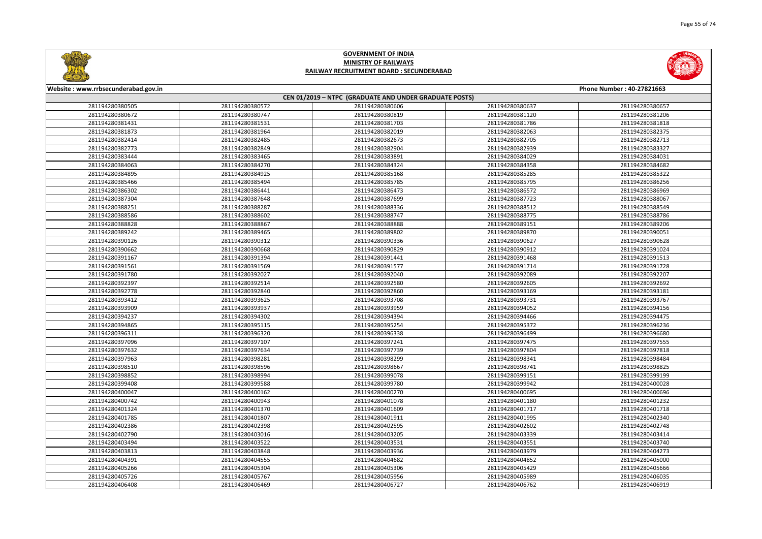



| Website: www.rrbsecunderabad.gov.in<br>Phone Number: 40-27821663 |                 |                                                        |                 |                 |
|------------------------------------------------------------------|-----------------|--------------------------------------------------------|-----------------|-----------------|
|                                                                  |                 | CEN 01/2019 - NTPC (GRADUATE AND UNDER GRADUATE POSTS) |                 |                 |
| 281194280380505                                                  | 281194280380572 | 281194280380606                                        | 281194280380637 | 281194280380657 |
| 281194280380672                                                  | 281194280380747 | 281194280380819                                        | 281194280381120 | 281194280381206 |
| 281194280381431                                                  | 281194280381531 | 281194280381703                                        | 281194280381786 | 281194280381818 |
| 281194280381873                                                  | 281194280381964 | 281194280382019                                        | 281194280382063 | 281194280382375 |
| 281194280382414                                                  | 281194280382485 | 281194280382673                                        | 281194280382705 | 281194280382713 |
| 281194280382773                                                  | 281194280382849 | 281194280382904                                        | 281194280382939 | 281194280383327 |
| 281194280383444                                                  | 281194280383465 | 281194280383891                                        | 281194280384029 | 281194280384031 |
| 281194280384063                                                  | 281194280384270 | 281194280384324                                        | 281194280384358 | 281194280384682 |
| 281194280384895                                                  | 281194280384925 | 281194280385168                                        | 281194280385285 | 281194280385322 |
| 281194280385466                                                  | 281194280385494 | 281194280385785                                        | 281194280385795 | 281194280386256 |
| 281194280386302                                                  | 281194280386441 | 281194280386473                                        | 281194280386572 | 281194280386969 |
| 281194280387304                                                  | 281194280387648 | 281194280387699                                        | 281194280387723 | 281194280388067 |
| 281194280388251                                                  | 281194280388287 | 281194280388336                                        | 281194280388512 | 281194280388549 |
| 281194280388586                                                  | 281194280388602 | 281194280388747                                        | 281194280388775 | 281194280388786 |
| 281194280388828                                                  | 281194280388867 | 281194280388888                                        | 281194280389151 | 281194280389206 |
| 281194280389242                                                  | 281194280389465 | 281194280389802                                        | 281194280389870 | 281194280390051 |
| 281194280390126                                                  | 281194280390312 | 281194280390336                                        | 281194280390627 | 281194280390628 |
| 281194280390662                                                  | 281194280390668 | 281194280390829                                        | 281194280390912 | 281194280391024 |
| 281194280391167                                                  | 281194280391394 | 281194280391441                                        | 281194280391468 | 281194280391513 |
| 281194280391561                                                  | 281194280391569 | 281194280391577                                        | 281194280391714 | 281194280391728 |
| 281194280391780                                                  | 281194280392027 | 281194280392040                                        | 281194280392089 | 281194280392207 |
| 281194280392397                                                  | 281194280392514 | 281194280392580                                        | 281194280392605 | 281194280392692 |
| 281194280392778                                                  | 281194280392840 | 281194280392860                                        | 281194280393169 | 281194280393181 |
| 281194280393412                                                  | 281194280393625 | 281194280393708                                        | 281194280393731 | 281194280393767 |
| 281194280393909                                                  | 281194280393937 | 281194280393959                                        | 281194280394052 | 281194280394156 |
| 281194280394237                                                  | 281194280394302 | 281194280394394                                        | 281194280394466 | 281194280394475 |
| 281194280394865                                                  | 281194280395115 | 281194280395254                                        | 281194280395372 | 281194280396236 |
| 281194280396311                                                  | 281194280396320 | 281194280396338                                        | 281194280396499 | 281194280396680 |
| 281194280397096                                                  | 281194280397107 | 281194280397241                                        | 281194280397475 | 281194280397555 |
| 281194280397632                                                  | 281194280397634 | 281194280397739                                        | 281194280397804 | 281194280397818 |
| 281194280397963                                                  | 281194280398281 | 281194280398299                                        | 281194280398341 | 281194280398484 |
| 281194280398510                                                  | 281194280398596 | 281194280398667                                        | 281194280398741 | 281194280398825 |
| 281194280398852                                                  | 281194280398994 | 281194280399078                                        | 281194280399151 | 281194280399199 |
| 281194280399408                                                  | 281194280399588 | 281194280399780                                        | 281194280399942 | 281194280400028 |
| 281194280400047                                                  | 281194280400162 | 281194280400270                                        | 281194280400695 | 281194280400696 |
| 281194280400742                                                  | 281194280400943 | 281194280401078                                        | 281194280401180 | 281194280401232 |
| 281194280401324                                                  | 281194280401370 | 281194280401609                                        | 281194280401717 | 281194280401718 |
| 281194280401785                                                  | 281194280401807 | 281194280401911                                        | 281194280401995 | 281194280402340 |
| 281194280402386                                                  | 281194280402398 | 281194280402595                                        | 281194280402602 | 281194280402748 |
| 281194280402790                                                  | 281194280403016 | 281194280403205                                        | 281194280403339 | 281194280403414 |
| 281194280403494                                                  | 281194280403522 | 281194280403531                                        | 281194280403551 | 281194280403740 |
| 281194280403813                                                  | 281194280403848 | 281194280403936                                        | 281194280403979 | 281194280404273 |
| 281194280404391                                                  | 281194280404555 | 281194280404682                                        | 281194280404852 | 281194280405000 |
| 281194280405266                                                  | 281194280405304 | 281194280405306                                        | 281194280405429 | 281194280405666 |
| 281194280405726                                                  | 281194280405767 | 281194280405956                                        | 281194280405989 | 281194280406035 |
| 281194280406408                                                  | 281194280406469 | 281194280406727                                        | 281194280406762 | 281194280406919 |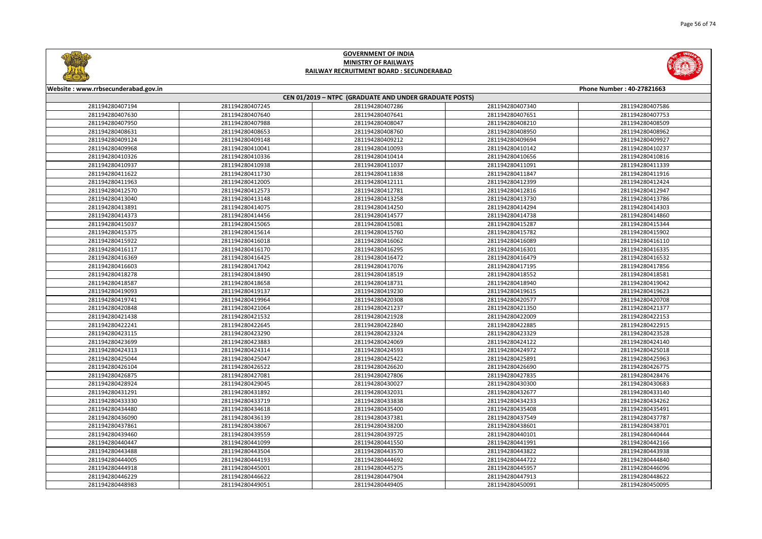



| Website : www.rrbsecunderabad.gov.in<br>Phone Number: 40-27821663 |                 |                 |                 |                 |  |
|-------------------------------------------------------------------|-----------------|-----------------|-----------------|-----------------|--|
| CEN 01/2019 - NTPC (GRADUATE AND UNDER GRADUATE POSTS)            |                 |                 |                 |                 |  |
| 281194280407194                                                   | 281194280407245 | 281194280407286 | 281194280407340 | 281194280407586 |  |
| 281194280407630                                                   | 281194280407640 | 281194280407641 | 281194280407651 | 281194280407753 |  |
| 281194280407950                                                   | 281194280407988 | 281194280408047 | 281194280408210 | 281194280408509 |  |
| 281194280408631                                                   | 281194280408653 | 281194280408760 | 281194280408950 | 281194280408962 |  |
| 281194280409124                                                   | 281194280409148 | 281194280409212 | 281194280409694 | 281194280409927 |  |
| 281194280409968                                                   | 281194280410041 | 281194280410093 | 281194280410142 | 281194280410237 |  |
| 281194280410326                                                   | 281194280410336 | 281194280410414 | 281194280410656 | 281194280410816 |  |
| 281194280410937                                                   | 281194280410938 | 281194280411037 | 281194280411091 | 281194280411339 |  |
| 281194280411622                                                   | 281194280411730 | 281194280411838 | 281194280411847 | 281194280411916 |  |
| 281194280411963                                                   | 281194280412005 | 281194280412111 | 281194280412399 | 281194280412424 |  |
| 281194280412570                                                   | 281194280412573 | 281194280412781 | 281194280412816 | 281194280412947 |  |
| 281194280413040                                                   | 281194280413148 | 281194280413258 | 281194280413730 | 281194280413786 |  |
| 281194280413891                                                   | 281194280414075 | 281194280414250 | 281194280414294 | 281194280414303 |  |
| 281194280414373                                                   | 281194280414456 | 281194280414577 | 281194280414738 | 281194280414860 |  |
| 281194280415037                                                   | 281194280415065 | 281194280415081 | 281194280415287 | 281194280415344 |  |
| 281194280415375                                                   | 281194280415614 | 281194280415760 | 281194280415782 | 281194280415902 |  |
| 281194280415922                                                   | 281194280416018 | 281194280416062 | 281194280416089 | 281194280416110 |  |
| 281194280416117                                                   | 281194280416170 | 281194280416295 | 281194280416301 | 281194280416335 |  |
| 281194280416369                                                   | 281194280416425 | 281194280416472 | 281194280416479 | 281194280416532 |  |
| 281194280416603                                                   | 281194280417042 | 281194280417076 | 281194280417195 | 281194280417856 |  |
| 281194280418278                                                   | 281194280418490 | 281194280418519 | 281194280418552 | 281194280418581 |  |
| 281194280418587                                                   | 281194280418658 | 281194280418731 | 281194280418940 | 281194280419042 |  |
| 281194280419093                                                   | 281194280419137 | 281194280419230 | 281194280419615 | 281194280419623 |  |
| 281194280419741                                                   | 281194280419964 | 281194280420308 | 281194280420577 | 281194280420708 |  |
| 281194280420848                                                   | 281194280421064 | 281194280421237 | 281194280421350 | 281194280421377 |  |
| 281194280421438                                                   | 281194280421532 | 281194280421928 | 281194280422009 | 281194280422153 |  |
| 281194280422241                                                   | 281194280422645 | 281194280422840 | 281194280422885 | 281194280422915 |  |
| 281194280423115                                                   | 281194280423290 | 281194280423324 | 281194280423329 | 281194280423528 |  |
| 281194280423699                                                   | 281194280423883 | 281194280424069 | 281194280424122 | 281194280424140 |  |
| 281194280424313                                                   | 281194280424314 | 281194280424593 | 281194280424972 | 281194280425018 |  |
| 281194280425044                                                   | 281194280425047 | 281194280425422 | 281194280425891 | 281194280425963 |  |
| 281194280426104                                                   | 281194280426522 | 281194280426620 | 281194280426690 | 281194280426775 |  |
| 281194280426875                                                   | 281194280427081 | 281194280427806 | 281194280427835 | 281194280428476 |  |
| 281194280428924                                                   | 281194280429045 | 281194280430027 | 281194280430300 | 281194280430683 |  |
| 281194280431291                                                   | 281194280431892 | 281194280432031 | 281194280432677 | 281194280433140 |  |
| 281194280433330                                                   | 281194280433719 | 281194280433838 | 281194280434233 | 281194280434262 |  |
| 281194280434480                                                   | 281194280434618 | 281194280435400 | 281194280435408 | 281194280435491 |  |
| 281194280436090                                                   | 281194280436139 | 281194280437381 | 281194280437549 | 281194280437787 |  |
| 281194280437861                                                   | 281194280438067 | 281194280438200 | 281194280438601 | 281194280438701 |  |
| 281194280439460                                                   | 281194280439559 | 281194280439725 | 281194280440101 | 281194280440444 |  |
| 281194280440447                                                   | 281194280441099 | 281194280441550 | 281194280441991 | 281194280442166 |  |
| 281194280443488                                                   | 281194280443504 | 281194280443570 | 281194280443822 | 281194280443938 |  |
| 281194280444005                                                   | 281194280444193 | 281194280444692 | 281194280444722 | 281194280444840 |  |
| 281194280444918                                                   | 281194280445001 | 281194280445275 | 281194280445957 | 281194280446096 |  |
| 281194280446229                                                   | 281194280446622 | 281194280447904 | 281194280447913 | 281194280448622 |  |
| 281194280448983                                                   | 281194280449051 | 281194280449405 | 281194280450091 | 281194280450095 |  |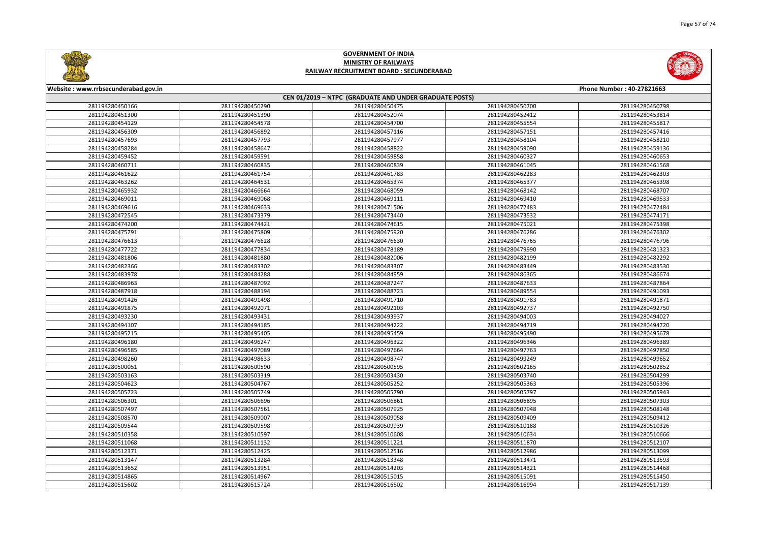



| Website: www.rrbsecunderabad.gov.in<br>Phone Number: 40-27821663 |                 |                 |                 |                 |  |
|------------------------------------------------------------------|-----------------|-----------------|-----------------|-----------------|--|
| CEN 01/2019 - NTPC (GRADUATE AND UNDER GRADUATE POSTS)           |                 |                 |                 |                 |  |
| 281194280450166                                                  | 281194280450290 | 281194280450475 | 281194280450700 | 281194280450798 |  |
| 281194280451300                                                  | 281194280451390 | 281194280452074 | 281194280452412 | 281194280453814 |  |
| 281194280454129                                                  | 281194280454578 | 281194280454700 | 281194280455554 | 281194280455817 |  |
| 281194280456309                                                  | 281194280456892 | 281194280457116 | 281194280457151 | 281194280457416 |  |
| 281194280457693                                                  | 281194280457793 | 281194280457977 | 281194280458104 | 281194280458210 |  |
| 281194280458284                                                  | 281194280458647 | 281194280458822 | 281194280459090 | 281194280459136 |  |
| 281194280459452                                                  | 281194280459591 | 281194280459858 | 281194280460327 | 281194280460653 |  |
| 281194280460711                                                  | 281194280460835 | 281194280460839 | 281194280461045 | 281194280461568 |  |
| 281194280461622                                                  | 281194280461754 | 281194280461783 | 281194280462283 | 281194280462303 |  |
| 281194280463262                                                  | 281194280464531 | 281194280465374 | 281194280465377 | 281194280465398 |  |
| 281194280465932                                                  | 281194280466664 | 281194280468059 | 281194280468142 | 281194280468707 |  |
| 281194280469011                                                  | 281194280469068 | 281194280469111 | 281194280469410 | 281194280469533 |  |
| 281194280469616                                                  | 281194280469633 | 281194280471506 | 281194280472483 | 281194280472484 |  |
| 281194280472545                                                  | 281194280473379 | 281194280473440 | 281194280473532 | 281194280474171 |  |
| 281194280474200                                                  | 281194280474421 | 281194280474615 | 281194280475021 | 281194280475398 |  |
| 281194280475791                                                  | 281194280475809 | 281194280475920 | 281194280476286 | 281194280476302 |  |
| 281194280476613                                                  | 281194280476628 | 281194280476630 | 281194280476765 | 281194280476796 |  |
| 281194280477722                                                  | 281194280477834 | 281194280478189 | 281194280479990 | 281194280481323 |  |
| 281194280481806                                                  | 281194280481880 | 281194280482006 | 281194280482199 | 281194280482292 |  |
| 281194280482366                                                  | 281194280483302 | 281194280483307 | 281194280483449 | 281194280483530 |  |
| 281194280483978                                                  | 281194280484288 | 281194280484959 | 281194280486365 | 281194280486674 |  |
| 281194280486963                                                  | 281194280487092 | 281194280487247 | 281194280487633 | 281194280487864 |  |
| 281194280487918                                                  | 281194280488194 | 281194280488723 | 281194280489554 | 281194280491093 |  |
| 281194280491426                                                  | 281194280491498 | 281194280491710 | 281194280491783 | 281194280491871 |  |
| 281194280491875                                                  | 281194280492071 | 281194280492103 | 281194280492737 | 281194280492750 |  |
| 281194280493230                                                  | 281194280493431 | 281194280493937 | 281194280494003 | 281194280494027 |  |
| 281194280494107                                                  | 281194280494185 | 281194280494222 | 281194280494719 | 281194280494720 |  |
| 281194280495215                                                  | 281194280495405 | 281194280495459 | 281194280495490 | 281194280495678 |  |
| 281194280496180                                                  | 281194280496247 | 281194280496322 | 281194280496346 | 281194280496389 |  |
| 281194280496585                                                  | 281194280497089 | 281194280497664 | 281194280497763 | 281194280497850 |  |
| 281194280498260                                                  | 281194280498633 | 281194280498747 | 281194280499249 | 281194280499652 |  |
| 281194280500051                                                  | 281194280500590 | 281194280500595 | 281194280502165 | 281194280502852 |  |
| 281194280503163                                                  | 281194280503319 | 281194280503430 | 281194280503740 | 281194280504299 |  |
| 281194280504623                                                  | 281194280504767 | 281194280505252 | 281194280505363 | 281194280505396 |  |
| 281194280505723                                                  | 281194280505749 | 281194280505790 | 281194280505797 | 281194280505943 |  |
| 281194280506301                                                  | 281194280506696 | 281194280506861 | 281194280506895 | 281194280507303 |  |
| 281194280507497                                                  | 281194280507561 | 281194280507925 | 281194280507948 | 281194280508148 |  |
| 281194280508570                                                  | 281194280509007 | 281194280509058 | 281194280509409 | 281194280509412 |  |
| 281194280509544                                                  | 281194280509598 | 281194280509939 | 281194280510188 | 281194280510326 |  |
| 281194280510358                                                  | 281194280510597 | 281194280510608 | 281194280510634 | 281194280510666 |  |
| 281194280511068                                                  | 281194280511132 | 281194280511221 | 281194280511870 | 281194280512107 |  |
| 281194280512371                                                  | 281194280512425 | 281194280512516 | 281194280512986 | 281194280513099 |  |
| 281194280513147                                                  | 281194280513284 | 281194280513348 | 281194280513471 | 281194280513593 |  |
| 281194280513652                                                  | 281194280513951 | 281194280514203 | 281194280514321 | 281194280514468 |  |
| 281194280514865                                                  | 281194280514967 | 281194280515015 | 281194280515091 | 281194280515450 |  |
| 281194280515602                                                  | 281194280515724 | 281194280516502 | 281194280516994 | 281194280517139 |  |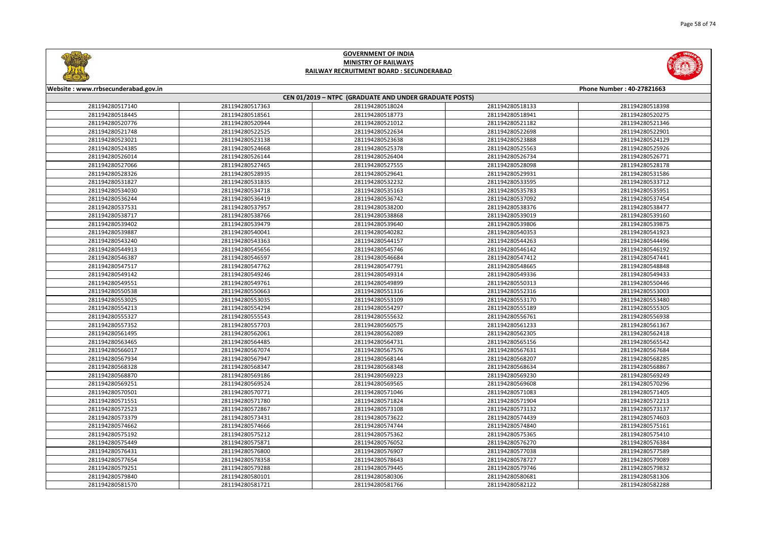



| Website: www.rrbsecunderabad.gov.in<br>Phone Number: 40-27821663 |                                                        |                 |                 |                 |  |  |
|------------------------------------------------------------------|--------------------------------------------------------|-----------------|-----------------|-----------------|--|--|
|                                                                  | CEN 01/2019 - NTPC (GRADUATE AND UNDER GRADUATE POSTS) |                 |                 |                 |  |  |
| 281194280517140                                                  | 281194280517363                                        | 281194280518024 | 281194280518133 | 281194280518398 |  |  |
| 281194280518445                                                  | 281194280518561                                        | 281194280518773 | 281194280518941 | 281194280520275 |  |  |
| 281194280520776                                                  | 281194280520944                                        | 281194280521012 | 281194280521182 | 281194280521346 |  |  |
| 281194280521748                                                  | 281194280522525                                        | 281194280522634 | 281194280522698 | 281194280522901 |  |  |
| 281194280523021                                                  | 281194280523138                                        | 281194280523638 | 281194280523888 | 281194280524129 |  |  |
| 281194280524385                                                  | 281194280524668                                        | 281194280525378 | 281194280525563 | 281194280525926 |  |  |
| 281194280526014                                                  | 281194280526144                                        | 281194280526404 | 281194280526734 | 281194280526771 |  |  |
| 281194280527066                                                  | 281194280527465                                        | 281194280527555 | 281194280528098 | 281194280528178 |  |  |
| 281194280528326                                                  | 281194280528935                                        | 281194280529641 | 281194280529931 | 281194280531586 |  |  |
| 281194280531827                                                  | 281194280531835                                        | 281194280532232 | 281194280533595 | 281194280533712 |  |  |
| 281194280534030                                                  | 281194280534718                                        | 281194280535163 | 281194280535783 | 281194280535951 |  |  |
| 281194280536244                                                  | 281194280536419                                        | 281194280536742 | 281194280537092 | 281194280537454 |  |  |
| 281194280537531                                                  | 281194280537957                                        | 281194280538200 | 281194280538376 | 281194280538477 |  |  |
| 281194280538717                                                  | 281194280538766                                        | 281194280538868 | 281194280539019 | 281194280539160 |  |  |
| 281194280539402                                                  | 281194280539479                                        | 281194280539640 | 281194280539806 | 281194280539875 |  |  |
| 281194280539887                                                  | 281194280540041                                        | 281194280540282 | 281194280540353 | 281194280541923 |  |  |
| 281194280543240                                                  | 281194280543363                                        | 281194280544157 | 281194280544263 | 281194280544496 |  |  |
| 281194280544913                                                  | 281194280545656                                        | 281194280545746 | 281194280546142 | 281194280546192 |  |  |
| 281194280546387                                                  | 281194280546597                                        | 281194280546684 | 281194280547412 | 281194280547441 |  |  |
| 281194280547517                                                  | 281194280547762                                        | 281194280547791 | 281194280548665 | 281194280548848 |  |  |
| 281194280549142                                                  | 281194280549246                                        | 281194280549314 | 281194280549336 | 281194280549433 |  |  |
| 281194280549551                                                  | 281194280549761                                        | 281194280549899 | 281194280550313 | 281194280550446 |  |  |
| 281194280550538                                                  | 281194280550663                                        | 281194280551316 | 281194280552316 | 281194280553003 |  |  |
| 281194280553025                                                  | 281194280553035                                        | 281194280553109 | 281194280553170 | 281194280553480 |  |  |
| 281194280554213                                                  | 281194280554294                                        | 281194280554297 | 281194280555189 | 281194280555305 |  |  |
| 281194280555327                                                  | 281194280555543                                        | 281194280555632 | 281194280556761 | 281194280556938 |  |  |
| 281194280557352                                                  | 281194280557703                                        | 281194280560575 | 281194280561233 | 281194280561367 |  |  |
| 281194280561495                                                  | 281194280562061                                        | 281194280562089 | 281194280562305 | 281194280562418 |  |  |
| 281194280563465                                                  | 281194280564485                                        | 281194280564731 | 281194280565156 | 281194280565542 |  |  |
| 281194280566017                                                  | 281194280567074                                        | 281194280567576 | 281194280567631 | 281194280567684 |  |  |
| 281194280567934                                                  | 281194280567947                                        | 281194280568144 | 281194280568207 | 281194280568285 |  |  |
| 281194280568328                                                  | 281194280568347                                        | 281194280568348 | 281194280568634 | 281194280568867 |  |  |
| 281194280568870                                                  | 281194280569186                                        | 281194280569223 | 281194280569230 | 281194280569249 |  |  |
| 281194280569251                                                  | 281194280569524                                        | 281194280569565 | 281194280569608 | 281194280570296 |  |  |
| 281194280570501                                                  | 281194280570771                                        | 281194280571046 | 281194280571083 | 281194280571405 |  |  |
| 281194280571551                                                  | 281194280571780                                        | 281194280571824 | 281194280571904 | 281194280572213 |  |  |
| 281194280572523                                                  | 281194280572867                                        | 281194280573108 | 281194280573132 | 281194280573137 |  |  |
| 281194280573379                                                  | 281194280573431                                        | 281194280573622 | 281194280574439 | 281194280574603 |  |  |
| 281194280574662                                                  | 281194280574666                                        | 281194280574744 | 281194280574840 | 281194280575161 |  |  |
| 281194280575192                                                  | 281194280575212                                        | 281194280575362 | 281194280575365 | 281194280575410 |  |  |
| 281194280575449                                                  | 281194280575871                                        | 281194280576052 | 281194280576270 | 281194280576384 |  |  |
| 281194280576431                                                  | 281194280576800                                        | 281194280576907 | 281194280577038 | 281194280577589 |  |  |
| 281194280577654                                                  | 281194280578358                                        | 281194280578643 | 281194280578727 | 281194280579089 |  |  |
| 281194280579251                                                  | 281194280579288                                        | 281194280579445 | 281194280579746 | 281194280579832 |  |  |
| 281194280579840                                                  | 281194280580101                                        | 281194280580306 | 281194280580681 | 281194280581306 |  |  |
| 281194280581570                                                  | 281194280581721                                        | 281194280581766 | 281194280582122 | 281194280582288 |  |  |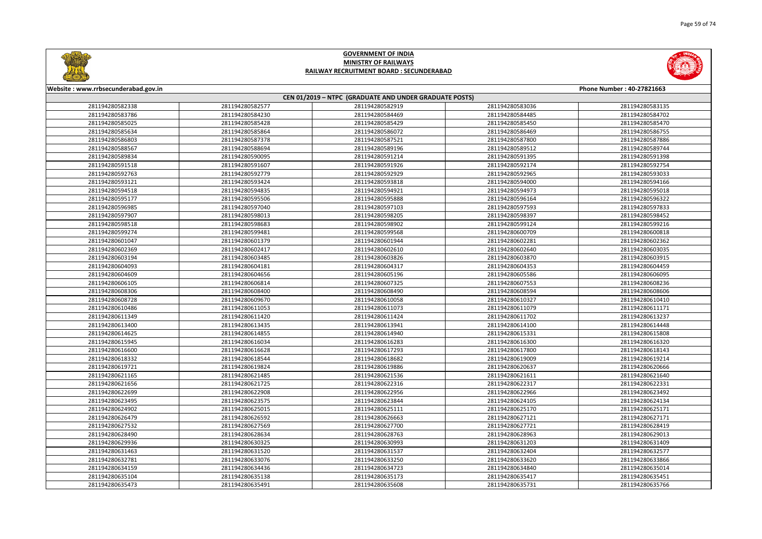



| Website: www.rrbsecunderabad.gov.in<br>Phone Number: 40-27821663 |                 |                                                        |                 |                 |
|------------------------------------------------------------------|-----------------|--------------------------------------------------------|-----------------|-----------------|
|                                                                  |                 | CEN 01/2019 - NTPC (GRADUATE AND UNDER GRADUATE POSTS) |                 |                 |
| 281194280582338                                                  | 281194280582577 | 281194280582919                                        | 281194280583036 | 281194280583135 |
| 281194280583786                                                  | 281194280584230 | 281194280584469                                        | 281194280584485 | 281194280584702 |
| 281194280585025                                                  | 281194280585428 | 281194280585429                                        | 281194280585450 | 281194280585470 |
| 281194280585634                                                  | 281194280585864 | 281194280586072                                        | 281194280586469 | 281194280586755 |
| 281194280586803                                                  | 281194280587378 | 281194280587521                                        | 281194280587800 | 281194280587886 |
| 281194280588567                                                  | 281194280588694 | 281194280589196                                        | 281194280589512 | 281194280589744 |
| 281194280589834                                                  | 281194280590095 | 281194280591214                                        | 281194280591395 | 281194280591398 |
| 281194280591518                                                  | 281194280591607 | 281194280591926                                        | 281194280592174 | 281194280592754 |
| 281194280592763                                                  | 281194280592779 | 281194280592929                                        | 281194280592965 | 281194280593033 |
| 281194280593121                                                  | 281194280593424 | 281194280593818                                        | 281194280594000 | 281194280594166 |
| 281194280594518                                                  | 281194280594835 | 281194280594921                                        | 281194280594973 | 281194280595018 |
| 281194280595177                                                  | 281194280595506 | 281194280595888                                        | 281194280596164 | 281194280596322 |
| 281194280596985                                                  | 281194280597040 | 281194280597103                                        | 281194280597593 | 281194280597833 |
| 281194280597907                                                  | 281194280598013 | 281194280598205                                        | 281194280598397 | 281194280598452 |
| 281194280598518                                                  | 281194280598683 | 281194280598902                                        | 281194280599124 | 281194280599216 |
| 281194280599274                                                  | 281194280599481 | 281194280599568                                        | 281194280600709 | 281194280600818 |
| 281194280601047                                                  | 281194280601379 | 281194280601944                                        | 281194280602281 | 281194280602362 |
| 281194280602369                                                  | 281194280602417 | 281194280602610                                        | 281194280602640 | 281194280603035 |
| 281194280603194                                                  | 281194280603485 | 281194280603826                                        | 281194280603870 | 281194280603915 |
| 281194280604093                                                  | 281194280604181 | 281194280604317                                        | 281194280604353 | 281194280604459 |
| 281194280604609                                                  | 281194280604656 | 281194280605196                                        | 281194280605586 | 281194280606095 |
| 281194280606105                                                  | 281194280606814 | 281194280607325                                        | 281194280607553 | 281194280608236 |
| 281194280608306                                                  | 281194280608400 | 281194280608490                                        | 281194280608594 | 281194280608606 |
| 281194280608728                                                  | 281194280609670 | 281194280610058                                        | 281194280610327 | 281194280610410 |
| 281194280610486                                                  | 281194280611053 | 281194280611073                                        | 281194280611079 | 281194280611171 |
| 281194280611349                                                  | 281194280611420 | 281194280611424                                        | 281194280611702 | 281194280613237 |
| 281194280613400                                                  | 281194280613435 | 281194280613941                                        | 281194280614100 | 281194280614448 |
| 281194280614625                                                  | 281194280614855 | 281194280614940                                        | 281194280615331 | 281194280615808 |
| 281194280615945                                                  | 281194280616034 | 281194280616283                                        | 281194280616300 | 281194280616320 |
| 281194280616600                                                  | 281194280616628 | 281194280617293                                        | 281194280617800 | 281194280618143 |
| 281194280618332                                                  | 281194280618544 | 281194280618682                                        | 281194280619009 | 281194280619214 |
| 281194280619721                                                  | 281194280619824 | 281194280619886                                        | 281194280620637 | 281194280620666 |
| 281194280621165                                                  | 281194280621485 | 281194280621536                                        | 281194280621611 | 281194280621640 |
| 281194280621656                                                  | 281194280621725 | 281194280622316                                        | 281194280622317 | 281194280622331 |
| 281194280622699                                                  | 281194280622908 | 281194280622956                                        | 281194280622966 | 281194280623492 |
| 281194280623495                                                  | 281194280623575 | 281194280623844                                        | 281194280624105 | 281194280624134 |
| 281194280624902                                                  | 281194280625015 | 281194280625111                                        | 281194280625170 | 281194280625171 |
| 281194280626479                                                  | 281194280626592 | 281194280626663                                        | 281194280627121 | 281194280627171 |
| 281194280627532                                                  | 281194280627569 | 281194280627700                                        | 281194280627721 | 281194280628419 |
| 281194280628490                                                  | 281194280628634 | 281194280628763                                        | 281194280628963 | 281194280629013 |
| 281194280629936                                                  | 281194280630325 | 281194280630993                                        | 281194280631203 | 281194280631409 |
| 281194280631463                                                  | 281194280631520 | 281194280631537                                        | 281194280632404 | 281194280632577 |
| 281194280632781                                                  | 281194280633076 | 281194280633250                                        | 281194280633620 | 281194280633866 |
| 281194280634159                                                  | 281194280634436 | 281194280634723                                        | 281194280634840 | 281194280635014 |
| 281194280635104                                                  | 281194280635138 | 281194280635173                                        | 281194280635417 | 281194280635451 |
| 281194280635473                                                  | 281194280635491 | 281194280635608                                        | 281194280635731 | 281194280635766 |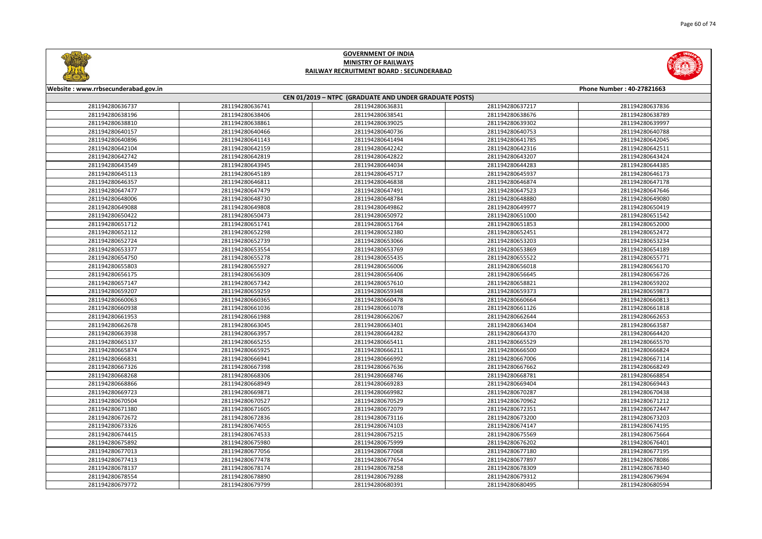



| Website: www.rrbsecunderabad.gov.in<br>Phone Number: 40-27821663 |                 |                 |                 |                 |  |
|------------------------------------------------------------------|-----------------|-----------------|-----------------|-----------------|--|
| CEN 01/2019 - NTPC (GRADUATE AND UNDER GRADUATE POSTS)           |                 |                 |                 |                 |  |
| 281194280636737                                                  | 281194280636741 | 281194280636831 | 281194280637217 | 281194280637836 |  |
| 281194280638196                                                  | 281194280638406 | 281194280638541 | 281194280638676 | 281194280638789 |  |
| 281194280638810                                                  | 281194280638861 | 281194280639025 | 281194280639302 | 281194280639997 |  |
| 281194280640157                                                  | 281194280640466 | 281194280640736 | 281194280640753 | 281194280640788 |  |
| 281194280640896                                                  | 281194280641143 | 281194280641494 | 281194280641785 | 281194280642045 |  |
| 281194280642104                                                  | 281194280642159 | 281194280642242 | 281194280642316 | 281194280642511 |  |
| 281194280642742                                                  | 281194280642819 | 281194280642822 | 281194280643207 | 281194280643424 |  |
| 281194280643549                                                  | 281194280643945 | 281194280644034 | 281194280644283 | 281194280644385 |  |
| 281194280645113                                                  | 281194280645189 | 281194280645717 | 281194280645937 | 281194280646173 |  |
| 281194280646357                                                  | 281194280646811 | 281194280646838 | 281194280646874 | 281194280647178 |  |
| 281194280647477                                                  | 281194280647479 | 281194280647491 | 281194280647523 | 281194280647646 |  |
| 281194280648006                                                  | 281194280648730 | 281194280648784 | 281194280648880 | 281194280649080 |  |
| 281194280649088                                                  | 281194280649808 | 281194280649862 | 281194280649977 | 281194280650419 |  |
| 281194280650422                                                  | 281194280650473 | 281194280650972 | 281194280651000 | 281194280651542 |  |
| 281194280651712                                                  | 281194280651741 | 281194280651764 | 281194280651853 | 281194280652000 |  |
| 281194280652112                                                  | 281194280652298 | 281194280652380 | 281194280652451 | 281194280652472 |  |
| 281194280652724                                                  | 281194280652739 | 281194280653066 | 281194280653203 | 281194280653234 |  |
| 281194280653377                                                  | 281194280653554 | 281194280653769 | 281194280653869 | 281194280654189 |  |
| 281194280654750                                                  | 281194280655278 | 281194280655435 | 281194280655522 | 281194280655771 |  |
| 281194280655803                                                  | 281194280655927 | 281194280656006 | 281194280656018 | 281194280656170 |  |
| 281194280656175                                                  | 281194280656309 | 281194280656406 | 281194280656645 | 281194280656726 |  |
| 281194280657147                                                  | 281194280657342 | 281194280657610 | 281194280658821 | 281194280659202 |  |
| 281194280659207                                                  | 281194280659259 | 281194280659348 | 281194280659373 | 281194280659873 |  |
| 281194280660063                                                  | 281194280660365 | 281194280660478 | 281194280660664 | 281194280660813 |  |
| 281194280660938                                                  | 281194280661036 | 281194280661078 | 281194280661126 | 281194280661818 |  |
| 281194280661953                                                  | 281194280661988 | 281194280662067 | 281194280662644 | 281194280662653 |  |
| 281194280662678                                                  | 281194280663045 | 281194280663401 | 281194280663404 | 281194280663587 |  |
| 281194280663938                                                  | 281194280663957 | 281194280664282 | 281194280664370 | 281194280664420 |  |
| 281194280665137                                                  | 281194280665255 | 281194280665411 | 281194280665529 | 281194280665570 |  |
| 281194280665874                                                  | 281194280665925 | 281194280666211 | 281194280666500 | 281194280666824 |  |
| 281194280666831                                                  | 281194280666941 | 281194280666992 | 281194280667006 | 281194280667114 |  |
| 281194280667326                                                  | 281194280667398 | 281194280667636 | 281194280667662 | 281194280668249 |  |
| 281194280668268                                                  | 281194280668306 | 281194280668746 | 281194280668781 | 281194280668854 |  |
| 281194280668866                                                  | 281194280668949 | 281194280669283 | 281194280669404 | 281194280669443 |  |
| 281194280669723                                                  | 281194280669871 | 281194280669982 | 281194280670287 | 281194280670438 |  |
| 281194280670504                                                  | 281194280670527 | 281194280670529 | 281194280670962 | 281194280671212 |  |
| 281194280671380                                                  | 281194280671605 | 281194280672079 | 281194280672351 | 281194280672447 |  |
| 281194280672672                                                  | 281194280672836 | 281194280673116 | 281194280673200 | 281194280673203 |  |
| 281194280673326                                                  | 281194280674055 | 281194280674103 | 281194280674147 | 281194280674195 |  |
| 281194280674415                                                  | 281194280674533 | 281194280675215 | 281194280675569 | 281194280675664 |  |
| 281194280675892                                                  | 281194280675980 | 281194280675999 | 281194280676202 | 281194280676401 |  |
| 281194280677013                                                  | 281194280677056 | 281194280677068 | 281194280677180 | 281194280677195 |  |
| 281194280677413                                                  | 281194280677478 | 281194280677654 | 281194280677897 | 281194280678086 |  |
| 281194280678137                                                  | 281194280678174 | 281194280678258 | 281194280678309 | 281194280678340 |  |
| 281194280678554                                                  | 281194280678890 | 281194280679288 | 281194280679312 | 281194280679694 |  |
| 281194280679772                                                  | 281194280679799 | 281194280680391 | 281194280680495 | 281194280680594 |  |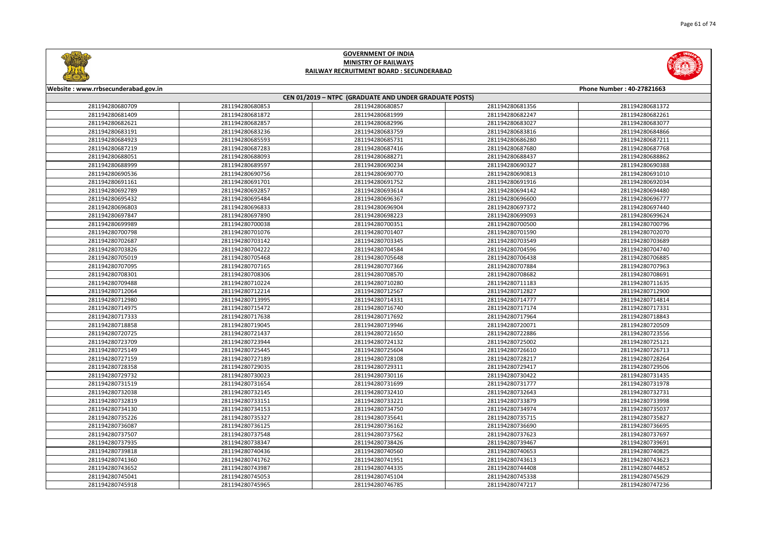



| Website: www.rrbsecunderabad.gov.in<br>Phone Number: 40-27821663 |                 |                                                        |                 |                 |
|------------------------------------------------------------------|-----------------|--------------------------------------------------------|-----------------|-----------------|
|                                                                  |                 | CEN 01/2019 - NTPC (GRADUATE AND UNDER GRADUATE POSTS) |                 |                 |
| 281194280680709                                                  | 281194280680853 | 281194280680857                                        | 281194280681356 | 281194280681372 |
| 281194280681409                                                  | 281194280681872 | 281194280681999                                        | 281194280682247 | 281194280682261 |
| 281194280682621                                                  | 281194280682857 | 281194280682996                                        | 281194280683027 | 281194280683077 |
| 281194280683191                                                  | 281194280683236 | 281194280683759                                        | 281194280683816 | 281194280684866 |
| 281194280684923                                                  | 281194280685593 | 281194280685731                                        | 281194280686280 | 281194280687211 |
| 281194280687219                                                  | 281194280687283 | 281194280687416                                        | 281194280687680 | 281194280687768 |
| 281194280688051                                                  | 281194280688093 | 281194280688271                                        | 281194280688437 | 281194280688862 |
| 281194280688999                                                  | 281194280689597 | 281194280690234                                        | 281194280690327 | 281194280690388 |
| 281194280690536                                                  | 281194280690756 | 281194280690770                                        | 281194280690813 | 281194280691010 |
| 281194280691161                                                  | 281194280691701 | 281194280691752                                        | 281194280691916 | 281194280692034 |
| 281194280692789                                                  | 281194280692857 | 281194280693614                                        | 281194280694142 | 281194280694480 |
| 281194280695432                                                  | 281194280695484 | 281194280696367                                        | 281194280696600 | 281194280696777 |
| 281194280696803                                                  | 281194280696833 | 281194280696904                                        | 281194280697372 | 281194280697440 |
| 281194280697847                                                  | 281194280697890 | 281194280698223                                        | 281194280699093 | 281194280699624 |
| 281194280699989                                                  | 281194280700038 | 281194280700351                                        | 281194280700500 | 281194280700796 |
| 281194280700798                                                  | 281194280701076 | 281194280701407                                        | 281194280701590 | 281194280702070 |
| 281194280702687                                                  | 281194280703142 | 281194280703345                                        | 281194280703549 | 281194280703689 |
| 281194280703826                                                  | 281194280704222 | 281194280704584                                        | 281194280704596 | 281194280704740 |
| 281194280705019                                                  | 281194280705468 | 281194280705648                                        | 281194280706438 | 281194280706885 |
| 281194280707095                                                  | 281194280707165 | 281194280707366                                        | 281194280707884 | 281194280707963 |
| 281194280708301                                                  | 281194280708306 | 281194280708570                                        | 281194280708682 | 281194280708691 |
| 281194280709488                                                  | 281194280710224 | 281194280710280                                        | 281194280711183 | 281194280711635 |
| 281194280712064                                                  | 281194280712214 | 281194280712567                                        | 281194280712827 | 281194280712900 |
| 281194280712980                                                  | 281194280713995 | 281194280714331                                        | 281194280714777 | 281194280714814 |
| 281194280714975                                                  | 281194280715472 | 281194280716740                                        | 281194280717174 | 281194280717331 |
| 281194280717333                                                  | 281194280717638 | 281194280717692                                        | 281194280717964 | 281194280718843 |
| 281194280718858                                                  | 281194280719045 | 281194280719946                                        | 281194280720071 | 281194280720509 |
| 281194280720725                                                  | 281194280721437 | 281194280721650                                        | 281194280722886 | 281194280723556 |
| 281194280723709                                                  | 281194280723944 | 281194280724132                                        | 281194280725002 | 281194280725121 |
| 281194280725149                                                  | 281194280725445 | 281194280725604                                        | 281194280726610 | 281194280726713 |
| 281194280727159                                                  | 281194280727189 | 281194280728108                                        | 281194280728217 | 281194280728264 |
| 281194280728358                                                  | 281194280729035 | 281194280729311                                        | 281194280729417 | 281194280729506 |
| 281194280729732                                                  | 281194280730023 | 281194280730116                                        | 281194280730422 | 281194280731435 |
| 281194280731519                                                  | 281194280731654 | 281194280731699                                        | 281194280731777 | 281194280731978 |
| 281194280732038                                                  | 281194280732145 | 281194280732410                                        | 281194280732643 | 281194280732731 |
| 281194280732819                                                  | 281194280733151 | 281194280733221                                        | 281194280733879 | 281194280733998 |
| 281194280734130                                                  | 281194280734153 | 281194280734750                                        | 281194280734974 | 281194280735037 |
| 281194280735226                                                  | 281194280735327 | 281194280735641                                        | 281194280735715 | 281194280735827 |
| 281194280736087                                                  | 281194280736125 | 281194280736162                                        | 281194280736690 | 281194280736695 |
| 281194280737507                                                  | 281194280737548 | 281194280737562                                        | 281194280737623 | 281194280737697 |
| 281194280737935                                                  | 281194280738347 | 281194280738426                                        | 281194280739467 | 281194280739691 |
| 281194280739818                                                  | 281194280740436 | 281194280740560                                        | 281194280740653 | 281194280740825 |
| 281194280741360                                                  | 281194280741762 | 281194280741951                                        | 281194280743613 | 281194280743623 |
| 281194280743652                                                  | 281194280743987 | 281194280744335                                        | 281194280744408 | 281194280744852 |
| 281194280745041                                                  | 281194280745053 | 281194280745104                                        | 281194280745338 | 281194280745629 |
| 281194280745918                                                  | 281194280745965 | 281194280746785                                        | 281194280747217 | 281194280747236 |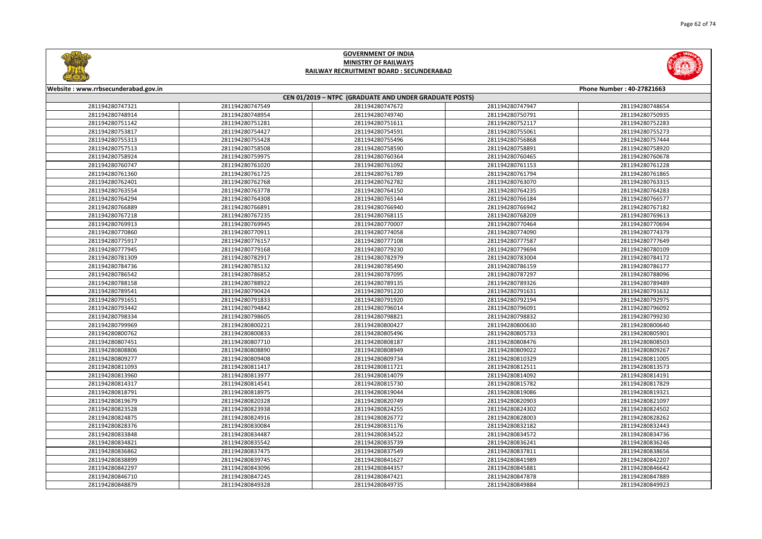



| Website: www.rrbsecunderabad.gov.in |                 |                                                        |                 | Phone Number: 40-27821663 |
|-------------------------------------|-----------------|--------------------------------------------------------|-----------------|---------------------------|
|                                     |                 | CEN 01/2019 - NTPC (GRADUATE AND UNDER GRADUATE POSTS) |                 |                           |
| 281194280747321                     | 281194280747549 | 281194280747672                                        | 281194280747947 | 281194280748654           |
| 281194280748914                     | 281194280748954 | 281194280749740                                        | 281194280750791 | 281194280750935           |
| 281194280751142                     | 281194280751281 | 281194280751611                                        | 281194280752117 | 281194280752283           |
| 281194280753817                     | 281194280754427 | 281194280754591                                        | 281194280755061 | 281194280755273           |
| 281194280755313                     | 281194280755428 | 281194280755496                                        | 281194280756868 | 281194280757444           |
| 281194280757513                     | 281194280758508 | 281194280758590                                        | 281194280758891 | 281194280758920           |
| 281194280758924                     | 281194280759975 | 281194280760364                                        | 281194280760465 | 281194280760678           |
| 281194280760747                     | 281194280761020 | 281194280761092                                        | 281194280761153 | 281194280761228           |
| 281194280761360                     | 281194280761725 | 281194280761789                                        | 281194280761794 | 281194280761865           |
| 281194280762401                     | 281194280762768 | 281194280762782                                        | 281194280763070 | 281194280763315           |
| 281194280763554                     | 281194280763778 | 281194280764150                                        | 281194280764235 | 281194280764283           |
| 281194280764294                     | 281194280764308 | 281194280765144                                        | 281194280766184 | 281194280766577           |
| 281194280766889                     | 281194280766891 | 281194280766940                                        | 281194280766942 | 281194280767182           |
| 281194280767218                     | 281194280767235 | 281194280768115                                        | 281194280768209 | 281194280769613           |
| 281194280769913                     | 281194280769945 | 281194280770007                                        | 281194280770464 | 281194280770694           |
| 281194280770860                     | 281194280770911 | 281194280774058                                        | 281194280774090 | 281194280774379           |
| 281194280775917                     | 281194280776157 | 281194280777108                                        | 281194280777587 | 281194280777649           |
| 281194280777945                     | 281194280779168 | 281194280779230                                        | 281194280779694 | 281194280780109           |
| 281194280781309                     | 281194280782917 | 281194280782979                                        | 281194280783004 | 281194280784172           |
| 281194280784736                     | 281194280785132 | 281194280785490                                        | 281194280786159 | 281194280786177           |
| 281194280786542                     | 281194280786852 | 281194280787095                                        | 281194280787297 | 281194280788096           |
| 281194280788158                     | 281194280788922 | 281194280789135                                        | 281194280789326 | 281194280789489           |
| 281194280789541                     | 281194280790424 | 281194280791220                                        | 281194280791631 | 281194280791632           |
| 281194280791651                     | 281194280791833 | 281194280791920                                        | 281194280792194 | 281194280792975           |
| 281194280793442                     | 281194280794842 | 281194280796014                                        | 281194280796091 | 281194280796092           |
| 281194280798334                     | 281194280798605 | 281194280798821                                        | 281194280798832 | 281194280799230           |
| 281194280799969                     | 281194280800221 | 281194280800427                                        | 281194280800630 | 281194280800640           |
| 281194280800762                     | 281194280800833 | 281194280805496                                        | 281194280805733 | 281194280805901           |
| 281194280807451                     | 281194280807710 | 281194280808187                                        | 281194280808476 | 281194280808503           |
| 281194280808806                     | 281194280808890 | 281194280808949                                        | 281194280809022 | 281194280809267           |
| 281194280809277                     | 281194280809408 | 281194280809734                                        | 281194280810329 | 281194280811005           |
| 281194280811093                     | 281194280811417 | 281194280811721                                        | 281194280812511 | 281194280813573           |
| 281194280813960                     | 281194280813977 | 281194280814079                                        | 281194280814092 | 281194280814191           |
| 281194280814317                     | 281194280814541 | 281194280815730                                        | 281194280815782 | 281194280817829           |
| 281194280818791                     | 281194280818975 | 281194280819044                                        | 281194280819086 | 281194280819321           |
| 281194280819679                     | 281194280820328 | 281194280820749                                        | 281194280820903 | 281194280821097           |
| 281194280823528                     | 281194280823938 | 281194280824255                                        | 281194280824302 | 281194280824502           |
| 281194280824875                     | 281194280824916 | 281194280826772                                        | 281194280828003 | 281194280828262           |
| 281194280828376                     | 281194280830084 | 281194280831176                                        | 281194280832182 | 281194280832443           |
| 281194280833848                     | 281194280834487 | 281194280834522                                        | 281194280834572 | 281194280834736           |
| 281194280834821                     | 281194280835542 | 281194280835739                                        | 281194280836241 | 281194280836246           |
| 281194280836862                     | 281194280837475 | 281194280837549                                        | 281194280837811 | 281194280838656           |
| 281194280838899                     | 281194280839745 | 281194280841627                                        | 281194280841989 | 281194280842207           |
| 281194280842297                     | 281194280843096 | 281194280844357                                        | 281194280845881 | 281194280846642           |
| 281194280846710                     | 281194280847245 | 281194280847421                                        | 281194280847878 | 281194280847889           |
| 281194280848879                     | 281194280849328 | 281194280849735                                        | 281194280849884 | 281194280849923           |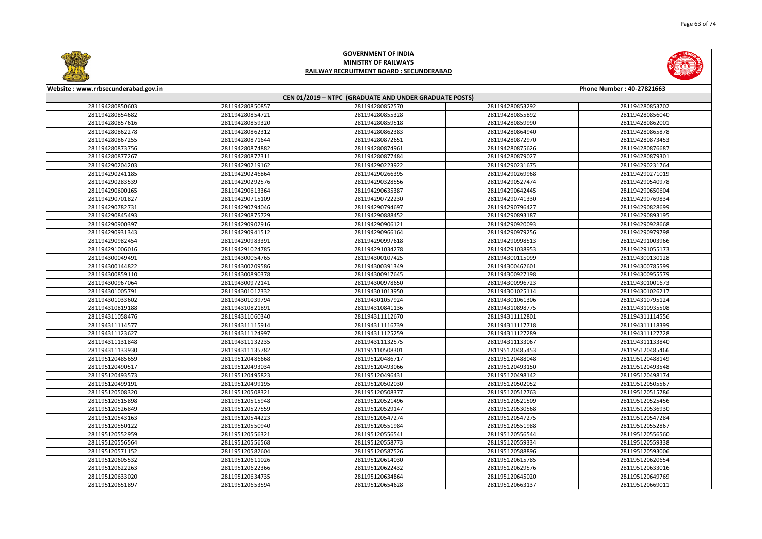



| Website: www.rrbsecunderabad.gov.in |                 |                                                        |                 | Phone Number: 40-27821663 |
|-------------------------------------|-----------------|--------------------------------------------------------|-----------------|---------------------------|
|                                     |                 | CEN 01/2019 - NTPC (GRADUATE AND UNDER GRADUATE POSTS) |                 |                           |
| 281194280850603                     | 281194280850857 | 281194280852570                                        | 281194280853292 | 281194280853702           |
| 281194280854682                     | 281194280854721 | 281194280855328                                        | 281194280855892 | 281194280856040           |
| 281194280857616                     | 281194280859320 | 281194280859518                                        | 281194280859990 | 281194280862001           |
| 281194280862278                     | 281194280862312 | 281194280862383                                        | 281194280864940 | 281194280865878           |
| 281194280867255                     | 281194280871644 | 281194280872651                                        | 281194280872970 | 281194280873453           |
| 281194280873756                     | 281194280874882 | 281194280874961                                        | 281194280875626 | 281194280876687           |
| 281194280877267                     | 281194280877311 | 281194280877484                                        | 281194280879027 | 281194280879301           |
| 281194290204203                     | 281194290219162 | 281194290223922                                        | 281194290231675 | 281194290231764           |
| 281194290241185                     | 281194290246864 | 281194290266395                                        | 281194290269968 | 281194290271019           |
| 281194290283539                     | 281194290292576 | 281194290328556                                        | 281194290527474 | 281194290540978           |
| 281194290600165                     | 281194290613364 | 281194290635387                                        | 281194290642445 | 281194290650604           |
| 281194290701827                     | 281194290715109 | 281194290722230                                        | 281194290741330 | 281194290769834           |
| 281194290782731                     | 281194290794046 | 281194290794697                                        | 281194290796427 | 281194290828699           |
| 281194290845493                     | 281194290875729 | 281194290888452                                        | 281194290893187 | 281194290893195           |
| 281194290900397                     | 281194290902916 | 281194290906121                                        | 281194290920093 | 281194290928668           |
| 281194290931343                     | 281194290941512 | 281194290966164                                        | 281194290979256 | 281194290979798           |
| 281194290982454                     | 281194290983391 | 281194290997618                                        | 281194290998513 | 281194291003966           |
| 281194291006016                     | 281194291024785 | 281194291034278                                        | 281194291038953 | 281194291055173           |
| 281194300049491                     | 281194300054765 | 281194300107425                                        | 281194300115099 | 281194300130128           |
| 281194300144822                     | 281194300209586 | 281194300391349                                        | 281194300462601 | 281194300785599           |
| 281194300859110                     | 281194300890378 | 281194300917645                                        | 281194300927198 | 281194300955579           |
| 281194300967064                     | 281194300972141 | 281194300978650                                        | 281194300996723 | 281194301001673           |
| 281194301005791                     | 281194301012332 | 281194301013950                                        | 281194301025114 | 281194301026217           |
| 281194301033602                     | 281194301039794 | 281194301057924                                        | 281194301061306 | 281194310795124           |
| 281194310819188                     | 281194310821891 | 281194310841136                                        | 281194310898775 | 281194310935508           |
| 281194311058476                     | 281194311060340 | 281194311112670                                        | 281194311112801 | 281194311114556           |
| 281194311114577                     | 281194311115914 | 281194311116739                                        | 281194311117718 | 281194311118399           |
| 281194311123627                     | 281194311124997 | 281194311125259                                        | 281194311127289 | 281194311127728           |
| 281194311131848                     | 281194311132235 | 281194311132575                                        | 281194311133067 | 281194311133840           |
| 281194311133930                     | 281194311135782 | 281195110508301                                        | 281195120485453 | 281195120485466           |
| 281195120485659                     | 281195120486668 | 281195120486717                                        | 281195120488048 | 281195120488149           |
| 281195120490517                     | 281195120493034 | 281195120493066                                        | 281195120493150 | 281195120493548           |
| 281195120493573                     | 281195120495823 | 281195120496431                                        | 281195120498142 | 281195120498174           |
| 281195120499191                     | 281195120499195 | 281195120502030                                        | 281195120502052 | 281195120505567           |
| 281195120508320                     | 281195120508321 | 281195120508377                                        | 281195120512763 | 281195120515786           |
| 281195120515898                     | 281195120515948 | 281195120521496                                        | 281195120521509 | 281195120525456           |
| 281195120526849                     | 281195120527559 | 281195120529147                                        | 281195120530568 | 281195120536930           |
| 281195120543163                     | 281195120544223 | 281195120547274                                        | 281195120547275 | 281195120547284           |
| 281195120550122                     | 281195120550940 | 281195120551984                                        | 281195120551988 | 281195120552867           |
| 281195120552959                     | 281195120556321 | 281195120556541                                        | 281195120556544 | 281195120556560           |
| 281195120556564                     | 281195120556568 | 281195120558773                                        | 281195120559334 | 281195120559338           |
| 281195120571152                     | 281195120582604 | 281195120587526                                        | 281195120588896 | 281195120593006           |
| 281195120605532                     | 281195120611026 | 281195120614030                                        | 281195120615785 | 281195120620654           |
| 281195120622263                     | 281195120622366 | 281195120622432                                        | 281195120629576 | 281195120633016           |
| 281195120633020                     | 281195120634735 | 281195120634864                                        | 281195120645020 | 281195120649769           |
| 281195120651897                     | 281195120653594 | 281195120654628                                        | 281195120663137 | 281195120669011           |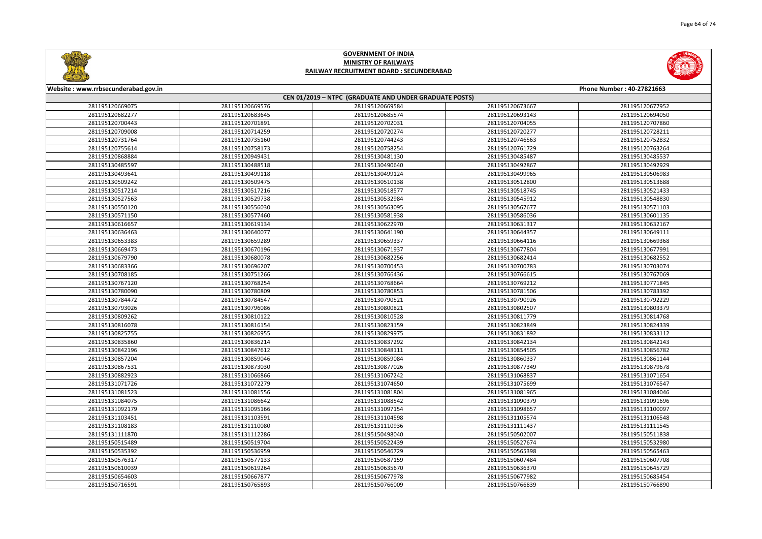



| Website: www.rrbsecunderabad.gov.in<br>Phone Number: 40-27821663 |                 |                                                        |                 |                 |
|------------------------------------------------------------------|-----------------|--------------------------------------------------------|-----------------|-----------------|
|                                                                  |                 | CEN 01/2019 - NTPC (GRADUATE AND UNDER GRADUATE POSTS) |                 |                 |
| 281195120669075                                                  | 281195120669576 | 281195120669584                                        | 281195120673667 | 281195120677952 |
| 281195120682277                                                  | 281195120683645 | 281195120685574                                        | 281195120693143 | 281195120694050 |
| 281195120700443                                                  | 281195120701891 | 281195120702031                                        | 281195120704055 | 281195120707860 |
| 281195120709008                                                  | 281195120714259 | 281195120720274                                        | 281195120720277 | 281195120728211 |
| 281195120731764                                                  | 281195120735160 | 281195120744243                                        | 281195120746563 | 281195120752832 |
| 281195120755614                                                  | 281195120758173 | 281195120758254                                        | 281195120761729 | 281195120763264 |
| 281195120868884                                                  | 281195120949431 | 281195130481130                                        | 281195130485487 | 281195130485537 |
| 281195130485597                                                  | 281195130488518 | 281195130490640                                        | 281195130492867 | 281195130492929 |
| 281195130493641                                                  | 281195130499118 | 281195130499124                                        | 281195130499965 | 281195130506983 |
| 281195130509242                                                  | 281195130509475 | 281195130510138                                        | 281195130512800 | 281195130513688 |
| 281195130517214                                                  | 281195130517216 | 281195130518577                                        | 281195130518745 | 281195130521433 |
| 281195130527563                                                  | 281195130529738 | 281195130532984                                        | 281195130545912 | 281195130548830 |
| 281195130550120                                                  | 281195130556030 | 281195130563095                                        | 281195130567677 | 281195130571103 |
| 281195130571150                                                  | 281195130577460 | 281195130581938                                        | 281195130586036 | 281195130601135 |
| 281195130616657                                                  | 281195130619134 | 281195130622970                                        | 281195130631317 | 281195130632167 |
| 281195130636463                                                  | 281195130640077 | 281195130641190                                        | 281195130644357 | 281195130649111 |
| 281195130653383                                                  | 281195130659289 | 281195130659337                                        | 281195130664116 | 281195130669368 |
| 281195130669473                                                  | 281195130670196 | 281195130671937                                        | 281195130677804 | 281195130677991 |
| 281195130679790                                                  | 281195130680078 | 281195130682256                                        | 281195130682414 | 281195130682552 |
| 281195130683366                                                  | 281195130696207 | 281195130700453                                        | 281195130700783 | 281195130703074 |
| 281195130708185                                                  | 281195130751266 | 281195130766436                                        | 281195130766615 | 281195130767069 |
| 281195130767120                                                  | 281195130768254 | 281195130768664                                        | 281195130769212 | 281195130771845 |
| 281195130780090                                                  | 281195130780809 | 281195130780853                                        | 281195130781506 | 281195130783392 |
| 281195130784472                                                  | 281195130784547 | 281195130790521                                        | 281195130790926 | 281195130792229 |
| 281195130793026                                                  | 281195130796086 | 281195130800821                                        | 281195130802507 | 281195130803379 |
| 281195130809262                                                  | 281195130810122 | 281195130810528                                        | 281195130811779 | 281195130814768 |
| 281195130816078                                                  | 281195130816154 | 281195130823159                                        | 281195130823849 | 281195130824339 |
| 281195130825755                                                  | 281195130826955 | 281195130829975                                        | 281195130831892 | 281195130833112 |
| 281195130835860                                                  | 281195130836214 | 281195130837292                                        | 281195130842134 | 281195130842143 |
| 281195130842196                                                  | 281195130847612 | 281195130848111                                        | 281195130854505 | 281195130856782 |
| 281195130857204                                                  | 281195130859046 | 281195130859084                                        | 281195130860337 | 281195130861144 |
| 281195130867531                                                  | 281195130873030 | 281195130877026                                        | 281195130877349 | 281195130879678 |
| 281195130882923                                                  | 281195131066866 | 281195131067242                                        | 281195131068837 | 281195131071654 |
| 281195131071726                                                  | 281195131072279 | 281195131074650                                        | 281195131075699 | 281195131076547 |
| 281195131081523                                                  | 281195131081556 | 281195131081804                                        | 281195131081965 | 281195131084046 |
| 281195131084075                                                  | 281195131086642 | 281195131088542                                        | 281195131090379 | 281195131091696 |
| 281195131092179                                                  | 281195131095166 | 281195131097154                                        | 281195131098657 | 281195131100097 |
| 281195131103451                                                  | 281195131103591 | 281195131104598                                        | 281195131105574 | 281195131106548 |
| 281195131108183                                                  | 281195131110080 | 281195131110936                                        | 281195131111437 | 281195131111545 |
| 281195131111870                                                  | 281195131112286 | 281195150498040                                        | 281195150502007 | 281195150511838 |
| 281195150515489                                                  | 281195150519704 | 281195150522439                                        | 281195150527674 | 281195150532980 |
| 281195150535392                                                  | 281195150536959 | 281195150546729                                        | 281195150565398 | 281195150565463 |
| 281195150576317                                                  | 281195150577133 | 281195150587159                                        | 281195150607484 | 281195150607708 |
| 281195150610039                                                  | 281195150619264 | 281195150635670                                        | 281195150636370 | 281195150645729 |
| 281195150654603                                                  | 281195150667877 | 281195150677978                                        | 281195150677982 | 281195150685454 |
| 281195150716591                                                  | 281195150765893 | 281195150766009                                        | 281195150766839 | 281195150766890 |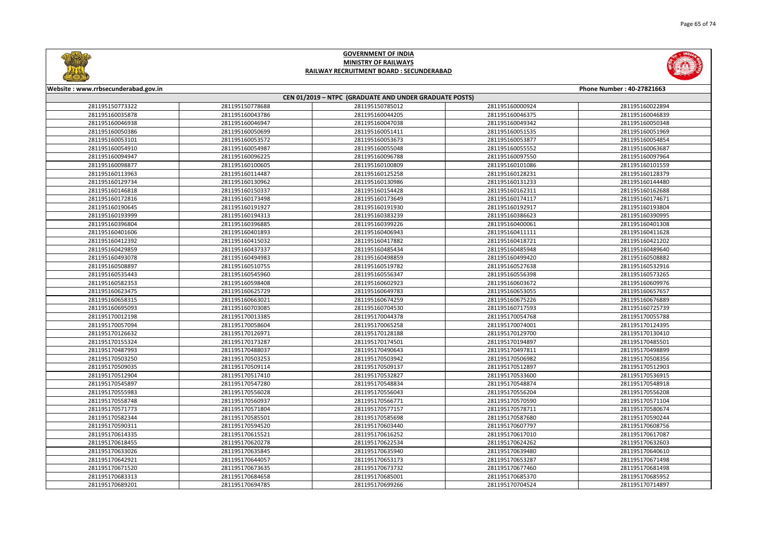



| Website: www.rrbsecunderabad.gov.in<br>Phone Number: 40-27821663 |                 |                                                        |                 |                 |
|------------------------------------------------------------------|-----------------|--------------------------------------------------------|-----------------|-----------------|
|                                                                  |                 | CEN 01/2019 - NTPC (GRADUATE AND UNDER GRADUATE POSTS) |                 |                 |
| 281195150773322                                                  | 281195150778688 | 281195150785012                                        | 281195160000924 | 281195160022894 |
| 281195160035878                                                  | 281195160043786 | 281195160044205                                        | 281195160046375 | 281195160046839 |
| 281195160046938                                                  | 281195160046947 | 281195160047038                                        | 281195160049342 | 281195160050348 |
| 281195160050386                                                  | 281195160050699 | 281195160051411                                        | 281195160051535 | 281195160051969 |
| 281195160053101                                                  | 281195160053572 | 281195160053673                                        | 281195160053877 | 281195160054854 |
| 281195160054910                                                  | 281195160054987 | 281195160055048                                        | 281195160055552 | 281195160063687 |
| 281195160094947                                                  | 281195160096225 | 281195160096788                                        | 281195160097550 | 281195160097964 |
| 281195160098877                                                  | 281195160100605 | 281195160100809                                        | 281195160101086 | 281195160101559 |
| 281195160113963                                                  | 281195160114487 | 281195160125258                                        | 281195160128231 | 281195160128379 |
| 281195160129734                                                  | 281195160130962 | 281195160130986                                        | 281195160131233 | 281195160144480 |
| 281195160146818                                                  | 281195160150337 | 281195160154428                                        | 281195160162311 | 281195160162688 |
| 281195160172816                                                  | 281195160173498 | 281195160173649                                        | 281195160174117 | 281195160174671 |
| 281195160190645                                                  | 281195160191927 | 281195160191930                                        | 281195160192917 | 281195160193804 |
| 281195160193999                                                  | 281195160194313 | 281195160383239                                        | 281195160386623 | 281195160390995 |
| 281195160396804                                                  | 281195160396885 | 281195160399226                                        | 281195160400061 | 281195160401308 |
| 281195160401606                                                  | 281195160401893 | 281195160406943                                        | 281195160411111 | 281195160411628 |
| 281195160412392                                                  | 281195160415032 | 281195160417882                                        | 281195160418721 | 281195160421202 |
| 281195160429859                                                  | 281195160437337 | 281195160485434                                        | 281195160485948 | 281195160489640 |
| 281195160493078                                                  | 281195160494983 | 281195160498859                                        | 281195160499420 | 281195160508882 |
| 281195160508897                                                  | 281195160510755 | 281195160519782                                        | 281195160527638 | 281195160532916 |
| 281195160535443                                                  | 281195160545960 | 281195160556347                                        | 281195160556398 | 281195160573265 |
| 281195160582353                                                  | 281195160598408 | 281195160602923                                        | 281195160603672 | 281195160609976 |
| 281195160623475                                                  | 281195160625729 | 281195160649783                                        | 281195160653055 | 281195160657657 |
| 281195160658315                                                  | 281195160663021 | 281195160674259                                        | 281195160675226 | 281195160676889 |
| 281195160695093                                                  | 281195160703085 | 281195160704530                                        | 281195160717593 | 281195160725739 |
| 281195170012198                                                  | 281195170013385 | 281195170044378                                        | 281195170054768 | 281195170055788 |
| 281195170057094                                                  | 281195170058604 | 281195170065258                                        | 281195170074001 | 281195170124395 |
| 281195170126632                                                  | 281195170126971 | 281195170128188                                        | 281195170129700 | 281195170130410 |
| 281195170155324                                                  | 281195170173287 | 281195170174501                                        | 281195170194897 | 281195170485501 |
| 281195170487993                                                  | 281195170488037 | 281195170490643                                        | 281195170497811 | 281195170498899 |
| 281195170503250                                                  | 281195170503253 | 281195170503942                                        | 281195170506982 | 281195170508356 |
| 281195170509035                                                  | 281195170509114 | 281195170509137                                        | 281195170512897 | 281195170512903 |
| 281195170512904                                                  | 281195170517410 | 281195170532827                                        | 281195170533600 | 281195170536915 |
| 281195170545897                                                  | 281195170547280 | 281195170548834                                        | 281195170548874 | 281195170548918 |
| 281195170555983                                                  | 281195170556028 | 281195170556043                                        | 281195170556204 | 281195170556208 |
| 281195170558748                                                  | 281195170560937 | 281195170566771                                        | 281195170570590 | 281195170571104 |
| 281195170571773                                                  | 281195170571804 | 281195170577157                                        | 281195170578711 | 281195170580674 |
| 281195170582344                                                  | 281195170585501 | 281195170585698                                        | 281195170587680 | 281195170590244 |
| 281195170590311                                                  | 281195170594520 | 281195170603440                                        | 281195170607797 | 281195170608756 |
| 281195170614335                                                  | 281195170615521 | 281195170616252                                        | 281195170617010 | 281195170617087 |
| 281195170618455                                                  | 281195170620278 | 281195170622534                                        | 281195170624262 | 281195170632603 |
| 281195170633026                                                  | 281195170635845 | 281195170635940                                        | 281195170639480 | 281195170640610 |
| 281195170642921                                                  | 281195170644057 | 281195170653173                                        | 281195170653287 | 281195170671498 |
| 281195170671520                                                  | 281195170673635 | 281195170673732                                        | 281195170677460 | 281195170681498 |
| 281195170683313                                                  | 281195170684658 | 281195170685001                                        | 281195170685370 | 281195170685952 |
| 281195170689201                                                  | 281195170694785 | 281195170699266                                        | 281195170704524 | 281195170714897 |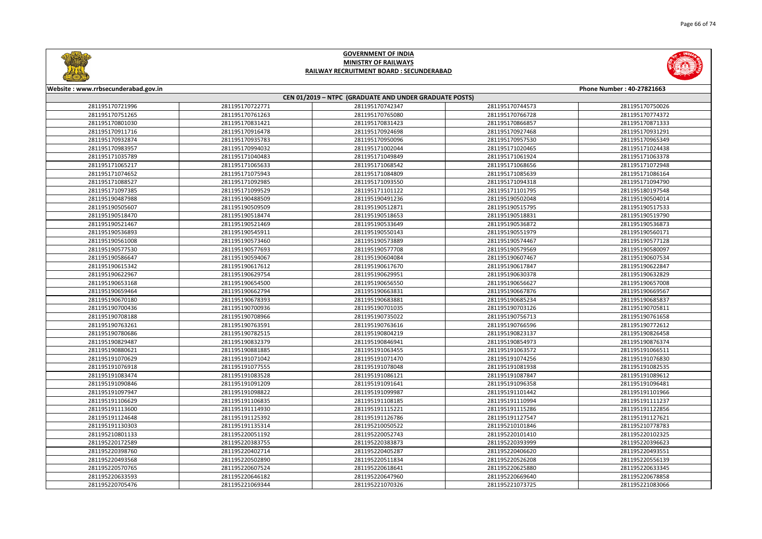



| Website: www.rrbsecunderabad.gov.in<br>Phone Number: 40-27821663 |                 |                                                        |                 |                 |
|------------------------------------------------------------------|-----------------|--------------------------------------------------------|-----------------|-----------------|
|                                                                  |                 | CEN 01/2019 - NTPC (GRADUATE AND UNDER GRADUATE POSTS) |                 |                 |
| 281195170721996                                                  | 281195170722771 | 281195170742347                                        | 281195170744573 | 281195170750026 |
| 281195170751265                                                  | 281195170761263 | 281195170765080                                        | 281195170766728 | 281195170774372 |
| 281195170801030                                                  | 281195170831421 | 281195170831423                                        | 281195170866857 | 281195170871333 |
| 281195170911716                                                  | 281195170916478 | 281195170924698                                        | 281195170927468 | 281195170931291 |
| 281195170932874                                                  | 281195170935783 | 281195170950096                                        | 281195170957530 | 281195170965349 |
| 281195170983957                                                  | 281195170994032 | 281195171002044                                        | 281195171020465 | 281195171024438 |
| 281195171035789                                                  | 281195171040483 | 281195171049849                                        | 281195171061924 | 281195171063378 |
| 281195171065217                                                  | 281195171065633 | 281195171068542                                        | 281195171068656 | 281195171072948 |
| 281195171074652                                                  | 281195171075943 | 281195171084809                                        | 281195171085639 | 281195171086164 |
| 281195171088527                                                  | 281195171092985 | 281195171093550                                        | 281195171094318 | 281195171094790 |
| 281195171097385                                                  | 281195171099529 | 281195171101122                                        | 281195171101795 | 281195180197548 |
| 281195190487988                                                  | 281195190488509 | 281195190491236                                        | 281195190502048 | 281195190504014 |
| 281195190505607                                                  | 281195190509509 | 281195190512871                                        | 281195190515795 | 281195190517533 |
| 281195190518470                                                  | 281195190518474 | 281195190518653                                        | 281195190518831 | 281195190519790 |
| 281195190521467                                                  | 281195190521469 | 281195190533649                                        | 281195190536872 | 281195190536873 |
| 281195190536893                                                  | 281195190545911 | 281195190550143                                        | 281195190551979 | 281195190560171 |
| 281195190561008                                                  | 281195190573460 | 281195190573889                                        | 281195190574467 | 281195190577128 |
| 281195190577530                                                  | 281195190577693 | 281195190577708                                        | 281195190579569 | 281195190580097 |
| 281195190586647                                                  | 281195190594067 | 281195190604084                                        | 281195190607467 | 281195190607534 |
| 281195190615342                                                  | 281195190617612 | 281195190617670                                        | 281195190617847 | 281195190622847 |
| 281195190622967                                                  | 281195190629754 | 281195190629951                                        | 281195190630378 | 281195190632829 |
| 281195190653168                                                  | 281195190654500 | 281195190656550                                        | 281195190656627 | 281195190657008 |
| 281195190659464                                                  | 281195190662794 | 281195190663831                                        | 281195190667876 | 281195190669567 |
| 281195190670180                                                  | 281195190678393 | 281195190683881                                        | 281195190685234 | 281195190685837 |
| 281195190700436                                                  | 281195190700936 | 281195190701035                                        | 281195190703126 | 281195190705811 |
| 281195190708188                                                  | 281195190708966 | 281195190735022                                        | 281195190756713 | 281195190761658 |
| 281195190763261                                                  | 281195190763591 | 281195190763616                                        | 281195190766596 | 281195190772612 |
| 281195190780686                                                  | 281195190782515 | 281195190804219                                        | 281195190823137 | 281195190826458 |
| 281195190829487                                                  | 281195190832379 | 281195190846941                                        | 281195190854973 | 281195190876374 |
| 281195190880621                                                  | 281195190881885 | 281195191063455                                        | 281195191063572 | 281195191066511 |
| 281195191070629                                                  | 281195191071042 | 281195191071470                                        | 281195191074256 | 281195191076830 |
| 281195191076918                                                  | 281195191077555 | 281195191078048                                        | 281195191081938 | 281195191082535 |
| 281195191083474                                                  | 281195191083528 | 281195191086121                                        | 281195191087847 | 281195191089612 |
| 281195191090846                                                  | 281195191091209 | 281195191091641                                        | 281195191096358 | 281195191096481 |
| 281195191097947                                                  | 281195191098822 | 281195191099987                                        | 281195191101442 | 281195191101966 |
| 281195191106629                                                  | 281195191106835 | 281195191108185                                        | 281195191110994 | 281195191111237 |
| 281195191113600                                                  | 281195191114930 | 281195191115221                                        | 281195191115286 | 281195191122856 |
| 281195191124648                                                  | 281195191125392 | 281195191126786                                        | 281195191127547 | 281195191127621 |
| 281195191130303                                                  | 281195191135314 | 281195210050522                                        | 281195210101846 | 281195210778783 |
| 281195210801133                                                  | 281195220051192 | 281195220052743                                        | 281195220101410 | 281195220102325 |
| 281195220172589                                                  | 281195220383755 | 281195220383873                                        | 281195220393999 | 281195220396623 |
| 281195220398760                                                  | 281195220402714 | 281195220405287                                        | 281195220406620 | 281195220493551 |
| 281195220493568                                                  | 281195220502890 | 281195220511834                                        | 281195220526208 | 281195220556139 |
| 281195220570765                                                  | 281195220607524 | 281195220618641                                        | 281195220625880 | 281195220633345 |
| 281195220633593                                                  | 281195220646182 | 281195220647960                                        | 281195220669640 | 281195220678858 |
| 281195220705476                                                  | 281195221069344 | 281195221070326                                        | 281195221073725 | 281195221083066 |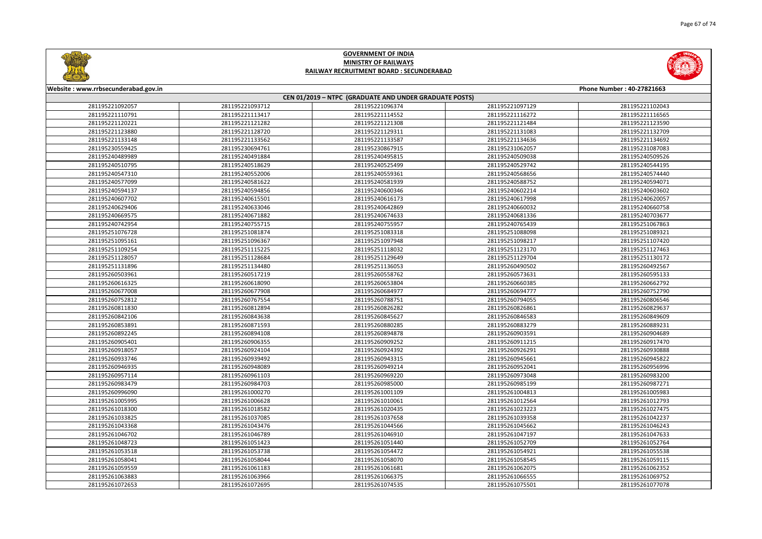



| Website: www.rrbsecunderabad.gov.in<br>Phone Number: 40-27821663 |                 |                                                        |                 |                 |
|------------------------------------------------------------------|-----------------|--------------------------------------------------------|-----------------|-----------------|
|                                                                  |                 | CEN 01/2019 - NTPC (GRADUATE AND UNDER GRADUATE POSTS) |                 |                 |
| 281195221092057                                                  | 281195221093712 | 281195221096374                                        | 281195221097129 | 281195221102043 |
| 281195221110791                                                  | 281195221113417 | 281195221114552                                        | 281195221116272 | 281195221116565 |
| 281195221120221                                                  | 281195221121282 | 281195221121308                                        | 281195221121484 | 281195221123590 |
| 281195221123880                                                  | 281195221128720 | 281195221129311                                        | 281195221131083 | 281195221132709 |
| 281195221133148                                                  | 281195221133562 | 281195221133587                                        | 281195221134636 | 281195221134692 |
| 281195230559425                                                  | 281195230694761 | 281195230867915                                        | 281195231062057 | 281195231087083 |
| 281195240489989                                                  | 281195240491884 | 281195240495815                                        | 281195240509038 | 281195240509526 |
| 281195240510795                                                  | 281195240518629 | 281195240525499                                        | 281195240529742 | 281195240544195 |
| 281195240547310                                                  | 281195240552006 | 281195240559361                                        | 281195240568656 | 281195240574440 |
| 281195240577099                                                  | 281195240581622 | 281195240581939                                        | 281195240588752 | 281195240594071 |
| 281195240594137                                                  | 281195240594856 | 281195240600346                                        | 281195240602214 | 281195240603602 |
| 281195240607702                                                  | 281195240615501 | 281195240616173                                        | 281195240617998 | 281195240620057 |
| 281195240629406                                                  | 281195240633046 | 281195240642869                                        | 281195240660032 | 281195240660758 |
| 281195240669575                                                  | 281195240671882 | 281195240674633                                        | 281195240681336 | 281195240703677 |
| 281195240742954                                                  | 281195240755715 | 281195240755957                                        | 281195240765439 | 281195251067863 |
| 281195251076728                                                  | 281195251081874 | 281195251083318                                        | 281195251088098 | 281195251089321 |
| 281195251095161                                                  | 281195251096367 | 281195251097948                                        | 281195251098217 | 281195251107420 |
| 281195251109254                                                  | 281195251115225 | 281195251118032                                        | 281195251123170 | 281195251127463 |
| 281195251128057                                                  | 281195251128684 | 281195251129649                                        | 281195251129704 | 281195251130172 |
| 281195251131896                                                  | 281195251134480 | 281195251136053                                        | 281195260490502 | 281195260492567 |
| 281195260503961                                                  | 281195260517219 | 281195260558762                                        | 281195260573631 | 281195260595133 |
| 281195260616325                                                  | 281195260618090 | 281195260653804                                        | 281195260660385 | 281195260662792 |
| 281195260677008                                                  | 281195260677908 | 281195260684977                                        | 281195260694777 | 281195260752790 |
| 281195260752812                                                  | 281195260767554 | 281195260788751                                        | 281195260794055 | 281195260806546 |
| 281195260811830                                                  | 281195260812894 | 281195260826282                                        | 281195260826861 | 281195260829637 |
| 281195260842106                                                  | 281195260843638 | 281195260845627                                        | 281195260846583 | 281195260849609 |
| 281195260853891                                                  | 281195260871593 | 281195260880285                                        | 281195260883279 | 281195260889231 |
| 281195260892245                                                  | 281195260894108 | 281195260894878                                        | 281195260903591 | 281195260904689 |
| 281195260905401                                                  | 281195260906355 | 281195260909252                                        | 281195260911215 | 281195260917470 |
| 281195260918057                                                  | 281195260924104 | 281195260924392                                        | 281195260926291 | 281195260930888 |
| 281195260933746                                                  | 281195260939492 | 281195260943315                                        | 281195260945661 | 281195260945822 |
| 281195260946935                                                  | 281195260948089 | 281195260949214                                        | 281195260952041 | 281195260956996 |
| 281195260957114                                                  | 281195260961103 | 281195260969220                                        | 281195260973048 | 281195260983200 |
| 281195260983479                                                  | 281195260984703 | 281195260985000                                        | 281195260985199 | 281195260987271 |
| 281195260996090                                                  | 281195261000270 | 281195261001109                                        | 281195261004813 | 281195261005983 |
| 281195261005995                                                  | 281195261006628 | 281195261010061                                        | 281195261012564 | 281195261012793 |
| 281195261018300                                                  | 281195261018582 | 281195261020435                                        | 281195261023223 | 281195261027475 |
| 281195261033825                                                  | 281195261037085 | 281195261037658                                        | 281195261039358 | 281195261042237 |
| 281195261043368                                                  | 281195261043476 | 281195261044566                                        | 281195261045662 | 281195261046243 |
| 281195261046702                                                  | 281195261046789 | 281195261046910                                        | 281195261047197 | 281195261047633 |
| 281195261048723                                                  | 281195261051423 | 281195261051440                                        | 281195261052709 | 281195261052764 |
| 281195261053518                                                  | 281195261053738 | 281195261054472                                        | 281195261054921 | 281195261055538 |
| 281195261058041                                                  | 281195261058044 | 281195261058070                                        | 281195261058545 | 281195261059115 |
| 281195261059559                                                  | 281195261061183 | 281195261061681                                        | 281195261062075 | 281195261062352 |
| 281195261063883                                                  | 281195261063966 | 281195261066375                                        | 281195261066555 | 281195261069752 |
| 281195261072653                                                  | 281195261072695 | 281195261074535                                        | 281195261075501 | 281195261077078 |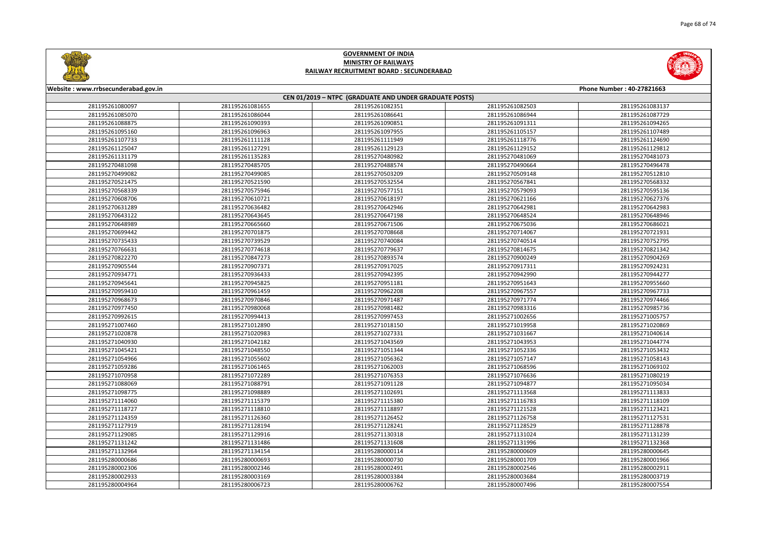



| Website: www.rrbsecunderabad.gov.in<br>Phone Number: 40-27821663 |                 |                                                        |                 |                 |
|------------------------------------------------------------------|-----------------|--------------------------------------------------------|-----------------|-----------------|
|                                                                  |                 | CEN 01/2019 - NTPC (GRADUATE AND UNDER GRADUATE POSTS) |                 |                 |
| 281195261080097                                                  | 281195261081655 | 281195261082351                                        | 281195261082503 | 281195261083137 |
| 281195261085070                                                  | 281195261086044 | 281195261086641                                        | 281195261086944 | 281195261087729 |
| 281195261088875                                                  | 281195261090393 | 281195261090851                                        | 281195261091311 | 281195261094265 |
| 281195261095160                                                  | 281195261096963 | 281195261097955                                        | 281195261105157 | 281195261107489 |
| 281195261107733                                                  | 281195261111128 | 281195261111949                                        | 281195261118776 | 281195261124690 |
| 281195261125047                                                  | 281195261127291 | 281195261129123                                        | 281195261129152 | 281195261129812 |
| 281195261131179                                                  | 281195261135283 | 281195270480982                                        | 281195270481069 | 281195270481073 |
| 281195270481098                                                  | 281195270485705 | 281195270488574                                        | 281195270490664 | 281195270496478 |
| 281195270499082                                                  | 281195270499085 | 281195270503209                                        | 281195270509148 | 281195270512810 |
| 281195270521475                                                  | 281195270521590 | 281195270532554                                        | 281195270567841 | 281195270568332 |
| 281195270568339                                                  | 281195270575946 | 281195270577151                                        | 281195270579093 | 281195270595136 |
| 281195270608706                                                  | 281195270610721 | 281195270618197                                        | 281195270621166 | 281195270627376 |
| 281195270631289                                                  | 281195270636482 | 281195270642946                                        | 281195270642981 | 281195270642983 |
| 281195270643122                                                  | 281195270643645 | 281195270647198                                        | 281195270648524 | 281195270648946 |
| 281195270648989                                                  | 281195270665660 | 281195270671506                                        | 281195270675036 | 281195270686021 |
| 281195270699442                                                  | 281195270701875 | 281195270708668                                        | 281195270714067 | 281195270721931 |
| 281195270735433                                                  | 281195270739529 | 281195270740084                                        | 281195270740514 | 281195270752795 |
| 281195270766631                                                  | 281195270774618 | 281195270779637                                        | 281195270814675 | 281195270821342 |
| 281195270822270                                                  | 281195270847273 | 281195270893574                                        | 281195270900249 | 281195270904269 |
| 281195270905544                                                  | 281195270907371 | 281195270917025                                        | 281195270917311 | 281195270924231 |
| 281195270934771                                                  | 281195270936433 | 281195270942395                                        | 281195270942990 | 281195270944277 |
| 281195270945641                                                  | 281195270945825 | 281195270951181                                        | 281195270951643 | 281195270955660 |
| 281195270959410                                                  | 281195270961459 | 281195270962208                                        | 281195270967557 | 281195270967733 |
| 281195270968673                                                  | 281195270970846 | 281195270971487                                        | 281195270971774 | 281195270974466 |
| 281195270977450                                                  | 281195270980068 | 281195270981482                                        | 281195270983316 | 281195270985736 |
| 281195270992615                                                  | 281195270994413 | 281195270997453                                        | 281195271002656 | 281195271005757 |
| 281195271007460                                                  | 281195271012890 | 281195271018150                                        | 281195271019958 | 281195271020869 |
| 281195271020878                                                  | 281195271020983 | 281195271027331                                        | 281195271031667 | 281195271040614 |
| 281195271040930                                                  | 281195271042182 | 281195271043569                                        | 281195271043953 | 281195271044774 |
| 281195271045421                                                  | 281195271048550 | 281195271051344                                        | 281195271052336 | 281195271053432 |
| 281195271054966                                                  | 281195271055602 | 281195271056362                                        | 281195271057147 | 281195271058143 |
| 281195271059286                                                  | 281195271061465 | 281195271062003                                        | 281195271068596 | 281195271069102 |
| 281195271070958                                                  | 281195271072289 | 281195271076353                                        | 281195271076636 | 281195271080219 |
| 281195271088069                                                  | 281195271088791 | 281195271091128                                        | 281195271094877 | 281195271095034 |
| 281195271098775                                                  | 281195271098889 | 281195271102691                                        | 281195271113568 | 281195271113833 |
| 281195271114060                                                  | 281195271115379 | 281195271115380                                        | 281195271116783 | 281195271118109 |
| 281195271118727                                                  | 281195271118810 | 281195271118897                                        | 281195271121528 | 281195271123421 |
| 281195271124359                                                  | 281195271126360 | 281195271126452                                        | 281195271126758 | 281195271127531 |
| 281195271127919                                                  | 281195271128194 | 281195271128241                                        | 281195271128529 | 281195271128878 |
| 281195271129085                                                  | 281195271129916 | 281195271130318                                        | 281195271131024 | 281195271131239 |
| 281195271131242                                                  | 281195271131486 | 281195271131608                                        | 281195271131996 | 281195271132368 |
| 281195271132964                                                  | 281195271134154 | 281195280000114                                        | 281195280000609 | 281195280000645 |
| 281195280000686                                                  | 281195280000693 | 281195280000730                                        | 281195280001709 | 281195280001966 |
| 281195280002306                                                  | 281195280002346 | 281195280002491                                        | 281195280002546 | 281195280002911 |
| 281195280002933                                                  | 281195280003169 | 281195280003384                                        | 281195280003684 | 281195280003719 |
| 281195280004964                                                  | 281195280006723 | 281195280006762                                        | 281195280007496 | 281195280007554 |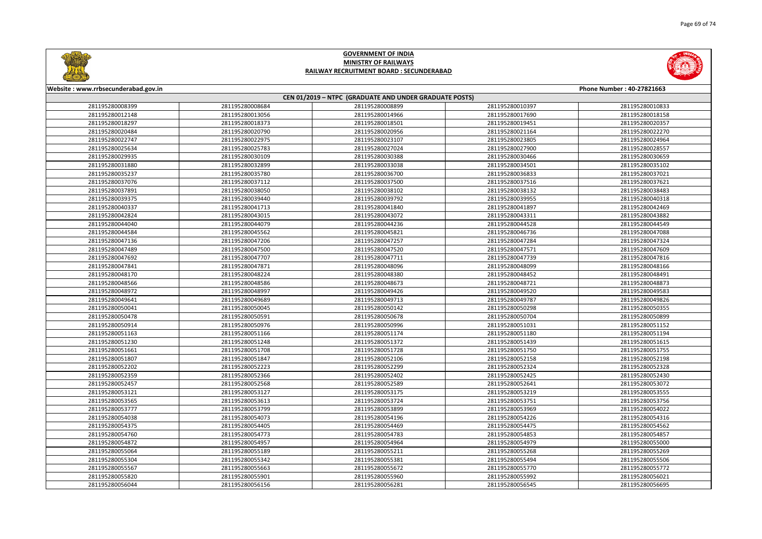



| Website: www.rrbsecunderabad.gov.in<br>Phone Number: 40-27821663 |                 |                                                        |                 |                 |
|------------------------------------------------------------------|-----------------|--------------------------------------------------------|-----------------|-----------------|
|                                                                  |                 | CEN 01/2019 - NTPC (GRADUATE AND UNDER GRADUATE POSTS) |                 |                 |
| 281195280008399                                                  | 281195280008684 | 281195280008899                                        | 281195280010397 | 281195280010833 |
| 281195280012148                                                  | 281195280013056 | 281195280014966                                        | 281195280017690 | 281195280018158 |
| 281195280018297                                                  | 281195280018373 | 281195280018501                                        | 281195280019451 | 281195280020357 |
| 281195280020484                                                  | 281195280020790 | 281195280020956                                        | 281195280021164 | 281195280022270 |
| 281195280022747                                                  | 281195280022975 | 281195280023107                                        | 281195280023805 | 281195280024964 |
| 281195280025634                                                  | 281195280025783 | 281195280027024                                        | 281195280027900 | 281195280028557 |
| 281195280029935                                                  | 281195280030109 | 281195280030388                                        | 281195280030466 | 281195280030659 |
| 281195280031880                                                  | 281195280032899 | 281195280033038                                        | 281195280034501 | 281195280035102 |
| 281195280035237                                                  | 281195280035780 | 281195280036700                                        | 281195280036833 | 281195280037021 |
| 281195280037076                                                  | 281195280037112 | 281195280037500                                        | 281195280037516 | 281195280037621 |
| 281195280037891                                                  | 281195280038050 | 281195280038102                                        | 281195280038132 | 281195280038483 |
| 281195280039375                                                  | 281195280039440 | 281195280039792                                        | 281195280039955 | 281195280040318 |
| 281195280040337                                                  | 281195280041713 | 281195280041840                                        | 281195280041897 | 281195280042469 |
| 281195280042824                                                  | 281195280043015 | 281195280043072                                        | 281195280043311 | 281195280043882 |
| 281195280044040                                                  | 281195280044079 | 281195280044236                                        | 281195280044528 | 281195280044549 |
| 281195280044584                                                  | 281195280045562 | 281195280045821                                        | 281195280046736 | 281195280047088 |
| 281195280047136                                                  | 281195280047206 | 281195280047257                                        | 281195280047284 | 281195280047324 |
| 281195280047489                                                  | 281195280047500 | 281195280047520                                        | 281195280047571 | 281195280047609 |
| 281195280047692                                                  | 281195280047707 | 281195280047711                                        | 281195280047739 | 281195280047816 |
| 281195280047841                                                  | 281195280047871 | 281195280048096                                        | 281195280048099 | 281195280048166 |
| 281195280048170                                                  | 281195280048224 | 281195280048380                                        | 281195280048452 | 281195280048491 |
| 281195280048566                                                  | 281195280048586 | 281195280048673                                        | 281195280048721 | 281195280048873 |
| 281195280048972                                                  | 281195280048997 | 281195280049426                                        | 281195280049520 | 281195280049583 |
| 281195280049641                                                  | 281195280049689 | 281195280049713                                        | 281195280049787 | 281195280049826 |
| 281195280050041                                                  | 281195280050045 | 281195280050142                                        | 281195280050298 | 281195280050355 |
| 281195280050478                                                  | 281195280050591 | 281195280050678                                        | 281195280050704 | 281195280050899 |
| 281195280050914                                                  | 281195280050976 | 281195280050996                                        | 281195280051031 | 281195280051152 |
| 281195280051163                                                  | 281195280051166 | 281195280051174                                        | 281195280051180 | 281195280051194 |
| 281195280051230                                                  | 281195280051248 | 281195280051372                                        | 281195280051439 | 281195280051615 |
| 281195280051661                                                  | 281195280051708 | 281195280051728                                        | 281195280051750 | 281195280051755 |
| 281195280051807                                                  | 281195280051847 | 281195280052106                                        | 281195280052158 | 281195280052198 |
| 281195280052202                                                  | 281195280052223 | 281195280052299                                        | 281195280052324 | 281195280052328 |
| 281195280052359                                                  | 281195280052366 | 281195280052402                                        | 281195280052425 | 281195280052430 |
| 281195280052457                                                  | 281195280052568 | 281195280052589                                        | 281195280052641 | 281195280053072 |
| 281195280053121                                                  | 281195280053127 | 281195280053175                                        | 281195280053219 | 281195280053555 |
| 281195280053565                                                  | 281195280053613 | 281195280053724                                        | 281195280053751 | 281195280053756 |
| 281195280053777                                                  | 281195280053799 | 281195280053899                                        | 281195280053969 | 281195280054022 |
| 281195280054038                                                  | 281195280054073 | 281195280054196                                        | 281195280054226 | 281195280054316 |
| 281195280054375                                                  | 281195280054405 | 281195280054469                                        | 281195280054475 | 281195280054562 |
| 281195280054760                                                  | 281195280054773 | 281195280054783                                        | 281195280054853 | 281195280054857 |
| 281195280054872                                                  | 281195280054957 | 281195280054964                                        | 281195280054979 | 281195280055000 |
| 281195280055064                                                  | 281195280055189 | 281195280055211                                        | 281195280055268 | 281195280055269 |
| 281195280055304                                                  | 281195280055342 | 281195280055381                                        | 281195280055494 | 281195280055506 |
| 281195280055567                                                  | 281195280055663 | 281195280055672                                        | 281195280055770 | 281195280055772 |
| 281195280055820                                                  | 281195280055901 | 281195280055960                                        | 281195280055992 | 281195280056021 |
| 281195280056044                                                  | 281195280056156 | 281195280056281                                        | 281195280056545 | 281195280056695 |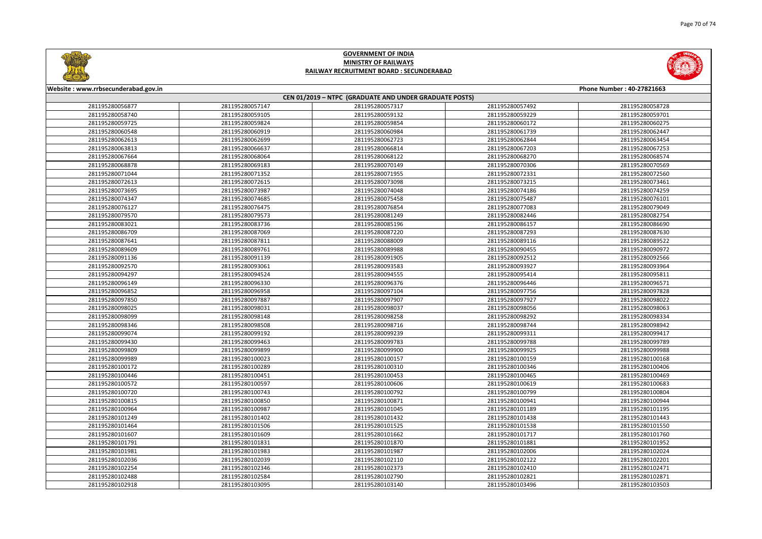



| Website: www.rrbsecunderabad.gov.in |                                                                                                                                                                                                                                                                        |                                                                                                                                                                                                                                  |                                                                                                                                                                                                                                                                                                                                  |  |
|-------------------------------------|------------------------------------------------------------------------------------------------------------------------------------------------------------------------------------------------------------------------------------------------------------------------|----------------------------------------------------------------------------------------------------------------------------------------------------------------------------------------------------------------------------------|----------------------------------------------------------------------------------------------------------------------------------------------------------------------------------------------------------------------------------------------------------------------------------------------------------------------------------|--|
|                                     |                                                                                                                                                                                                                                                                        |                                                                                                                                                                                                                                  | Phone Number: 40-27821663                                                                                                                                                                                                                                                                                                        |  |
|                                     |                                                                                                                                                                                                                                                                        |                                                                                                                                                                                                                                  |                                                                                                                                                                                                                                                                                                                                  |  |
|                                     |                                                                                                                                                                                                                                                                        |                                                                                                                                                                                                                                  | 281195280058728                                                                                                                                                                                                                                                                                                                  |  |
|                                     |                                                                                                                                                                                                                                                                        |                                                                                                                                                                                                                                  | 281195280059701                                                                                                                                                                                                                                                                                                                  |  |
|                                     |                                                                                                                                                                                                                                                                        |                                                                                                                                                                                                                                  | 281195280060275                                                                                                                                                                                                                                                                                                                  |  |
|                                     |                                                                                                                                                                                                                                                                        |                                                                                                                                                                                                                                  | 281195280062447                                                                                                                                                                                                                                                                                                                  |  |
|                                     |                                                                                                                                                                                                                                                                        |                                                                                                                                                                                                                                  | 281195280063454                                                                                                                                                                                                                                                                                                                  |  |
|                                     |                                                                                                                                                                                                                                                                        |                                                                                                                                                                                                                                  | 281195280067253                                                                                                                                                                                                                                                                                                                  |  |
|                                     |                                                                                                                                                                                                                                                                        |                                                                                                                                                                                                                                  | 281195280068574                                                                                                                                                                                                                                                                                                                  |  |
|                                     |                                                                                                                                                                                                                                                                        |                                                                                                                                                                                                                                  | 281195280070569                                                                                                                                                                                                                                                                                                                  |  |
|                                     |                                                                                                                                                                                                                                                                        |                                                                                                                                                                                                                                  | 281195280072560                                                                                                                                                                                                                                                                                                                  |  |
|                                     |                                                                                                                                                                                                                                                                        |                                                                                                                                                                                                                                  | 281195280073461                                                                                                                                                                                                                                                                                                                  |  |
|                                     |                                                                                                                                                                                                                                                                        |                                                                                                                                                                                                                                  | 281195280074259                                                                                                                                                                                                                                                                                                                  |  |
|                                     |                                                                                                                                                                                                                                                                        |                                                                                                                                                                                                                                  | 281195280076101                                                                                                                                                                                                                                                                                                                  |  |
|                                     | 281195280076854                                                                                                                                                                                                                                                        |                                                                                                                                                                                                                                  | 281195280079049                                                                                                                                                                                                                                                                                                                  |  |
| 281195280079573                     | 281195280081249                                                                                                                                                                                                                                                        | 281195280082446                                                                                                                                                                                                                  | 281195280082754                                                                                                                                                                                                                                                                                                                  |  |
| 281195280083736                     | 281195280085196                                                                                                                                                                                                                                                        | 281195280086157                                                                                                                                                                                                                  | 281195280086690                                                                                                                                                                                                                                                                                                                  |  |
| 281195280087069                     | 281195280087220                                                                                                                                                                                                                                                        |                                                                                                                                                                                                                                  | 281195280087630                                                                                                                                                                                                                                                                                                                  |  |
| 281195280087811                     | 281195280088009                                                                                                                                                                                                                                                        | 281195280089116                                                                                                                                                                                                                  | 281195280089522                                                                                                                                                                                                                                                                                                                  |  |
| 281195280089761                     | 281195280089988                                                                                                                                                                                                                                                        | 281195280090455                                                                                                                                                                                                                  | 281195280090972                                                                                                                                                                                                                                                                                                                  |  |
| 281195280091139                     | 281195280091905                                                                                                                                                                                                                                                        | 281195280092512                                                                                                                                                                                                                  | 281195280092566                                                                                                                                                                                                                                                                                                                  |  |
| 281195280093061                     | 281195280093583                                                                                                                                                                                                                                                        | 281195280093927                                                                                                                                                                                                                  | 281195280093964                                                                                                                                                                                                                                                                                                                  |  |
| 281195280094524                     | 281195280094555                                                                                                                                                                                                                                                        | 281195280095414                                                                                                                                                                                                                  | 281195280095811                                                                                                                                                                                                                                                                                                                  |  |
| 281195280096330                     | 281195280096376                                                                                                                                                                                                                                                        | 281195280096446                                                                                                                                                                                                                  | 281195280096571                                                                                                                                                                                                                                                                                                                  |  |
| 281195280096958                     | 281195280097104                                                                                                                                                                                                                                                        | 281195280097756                                                                                                                                                                                                                  | 281195280097828                                                                                                                                                                                                                                                                                                                  |  |
| 281195280097887                     | 281195280097907                                                                                                                                                                                                                                                        | 281195280097927                                                                                                                                                                                                                  | 281195280098022                                                                                                                                                                                                                                                                                                                  |  |
|                                     | 281195280098037                                                                                                                                                                                                                                                        | 281195280098056                                                                                                                                                                                                                  | 281195280098063                                                                                                                                                                                                                                                                                                                  |  |
| 281195280098148                     | 281195280098258                                                                                                                                                                                                                                                        | 281195280098292                                                                                                                                                                                                                  | 281195280098334                                                                                                                                                                                                                                                                                                                  |  |
| 281195280098508                     | 281195280098716                                                                                                                                                                                                                                                        | 281195280098744                                                                                                                                                                                                                  | 281195280098942                                                                                                                                                                                                                                                                                                                  |  |
| 281195280099192                     | 281195280099239                                                                                                                                                                                                                                                        | 281195280099311                                                                                                                                                                                                                  | 281195280099417                                                                                                                                                                                                                                                                                                                  |  |
| 281195280099463                     | 281195280099783                                                                                                                                                                                                                                                        | 281195280099788                                                                                                                                                                                                                  | 281195280099789                                                                                                                                                                                                                                                                                                                  |  |
| 281195280099899                     | 281195280099900                                                                                                                                                                                                                                                        | 281195280099925                                                                                                                                                                                                                  | 281195280099988                                                                                                                                                                                                                                                                                                                  |  |
| 281195280100023                     | 281195280100157                                                                                                                                                                                                                                                        | 281195280100159                                                                                                                                                                                                                  | 281195280100168                                                                                                                                                                                                                                                                                                                  |  |
| 281195280100289                     | 281195280100310                                                                                                                                                                                                                                                        | 281195280100346                                                                                                                                                                                                                  | 281195280100406                                                                                                                                                                                                                                                                                                                  |  |
| 281195280100451                     | 281195280100453                                                                                                                                                                                                                                                        | 281195280100465                                                                                                                                                                                                                  | 281195280100469                                                                                                                                                                                                                                                                                                                  |  |
| 281195280100597                     | 281195280100606                                                                                                                                                                                                                                                        | 281195280100619                                                                                                                                                                                                                  | 281195280100683                                                                                                                                                                                                                                                                                                                  |  |
| 281195280100743                     | 281195280100792                                                                                                                                                                                                                                                        | 281195280100799                                                                                                                                                                                                                  | 281195280100804                                                                                                                                                                                                                                                                                                                  |  |
| 281195280100850                     | 281195280100871                                                                                                                                                                                                                                                        | 281195280100941                                                                                                                                                                                                                  | 281195280100944                                                                                                                                                                                                                                                                                                                  |  |
| 281195280100987                     | 281195280101045                                                                                                                                                                                                                                                        | 281195280101189                                                                                                                                                                                                                  | 281195280101195                                                                                                                                                                                                                                                                                                                  |  |
| 281195280101402                     | 281195280101432                                                                                                                                                                                                                                                        | 281195280101438                                                                                                                                                                                                                  | 281195280101443                                                                                                                                                                                                                                                                                                                  |  |
| 281195280101506                     | 281195280101525                                                                                                                                                                                                                                                        | 281195280101538                                                                                                                                                                                                                  | 281195280101550                                                                                                                                                                                                                                                                                                                  |  |
| 281195280101609                     | 281195280101662                                                                                                                                                                                                                                                        | 281195280101717                                                                                                                                                                                                                  | 281195280101760                                                                                                                                                                                                                                                                                                                  |  |
| 281195280101831                     | 281195280101870                                                                                                                                                                                                                                                        | 281195280101881                                                                                                                                                                                                                  | 281195280101952                                                                                                                                                                                                                                                                                                                  |  |
| 281195280101983                     | 281195280101987                                                                                                                                                                                                                                                        | 281195280102006                                                                                                                                                                                                                  | 281195280102024                                                                                                                                                                                                                                                                                                                  |  |
| 281195280102039                     | 281195280102110                                                                                                                                                                                                                                                        | 281195280102122                                                                                                                                                                                                                  | 281195280102201                                                                                                                                                                                                                                                                                                                  |  |
| 281195280102346                     | 281195280102373                                                                                                                                                                                                                                                        | 281195280102410                                                                                                                                                                                                                  | 281195280102471                                                                                                                                                                                                                                                                                                                  |  |
| 281195280102584                     | 281195280102790                                                                                                                                                                                                                                                        | 281195280102821                                                                                                                                                                                                                  | 281195280102871                                                                                                                                                                                                                                                                                                                  |  |
| 281195280103095                     | 281195280103140                                                                                                                                                                                                                                                        | 281195280103496                                                                                                                                                                                                                  | 281195280103503                                                                                                                                                                                                                                                                                                                  |  |
|                                     | 281195280057147<br>281195280059105<br>281195280059824<br>281195280060919<br>281195280062699<br>281195280066637<br>281195280068064<br>281195280069183<br>281195280071352<br>281195280072615<br>281195280073987<br>281195280074685<br>281195280076475<br>281195280098031 | 281195280057317<br>281195280059132<br>281195280059854<br>281195280060984<br>281195280062723<br>281195280066814<br>281195280068122<br>281195280070149<br>281195280071955<br>281195280073098<br>281195280074048<br>281195280075458 | CEN 01/2019 - NTPC (GRADUATE AND UNDER GRADUATE POSTS)<br>281195280057492<br>281195280059229<br>281195280060172<br>281195280061739<br>281195280062844<br>281195280067203<br>281195280068270<br>281195280070306<br>281195280072331<br>281195280073215<br>281195280074186<br>281195280075487<br>281195280077083<br>281195280087293 |  |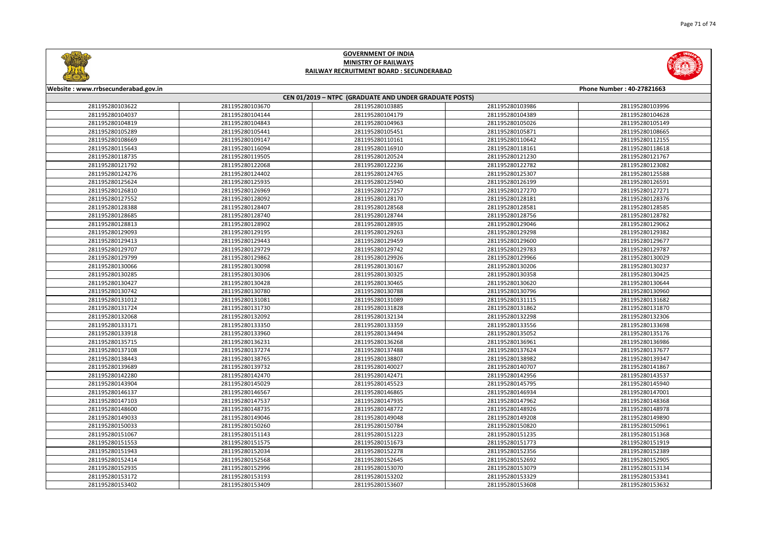



| Website: www.rrbsecunderabad.gov.in |                 |                                                        |                 | Phone Number: 40-27821663 |
|-------------------------------------|-----------------|--------------------------------------------------------|-----------------|---------------------------|
|                                     |                 | CEN 01/2019 - NTPC (GRADUATE AND UNDER GRADUATE POSTS) |                 |                           |
| 281195280103622                     | 281195280103670 | 281195280103885                                        | 281195280103986 | 281195280103996           |
| 281195280104037                     | 281195280104144 | 281195280104179                                        | 281195280104389 | 281195280104628           |
| 281195280104819                     | 281195280104843 | 281195280104963                                        | 281195280105026 | 281195280105149           |
| 281195280105289                     | 281195280105441 | 281195280105451                                        | 281195280105871 | 281195280108665           |
| 281195280108669                     | 281195280109147 | 281195280110161                                        | 281195280110642 | 281195280112155           |
| 281195280115643                     | 281195280116094 | 281195280116910                                        | 281195280118161 | 281195280118618           |
| 281195280118735                     | 281195280119505 | 281195280120524                                        | 281195280121230 | 281195280121767           |
| 281195280121792                     | 281195280122068 | 281195280122236                                        | 281195280122782 | 281195280123082           |
| 281195280124276                     | 281195280124402 | 281195280124765                                        | 281195280125307 | 281195280125588           |
| 281195280125624                     | 281195280125935 | 281195280125940                                        | 281195280126199 | 281195280126591           |
| 281195280126810                     | 281195280126969 | 281195280127257                                        | 281195280127270 | 281195280127271           |
| 281195280127552                     | 281195280128092 | 281195280128170                                        | 281195280128181 | 281195280128376           |
| 281195280128388                     | 281195280128407 | 281195280128568                                        | 281195280128581 | 281195280128585           |
| 281195280128685                     | 281195280128740 | 281195280128744                                        | 281195280128756 | 281195280128782           |
| 281195280128813                     | 281195280128902 | 281195280128935                                        | 281195280129046 | 281195280129062           |
| 281195280129093                     | 281195280129195 | 281195280129263                                        | 281195280129298 | 281195280129382           |
| 281195280129413                     | 281195280129443 | 281195280129459                                        | 281195280129600 | 281195280129677           |
| 281195280129707                     | 281195280129729 | 281195280129742                                        | 281195280129783 | 281195280129787           |
| 281195280129799                     | 281195280129862 | 281195280129926                                        | 281195280129966 | 281195280130029           |
| 281195280130066                     | 281195280130098 | 281195280130167                                        | 281195280130206 | 281195280130237           |
| 281195280130285                     | 281195280130306 | 281195280130325                                        | 281195280130358 | 281195280130425           |
| 281195280130427                     | 281195280130428 | 281195280130465                                        | 281195280130620 | 281195280130644           |
| 281195280130742                     | 281195280130780 | 281195280130788                                        | 281195280130796 | 281195280130960           |
| 281195280131012                     | 281195280131081 | 281195280131089                                        | 281195280131115 | 281195280131682           |
| 281195280131724                     | 281195280131730 | 281195280131828                                        | 281195280131862 | 281195280131870           |
| 281195280132068                     | 281195280132092 | 281195280132134                                        | 281195280132298 | 281195280132306           |
| 281195280133171                     | 281195280133350 | 281195280133359                                        | 281195280133556 | 281195280133698           |
| 281195280133918                     | 281195280133960 | 281195280134494                                        | 281195280135052 | 281195280135176           |
| 281195280135715                     | 281195280136231 | 281195280136268                                        | 281195280136961 | 281195280136986           |
| 281195280137108                     | 281195280137274 | 281195280137488                                        | 281195280137624 | 281195280137677           |
| 281195280138443                     | 281195280138765 | 281195280138807                                        | 281195280138982 | 281195280139347           |
| 281195280139689                     | 281195280139732 | 281195280140027                                        | 281195280140707 | 281195280141867           |
| 281195280142280                     | 281195280142470 | 281195280142471                                        | 281195280142956 | 281195280143537           |
| 281195280143904                     | 281195280145029 | 281195280145523                                        | 281195280145795 | 281195280145940           |
| 281195280146137                     | 281195280146567 | 281195280146865                                        | 281195280146934 | 281195280147001           |
| 281195280147103                     | 281195280147537 | 281195280147935                                        | 281195280147962 | 281195280148368           |
| 281195280148600                     | 281195280148735 | 281195280148772                                        | 281195280148926 | 281195280148978           |
| 281195280149033                     | 281195280149046 | 281195280149048                                        | 281195280149208 | 281195280149890           |
| 281195280150033                     | 281195280150260 | 281195280150784                                        | 281195280150820 | 281195280150961           |
| 281195280151067                     | 281195280151143 | 281195280151223                                        | 281195280151235 | 281195280151368           |
| 281195280151553                     | 281195280151575 | 281195280151673                                        | 281195280151773 | 281195280151919           |
| 281195280151943                     | 281195280152034 | 281195280152278                                        | 281195280152356 | 281195280152389           |
| 281195280152414                     | 281195280152568 | 281195280152645                                        | 281195280152692 | 281195280152905           |
| 281195280152935                     | 281195280152996 | 281195280153070                                        | 281195280153079 | 281195280153134           |
| 281195280153172                     | 281195280153193 | 281195280153202                                        | 281195280153329 | 281195280153341           |
| 281195280153402                     | 281195280153409 | 281195280153607                                        | 281195280153608 | 281195280153632           |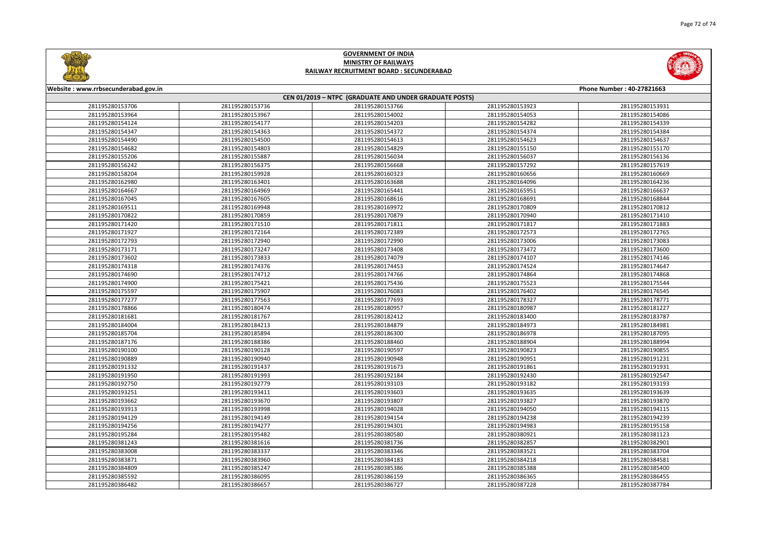



| Website: www.rrbsecunderabad.gov.in |                 |                                                        |                 | Phone Number: 40-27821663 |
|-------------------------------------|-----------------|--------------------------------------------------------|-----------------|---------------------------|
|                                     |                 | CEN 01/2019 - NTPC (GRADUATE AND UNDER GRADUATE POSTS) |                 |                           |
| 281195280153706                     | 281195280153736 | 281195280153766                                        | 281195280153923 | 281195280153931           |
| 281195280153964                     | 281195280153967 | 281195280154002                                        | 281195280154053 | 281195280154086           |
| 281195280154124                     | 281195280154177 | 281195280154203                                        | 281195280154282 | 281195280154339           |
| 281195280154347                     | 281195280154363 | 281195280154372                                        | 281195280154374 | 281195280154384           |
| 281195280154490                     | 281195280154500 | 281195280154613                                        | 281195280154623 | 281195280154637           |
| 281195280154682                     | 281195280154803 | 281195280154829                                        | 281195280155150 | 281195280155170           |
| 281195280155206                     | 281195280155887 | 281195280156034                                        | 281195280156037 | 281195280156136           |
| 281195280156242                     | 281195280156375 | 281195280156668                                        | 281195280157292 | 281195280157619           |
| 281195280158204                     | 281195280159928 | 281195280160323                                        | 281195280160656 | 281195280160669           |
| 281195280162980                     | 281195280163401 | 281195280163688                                        | 281195280164096 | 281195280164236           |
| 281195280164667                     | 281195280164969 | 281195280165441                                        | 281195280165951 | 281195280166637           |
| 281195280167045                     | 281195280167605 | 281195280168616                                        | 281195280168691 | 281195280168844           |
| 281195280169511                     | 281195280169948 | 281195280169972                                        | 281195280170809 | 281195280170812           |
| 281195280170822                     | 281195280170859 | 281195280170879                                        | 281195280170940 | 281195280171410           |
| 281195280171420                     | 281195280171510 | 281195280171811                                        | 281195280171817 | 281195280171883           |
| 281195280171927                     | 281195280172164 | 281195280172389                                        | 281195280172573 | 281195280172765           |
| 281195280172793                     | 281195280172940 | 281195280172990                                        | 281195280173006 | 281195280173083           |
| 281195280173171                     | 281195280173247 | 281195280173408                                        | 281195280173472 | 281195280173600           |
| 281195280173602                     | 281195280173833 | 281195280174079                                        | 281195280174107 | 281195280174146           |
| 281195280174318                     | 281195280174376 | 281195280174453                                        | 281195280174524 | 281195280174647           |
| 281195280174690                     | 281195280174712 | 281195280174766                                        | 281195280174864 | 281195280174868           |
| 281195280174900                     | 281195280175421 | 281195280175436                                        | 281195280175523 | 281195280175544           |
| 281195280175597                     | 281195280175907 | 281195280176083                                        | 281195280176402 | 281195280176545           |
| 281195280177277                     | 281195280177563 | 281195280177693                                        | 281195280178327 | 281195280178771           |
| 281195280178866                     | 281195280180474 | 281195280180957                                        | 281195280180987 | 281195280181227           |
| 281195280181681                     | 281195280181767 | 281195280182412                                        | 281195280183400 | 281195280183787           |
| 281195280184004                     | 281195280184213 | 281195280184879                                        | 281195280184973 | 281195280184981           |
| 281195280185704                     | 281195280185894 | 281195280186300                                        | 281195280186978 | 281195280187095           |
| 281195280187176                     | 281195280188386 | 281195280188460                                        | 281195280188904 | 281195280188994           |
| 281195280190100                     | 281195280190128 | 281195280190597                                        | 281195280190823 | 281195280190855           |
| 281195280190889                     | 281195280190940 | 281195280190948                                        | 281195280190951 | 281195280191231           |
| 281195280191332                     | 281195280191437 | 281195280191673                                        | 281195280191861 | 281195280191931           |
| 281195280191950                     | 281195280191993 | 281195280192184                                        | 281195280192430 | 281195280192547           |
| 281195280192750                     | 281195280192779 | 281195280193103                                        | 281195280193182 | 281195280193193           |
| 281195280193251                     | 281195280193411 | 281195280193603                                        | 281195280193635 | 281195280193639           |
| 281195280193662                     | 281195280193670 | 281195280193807                                        | 281195280193827 | 281195280193870           |
| 281195280193913                     | 281195280193998 | 281195280194028                                        | 281195280194050 | 281195280194115           |
| 281195280194129                     | 281195280194149 | 281195280194154                                        | 281195280194238 | 281195280194239           |
| 281195280194256                     | 281195280194277 | 281195280194301                                        | 281195280194983 | 281195280195158           |
| 281195280195284                     | 281195280195482 | 281195280380580                                        | 281195280380921 | 281195280381123           |
| 281195280381243                     | 281195280381616 | 281195280381736                                        | 281195280382857 | 281195280382901           |
| 281195280383008                     | 281195280383337 | 281195280383346                                        | 281195280383521 | 281195280383704           |
| 281195280383871                     | 281195280383960 | 281195280384183                                        | 281195280384218 | 281195280384581           |
| 281195280384809                     | 281195280385247 | 281195280385386                                        | 281195280385388 | 281195280385400           |
| 281195280385592                     | 281195280386095 | 281195280386159                                        | 281195280386365 | 281195280386455           |
| 281195280386482                     | 281195280386657 | 281195280386727                                        | 281195280387228 | 281195280387784           |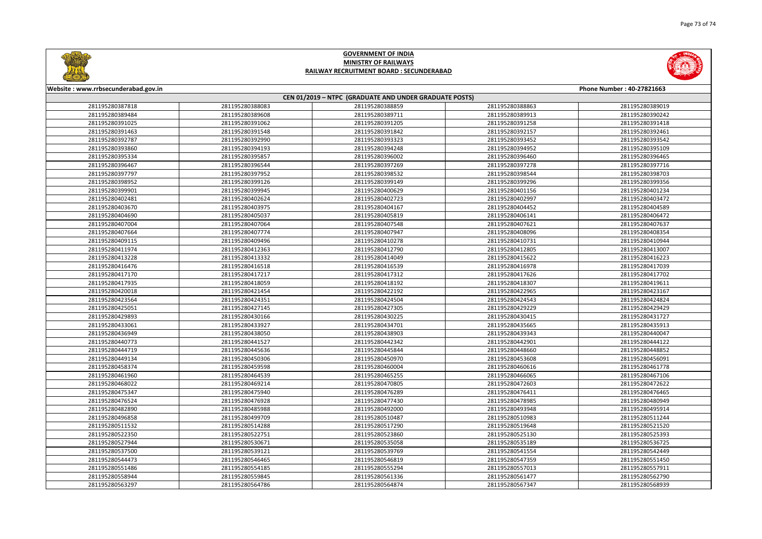



## **GOVERNMENT OF INDIA MINISTRY OF RAILWAYS RAILWAY RECRUITMENT BOARD : SECUNDERABAD**

| Website: www.rrbsecunderabad.gov.in<br>Phone Number: 40-27821663 |                 |                 |                 |                 |  |  |  |  |
|------------------------------------------------------------------|-----------------|-----------------|-----------------|-----------------|--|--|--|--|
| CEN 01/2019 - NTPC (GRADUATE AND UNDER GRADUATE POSTS)           |                 |                 |                 |                 |  |  |  |  |
| 281195280387818                                                  | 281195280388083 | 281195280388859 | 281195280388863 | 281195280389019 |  |  |  |  |
| 281195280389484                                                  | 281195280389608 | 281195280389711 | 281195280389913 | 281195280390242 |  |  |  |  |
| 281195280391025                                                  | 281195280391062 | 281195280391205 | 281195280391258 | 281195280391418 |  |  |  |  |
| 281195280391463                                                  | 281195280391548 | 281195280391842 | 281195280392157 | 281195280392461 |  |  |  |  |
| 281195280392787                                                  | 281195280392990 | 281195280393323 | 281195280393452 | 281195280393542 |  |  |  |  |
| 281195280393860                                                  | 281195280394193 | 281195280394248 | 281195280394952 | 281195280395109 |  |  |  |  |
| 281195280395334                                                  | 281195280395857 | 281195280396002 | 281195280396460 | 281195280396465 |  |  |  |  |
| 281195280396467                                                  | 281195280396544 | 281195280397269 | 281195280397278 | 281195280397716 |  |  |  |  |
| 281195280397797                                                  | 281195280397952 | 281195280398532 | 281195280398544 | 281195280398703 |  |  |  |  |
| 281195280398952                                                  | 281195280399126 | 281195280399149 | 281195280399296 | 281195280399356 |  |  |  |  |
| 281195280399901                                                  | 281195280399945 | 281195280400629 | 281195280401156 | 281195280401234 |  |  |  |  |
| 281195280402481                                                  | 281195280402624 | 281195280402723 | 281195280402997 | 281195280403472 |  |  |  |  |
| 281195280403670                                                  | 281195280403975 | 281195280404167 | 281195280404452 | 281195280404589 |  |  |  |  |
| 281195280404690                                                  | 281195280405037 | 281195280405819 | 281195280406141 | 281195280406472 |  |  |  |  |
| 281195280407004                                                  | 281195280407064 | 281195280407548 | 281195280407621 | 281195280407637 |  |  |  |  |
| 281195280407664                                                  | 281195280407774 | 281195280407947 | 281195280408096 | 281195280408354 |  |  |  |  |
| 281195280409115                                                  | 281195280409496 | 281195280410278 | 281195280410731 | 281195280410944 |  |  |  |  |
| 281195280411974                                                  | 281195280412363 | 281195280412790 | 281195280412805 | 281195280413007 |  |  |  |  |
| 281195280413228                                                  | 281195280413332 | 281195280414049 | 281195280415622 | 281195280416223 |  |  |  |  |
| 281195280416476                                                  | 281195280416518 | 281195280416539 | 281195280416978 | 281195280417039 |  |  |  |  |
| 281195280417170                                                  | 281195280417217 | 281195280417312 | 281195280417626 | 281195280417702 |  |  |  |  |
| 281195280417935                                                  | 281195280418059 | 281195280418192 | 281195280418307 | 281195280419611 |  |  |  |  |
| 281195280420018                                                  | 281195280421454 | 281195280422192 | 281195280422965 | 281195280423167 |  |  |  |  |
| 281195280423564                                                  | 281195280424351 | 281195280424504 | 281195280424543 | 281195280424824 |  |  |  |  |
| 281195280425051                                                  | 281195280427145 | 281195280427305 | 281195280429229 | 281195280429429 |  |  |  |  |
| 281195280429893                                                  | 281195280430166 | 281195280430225 | 281195280430415 | 281195280431727 |  |  |  |  |
| 281195280433061                                                  | 281195280433927 | 281195280434701 | 281195280435665 | 281195280435913 |  |  |  |  |
| 281195280436949                                                  | 281195280438050 | 281195280438903 | 281195280439343 | 281195280440047 |  |  |  |  |
| 281195280440773                                                  | 281195280441527 | 281195280442342 | 281195280442901 | 281195280444122 |  |  |  |  |
| 281195280444719                                                  | 281195280445636 | 281195280445844 | 281195280448660 | 281195280448852 |  |  |  |  |
| 281195280449134                                                  | 281195280450306 | 281195280450970 | 281195280453608 | 281195280456091 |  |  |  |  |
| 281195280458374                                                  | 281195280459598 | 281195280460004 | 281195280460616 | 281195280461778 |  |  |  |  |
| 281195280461960                                                  | 281195280464539 | 281195280465255 | 281195280466065 | 281195280467106 |  |  |  |  |
| 281195280468022                                                  | 281195280469214 | 281195280470805 | 281195280472603 | 281195280472622 |  |  |  |  |
| 281195280475347                                                  | 281195280475940 | 281195280476289 | 281195280476411 | 281195280476465 |  |  |  |  |
| 281195280476524                                                  | 281195280476928 | 281195280477430 | 281195280478985 | 281195280480949 |  |  |  |  |
| 281195280482890                                                  | 281195280485988 | 281195280492000 | 281195280493948 | 281195280495914 |  |  |  |  |
| 281195280496858                                                  | 281195280499709 | 281195280510487 | 281195280510983 | 281195280511244 |  |  |  |  |
| 281195280511532                                                  | 281195280514288 | 281195280517290 | 281195280519648 | 281195280521520 |  |  |  |  |
| 281195280522350                                                  | 281195280522751 | 281195280523860 | 281195280525130 | 281195280525393 |  |  |  |  |
| 281195280527944                                                  | 281195280530671 | 281195280535058 | 281195280535189 | 281195280536725 |  |  |  |  |
| 281195280537500                                                  | 281195280539121 | 281195280539769 | 281195280541554 | 281195280542449 |  |  |  |  |
| 281195280544473                                                  | 281195280546465 | 281195280546819 | 281195280547359 | 281195280551450 |  |  |  |  |
| 281195280551486                                                  | 281195280554185 | 281195280555294 | 281195280557013 | 281195280557911 |  |  |  |  |
| 281195280558944                                                  | 281195280559845 | 281195280561336 | 281195280561477 | 281195280562790 |  |  |  |  |
| 281195280563297                                                  | 281195280564786 | 281195280564874 | 281195280567347 | 281195280568939 |  |  |  |  |